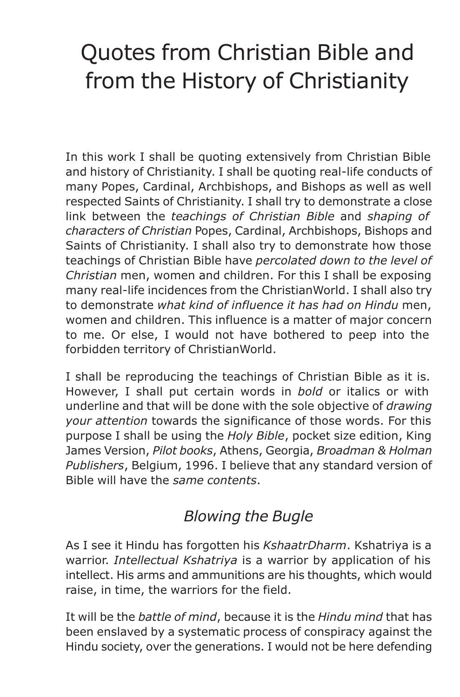# Quotes from Christian Bible and from the History of Christianity

In this work I shall be quoting extensively from Christian Bible and history of Christianity. I shall be quoting real-life conducts of many Popes, Cardinal, Archbishops, and Bishops as well as well respected Saints of Christianity. I shall try to demonstrate a close link between the *teachings of Christian Bible* and *shaping of characters of Christian* Popes, Cardinal, Archbishops, Bishops and Saints of Christianity. I shall also try to demonstrate how those teachings of Christian Bible have *percolated down to the level of Christian* men, women and children. For this I shall be exposing many real-life incidences from the ChristianWorld. I shall also try to demonstrate *what kind of influence it has had on Hindu* men, women and children. This influence is a matter of major concern to me. Or else, I would not have bothered to peep into the forbidden territory of ChristianWorld.

I shall be reproducing the teachings of Christian Bible as it is. However, I shall put certain words in *bold* or italics or with underline and that will be done with the sole objective of *drawing your attention* towards the significance of those words. For this purpose I shall be using the *Holy Bible*, pocket size edition, King James Version, *Pilot books*, Athens, Georgia, *Broadman & Holman Publishers*, Belgium, 1996. I believe that any standard version of Bible will have the *same contents*.

#### *Blowing the Bugle*

As I see it Hindu has forgotten his *KshaatrDharm*. Kshatriya is a warrior. *Intellectual Kshatriya* is a warrior by application of his intellect. His arms and ammunitions are his thoughts, which would raise, in time, the warriors for the field.

It will be the *battle of mind*, because it is the *Hindu mind* that has been enslaved by a systematic process of conspiracy against the Hindu society, over the generations. I would not be here defending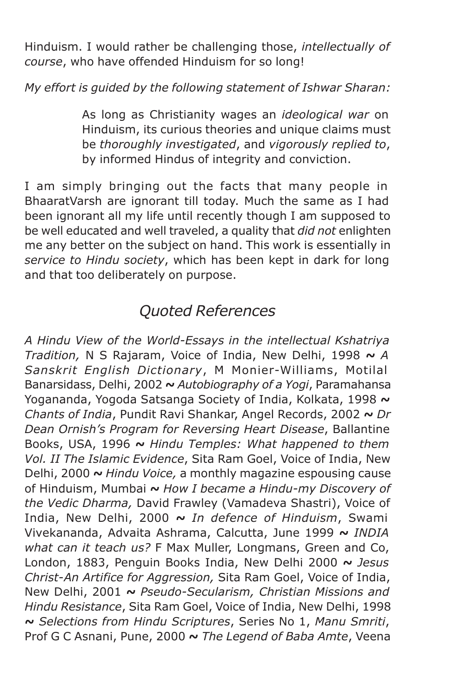Hinduism. I would rather be challenging those, *intellectually of course*, who have offended Hinduism for so long!

*My effort is guided by the following statement of Ishwar Sharan:*

As long as Christianity wages an *ideological war* on Hinduism, its curious theories and unique claims must be *thoroughly investigated*, and *vigorously replied to*, by informed Hindus of integrity and conviction.

I am simply bringing out the facts that many people in BhaaratVarsh are ignorant till today. Much the same as I had been ignorant all my life until recently though I am supposed to be well educated and well traveled, a quality that *did not* enlighten me any better on the subject on hand. This work is essentially in *service to Hindu society*, which has been kept in dark for long and that too deliberately on purpose.

#### *Quoted References*

*A Hindu View of the World-Essays in the intellectual Kshatriya Tradition,* N S Rajaram, Voice of India, New Delhi, 1998 **~** *A Sanskrit English Dictionary*, M Monier-Williams, Motilal Banarsidass, Delhi, 2002 **~** *Autobiography of a Yogi*, Paramahansa Yogananda, Yogoda Satsanga Society of India, Kolkata, 1998 **~** *Chants of India*, Pundit Ravi Shankar, Angel Records, 2002 **~** *Dr Dean Ornish's Program for Reversing Heart Disease*, Ballantine Books, USA, 1996 **~** *Hindu Temples: What happened to them Vol. II The Islamic Evidence*, Sita Ram Goel, Voice of India, New Delhi, 2000 **~** *Hindu Voice,* a monthly magazine espousing cause of Hinduism, Mumbai **~** *How I became a Hindu-my Discovery of the Vedic Dharma,* David Frawley (Vamadeva Shastri), Voice of India, New Delhi, 2000 **~** *In defence of Hinduism*, Swami Vivekananda, Advaita Ashrama, Calcutta, June 1999 **~** *INDIA what can it teach us?* F Max Muller, Longmans, Green and Co, London, 1883, Penguin Books India, New Delhi 2000 **~** *Jesus Christ*-*An Artifice for Aggression,* Sita Ram Goel, Voice of India, New Delhi, 2001 **~** *Pseudo-Secularism, Christian Missions and Hindu Resistance*, Sita Ram Goel, Voice of India, New Delhi, 1998 **~** *Selections from Hindu Scriptures*, Series No 1, *Manu Smriti*, Prof G C Asnani, Pune, 2000 **~** *The Legend of Baba Amte*, Veena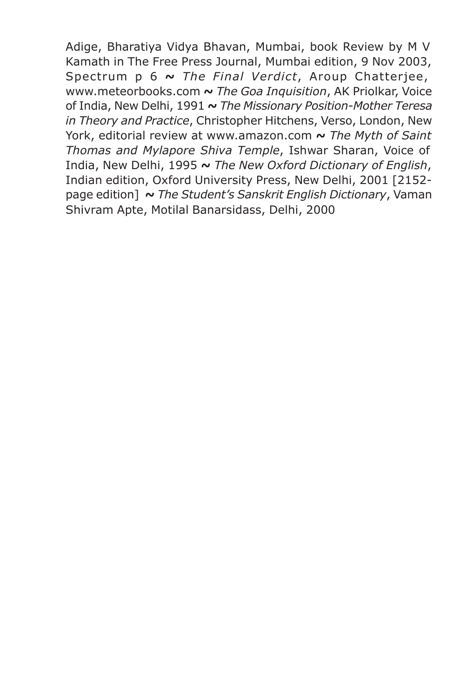Adige, Bharatiya Vidya Bhavan, Mumbai, book Review by M V Kamath in The Free Press Journal, Mumbai edition, 9 Nov 2003, Spectrum p 6 **~** *The Final Verdict*, Aroup Chatterjee, www.meteorbooks.com **~** *The Goa Inquisition*, AK Priolkar, Voice of India, New Delhi, 1991 **~** *The Missionary Position-Mother Teresa in Theory and Practice*, Christopher Hitchens, Verso, London, New York, editorial review at www.amazon.com **~** *The Myth of Saint Thomas and Mylapore Shiva Temple*, Ishwar Sharan, Voice of India, New Delhi, 1995 **~** *The New Oxford Dictionary of English*, Indian edition, Oxford University Press, New Delhi, 2001 [2152 page edition] **~** *The Student's Sanskrit English Dictionary*, Vaman Shivram Apte, Motilal Banarsidass, Delhi, 2000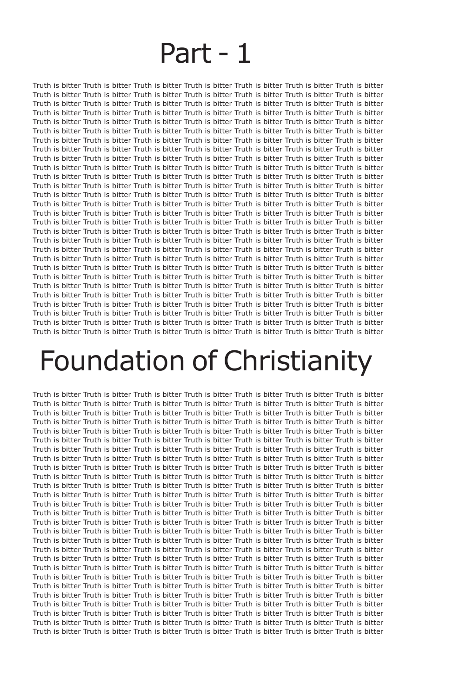# Part - 1

Truth is bitter Truth is bitter Truth is bitter Truth is bitter Truth is bitter Truth is bitter Truth is bitter Truth is bitter Truth is bitter Truth is bitter Truth is bitter Truth is bitter Truth is bitter Truth is bitter Truth is bitter Truth is bitter Truth is bitter Truth is bitter Truth is bitter Truth is bitter Truth is bitter Truth is bitter Truth is bitter Truth is bitter Truth is bitter Truth is bitter Truth is bitter Truth is bitter Truth is bitter Truth is bitter Truth is bitter Truth is bitter Truth is bitter Truth is bitter Truth is bitter Truth is bitter Truth is bitter Truth is bitter Truth is bitter Truth is bitter Truth is bitter Truth is bitter Truth is bitter Truth is bitter Truth is bitter Truth is bitter Truth is bitter Truth is bitter Truth is bitter Truth is bitter Truth is bitter Truth is bitter Truth is bitter Truth is bitter Truth is bitter Truth is bitter Truth is bitter Truth is bitter Truth is bitter Truth is bitter Truth is bitter Truth is bitter Truth is bitter Truth is bitter Truth is bitter Truth is bitter Truth is bitter Truth is bitter Truth is bitter Truth is bitter Truth is bitter Truth is bitter Truth is bitter Truth is bitter Truth is bitter Truth is bitter Truth is bitter Truth is bitter Truth is bitter Truth is bitter Truth is bitter Truth is bitter Truth is bitter Truth is bitter Truth is bitter Truth is bitter Truth is bitter Truth is bitter Truth is bitter Truth is bitter Truth is bitter Truth is bitter Truth is bitter Truth is bitter Truth is bitter Truth is bitter Truth is bitter Truth is bitter Truth is bitter Truth is bitter Truth is bitter Truth is bitter Truth is bitter Truth is bitter Truth is bitter Truth is bitter Truth is bitter Truth is bitter Truth is bitter Truth is bitter Truth is bitter Truth is bitter Truth is bitter Truth is bitter Truth is bitter Truth is bitter Truth is bitter Truth is bitter Truth is bitter Truth is bitter Truth is bitter Truth is bitter Truth is bitter Truth is bitter Truth is bitter Truth is bitter Truth is bitter Truth is bitter Truth is bitter Truth is bitter Truth is bitter Truth is bitter Truth is bitter Truth is bitter Truth is bitter Truth is bitter Truth is bitter Truth is bitter Truth is bitter Truth is bitter Truth is bitter Truth is bitter Truth is bitter Truth is bitter Truth is bitter Truth is bitter Truth is bitter Truth is bitter Truth is bitter Truth is bitter Truth is bitter Truth is bitter Truth is bitter Truth is bitter Truth is bitter Truth is bitter Truth is bitter Truth is bitter Truth is bitter Truth is bitter Truth is bitter Truth is bitter Truth is bitter Truth is bitter Truth is bitter Truth is bitter Truth is bitter Truth is bitter Truth is bitter Truth is bitter Truth is bitter Truth is bitter Truth is bitter Truth is bitter Truth is bitter Truth is bitter Truth is bitter Truth is bitter Truth is bitter Truth is bitter Truth is bitter Truth is bitter Truth is bitter Truth is bitter Truth is bitter Truth is bitter Truth is bitter Truth is bitter Truth is bitter Truth is bitter Truth is bitter Truth is bitter Truth is bitter Truth is bitter Truth is bitter Truth is bitter

# Foundation of Christianity

Truth is bitter Truth is bitter Truth is bitter Truth is bitter Truth is bitter Truth is bitter Truth is bitter Truth is bitter Truth is bitter Truth is bitter Truth is bitter Truth is bitter Truth is bitter Truth is bitter Truth is bitter Truth is bitter Truth is bitter Truth is bitter Truth is bitter Truth is bitter Truth is bitter Truth is bitter Truth is bitter Truth is bitter Truth is bitter Truth is bitter Truth is bitter Truth is bitter Truth is bitter Truth is bitter Truth is bitter Truth is bitter Truth is bitter Truth is bitter Truth is bitter Truth is bitter Truth is bitter Truth is bitter Truth is bitter Truth is bitter Truth is bitter Truth is bitter Truth is bitter Truth is bitter Truth is bitter Truth is bitter Truth is bitter Truth is bitter Truth is bitter Truth is bitter Truth is bitter Truth is bitter Truth is bitter Truth is bitter Truth is bitter Truth is bitter Truth is bitter Truth is bitter Truth is bitter Truth is bitter Truth is bitter Truth is bitter Truth is bitter Truth is bitter Truth is bitter Truth is bitter Truth is bitter Truth is bitter Truth is bitter Truth is bitter Truth is bitter Truth is bitter Truth is bitter Truth is bitter Truth is bitter Truth is bitter Truth is bitter Truth is bitter Truth is bitter Truth is bitter Truth is bitter Truth is bitter Truth is bitter Truth is bitter Truth is bitter Truth is bitter Truth is bitter Truth is bitter Truth is bitter Truth is bitter Truth is bitter Truth is bitter Truth is bitter Truth is bitter Truth is bitter Truth is bitter Truth is bitter Truth is bitter Truth is bitter Truth is bitter Truth is bitter Truth is bitter Truth is bitter Truth is bitter Truth is bitter Truth is bitter Truth is bitter Truth is bitter Truth is bitter Truth is bitter Truth is bitter Truth is bitter Truth is bitter Truth is bitter Truth is bitter Truth is bitter Truth is bitter Truth is bitter Truth is bitter Truth is bitter Truth is bitter Truth is bitter Truth is bitter Truth is bitter Truth is bitter Truth is bitter Truth is bitter Truth is bitter Truth is bitter Truth is bitter Truth is bitter Truth is bitter Truth is bitter Truth is bitter Truth is bitter Truth is bitter Truth is bitter Truth is bitter Truth is bitter Truth is bitter Truth is bitter Truth is bitter Truth is bitter Truth is bitter Truth is bitter Truth is bitter Truth is bitter Truth is bitter Truth is bitter Truth is bitter Truth is bitter Truth is bitter Truth is bitter Truth is bitter Truth is bitter Truth is bitter Truth is bitter Truth is bitter Truth is bitter Truth is bitter Truth is bitter Truth is bitter Truth is bitter Truth is bitter Truth is bitter Truth is bitter Truth is bitter Truth is bitter Truth is bitter Truth is bitter Truth is bitter Truth is bitter Truth is bitter Truth is bitter Truth is bitter Truth is bitter Truth is bitter Truth is bitter Truth is bitter Truth is bitter Truth is bitter Truth is bitter Truth is bitter Truth is bitter Truth is bitter Truth is bitter Truth is bitter Truth is bitter Truth is bitter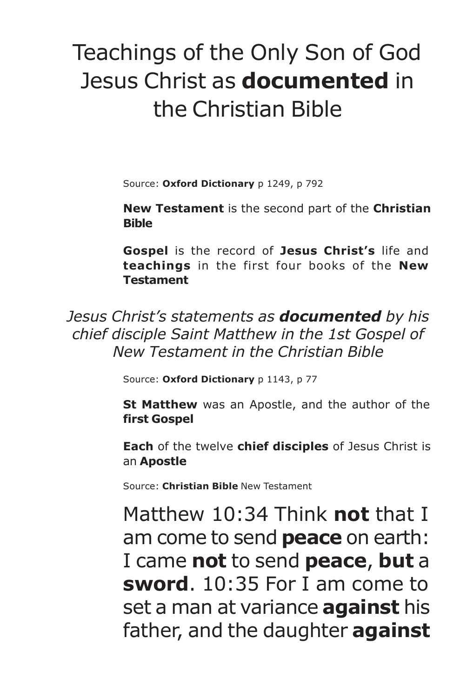# Teachings of the Only Son of God Jesus Christ as **documented** in the Christian Bible

Source: **Oxford Dictionary** p 1249, p 792

**New Testament** is the second part of the **Christian Bible**

**Gospel** is the record of **Jesus Christ's** life and **teachings** in the first four books of the **New Testament**

*Jesus Christ's statements as documented by his chief disciple Saint Matthew in the 1st Gospel of New Testament in the Christian Bible*

Source: **Oxford Dictionary** p 1143, p 77

**St Matthew** was an Apostle, and the author of the **first Gospel**

**Each** of the twelve **chief disciples** of Jesus Christ is an **Apostle**

Source: **Christian Bible** New Testament

Matthew 10:34 Think **not** that I am come to send **peace** on earth: I came **not** to send **peace**, **but** a **sword**. 10:35 For I am come to set a man at variance **against** his father, and the daughter **against**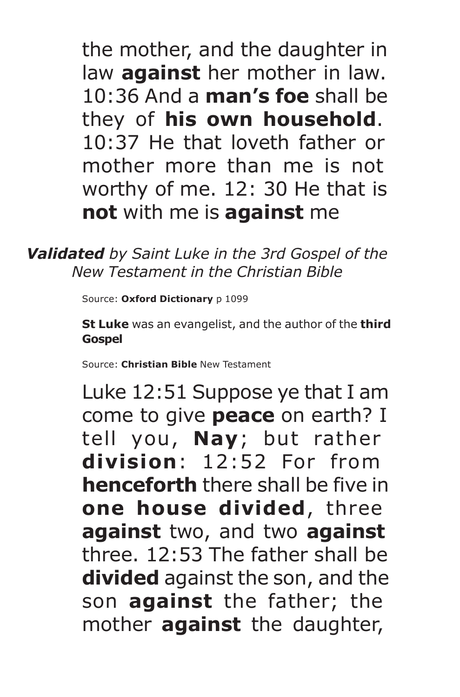the mother, and the daughter in law **against** her mother in law. 10:36 And a **man's foe** shall be they of **his own household**. 10:37 He that loveth father or mother more than me is not worthy of me. 12: 30 He that is **not** with me is **against** me

*Validated by Saint Luke in the 3rd Gospel of the New Testament in the Christian Bible*

Source: Oxford Dictionary p 1099

**St Luke** was an evangelist, and the author of the **third Gospel**

Source: **Christian Bible** New Testament

Luke 12:51 Suppose ye that I am come to give **peace** on earth? I tell you, **Nay**; but rather **division**: 12:52 For from **henceforth** there shall be five in **one house divided**, three **against** two, and two **against** three. 12:53 The father shall be **divided** against the son, and the son **against** the father; the mother **against** the daughter,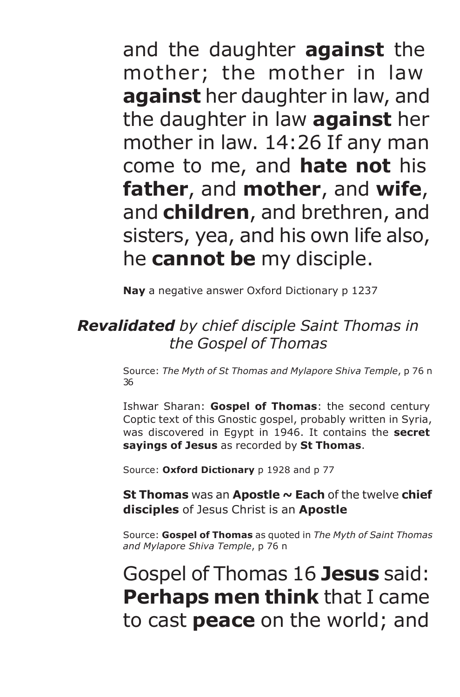and the daughter **against** the mother; the mother in law **against** her daughter in law, and the daughter in law **against** her mother in law. 14:26 If any man come to me, and **hate not** his **father**, and **mother**, and **wife**, and **children**, and brethren, and sisters, yea, and his own life also, he **cannot be** my disciple.

**Nay** a negative answer Oxford Dictionary p 1237

#### *Revalidated by chief disciple Saint Thomas in the Gospel of Thomas*

Source: *The Myth of St Thomas and Mylapore Shiva Temple*, p 76 n 36

Ishwar Sharan: **Gospel of Thomas**: the second century Coptic text of this Gnostic gospel, probably written in Syria, was discovered in Egypt in 1946. It contains the **secret sayings of Jesus** as recorded by **St Thomas**.

Source: **Oxford Dictionary** p 1928 and p 77

**St Thomas** was an **Apostle ~ Each** of the twelve **chief disciples** of Jesus Christ is an **Apostle**

Source: **Gospel of Thomas** as quoted in *The Myth of Saint Thomas and Mylapore Shiva Temple*, p 76 n

## Gospel of Thomas 16 **Jesus** said: **Perhaps men think** that I came to cast **peace** on the world; and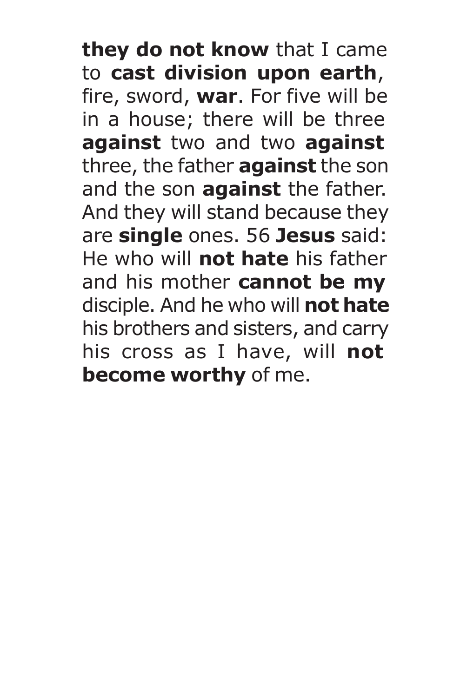**they do not know** that I came to **cast division upon earth**, fire, sword, **war**. For five will be in a house; there will be three **against** two and two **against** three, the father **against** the son and the son **against** the father. And they will stand because they are **single** ones. 56 **Jesus** said: He who will **not hate** his father and his mother **cannot be my** disciple. And he who will **not hate** his brothers and sisters, and carry his cross as I have, will **not become worthy** of me.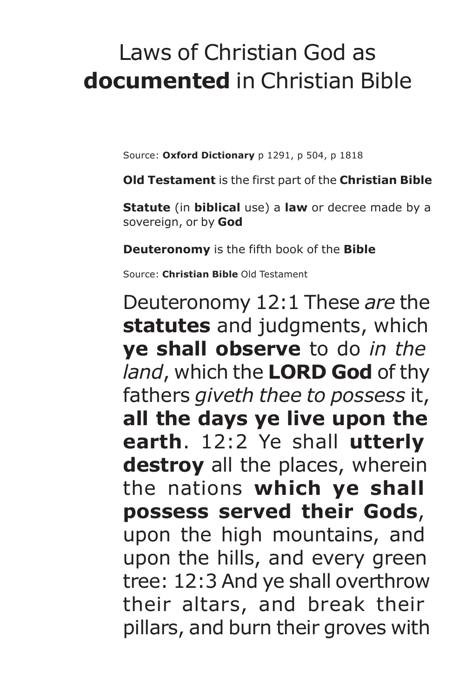## Laws of Christian God as **documented** in Christian Bible

Source: **Oxford Dictionary** p 1291, p 504, p 1818

**Old Testament** is the first part of the **Christian Bible**

**Statute** (in **biblical** use) a **law** or decree made by a sovereign, or by **God**

**Deuteronomy** is the fifth book of the **Bible**

Source: **Christian Bible** Old Testament

Deuteronomy 12:1 These *are* the **statutes** and judgments, which **ye shall observe** to do *in the land*, which the **LORD God** of thy fathers *giveth thee to possess* it, **all the days ye live upon the earth**. 12:2 Ye shall **utterly** destroy all the places, wherein the nations **which ye shall possess served their Gods**, upon the high mountains, and upon the hills, and every green tree: 12:3 And ye shall overthrow their altars, and break their pillars, and burn their groves with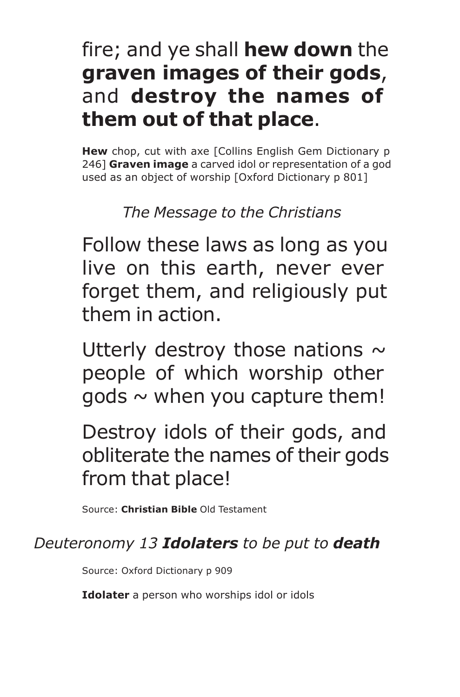## fire; and ye shall **hew down** the **graven images of their gods**, and **destroy the names of them out of that place**.

**Hew** chop, cut with axe [Collins English Gem Dictionary p 246] **Graven image** a carved idol or representation of a god used as an object of worship [Oxford Dictionary p 801]

### *The Message to the Christians*

Follow these laws as long as you live on this earth, never ever forget them, and religiously put them in action.

Utterly destroy those nations  $\sim$ people of which worship other gods  $\sim$  when you capture them!

Destroy idols of their gods, and obliterate the names of their gods from that place!

Source: **Christian Bible** Old Testament

#### *Deuteronomy 13 Idolaters to be put to death*

Source: Oxford Dictionary p 909

**Idolater** a person who worships idol or idols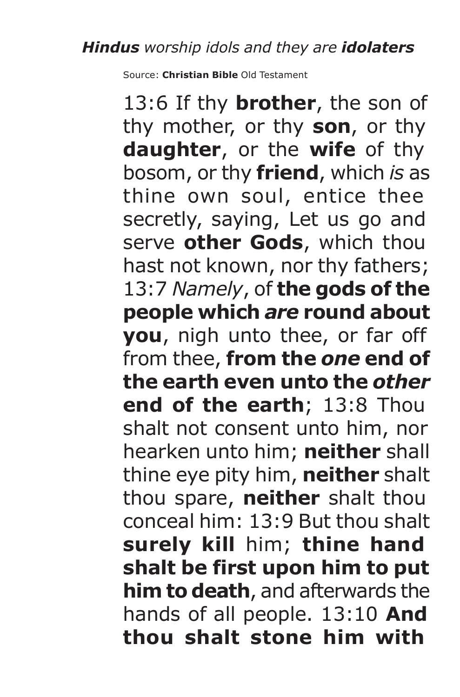Source: **Christian Bible** Old Testament

13:6 If thy **brother**, the son of thy mother, or thy **son**, or thy **daughter**, or the **wife** of thy bosom, or thy **friend**, which *is* as thine own soul, entice thee secretly, saying, Let us go and serve **other Gods**, which thou hast not known, nor thy fathers; 13:7 *Namely*, of **the gods of the people which** *are* **round about you**, nigh unto thee, or far off from thee, **from the** *one* **end of the earth even unto the** *other* **end of the earth**; 13:8 Thou shalt not consent unto him, nor hearken unto him; **neither** shall thine eye pity him, **neither** shalt thou spare, **neither** shalt thou conceal him: 13:9 But thou shalt **surely kill** him; **thine hand shalt be first upon him to put him to death**, and afterwards the hands of all people. 13:10 **And thou shalt stone him with**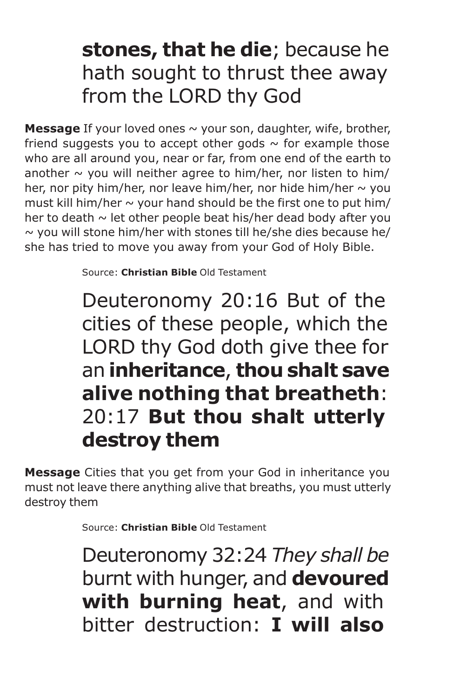### **stones, that he die**; because he hath sought to thrust thee away from the LORD thy God

**Message** If your loved ones ~ your son, daughter, wife, brother, friend suggests you to accept other gods  $\sim$  for example those who are all around you, near or far, from one end of the earth to another  $\sim$  you will neither agree to him/her, nor listen to him/ her, nor pity him/her, nor leave him/her, nor hide him/her  $\sim$  you must kill him/her  $\sim$  your hand should be the first one to put him/ her to death  $\sim$  let other people beat his/her dead body after you  $\sim$  you will stone him/her with stones till he/she dies because he/ she has tried to move you away from your God of Holy Bible.

Source: **Christian Bible** Old Testament

Deuteronomy 20:16 But of the cities of these people, which the LORD thy God doth give thee for an **inheritance**, **thou shalt save alive nothing that breatheth**: 20:17 **But thou shalt utterly destroy them**

**Message** Cities that you get from your God in inheritance you must not leave there anything alive that breaths, you must utterly destroy them

Source: **Christian Bible** Old Testament

Deuteronomy 32:24 *They shall be* burnt with hunger, and **devoured with burning heat**, and with bitter destruction: **I will also**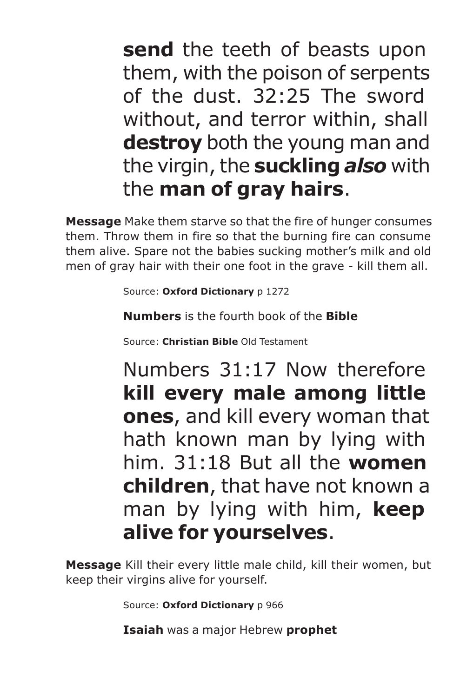**send** the teeth of beasts upon them, with the poison of serpents of the dust. 32:25 The sword without, and terror within, shall **destroy** both the young man and the virgin, the **suckling** *also* with the **man of gray hairs**.

**Message** Make them starve so that the fire of hunger consumes them. Throw them in fire so that the burning fire can consume them alive. Spare not the babies sucking mother's milk and old men of gray hair with their one foot in the grave - kill them all.

Source: **Oxford Dictionary** p 1272

**Numbers** is the fourth book of the **Bible**

Source: **Christian Bible** Old Testament

Numbers 31:17 Now therefore **kill every male among little ones**, and kill every woman that hath known man by lying with him. 31:18 But all the **women children**, that have not known a man by lying with him, **keep alive for yourselves**.

**Message** Kill their every little male child, kill their women, but keep their virgins alive for yourself.

Source: **Oxford Dictionary** p 966

**Isaiah** was a major Hebrew **prophet**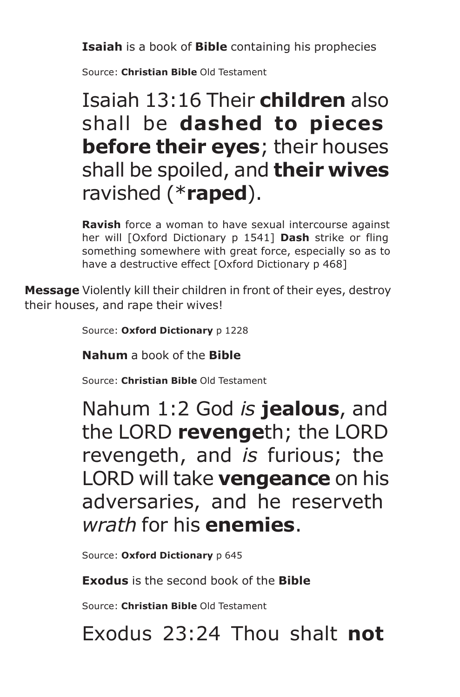**Isaiah** is a book of **Bible** containing his prophecies

Source: **Christian Bible** Old Testament

## Isaiah 13:16 Their **children** also shall be **dashed to pieces before their eyes**; their houses shall be spoiled, and **their wives** ravished (\***raped**).

**Ravish** force a woman to have sexual intercourse against her will [Oxford Dictionary p 1541] **Dash** strike or fling something somewhere with great force, especially so as to have a destructive effect [Oxford Dictionary p 468]

**Message** Violently kill their children in front of their eyes, destroy their houses, and rape their wives!

Source: **Oxford Dictionary** p 1228

**Nahum** a book of the **Bible**

Source: **Christian Bible** Old Testament

### Nahum 1:2 God *is* **jealous**, and the LORD **revenge**th; the LORD revengeth, and *is* furious; the LORD will take **vengeance** on his adversaries, and he reserveth *wrath* for his **enemies**.

Source: Oxford Dictionary p 645

**Exodus** is the second book of the **Bible**

Source: **Christian Bible** Old Testament

Exodus 23:24 Thou shalt **not**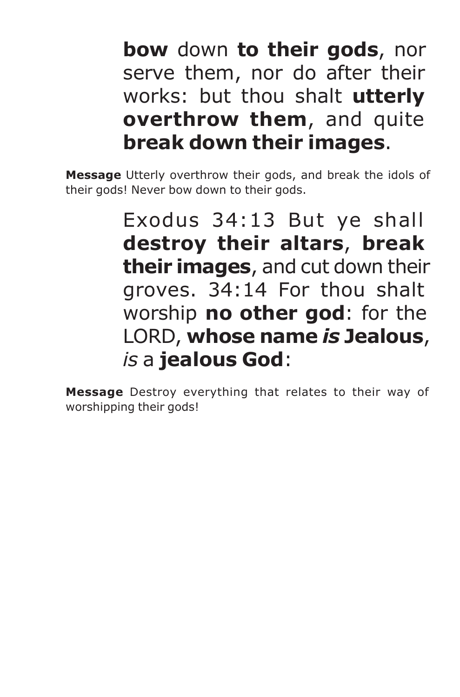**bow** down **to their gods**, nor serve them, nor do after their works: but thou shalt **utterly overthrow them**, and quite **break down their images**.

**Message** Utterly overthrow their gods, and break the idols of their gods! Never bow down to their gods.

> Exodus 34:13 But ye shall **destroy their altars**, **break their images**, and cut down their groves. 34:14 For thou shalt worship **no other god**: for the LORD, **whose name** *is* **Jealous**, *is* a **jealous God**:

**Message** Destroy everything that relates to their way of worshipping their gods!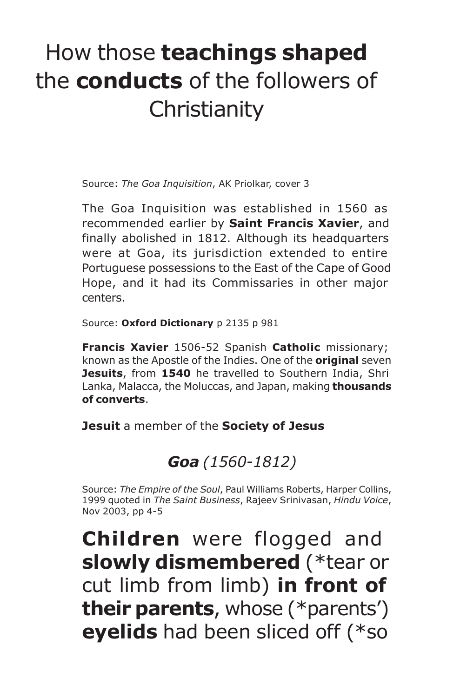# How those **teachings shaped** the **conducts** of the followers of **Christianity**

Source: *The Goa Inquisition*, AK Priolkar, cover 3

The Goa Inquisition was established in 1560 as recommended earlier by **Saint Francis Xavier**, and finally abolished in 1812. Although its headquarters were at Goa, its jurisdiction extended to entire Portuguese possessions to the East of the Cape of Good Hope, and it had its Commissaries in other major centers.

Source: **Oxford Dictionary** p 2135 p 981

**Francis Xavier** 1506-52 Spanish **Catholic** missionary; known as the Apostle of the Indies. One of the **original** seven **Jesuits**, from **1540** he travelled to Southern India, Shri Lanka, Malacca, the Moluccas, and Japan, making **thousands of converts**.

**Jesuit** a member of the **Society of Jesus**

#### *Goa (1560-1812)*

Source: *The Empire of the Soul*, Paul Williams Roberts, Harper Collins, 1999 quoted in *The Saint Business*, Rajeev Srinivasan, *Hindu Voice*, Nov 2003, pp 4-5

**Children** were flogged and **slowly dismembered** (\*tear or cut limb from limb) **in front of their parents**, whose (\*parents') **eyelids** had been sliced off (\*so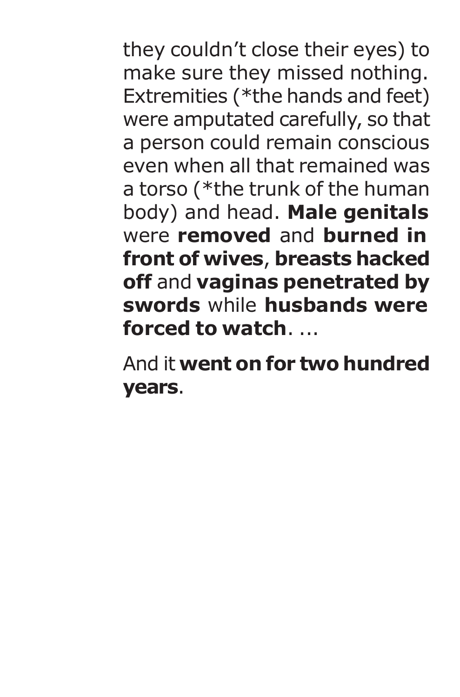they couldn't close their eyes) to make sure they missed nothing. Extremities (\*the hands and feet) were amputated carefully, so that a person could remain conscious even when all that remained was a torso (\*the trunk of the human body) and head. **Male genitals** were **removed** and **burned in front of wives**, **breasts hacked off** and **vaginas penetrated by swords** while **husbands were forced to watch**. ...

And it **went on for two hundred years**.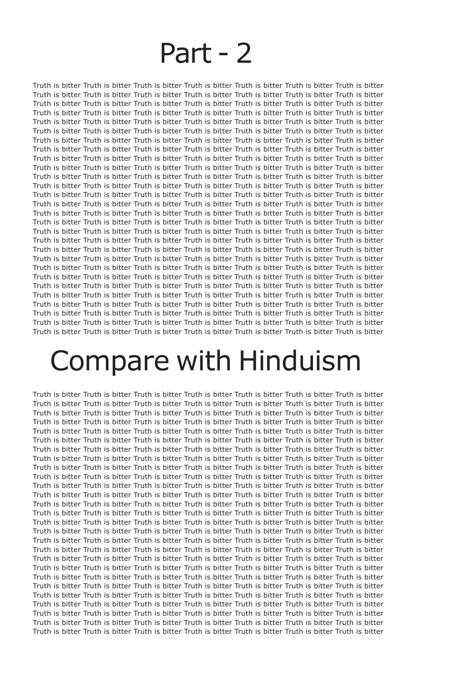# Part - 2

Truth is bitter Truth is bitter Truth is bitter Truth is bitter Truth is bitter Truth is bitter Truth is bitter Truth is bitter Truth is bitter Truth is bitter Truth is bitter Truth is bitter Truth is bitter Truth is bitter Truth is bitter Truth is bitter Truth is bitter Truth is bitter Truth is bitter Truth is bitter Truth is bitter Truth is bitter Truth is bitter Truth is bitter Truth is bitter Truth is bitter Truth is bitter Truth is bitter Truth is bitter Truth is bitter Truth is bitter Truth is bitter Truth is bitter Truth is bitter Truth is bitter Truth is bitter Truth is bitter Truth is bitter Truth is bitter Truth is bitter Truth is bitter Truth is bitter Truth is bitter Truth is bitter Truth is bitter Truth is bitter Truth is bitter Truth is bitter Truth is bitter Truth is bitter Truth is bitter Truth is bitter Truth is bitter Truth is bitter Truth is bitter Truth is bitter Truth is bitter Truth is bitter Truth is bitter Truth is bitter Truth is bitter Truth is bitter Truth is bitter Truth is bitter Truth is bitter Truth is bitter Truth is bitter Truth is bitter Truth is bitter Truth is bitter Truth is bitter Truth is bitter Truth is bitter Truth is bitter Truth is bitter Truth is bitter Truth is bitter Truth is bitter Truth is bitter Truth is bitter Truth is bitter Truth is bitter Truth is bitter Truth is bitter Truth is bitter Truth is bitter Truth is bitter Truth is bitter Truth is bitter Truth is bitter Truth is bitter Truth is bitter Truth is bitter Truth is bitter Truth is bitter Truth is bitter Truth is bitter Truth is bitter Truth is bitter Truth is bitter Truth is bitter Truth is bitter Truth is bitter Truth is bitter Truth is bitter Truth is bitter Truth is bitter Truth is bitter Truth is bitter Truth is bitter Truth is bitter Truth is bitter Truth is bitter Truth is bitter Truth is bitter Truth is bitter Truth is bitter Truth is bitter Truth is bitter Truth is bitter Truth is bitter Truth is bitter Truth is bitter Truth is bitter Truth is bitter Truth is bitter Truth is bitter Truth is bitter Truth is bitter Truth is bitter Truth is bitter Truth is bitter Truth is bitter Truth is bitter Truth is bitter Truth is bitter Truth is bitter Truth is bitter Truth is bitter Truth is bitter Truth is bitter Truth is bitter Truth is bitter Truth is bitter Truth is bitter Truth is bitter Truth is bitter Truth is bitter Truth is bitter Truth is bitter Truth is bitter Truth is bitter Truth is bitter Truth is bitter Truth is bitter Truth is bitter Truth is bitter Truth is bitter Truth is bitter Truth is bitter Truth is bitter Truth is bitter Truth is bitter Truth is bitter Truth is bitter Truth is bitter Truth is bitter Truth is bitter Truth is bitter Truth is bitter Truth is bitter Truth is bitter Truth is bitter Truth is bitter Truth is bitter Truth is bitter Truth is bitter Truth is bitter Truth is bitter Truth is bitter Truth is bitter Truth is bitter Truth is bitter Truth is bitter Truth is bitter Truth is bitter Truth is bitter Truth is bitter Truth is bitter Truth is bitter Truth is bitter Truth is bitter Truth is bitter Truth is bitter Truth is bitter Truth is bitter

# Compare with Hinduism

Truth is bitter Truth is bitter Truth is bitter Truth is bitter Truth is bitter Truth is bitter Truth is bitter Truth is bitter Truth is bitter Truth is bitter Truth is bitter Truth is bitter Truth is bitter Truth is bitter Truth is bitter Truth is bitter Truth is bitter Truth is bitter Truth is bitter Truth is bitter Truth is bitter Truth is bitter Truth is bitter Truth is bitter Truth is bitter Truth is bitter Truth is bitter Truth is bitter Truth is bitter Truth is bitter Truth is bitter Truth is bitter Truth is bitter Truth is bitter Truth is bitter Truth is bitter Truth is bitter Truth is bitter Truth is bitter Truth is bitter Truth is bitter Truth is bitter Truth is bitter Truth is bitter Truth is bitter Truth is bitter Truth is bitter Truth is bitter Truth is bitter Truth is bitter Truth is bitter Truth is bitter Truth is bitter Truth is bitter Truth is bitter Truth is bitter Truth is bitter Truth is bitter Truth is bitter Truth is bitter Truth is bitter Truth is bitter Truth is bitter Truth is bitter Truth is bitter Truth is bitter Truth is bitter Truth is bitter Truth is bitter Truth is bitter Truth is bitter Truth is bitter Truth is bitter Truth is bitter Truth is bitter Truth is bitter Truth is bitter Truth is bitter Truth is bitter Truth is bitter Truth is bitter Truth is bitter Truth is bitter Truth is bitter Truth is bitter Truth is bitter Truth is bitter Truth is bitter Truth is bitter Truth is bitter Truth is bitter Truth is bitter Truth is bitter Truth is bitter Truth is bitter Truth is bitter Truth is bitter Truth is bitter Truth is bitter Truth is bitter Truth is bitter Truth is bitter Truth is bitter Truth is bitter Truth is bitter Truth is bitter Truth is bitter Truth is bitter Truth is bitter Truth is bitter Truth is bitter Truth is bitter Truth is bitter Truth is bitter Truth is bitter Truth is bitter Truth is bitter Truth is bitter Truth is bitter Truth is bitter Truth is bitter Truth is bitter Truth is bitter Truth is bitter Truth is bitter Truth is bitter Truth is bitter Truth is bitter Truth is bitter Truth is bitter Truth is bitter Truth is bitter Truth is bitter Truth is bitter Truth is bitter Truth is bitter Truth is bitter Truth is bitter Truth is bitter Truth is bitter Truth is bitter Truth is bitter Truth is bitter Truth is bitter Truth is bitter Truth is bitter Truth is bitter Truth is bitter Truth is bitter Truth is bitter Truth is bitter Truth is bitter Truth is bitter Truth is bitter Truth is bitter Truth is bitter Truth is bitter Truth is bitter Truth is bitter Truth is bitter Truth is bitter Truth is bitter Truth is bitter Truth is bitter Truth is bitter Truth is bitter Truth is bitter Truth is bitter Truth is bitter Truth is bitter Truth is bitter Truth is bitter Truth is bitter Truth is bitter Truth is bitter Truth is bitter Truth is bitter Truth is bitter Truth is bitter Truth is bitter Truth is bitter Truth is bitter Truth is bitter Truth is bitter Truth is bitter Truth is bitter Truth is bitter Truth is bitter Truth is bitter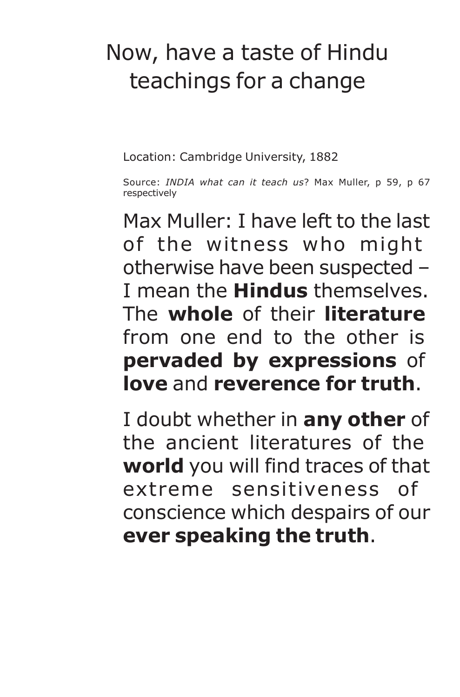# Now, have a taste of Hindu teachings for a change

Location: Cambridge University, 1882

Source: *INDIA what can it teach us*? Max Muller, p 59, p 67 respectively

Max Muller: I have left to the last of the witness who might otherwise have been suspected – I mean the **Hindus** themselves. The **whole** of their **literature** from one end to the other is **pervaded by expressions** of **love** and **reverence for truth**.

I doubt whether in **any other** of the ancient literatures of the **world** you will find traces of that extreme sensitiveness of conscience which despairs of our **ever speaking the truth**.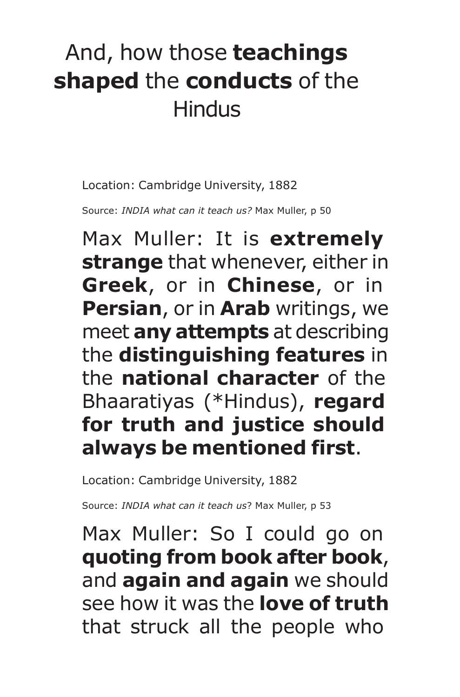# And, how those **teachings shaped** the **conducts** of the **Hindus**

Location: Cambridge University, 1882

Source: *INDIA what can it teach us?* Max Muller, p 50

Max Muller: It is **extremely strange** that whenever, either in **Greek**, or in **Chinese**, or in **Persian**, or in **Arab** writings, we meet **any attempts** at describing the **distinguishing features** in the **national character** of the Bhaaratiyas (\*Hindus), **regard for truth and justice should always be mentioned first**.

Location: Cambridge University, 1882

Source: *INDIA what can it teach us*? Max Muller, p 53

Max Muller: So I could go on **quoting from book after book**, and **again and again** we should see how it was the **love of truth** that struck all the people who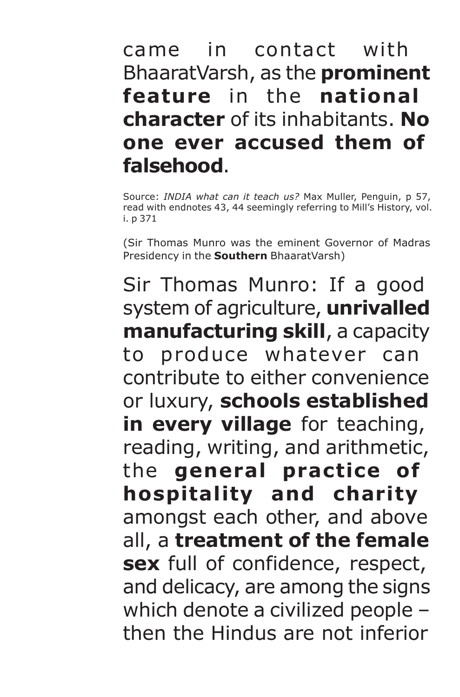### came in contact with BhaaratVarsh, as the **prominent feature** in the **national character** of its inhabitants. **No one ever accused them of falsehood**.

Source: *INDIA what can it teach us?* Max Muller, Penguin, p 57, read with endnotes 43, 44 seemingly referring to Mill's History, vol. i. p 371

(Sir Thomas Munro was the eminent Governor of Madras Presidency in the **Southern** BhaaratVarsh)

Sir Thomas Munro: If a good system of agriculture, **unrivalled manufacturing skill**, a capacity to produce whatever can contribute to either convenience or luxury, **schools established in every village** for teaching, reading, writing, and arithmetic, the **general practice of hospitality and charity** amongst each other, and above all, a **treatment of the female sex** full of confidence, respect, and delicacy, are among the signs which denote a civilized people – then the Hindus are not inferior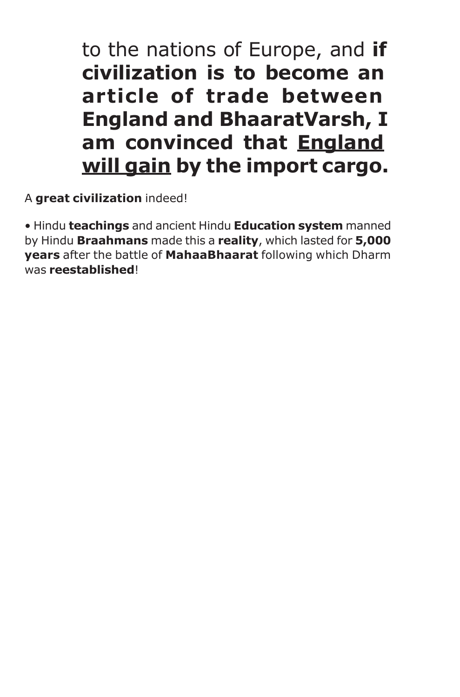to the nations of Europe, and **if civilization is to become an article of trade between England and BhaaratVarsh, I am convinced that England will gain by the import cargo.**

A **great civilization** indeed!

• Hindu **teachings** and ancient Hindu **Education system** manned by Hindu **Braahmans** made this a **reality**, which lasted for **5,000 years** after the battle of **MahaaBhaarat** following which Dharm was **reestablished**!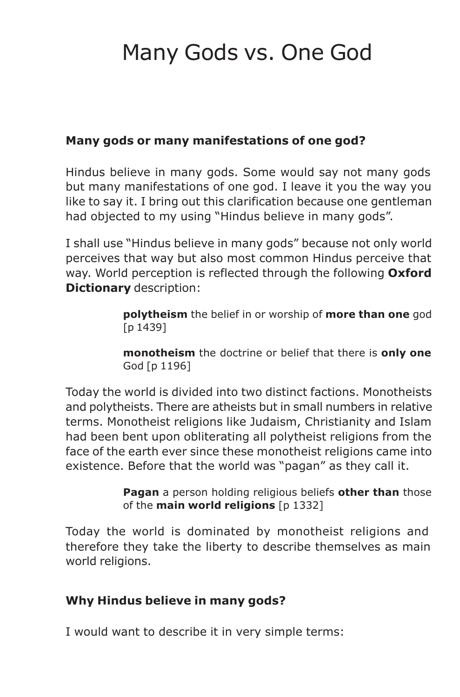## Many Gods vs. One God

#### **Many gods or many manifestations of one god?**

Hindus believe in many gods. Some would say not many gods but many manifestations of one god. I leave it you the way you like to say it. I bring out this clarification because one gentleman had objected to my using "Hindus believe in many gods".

I shall use "Hindus believe in many gods" because not only world perceives that way but also most common Hindus perceive that way. World perception is reflected through the following **Oxford Dictionary** description:

> **polytheism** the belief in or worship of **more than one** god [p 1439]

> **monotheism** the doctrine or belief that there is **only one** God [p 1196]

Today the world is divided into two distinct factions. Monotheists and polytheists. There are atheists but in small numbers in relative terms. Monotheist religions like Judaism, Christianity and Islam had been bent upon obliterating all polytheist religions from the face of the earth ever since these monotheist religions came into existence. Before that the world was "pagan" as they call it.

> **Pagan** a person holding religious beliefs **other than** those of the **main world religions** [p 1332]

Today the world is dominated by monotheist religions and therefore they take the liberty to describe themselves as main world religions.

#### **Why Hindus believe in many gods?**

I would want to describe it in very simple terms: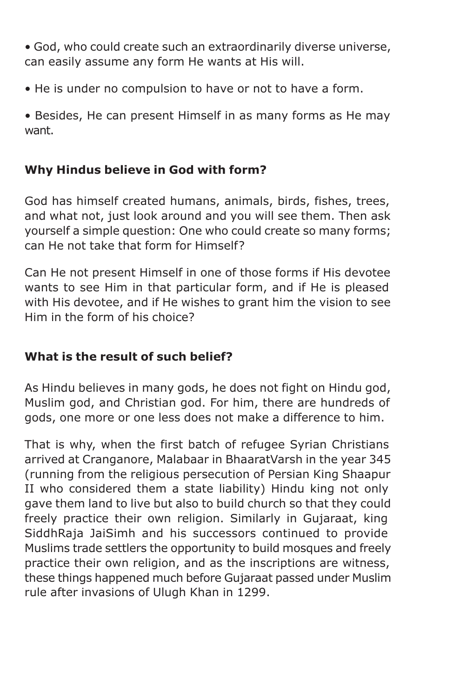• God, who could create such an extraordinarily diverse universe, can easily assume any form He wants at His will.

• He is under no compulsion to have or not to have a form.

• Besides, He can present Himself in as many forms as He may want.

#### **Why Hindus believe in God with form?**

God has himself created humans, animals, birds, fishes, trees, and what not, just look around and you will see them. Then ask yourself a simple question: One who could create so many forms; can He not take that form for Himself?

Can He not present Himself in one of those forms if His devotee wants to see Him in that particular form, and if He is pleased with His devotee, and if He wishes to grant him the vision to see Him in the form of his choice?

#### **What is the result of such belief?**

As Hindu believes in many gods, he does not fight on Hindu god, Muslim god, and Christian god. For him, there are hundreds of gods, one more or one less does not make a difference to him.

That is why, when the first batch of refugee Syrian Christians arrived at Cranganore, Malabaar in BhaaratVarsh in the year 345 (running from the religious persecution of Persian King Shaapur II who considered them a state liability) Hindu king not only gave them land to live but also to build church so that they could freely practice their own religion. Similarly in Gujaraat, king SiddhRaja JaiSimh and his successors continued to provide Muslims trade settlers the opportunity to build mosques and freely practice their own religion, and as the inscriptions are witness, these things happened much before Gujaraat passed under Muslim rule after invasions of Ulugh Khan in 1299.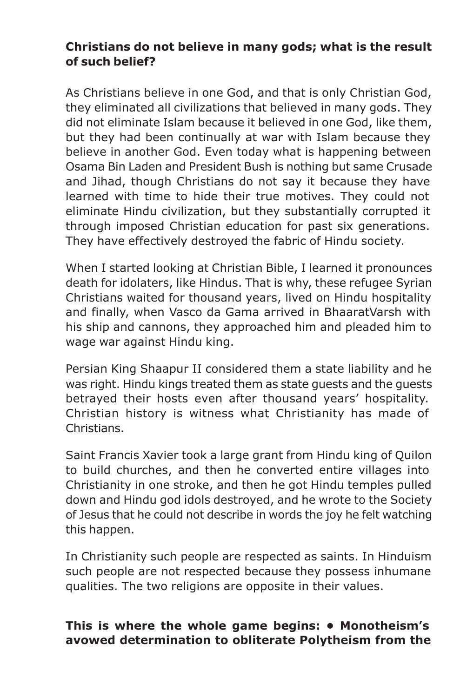#### **Christians do not believe in many gods; what is the result of such belief?**

As Christians believe in one God, and that is only Christian God, they eliminated all civilizations that believed in many gods. They did not eliminate Islam because it believed in one God, like them, but they had been continually at war with Islam because they believe in another God. Even today what is happening between Osama Bin Laden and President Bush is nothing but same Crusade and Jihad, though Christians do not say it because they have learned with time to hide their true motives. They could not eliminate Hindu civilization, but they substantially corrupted it through imposed Christian education for past six generations. They have effectively destroyed the fabric of Hindu society.

When I started looking at Christian Bible, I learned it pronounces death for idolaters, like Hindus. That is why, these refugee Syrian Christians waited for thousand years, lived on Hindu hospitality and finally, when Vasco da Gama arrived in BhaaratVarsh with his ship and cannons, they approached him and pleaded him to wage war against Hindu king.

Persian King Shaapur II considered them a state liability and he was right. Hindu kings treated them as state guests and the guests betrayed their hosts even after thousand years' hospitality. Christian history is witness what Christianity has made of Christians.

Saint Francis Xavier took a large grant from Hindu king of Quilon to build churches, and then he converted entire villages into Christianity in one stroke, and then he got Hindu temples pulled down and Hindu god idols destroyed, and he wrote to the Society of Jesus that he could not describe in words the joy he felt watching this happen.

In Christianity such people are respected as saints. In Hinduism such people are not respected because they possess inhumane qualities. The two religions are opposite in their values.

#### **This is where the whole game begins: • Monotheism's avowed determination to obliterate Polytheism from the**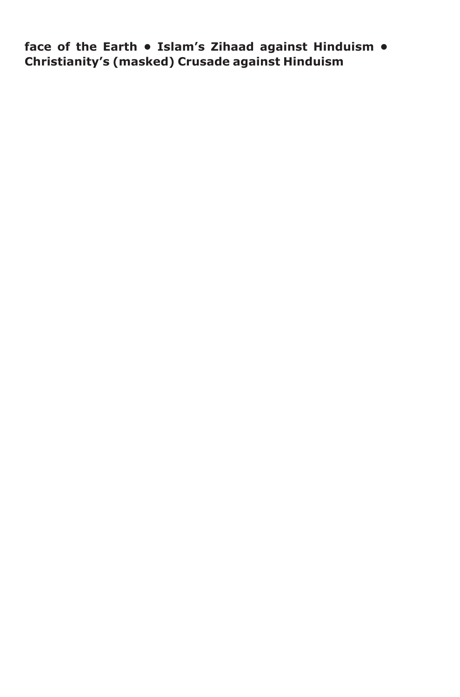**face of the Earth • Islam's Zihaad against Hinduism • Christianity's (masked) Crusade against Hinduism**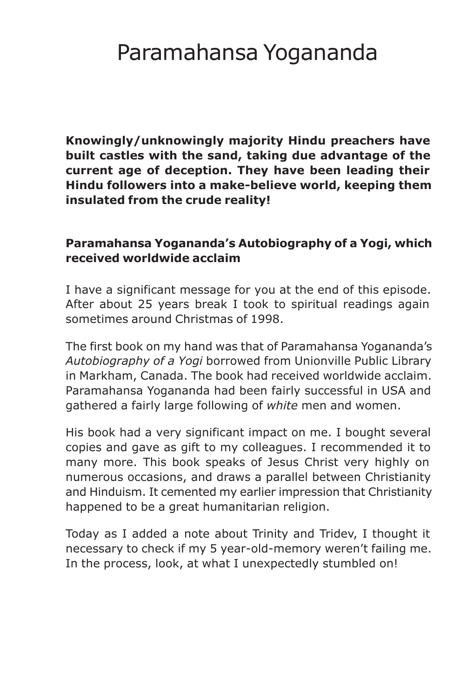## Paramahansa Yogananda

**Knowingly/unknowingly majority Hindu preachers have built castles with the sand, taking due advantage of the current age of deception. They have been leading their Hindu followers into a make-believe world, keeping them insulated from the crude reality!**

#### **Paramahansa Yogananda's Autobiography of a Yogi, which received worldwide acclaim**

I have a significant message for you at the end of this episode. After about 25 years break I took to spiritual readings again sometimes around Christmas of 1998.

The first book on my hand was that of Paramahansa Yogananda's *Autobiography of a Yogi* borrowed from Unionville Public Library in Markham, Canada. The book had received worldwide acclaim. Paramahansa Yogananda had been fairly successful in USA and gathered a fairly large following of *white* men and women.

His book had a very significant impact on me. I bought several copies and gave as gift to my colleagues. I recommended it to many more. This book speaks of Jesus Christ very highly on numerous occasions, and draws a parallel between Christianity and Hinduism. It cemented my earlier impression that Christianity happened to be a great humanitarian religion.

Today as I added a note about Trinity and Tridev, I thought it necessary to check if my 5 year-old-memory weren't failing me. In the process, look, at what I unexpectedly stumbled on!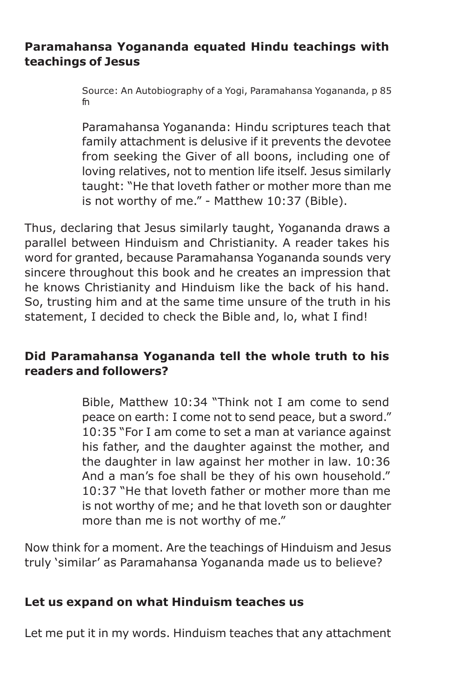#### **Paramahansa Yogananda equated Hindu teachings with teachings of Jesus**

Source: An Autobiography of a Yogi, Paramahansa Yogananda, p 85 fn

Paramahansa Yogananda: Hindu scriptures teach that family attachment is delusive if it prevents the devotee from seeking the Giver of all boons, including one of loving relatives, not to mention life itself. Jesus similarly taught: "He that loveth father or mother more than me is not worthy of me." - Matthew 10:37 (Bible).

Thus, declaring that Jesus similarly taught, Yogananda draws a parallel between Hinduism and Christianity. A reader takes his word for granted, because Paramahansa Yogananda sounds very sincere throughout this book and he creates an impression that he knows Christianity and Hinduism like the back of his hand. So, trusting him and at the same time unsure of the truth in his statement, I decided to check the Bible and, lo, what I find!

#### **Did Paramahansa Yogananda tell the whole truth to his readers and followers?**

Bible, Matthew 10:34 "Think not I am come to send peace on earth: I come not to send peace, but a sword." 10:35 "For I am come to set a man at variance against his father, and the daughter against the mother, and the daughter in law against her mother in law. 10:36 And a man's foe shall be they of his own household." 10:37 "He that loveth father or mother more than me is not worthy of me; and he that loveth son or daughter more than me is not worthy of me."

Now think for a moment. Are the teachings of Hinduism and Jesus truly 'similar' as Paramahansa Yogananda made us to believe?

#### **Let us expand on what Hinduism teaches us**

Let me put it in my words. Hinduism teaches that any attachment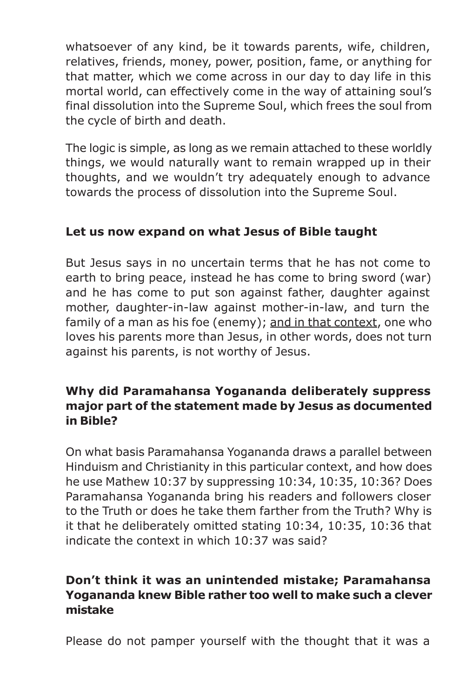whatsoever of any kind, be it towards parents, wife, children, relatives, friends, money, power, position, fame, or anything for that matter, which we come across in our day to day life in this mortal world, can effectively come in the way of attaining soul's final dissolution into the Supreme Soul, which frees the soul from the cycle of birth and death.

The logic is simple, as long as we remain attached to these worldly things, we would naturally want to remain wrapped up in their thoughts, and we wouldn't try adequately enough to advance towards the process of dissolution into the Supreme Soul.

#### **Let us now expand on what Jesus of Bible taught**

But Jesus says in no uncertain terms that he has not come to earth to bring peace, instead he has come to bring sword (war) and he has come to put son against father, daughter against mother, daughter-in-law against mother-in-law, and turn the family of a man as his foe (enemy); and in that context, one who loves his parents more than Jesus, in other words, does not turn against his parents, is not worthy of Jesus.

#### **Why did Paramahansa Yogananda deliberately suppress major part of the statement made by Jesus as documented in Bible?**

On what basis Paramahansa Yogananda draws a parallel between Hinduism and Christianity in this particular context, and how does he use Mathew 10:37 by suppressing 10:34, 10:35, 10:36? Does Paramahansa Yogananda bring his readers and followers closer to the Truth or does he take them farther from the Truth? Why is it that he deliberately omitted stating 10:34, 10:35, 10:36 that indicate the context in which 10:37 was said?

#### **Don't think it was an unintended mistake; Paramahansa Yogananda knew Bible rather too well to make such a clever mistake**

Please do not pamper yourself with the thought that it was a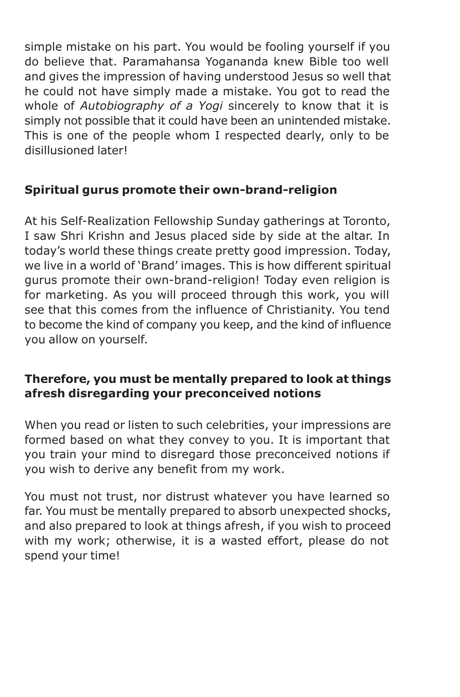simple mistake on his part. You would be fooling yourself if you do believe that. Paramahansa Yogananda knew Bible too well and gives the impression of having understood Jesus so well that he could not have simply made a mistake. You got to read the whole of *Autobiography of a Yogi* sincerely to know that it is simply not possible that it could have been an unintended mistake. This is one of the people whom I respected dearly, only to be disillusioned later!

#### **Spiritual gurus promote their own-brand-religion**

At his Self-Realization Fellowship Sunday gatherings at Toronto, I saw Shri Krishn and Jesus placed side by side at the altar. In today's world these things create pretty good impression. Today, we live in a world of 'Brand' images. This is how different spiritual gurus promote their own-brand-religion! Today even religion is for marketing. As you will proceed through this work, you will see that this comes from the influence of Christianity. You tend to become the kind of company you keep, and the kind of influence you allow on yourself.

#### **Therefore, you must be mentally prepared to look at things afresh disregarding your preconceived notions**

When you read or listen to such celebrities, your impressions are formed based on what they convey to you. It is important that you train your mind to disregard those preconceived notions if you wish to derive any benefit from my work.

You must not trust, nor distrust whatever you have learned so far. You must be mentally prepared to absorb unexpected shocks, and also prepared to look at things afresh, if you wish to proceed with my work; otherwise, it is a wasted effort, please do not spend your time!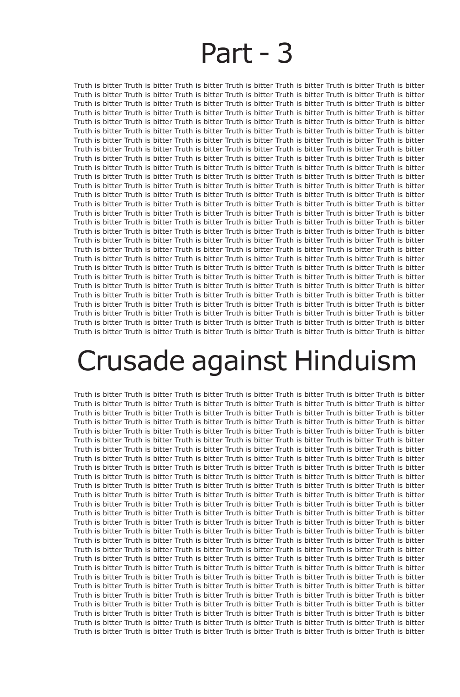# Part - 3

Truth is bitter Truth is bitter Truth is bitter Truth is bitter Truth is bitter Truth is bitter Truth is bitter Truth is bitter Truth is bitter Truth is bitter Truth is bitter Truth is bitter Truth is bitter Truth is bitter Truth is bitter Truth is bitter Truth is bitter Truth is bitter Truth is bitter Truth is bitter Truth is bitter Truth is bitter Truth is bitter Truth is bitter Truth is bitter Truth is bitter Truth is bitter Truth is bitter Truth is bitter Truth is bitter Truth is bitter Truth is bitter Truth is bitter Truth is bitter Truth is bitter Truth is bitter Truth is bitter Truth is bitter Truth is bitter Truth is bitter Truth is bitter Truth is bitter Truth is bitter Truth is bitter Truth is bitter Truth is bitter Truth is bitter Truth is bitter Truth is bitter Truth is bitter Truth is bitter Truth is bitter Truth is bitter Truth is bitter Truth is bitter Truth is bitter Truth is bitter Truth is bitter Truth is bitter Truth is bitter Truth is bitter Truth is bitter Truth is bitter Truth is bitter Truth is bitter Truth is bitter Truth is bitter Truth is bitter Truth is bitter Truth is bitter Truth is bitter Truth is bitter Truth is bitter Truth is bitter Truth is bitter Truth is bitter Truth is bitter Truth is bitter Truth is bitter Truth is bitter Truth is bitter Truth is bitter Truth is bitter Truth is bitter Truth is bitter Truth is bitter Truth is bitter Truth is bitter Truth is bitter Truth is bitter Truth is bitter Truth is bitter Truth is bitter Truth is bitter Truth is bitter Truth is bitter Truth is bitter Truth is bitter Truth is bitter Truth is bitter Truth is bitter Truth is bitter Truth is bitter Truth is bitter Truth is bitter Truth is bitter Truth is bitter Truth is bitter Truth is bitter Truth is bitter Truth is bitter Truth is bitter Truth is bitter Truth is bitter Truth is bitter Truth is bitter Truth is bitter Truth is bitter Truth is bitter Truth is bitter Truth is bitter Truth is bitter Truth is bitter Truth is bitter Truth is bitter Truth is bitter Truth is bitter Truth is bitter Truth is bitter Truth is bitter Truth is bitter Truth is bitter Truth is bitter Truth is bitter Truth is bitter Truth is bitter Truth is bitter Truth is bitter Truth is bitter Truth is bitter Truth is bitter Truth is bitter Truth is bitter Truth is bitter Truth is bitter Truth is bitter Truth is bitter Truth is bitter Truth is bitter Truth is bitter Truth is bitter Truth is bitter Truth is bitter Truth is bitter Truth is bitter Truth is bitter Truth is bitter Truth is bitter Truth is bitter Truth is bitter Truth is bitter Truth is bitter Truth is bitter Truth is bitter Truth is bitter Truth is bitter Truth is bitter Truth is bitter Truth is bitter Truth is bitter Truth is bitter Truth is bitter Truth is bitter Truth is bitter Truth is bitter Truth is bitter Truth is bitter Truth is bitter Truth is bitter Truth is bitter Truth is bitter Truth is bitter Truth is bitter Truth is bitter Truth is bitter Truth is bitter Truth is bitter Truth is bitter Truth is bitter Truth is bitter Truth is bitter Truth is bitter Truth is bitter Truth is bitter Truth is bitter Truth is bitter

# Crusade against Hinduism

Truth is bitter Truth is bitter Truth is bitter Truth is bitter Truth is bitter Truth is bitter Truth is bitter Truth is bitter Truth is bitter Truth is bitter Truth is bitter Truth is bitter Truth is bitter Truth is bitter Truth is bitter Truth is bitter Truth is bitter Truth is bitter Truth is bitter Truth is bitter Truth is bitter Truth is bitter Truth is bitter Truth is bitter Truth is bitter Truth is bitter Truth is bitter Truth is bitter Truth is bitter Truth is bitter Truth is bitter Truth is bitter Truth is bitter Truth is bitter Truth is bitter Truth is bitter Truth is bitter Truth is bitter Truth is bitter Truth is bitter Truth is bitter Truth is bitter Truth is bitter Truth is bitter Truth is bitter Truth is bitter Truth is bitter Truth is bitter Truth is bitter Truth is bitter Truth is bitter Truth is bitter Truth is bitter Truth is bitter Truth is bitter Truth is bitter Truth is bitter Truth is bitter Truth is bitter Truth is bitter Truth is bitter Truth is bitter Truth is bitter Truth is bitter Truth is bitter Truth is bitter Truth is bitter Truth is bitter Truth is bitter Truth is bitter Truth is bitter Truth is bitter Truth is bitter Truth is bitter Truth is bitter Truth is bitter Truth is bitter Truth is bitter Truth is bitter Truth is bitter Truth is bitter Truth is bitter Truth is bitter Truth is bitter Truth is bitter Truth is bitter Truth is bitter Truth is bitter Truth is bitter Truth is bitter Truth is bitter Truth is bitter Truth is bitter Truth is bitter Truth is bitter Truth is bitter Truth is bitter Truth is bitter Truth is bitter Truth is bitter Truth is bitter Truth is bitter Truth is bitter Truth is bitter Truth is bitter Truth is bitter Truth is bitter Truth is bitter Truth is bitter Truth is bitter Truth is bitter Truth is bitter Truth is bitter Truth is bitter Truth is bitter Truth is bitter Truth is bitter Truth is bitter Truth is bitter Truth is bitter Truth is bitter Truth is bitter Truth is bitter Truth is bitter Truth is bitter Truth is bitter Truth is bitter Truth is bitter Truth is bitter Truth is bitter Truth is bitter Truth is bitter Truth is bitter Truth is bitter Truth is bitter Truth is bitter Truth is bitter Truth is bitter Truth is bitter Truth is bitter Truth is bitter Truth is bitter Truth is bitter Truth is bitter Truth is bitter Truth is bitter Truth is bitter Truth is bitter Truth is bitter Truth is bitter Truth is bitter Truth is bitter Truth is bitter Truth is bitter Truth is bitter Truth is bitter Truth is bitter Truth is bitter Truth is bitter Truth is bitter Truth is bitter Truth is bitter Truth is bitter Truth is bitter Truth is bitter Truth is bitter Truth is bitter Truth is bitter Truth is bitter Truth is bitter Truth is bitter Truth is bitter Truth is bitter Truth is bitter Truth is bitter Truth is bitter Truth is bitter Truth is bitter Truth is bitter Truth is bitter Truth is bitter Truth is bitter Truth is bitter Truth is bitter Truth is bitter Truth is bitter Truth is bitter Truth is bitter Truth is bitter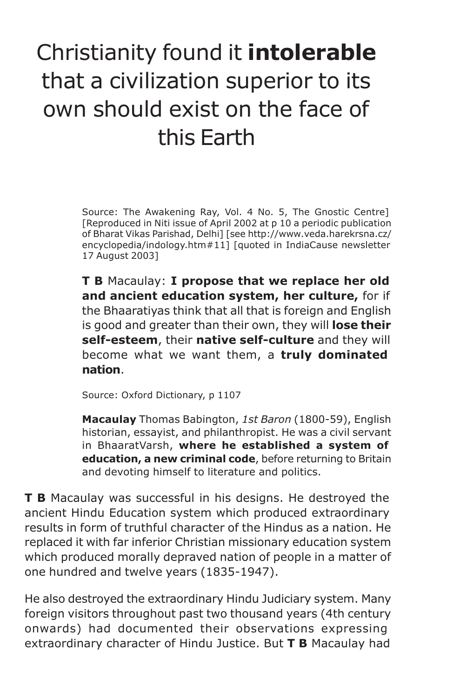# Christianity found it **intolerable** that a civilization superior to its own should exist on the face of this Earth

Source: The Awakening Ray, Vol. 4 No. 5, The Gnostic Centre] [Reproduced in Niti issue of April 2002 at p 10 a periodic publication of Bharat Vikas Parishad, Delhi] [see http://www.veda.harekrsna.cz/ encyclopedia/indology.htm#11] [quoted in IndiaCause newsletter 17 August 2003]

**T B** Macaulay: **I propose that we replace her old and ancient education system, her culture,** for if the Bhaaratiyas think that all that is foreign and English is good and greater than their own, they will **lose their self-esteem**, their **native self-culture** and they will become what we want them, a **truly dominated nation**.

Source: Oxford Dictionary, p 1107

**Macaulay** Thomas Babington, *1st Baron* (1800-59), English historian, essayist, and philanthropist. He was a civil servant in BhaaratVarsh, **where he established a system of education, a new criminal code**, before returning to Britain and devoting himself to literature and politics.

**T B** Macaulay was successful in his designs. He destroyed the ancient Hindu Education system which produced extraordinary results in form of truthful character of the Hindus as a nation. He replaced it with far inferior Christian missionary education system which produced morally depraved nation of people in a matter of one hundred and twelve years (1835-1947).

He also destroyed the extraordinary Hindu Judiciary system. Many foreign visitors throughout past two thousand years (4th century onwards) had documented their observations expressing extraordinary character of Hindu Justice. But **T B** Macaulay had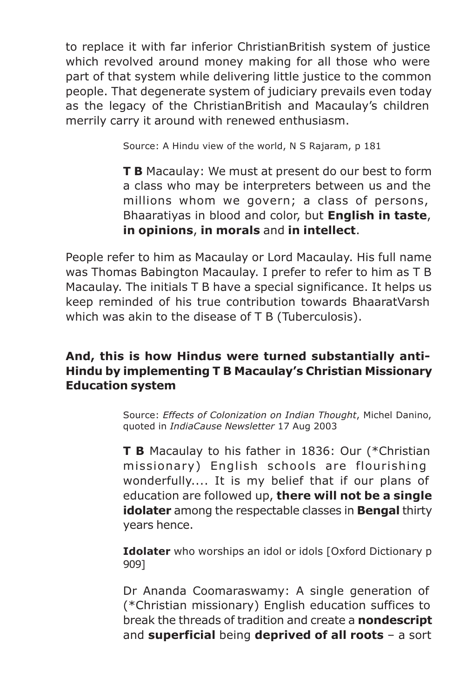to replace it with far inferior ChristianBritish system of justice which revolved around money making for all those who were part of that system while delivering little justice to the common people. That degenerate system of judiciary prevails even today as the legacy of the ChristianBritish and Macaulay's children merrily carry it around with renewed enthusiasm.

Source: A Hindu view of the world, N S Rajaram, p 181

**T B** Macaulay: We must at present do our best to form a class who may be interpreters between us and the millions whom we govern; a class of persons, Bhaaratiyas in blood and color, but **English in taste**, **in opinions**, **in morals** and **in intellect**.

People refer to him as Macaulay or Lord Macaulay. His full name was Thomas Babington Macaulay. I prefer to refer to him as T B Macaulay. The initials T B have a special significance. It helps us keep reminded of his true contribution towards BhaaratVarsh which was akin to the disease of T B (Tuberculosis).

#### **And, this is how Hindus were turned substantially anti-Hindu by implementing T B Macaulay's Christian Missionary Education system**

Source: *Effects of Colonization on Indian Thought*, Michel Danino, quoted in *IndiaCause Newsletter* 17 Aug 2003

**T B** Macaulay to his father in 1836: Our (\*Christian missionary) English schools are flourishing wonderfully.... It is my belief that if our plans of education are followed up, **there will not be a single idolater** among the respectable classes in **Bengal** thirty years hence.

**Idolater** who worships an idol or idols [Oxford Dictionary p 909]

Dr Ananda Coomaraswamy: A single generation of (\*Christian missionary) English education suffices to break the threads of tradition and create a **nondescript** and **superficial** being **deprived of all roots** – a sort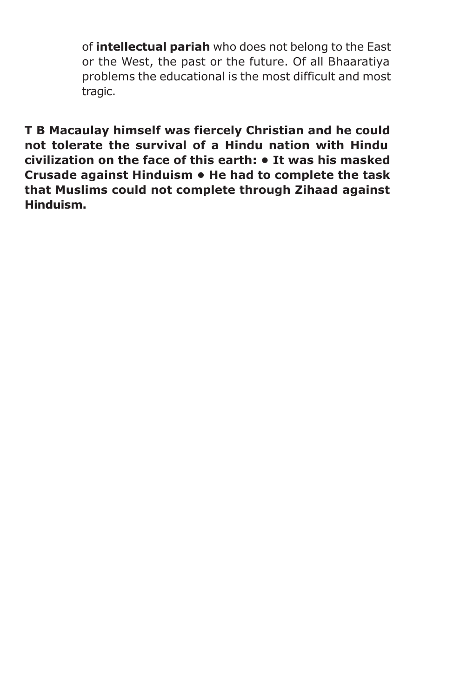of **intellectual pariah** who does not belong to the East or the West, the past or the future. Of all Bhaaratiya problems the educational is the most difficult and most tragic.

**T B Macaulay himself was fiercely Christian and he could not tolerate the survival of a Hindu nation with Hindu civilization on the face of this earth: • It was his masked Crusade against Hinduism • He had to complete the task that Muslims could not complete through Zihaad against Hinduism.**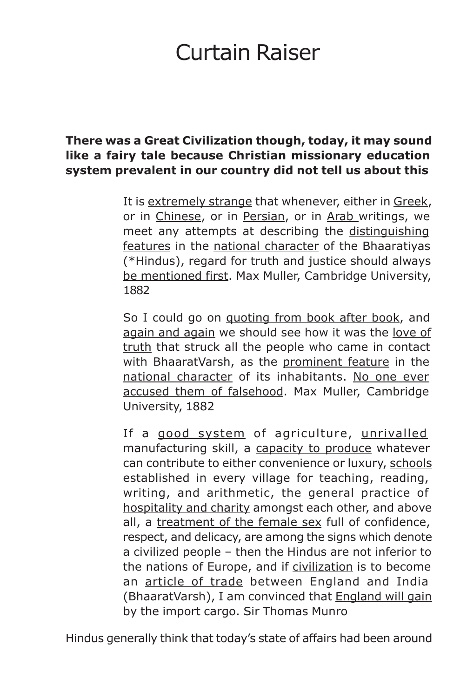## Curtain Raiser

#### **There was a Great Civilization though, today, it may sound like a fairy tale because Christian missionary education system prevalent in our country did not tell us about this**

It is extremely strange that whenever, either in Greek, or in Chinese, or in Persian, or in Arab writings, we meet any attempts at describing the distinguishing features in the national character of the Bhaaratiyas (\*Hindus), regard for truth and justice should always be mentioned first. Max Muller, Cambridge University, 1882

So I could go on quoting from book after book, and again and again we should see how it was the love of truth that struck all the people who came in contact with BhaaratVarsh, as the prominent feature in the national character of its inhabitants. No one ever accused them of falsehood. Max Muller, Cambridge University, 1882

If a good system of agriculture, unrivalled manufacturing skill, a capacity to produce whatever can contribute to either convenience or luxury, schools established in every village for teaching, reading, writing, and arithmetic, the general practice of hospitality and charity amongst each other, and above all, a treatment of the female sex full of confidence, respect, and delicacy, are among the signs which denote a civilized people – then the Hindus are not inferior to the nations of Europe, and if civilization is to become an article of trade between England and India (BhaaratVarsh), I am convinced that England will gain by the import cargo. Sir Thomas Munro

Hindus generally think that today's state of affairs had been around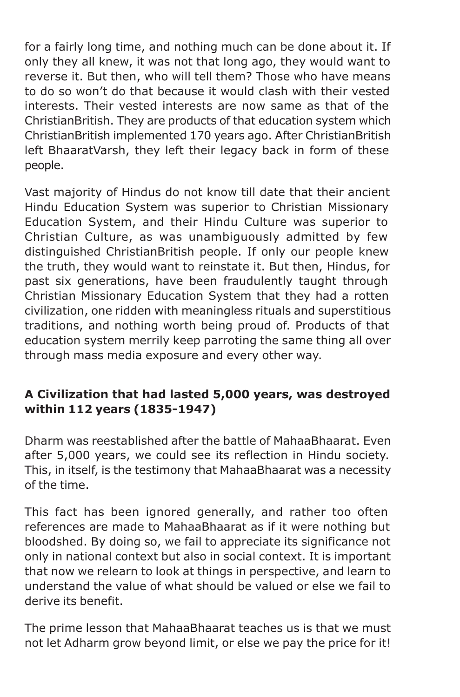for a fairly long time, and nothing much can be done about it. If only they all knew, it was not that long ago, they would want to reverse it. But then, who will tell them? Those who have means to do so won't do that because it would clash with their vested interests. Their vested interests are now same as that of the ChristianBritish. They are products of that education system which ChristianBritish implemented 170 years ago. After ChristianBritish left BhaaratVarsh, they left their legacy back in form of these people.

Vast majority of Hindus do not know till date that their ancient Hindu Education System was superior to Christian Missionary Education System, and their Hindu Culture was superior to Christian Culture, as was unambiguously admitted by few distinguished ChristianBritish people. If only our people knew the truth, they would want to reinstate it. But then, Hindus, for past six generations, have been fraudulently taught through Christian Missionary Education System that they had a rotten civilization, one ridden with meaningless rituals and superstitious traditions, and nothing worth being proud of. Products of that education system merrily keep parroting the same thing all over through mass media exposure and every other way.

#### **A Civilization that had lasted 5,000 years, was destroyed within 112 years (1835-1947)**

Dharm was reestablished after the battle of MahaaBhaarat. Even after 5,000 years, we could see its reflection in Hindu society. This, in itself, is the testimony that MahaaBhaarat was a necessity of the time.

This fact has been ignored generally, and rather too often references are made to MahaaBhaarat as if it were nothing but bloodshed. By doing so, we fail to appreciate its significance not only in national context but also in social context. It is important that now we relearn to look at things in perspective, and learn to understand the value of what should be valued or else we fail to derive its benefit.

The prime lesson that MahaaBhaarat teaches us is that we must not let Adharm grow beyond limit, or else we pay the price for it!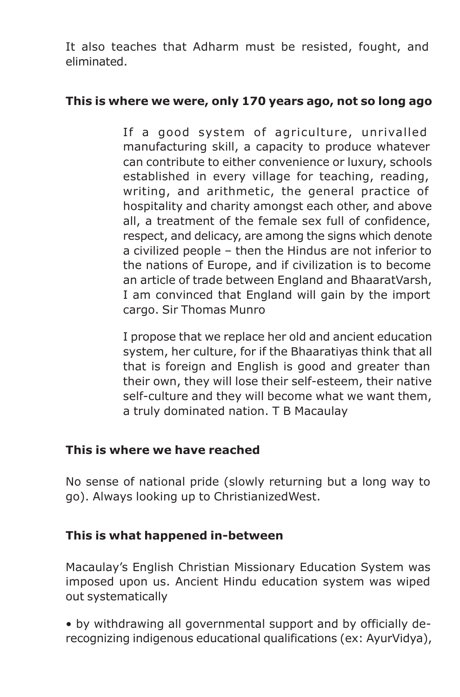It also teaches that Adharm must be resisted, fought, and eliminated.

#### **This is where we were, only 170 years ago, not so long ago**

If a good system of agriculture, unrivalled manufacturing skill, a capacity to produce whatever can contribute to either convenience or luxury, schools established in every village for teaching, reading, writing, and arithmetic, the general practice of hospitality and charity amongst each other, and above all, a treatment of the female sex full of confidence, respect, and delicacy, are among the signs which denote a civilized people – then the Hindus are not inferior to the nations of Europe, and if civilization is to become an article of trade between England and BhaaratVarsh, I am convinced that England will gain by the import cargo. Sir Thomas Munro

I propose that we replace her old and ancient education system, her culture, for if the Bhaaratiyas think that all that is foreign and English is good and greater than their own, they will lose their self-esteem, their native self-culture and they will become what we want them, a truly dominated nation. T B Macaulay

#### **This is where we have reached**

No sense of national pride (slowly returning but a long way to go). Always looking up to ChristianizedWest.

#### **This is what happened in-between**

Macaulay's English Christian Missionary Education System was imposed upon us. Ancient Hindu education system was wiped out systematically

• by withdrawing all governmental support and by officially derecognizing indigenous educational qualifications (ex: AyurVidya),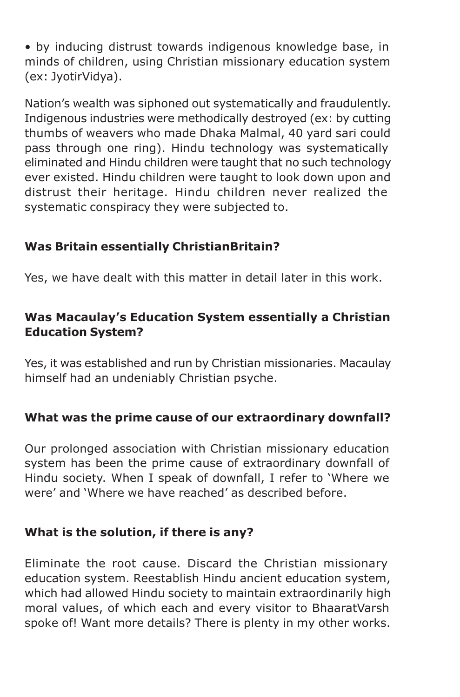• by inducing distrust towards indigenous knowledge base, in minds of children, using Christian missionary education system (ex: JyotirVidya).

Nation's wealth was siphoned out systematically and fraudulently. Indigenous industries were methodically destroyed (ex: by cutting thumbs of weavers who made Dhaka Malmal, 40 yard sari could pass through one ring). Hindu technology was systematically eliminated and Hindu children were taught that no such technology ever existed. Hindu children were taught to look down upon and distrust their heritage. Hindu children never realized the systematic conspiracy they were subjected to.

#### **Was Britain essentially ChristianBritain?**

Yes, we have dealt with this matter in detail later in this work.

#### **Was Macaulay's Education System essentially a Christian Education System?**

Yes, it was established and run by Christian missionaries. Macaulay himself had an undeniably Christian psyche.

#### **What was the prime cause of our extraordinary downfall?**

Our prolonged association with Christian missionary education system has been the prime cause of extraordinary downfall of Hindu society. When I speak of downfall, I refer to 'Where we were' and 'Where we have reached' as described before.

#### **What is the solution, if there is any?**

Eliminate the root cause. Discard the Christian missionary education system. Reestablish Hindu ancient education system, which had allowed Hindu society to maintain extraordinarily high moral values, of which each and every visitor to BhaaratVarsh spoke of! Want more details? There is plenty in my other works.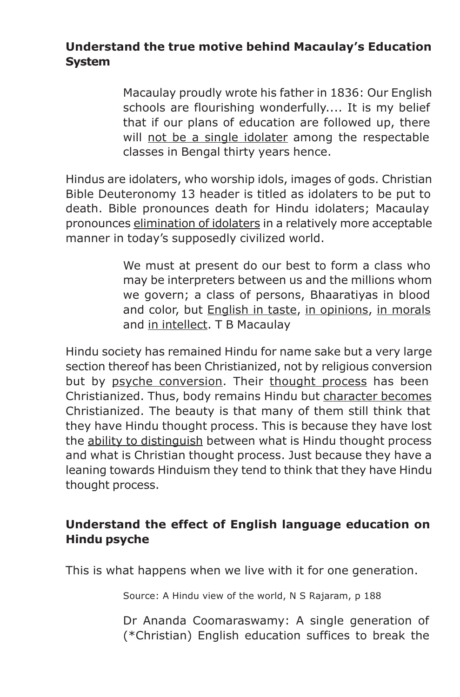#### **Understand the true motive behind Macaulay's Education System**

Macaulay proudly wrote his father in 1836: Our English schools are flourishing wonderfully.... It is my belief that if our plans of education are followed up, there will not be a single idolater among the respectable classes in Bengal thirty years hence.

Hindus are idolaters, who worship idols, images of gods. Christian Bible Deuteronomy 13 header is titled as idolaters to be put to death. Bible pronounces death for Hindu idolaters; Macaulay pronounces elimination of idolaters in a relatively more acceptable manner in today's supposedly civilized world.

> We must at present do our best to form a class who may be interpreters between us and the millions whom we govern; a class of persons, Bhaaratiyas in blood and color, but **English in taste**, in opinions, in morals and in intellect. T B Macaulay

Hindu society has remained Hindu for name sake but a very large section thereof has been Christianized, not by religious conversion but by psyche conversion. Their thought process has been Christianized. Thus, body remains Hindu but character becomes Christianized. The beauty is that many of them still think that they have Hindu thought process. This is because they have lost the ability to distinguish between what is Hindu thought process and what is Christian thought process. Just because they have a leaning towards Hinduism they tend to think that they have Hindu thought process.

#### **Understand the effect of English language education on Hindu psyche**

This is what happens when we live with it for one generation.

Source: A Hindu view of the world, N S Rajaram, p 188

Dr Ananda Coomaraswamy: A single generation of (\*Christian) English education suffices to break the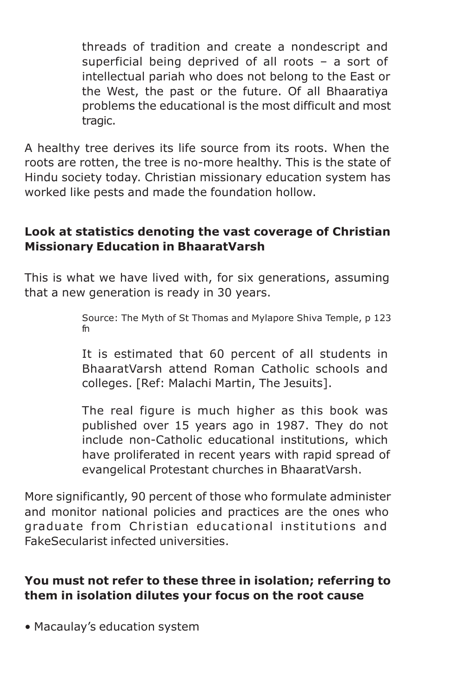threads of tradition and create a nondescript and superficial being deprived of all roots – a sort of intellectual pariah who does not belong to the East or the West, the past or the future. Of all Bhaaratiya problems the educational is the most difficult and most tragic.

A healthy tree derives its life source from its roots. When the roots are rotten, the tree is no-more healthy. This is the state of Hindu society today. Christian missionary education system has worked like pests and made the foundation hollow.

#### **Look at statistics denoting the vast coverage of Christian Missionary Education in BhaaratVarsh**

This is what we have lived with, for six generations, assuming that a new generation is ready in 30 years.

> Source: The Myth of St Thomas and Mylapore Shiva Temple, p 123 fn

> It is estimated that 60 percent of all students in BhaaratVarsh attend Roman Catholic schools and colleges. [Ref: Malachi Martin, The Jesuits].

> The real figure is much higher as this book was published over 15 years ago in 1987. They do not include non-Catholic educational institutions, which have proliferated in recent years with rapid spread of evangelical Protestant churches in BhaaratVarsh.

More significantly, 90 percent of those who formulate administer and monitor national policies and practices are the ones who graduate from Christian educational institutions and FakeSecularist infected universities.

#### **You must not refer to these three in isolation; referring to them in isolation dilutes your focus on the root cause**

• Macaulay's education system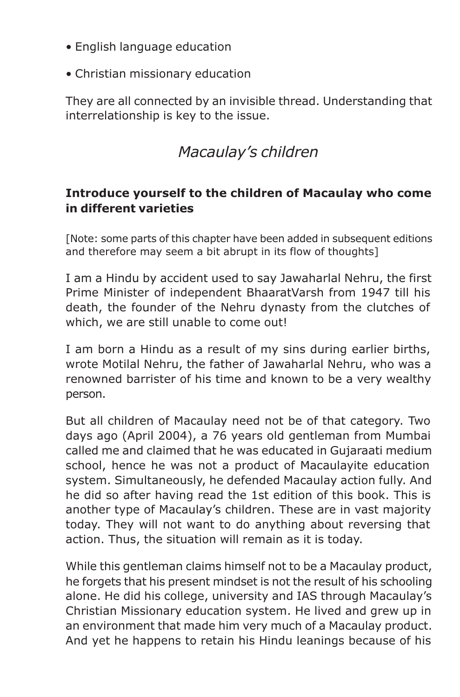- English language education
- Christian missionary education

They are all connected by an invisible thread. Understanding that interrelationship is key to the issue.

### *Macaulay's children*

#### **Introduce yourself to the children of Macaulay who come in different varieties**

[Note: some parts of this chapter have been added in subsequent editions and therefore may seem a bit abrupt in its flow of thoughts]

I am a Hindu by accident used to say Jawaharlal Nehru, the first Prime Minister of independent BhaaratVarsh from 1947 till his death, the founder of the Nehru dynasty from the clutches of which, we are still unable to come out!

I am born a Hindu as a result of my sins during earlier births, wrote Motilal Nehru, the father of Jawaharlal Nehru, who was a renowned barrister of his time and known to be a very wealthy person.

But all children of Macaulay need not be of that category. Two days ago (April 2004), a 76 years old gentleman from Mumbai called me and claimed that he was educated in Gujaraati medium school, hence he was not a product of Macaulayite education system. Simultaneously, he defended Macaulay action fully. And he did so after having read the 1st edition of this book. This is another type of Macaulay's children. These are in vast majority today. They will not want to do anything about reversing that action. Thus, the situation will remain as it is today.

While this gentleman claims himself not to be a Macaulay product, he forgets that his present mindset is not the result of his schooling alone. He did his college, university and IAS through Macaulay's Christian Missionary education system. He lived and grew up in an environment that made him very much of a Macaulay product. And yet he happens to retain his Hindu leanings because of his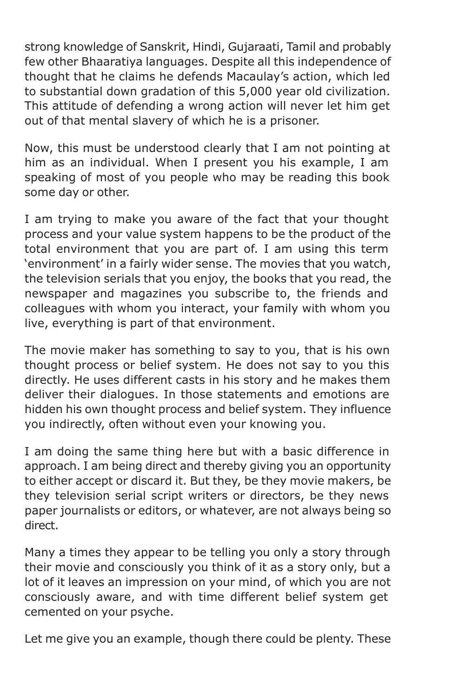strong knowledge of Sanskrit, Hindi, Gujaraati, Tamil and probably few other Bhaaratiya languages. Despite all this independence of thought that he claims he defends Macaulay's action, which led to substantial down gradation of this 5,000 year old civilization. This attitude of defending a wrong action will never let him get out of that mental slavery of which he is a prisoner.

Now, this must be understood clearly that I am not pointing at him as an individual. When I present you his example, I am speaking of most of you people who may be reading this book some day or other.

I am trying to make you aware of the fact that your thought process and your value system happens to be the product of the total environment that you are part of. I am using this term 'environment' in a fairly wider sense. The movies that you watch, the television serials that you enjoy, the books that you read, the newspaper and magazines you subscribe to, the friends and colleagues with whom you interact, your family with whom you live, everything is part of that environment.

The movie maker has something to say to you, that is his own thought process or belief system. He does not say to you this directly. He uses different casts in his story and he makes them deliver their dialogues. In those statements and emotions are hidden his own thought process and belief system. They influence you indirectly, often without even your knowing you.

I am doing the same thing here but with a basic difference in approach. I am being direct and thereby giving you an opportunity to either accept or discard it. But they, be they movie makers, be they television serial script writers or directors, be they news paper journalists or editors, or whatever, are not always being so direct.

Many a times they appear to be telling you only a story through their movie and consciously you think of it as a story only, but a lot of it leaves an impression on your mind, of which you are not consciously aware, and with time different belief system get cemented on your psyche.

Let me give you an example, though there could be plenty. These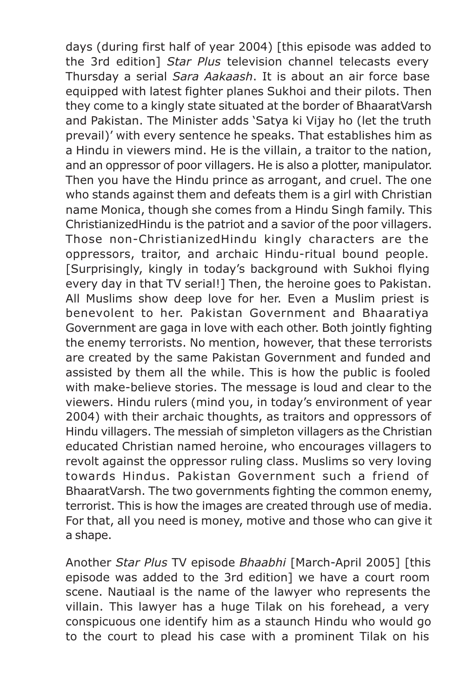days (during first half of year 2004) [this episode was added to the 3rd edition] *Star Plus* television channel telecasts every Thursday a serial *Sara Aakaash*. It is about an air force base equipped with latest fighter planes Sukhoi and their pilots. Then they come to a kingly state situated at the border of BhaaratVarsh and Pakistan. The Minister adds 'Satya ki Vijay ho (let the truth prevail)' with every sentence he speaks. That establishes him as a Hindu in viewers mind. He is the villain, a traitor to the nation, and an oppressor of poor villagers. He is also a plotter, manipulator. Then you have the Hindu prince as arrogant, and cruel. The one who stands against them and defeats them is a girl with Christian name Monica, though she comes from a Hindu Singh family. This ChristianizedHindu is the patriot and a savior of the poor villagers. Those non-ChristianizedHindu kingly characters are the oppressors, traitor, and archaic Hindu-ritual bound people. [Surprisingly, kingly in today's background with Sukhoi flying every day in that TV serial!] Then, the heroine goes to Pakistan. All Muslims show deep love for her. Even a Muslim priest is benevolent to her. Pakistan Government and Bhaaratiya Government are gaga in love with each other. Both jointly fighting the enemy terrorists. No mention, however, that these terrorists are created by the same Pakistan Government and funded and assisted by them all the while. This is how the public is fooled with make-believe stories. The message is loud and clear to the viewers. Hindu rulers (mind you, in today's environment of year 2004) with their archaic thoughts, as traitors and oppressors of Hindu villagers. The messiah of simpleton villagers as the Christian educated Christian named heroine, who encourages villagers to revolt against the oppressor ruling class. Muslims so very loving towards Hindus. Pakistan Government such a friend of BhaaratVarsh. The two governments fighting the common enemy, terrorist. This is how the images are created through use of media. For that, all you need is money, motive and those who can give it a shape.

Another *Star Plus* TV episode *Bhaabhi* [March-April 2005] [this episode was added to the 3rd edition] we have a court room scene. Nautiaal is the name of the lawyer who represents the villain. This lawyer has a huge Tilak on his forehead, a very conspicuous one identify him as a staunch Hindu who would go to the court to plead his case with a prominent Tilak on his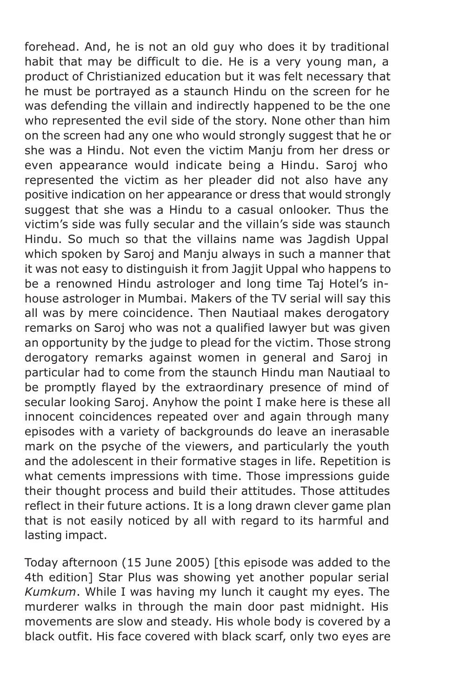forehead. And, he is not an old guy who does it by traditional habit that may be difficult to die. He is a very young man, a product of Christianized education but it was felt necessary that he must be portrayed as a staunch Hindu on the screen for he was defending the villain and indirectly happened to be the one who represented the evil side of the story. None other than him on the screen had any one who would strongly suggest that he or she was a Hindu. Not even the victim Manju from her dress or even appearance would indicate being a Hindu. Saroj who represented the victim as her pleader did not also have any positive indication on her appearance or dress that would strongly suggest that she was a Hindu to a casual onlooker. Thus the victim's side was fully secular and the villain's side was staunch Hindu. So much so that the villains name was Jagdish Uppal which spoken by Saroj and Manju always in such a manner that it was not easy to distinguish it from Jagjit Uppal who happens to be a renowned Hindu astrologer and long time Taj Hotel's inhouse astrologer in Mumbai. Makers of the TV serial will say this all was by mere coincidence. Then Nautiaal makes derogatory remarks on Saroj who was not a qualified lawyer but was given an opportunity by the judge to plead for the victim. Those strong derogatory remarks against women in general and Saroj in particular had to come from the staunch Hindu man Nautiaal to be promptly flayed by the extraordinary presence of mind of secular looking Saroj. Anyhow the point I make here is these all innocent coincidences repeated over and again through many episodes with a variety of backgrounds do leave an inerasable mark on the psyche of the viewers, and particularly the youth and the adolescent in their formative stages in life. Repetition is what cements impressions with time. Those impressions guide their thought process and build their attitudes. Those attitudes reflect in their future actions. It is a long drawn clever game plan that is not easily noticed by all with regard to its harmful and lasting impact.

Today afternoon (15 June 2005) [this episode was added to the 4th edition] Star Plus was showing yet another popular serial *Kumkum*. While I was having my lunch it caught my eyes. The murderer walks in through the main door past midnight. His movements are slow and steady. His whole body is covered by a black outfit. His face covered with black scarf, only two eyes are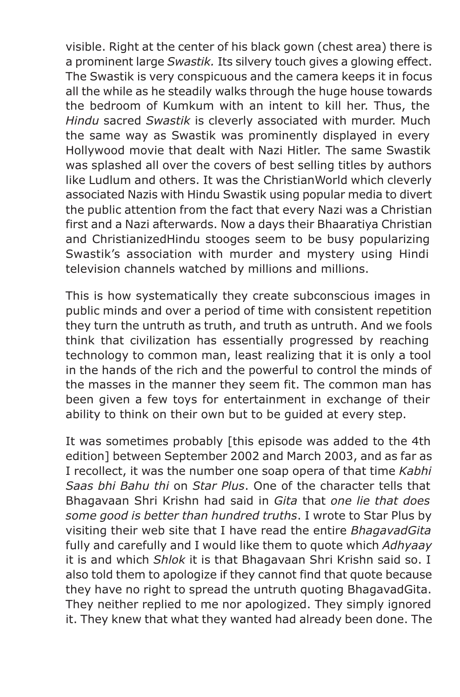visible. Right at the center of his black gown (chest area) there is a prominent large *Swastik.* Its silvery touch gives a glowing effect. The Swastik is very conspicuous and the camera keeps it in focus all the while as he steadily walks through the huge house towards the bedroom of Kumkum with an intent to kill her. Thus, the *Hindu* sacred *Swastik* is cleverly associated with murder. Much the same way as Swastik was prominently displayed in every Hollywood movie that dealt with Nazi Hitler. The same Swastik was splashed all over the covers of best selling titles by authors like Ludlum and others. It was the ChristianWorld which cleverly associated Nazis with Hindu Swastik using popular media to divert the public attention from the fact that every Nazi was a Christian first and a Nazi afterwards. Now a days their Bhaaratiya Christian and ChristianizedHindu stooges seem to be busy popularizing Swastik's association with murder and mystery using Hindi television channels watched by millions and millions.

This is how systematically they create subconscious images in public minds and over a period of time with consistent repetition they turn the untruth as truth, and truth as untruth. And we fools think that civilization has essentially progressed by reaching technology to common man, least realizing that it is only a tool in the hands of the rich and the powerful to control the minds of the masses in the manner they seem fit. The common man has been given a few toys for entertainment in exchange of their ability to think on their own but to be guided at every step.

It was sometimes probably [this episode was added to the 4th edition] between September 2002 and March 2003, and as far as I recollect, it was the number one soap opera of that time *Kabhi Saas bhi Bahu thi* on *Star Plus*. One of the character tells that Bhagavaan Shri Krishn had said in *Gita* that *one lie that does some good is better than hundred truths*. I wrote to Star Plus by visiting their web site that I have read the entire *BhagavadGita* fully and carefully and I would like them to quote which *Adhyaay* it is and which *Shlok* it is that Bhagavaan Shri Krishn said so. I also told them to apologize if they cannot find that quote because they have no right to spread the untruth quoting BhagavadGita. They neither replied to me nor apologized. They simply ignored it. They knew that what they wanted had already been done. The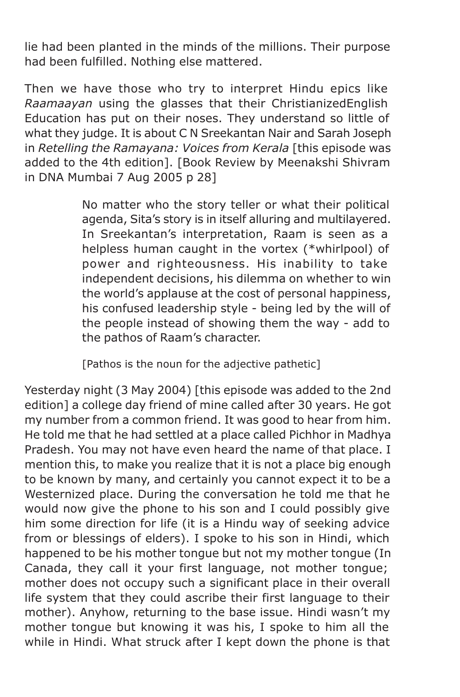lie had been planted in the minds of the millions. Their purpose had been fulfilled. Nothing else mattered.

Then we have those who try to interpret Hindu epics like *Raamaayan* using the glasses that their ChristianizedEnglish Education has put on their noses. They understand so little of what they judge. It is about C N Sreekantan Nair and Sarah Joseph in *Retelling the Ramayana: Voices from Kerala* [this episode was added to the 4th edition]. [Book Review by Meenakshi Shivram in DNA Mumbai 7 Aug 2005 p 28]

> No matter who the story teller or what their political agenda, Sita's story is in itself alluring and multilayered. In Sreekantan's interpretation, Raam is seen as a helpless human caught in the vortex (\*whirlpool) of power and righteousness. His inability to take independent decisions, his dilemma on whether to win the world's applause at the cost of personal happiness, his confused leadership style - being led by the will of the people instead of showing them the way - add to the pathos of Raam's character.

[Pathos is the noun for the adjective pathetic]

Yesterday night (3 May 2004) [this episode was added to the 2nd edition] a college day friend of mine called after 30 years. He got my number from a common friend. It was good to hear from him. He told me that he had settled at a place called Pichhor in Madhya Pradesh. You may not have even heard the name of that place. I mention this, to make you realize that it is not a place big enough to be known by many, and certainly you cannot expect it to be a Westernized place. During the conversation he told me that he would now give the phone to his son and I could possibly give him some direction for life (it is a Hindu way of seeking advice from or blessings of elders). I spoke to his son in Hindi, which happened to be his mother tongue but not my mother tongue (In Canada, they call it your first language, not mother tongue; mother does not occupy such a significant place in their overall life system that they could ascribe their first language to their mother). Anyhow, returning to the base issue. Hindi wasn't my mother tongue but knowing it was his, I spoke to him all the while in Hindi. What struck after I kept down the phone is that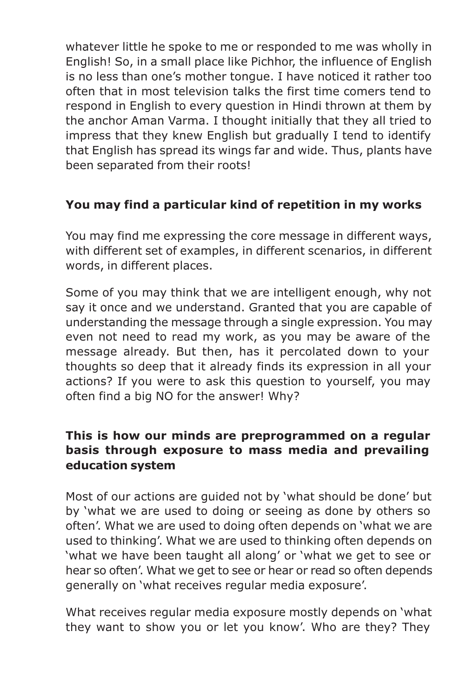whatever little he spoke to me or responded to me was wholly in English! So, in a small place like Pichhor, the influence of English is no less than one's mother tongue. I have noticed it rather too often that in most television talks the first time comers tend to respond in English to every question in Hindi thrown at them by the anchor Aman Varma. I thought initially that they all tried to impress that they knew English but gradually I tend to identify that English has spread its wings far and wide. Thus, plants have been separated from their roots!

#### **You may find a particular kind of repetition in my works**

You may find me expressing the core message in different ways, with different set of examples, in different scenarios, in different words, in different places.

Some of you may think that we are intelligent enough, why not say it once and we understand. Granted that you are capable of understanding the message through a single expression. You may even not need to read my work, as you may be aware of the message already. But then, has it percolated down to your thoughts so deep that it already finds its expression in all your actions? If you were to ask this question to yourself, you may often find a big NO for the answer! Why?

#### **This is how our minds are preprogrammed on a regular basis through exposure to mass media and prevailing education system**

Most of our actions are guided not by 'what should be done' but by 'what we are used to doing or seeing as done by others so often'. What we are used to doing often depends on 'what we are used to thinking'. What we are used to thinking often depends on 'what we have been taught all along' or 'what we get to see or hear so often'. What we get to see or hear or read so often depends generally on 'what receives regular media exposure'.

What receives regular media exposure mostly depends on 'what they want to show you or let you know'. Who are they? They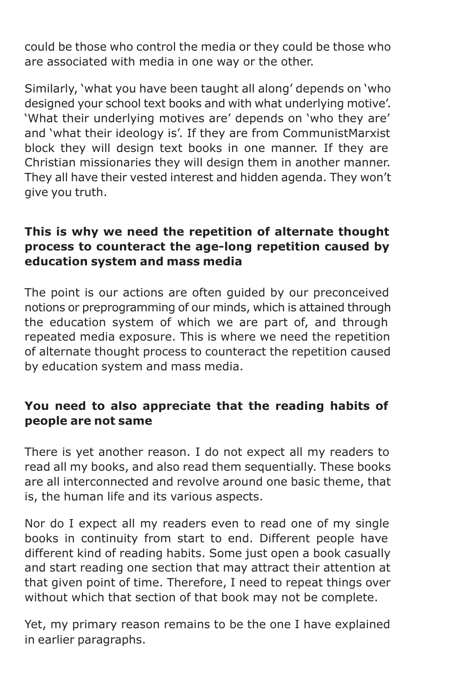could be those who control the media or they could be those who are associated with media in one way or the other.

Similarly, 'what you have been taught all along' depends on 'who designed your school text books and with what underlying motive'. 'What their underlying motives are' depends on 'who they are' and 'what their ideology is'. If they are from CommunistMarxist block they will design text books in one manner. If they are Christian missionaries they will design them in another manner. They all have their vested interest and hidden agenda. They won't give you truth.

#### **This is why we need the repetition of alternate thought process to counteract the age-long repetition caused by education system and mass media**

The point is our actions are often guided by our preconceived notions or preprogramming of our minds, which is attained through the education system of which we are part of, and through repeated media exposure. This is where we need the repetition of alternate thought process to counteract the repetition caused by education system and mass media.

#### **You need to also appreciate that the reading habits of people are not same**

There is yet another reason. I do not expect all my readers to read all my books, and also read them sequentially. These books are all interconnected and revolve around one basic theme, that is, the human life and its various aspects.

Nor do I expect all my readers even to read one of my single books in continuity from start to end. Different people have different kind of reading habits. Some just open a book casually and start reading one section that may attract their attention at that given point of time. Therefore, I need to repeat things over without which that section of that book may not be complete.

Yet, my primary reason remains to be the one I have explained in earlier paragraphs.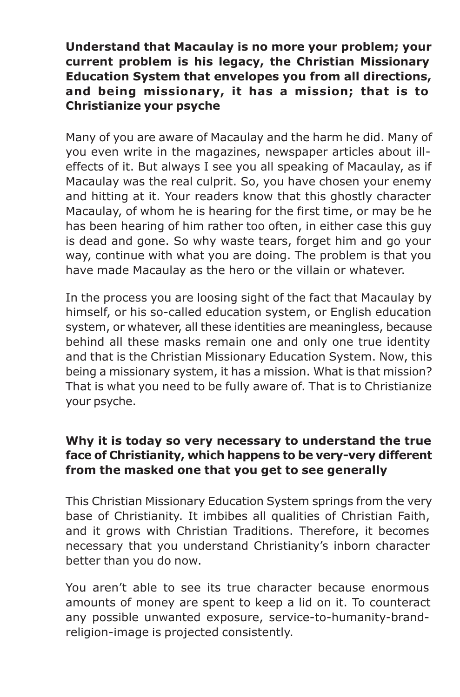#### **Understand that Macaulay is no more your problem; your current problem is his legacy, the Christian Missionary Education System that envelopes you from all directions, and being missionary, it has a mission; that is to Christianize your psyche**

Many of you are aware of Macaulay and the harm he did. Many of you even write in the magazines, newspaper articles about illeffects of it. But always I see you all speaking of Macaulay, as if Macaulay was the real culprit. So, you have chosen your enemy and hitting at it. Your readers know that this ghostly character Macaulay, of whom he is hearing for the first time, or may be he has been hearing of him rather too often, in either case this guy is dead and gone. So why waste tears, forget him and go your way, continue with what you are doing. The problem is that you have made Macaulay as the hero or the villain or whatever.

In the process you are loosing sight of the fact that Macaulay by himself, or his so-called education system, or English education system, or whatever, all these identities are meaningless, because behind all these masks remain one and only one true identity and that is the Christian Missionary Education System. Now, this being a missionary system, it has a mission. What is that mission? That is what you need to be fully aware of. That is to Christianize your psyche.

#### **Why it is today so very necessary to understand the true face of Christianity, which happens to be very-very different from the masked one that you get to see generally**

This Christian Missionary Education System springs from the very base of Christianity. It imbibes all qualities of Christian Faith, and it grows with Christian Traditions. Therefore, it becomes necessary that you understand Christianity's inborn character better than you do now.

You aren't able to see its true character because enormous amounts of money are spent to keep a lid on it. To counteract any possible unwanted exposure, service-to-humanity-brandreligion-image is projected consistently.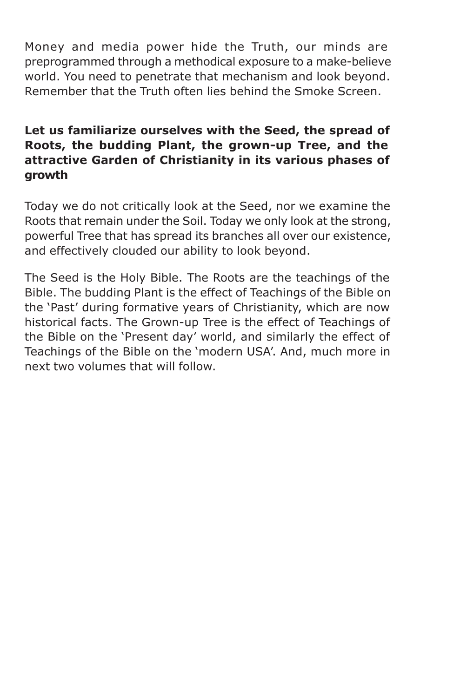Money and media power hide the Truth, our minds are preprogrammed through a methodical exposure to a make-believe world. You need to penetrate that mechanism and look beyond. Remember that the Truth often lies behind the Smoke Screen.

#### **Let us familiarize ourselves with the Seed, the spread of Roots, the budding Plant, the grown-up Tree, and the attractive Garden of Christianity in its various phases of growth**

Today we do not critically look at the Seed, nor we examine the Roots that remain under the Soil. Today we only look at the strong, powerful Tree that has spread its branches all over our existence, and effectively clouded our ability to look beyond.

The Seed is the Holy Bible. The Roots are the teachings of the Bible. The budding Plant is the effect of Teachings of the Bible on the 'Past' during formative years of Christianity, which are now historical facts. The Grown-up Tree is the effect of Teachings of the Bible on the 'Present day' world, and similarly the effect of Teachings of the Bible on the 'modern USA'. And, much more in next two volumes that will follow.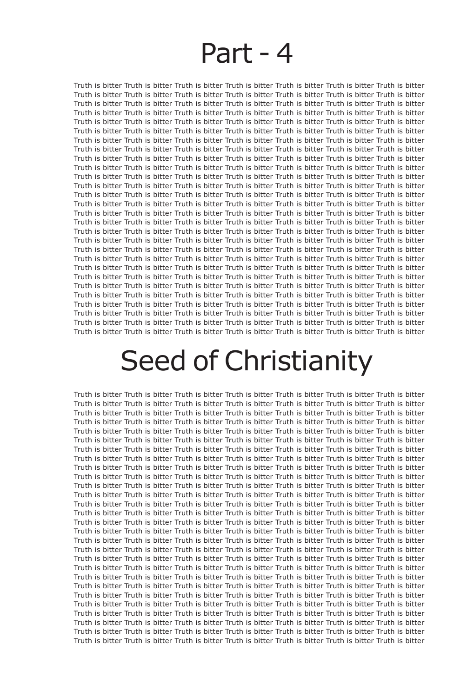### Part - 4

Truth is bitter Truth is bitter Truth is bitter Truth is bitter Truth is bitter Truth is bitter Truth is bitter Truth is bitter Truth is bitter Truth is bitter Truth is bitter Truth is bitter Truth is bitter Truth is bitter Truth is bitter Truth is bitter Truth is bitter Truth is bitter Truth is bitter Truth is bitter Truth is bitter Truth is bitter Truth is bitter Truth is bitter Truth is bitter Truth is bitter Truth is bitter Truth is bitter Truth is bitter Truth is bitter Truth is bitter Truth is bitter Truth is bitter Truth is bitter Truth is bitter Truth is bitter Truth is bitter Truth is bitter Truth is bitter Truth is bitter Truth is bitter Truth is bitter Truth is bitter Truth is bitter Truth is bitter Truth is bitter Truth is bitter Truth is bitter Truth is bitter Truth is bitter Truth is bitter Truth is bitter Truth is bitter Truth is bitter Truth is bitter Truth is bitter Truth is bitter Truth is bitter Truth is bitter Truth is bitter Truth is bitter Truth is bitter Truth is bitter Truth is bitter Truth is bitter Truth is bitter Truth is bitter Truth is bitter Truth is bitter Truth is bitter Truth is bitter Truth is bitter Truth is bitter Truth is bitter Truth is bitter Truth is bitter Truth is bitter Truth is bitter Truth is bitter Truth is bitter Truth is bitter Truth is bitter Truth is bitter Truth is bitter Truth is bitter Truth is bitter Truth is bitter Truth is bitter Truth is bitter Truth is bitter Truth is bitter Truth is bitter Truth is bitter Truth is bitter Truth is bitter Truth is bitter Truth is bitter Truth is bitter Truth is bitter Truth is bitter Truth is bitter Truth is bitter Truth is bitter Truth is bitter Truth is bitter Truth is bitter Truth is bitter Truth is bitter Truth is bitter Truth is bitter Truth is bitter Truth is bitter Truth is bitter Truth is bitter Truth is bitter Truth is bitter Truth is bitter Truth is bitter Truth is bitter Truth is bitter Truth is bitter Truth is bitter Truth is bitter Truth is bitter Truth is bitter Truth is bitter Truth is bitter Truth is bitter Truth is bitter Truth is bitter Truth is bitter Truth is bitter Truth is bitter Truth is bitter Truth is bitter Truth is bitter Truth is bitter Truth is bitter Truth is bitter Truth is bitter Truth is bitter Truth is bitter Truth is bitter Truth is bitter Truth is bitter Truth is bitter Truth is bitter Truth is bitter Truth is bitter Truth is bitter Truth is bitter Truth is bitter Truth is bitter Truth is bitter Truth is bitter Truth is bitter Truth is bitter Truth is bitter Truth is bitter Truth is bitter Truth is bitter Truth is bitter Truth is bitter Truth is bitter Truth is bitter Truth is bitter Truth is bitter Truth is bitter Truth is bitter Truth is bitter Truth is bitter Truth is bitter Truth is bitter Truth is bitter Truth is bitter Truth is bitter Truth is bitter Truth is bitter Truth is bitter Truth is bitter Truth is bitter Truth is bitter Truth is bitter Truth is bitter Truth is bitter Truth is bitter Truth is bitter Truth is bitter Truth is bitter Truth is bitter Truth is bitter Truth is bitter Truth is bitter Truth is bitter Truth is bitter Truth is bitter

# Seed of Christianity

Truth is bitter Truth is bitter Truth is bitter Truth is bitter Truth is bitter Truth is bitter Truth is bitter Truth is bitter Truth is bitter Truth is bitter Truth is bitter Truth is bitter Truth is bitter Truth is bitter Truth is bitter Truth is bitter Truth is bitter Truth is bitter Truth is bitter Truth is bitter Truth is bitter Truth is bitter Truth is bitter Truth is bitter Truth is bitter Truth is bitter Truth is bitter Truth is bitter Truth is bitter Truth is bitter Truth is bitter Truth is bitter Truth is bitter Truth is bitter Truth is bitter Truth is bitter Truth is bitter Truth is bitter Truth is bitter Truth is bitter Truth is bitter Truth is bitter Truth is bitter Truth is bitter Truth is bitter Truth is bitter Truth is bitter Truth is bitter Truth is bitter Truth is bitter Truth is bitter Truth is bitter Truth is bitter Truth is bitter Truth is bitter Truth is bitter Truth is bitter Truth is bitter Truth is bitter Truth is bitter Truth is bitter Truth is bitter Truth is bitter Truth is bitter Truth is bitter Truth is bitter Truth is bitter Truth is bitter Truth is bitter Truth is bitter Truth is bitter Truth is bitter Truth is bitter Truth is bitter Truth is bitter Truth is bitter Truth is bitter Truth is bitter Truth is bitter Truth is bitter Truth is bitter Truth is bitter Truth is bitter Truth is bitter Truth is bitter Truth is bitter Truth is bitter Truth is bitter Truth is bitter Truth is bitter Truth is bitter Truth is bitter Truth is bitter Truth is bitter Truth is bitter Truth is bitter Truth is bitter Truth is bitter Truth is bitter Truth is bitter Truth is bitter Truth is bitter Truth is bitter Truth is bitter Truth is bitter Truth is bitter Truth is bitter Truth is bitter Truth is bitter Truth is bitter Truth is bitter Truth is bitter Truth is bitter Truth is bitter Truth is bitter Truth is bitter Truth is bitter Truth is bitter Truth is bitter Truth is bitter Truth is bitter Truth is bitter Truth is bitter Truth is bitter Truth is bitter Truth is bitter Truth is bitter Truth is bitter Truth is bitter Truth is bitter Truth is bitter Truth is bitter Truth is bitter Truth is bitter Truth is bitter Truth is bitter Truth is bitter Truth is bitter Truth is bitter Truth is bitter Truth is bitter Truth is bitter Truth is bitter Truth is bitter Truth is bitter Truth is bitter Truth is bitter Truth is bitter Truth is bitter Truth is bitter Truth is bitter Truth is bitter Truth is bitter Truth is bitter Truth is bitter Truth is bitter Truth is bitter Truth is bitter Truth is bitter Truth is bitter Truth is bitter Truth is bitter Truth is bitter Truth is bitter Truth is bitter Truth is bitter Truth is bitter Truth is bitter Truth is bitter Truth is bitter Truth is bitter Truth is bitter Truth is bitter Truth is bitter Truth is bitter Truth is bitter Truth is bitter Truth is bitter Truth is bitter Truth is bitter Truth is bitter Truth is bitter Truth is bitter Truth is bitter Truth is bitter Truth is bitter Truth is bitter Truth is bitter Truth is bitter Truth is bitter Truth is bitter Truth is bitter Truth is bitter Truth is bitter Truth is bitter Truth is bitter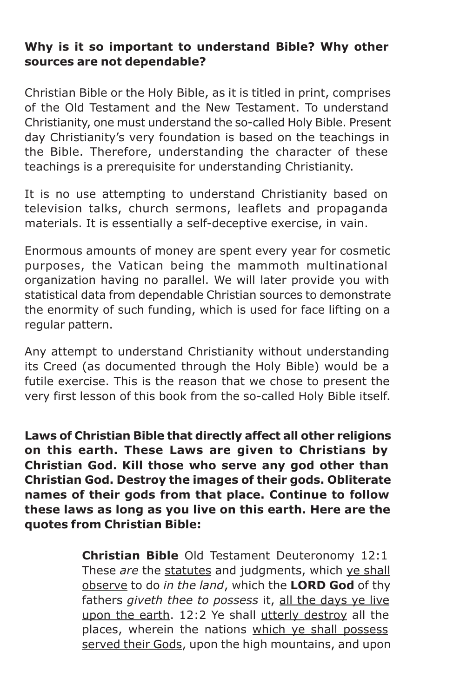#### **Why is it so important to understand Bible? Why other sources are not dependable?**

Christian Bible or the Holy Bible, as it is titled in print, comprises of the Old Testament and the New Testament. To understand Christianity, one must understand the so-called Holy Bible. Present day Christianity's very foundation is based on the teachings in the Bible. Therefore, understanding the character of these teachings is a prerequisite for understanding Christianity.

It is no use attempting to understand Christianity based on television talks, church sermons, leaflets and propaganda materials. It is essentially a self-deceptive exercise, in vain.

Enormous amounts of money are spent every year for cosmetic purposes, the Vatican being the mammoth multinational organization having no parallel. We will later provide you with statistical data from dependable Christian sources to demonstrate the enormity of such funding, which is used for face lifting on a regular pattern.

Any attempt to understand Christianity without understanding its Creed (as documented through the Holy Bible) would be a futile exercise. This is the reason that we chose to present the very first lesson of this book from the so-called Holy Bible itself.

**Laws of Christian Bible that directly affect all other religions on this earth. These Laws are given to Christians by Christian God. Kill those who serve any god other than Christian God. Destroy the images of their gods. Obliterate names of their gods from that place. Continue to follow these laws as long as you live on this earth. Here are the quotes from Christian Bible:**

> **Christian Bible** Old Testament Deuteronomy 12:1 These *are* the statutes and judgments, which ye shall observe to do *in the land*, which the **LORD God** of thy fathers *giveth thee to possess* it, all the days ye live upon the earth. 12:2 Ye shall utterly destroy all the places, wherein the nations which ye shall possess served their Gods, upon the high mountains, and upon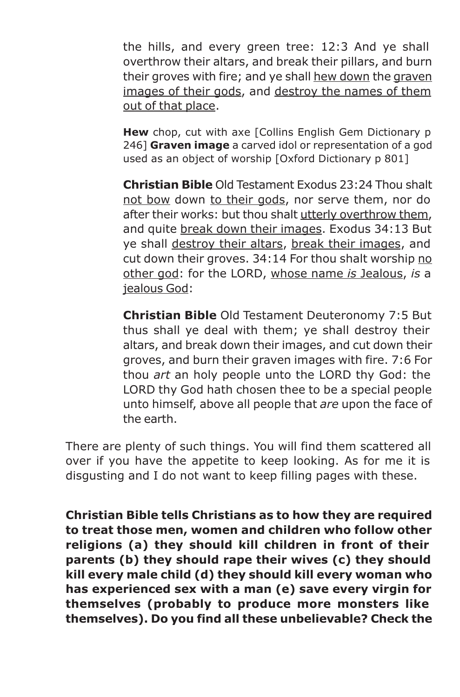the hills, and every green tree: 12:3 And ye shall overthrow their altars, and break their pillars, and burn their groves with fire; and ye shall hew down the graven images of their gods, and destroy the names of them out of that place.

**Hew** chop, cut with axe [Collins English Gem Dictionary p 246] **Graven image** a carved idol or representation of a god used as an object of worship [Oxford Dictionary p 801]

**Christian Bible** Old Testament Exodus 23:24 Thou shalt not bow down to their gods, nor serve them, nor do after their works: but thou shalt utterly overthrow them, and quite break down their images. Exodus 34:13 But ye shall destroy their altars, break their images, and cut down their groves. 34:14 For thou shalt worship no other god: for the LORD, whose name *is* Jealous, *is* a jealous God:

**Christian Bible** Old Testament Deuteronomy 7:5 But thus shall ye deal with them; ye shall destroy their altars, and break down their images, and cut down their groves, and burn their graven images with fire. 7:6 For thou *art* an holy people unto the LORD thy God: the LORD thy God hath chosen thee to be a special people unto himself, above all people that *are* upon the face of the earth.

There are plenty of such things. You will find them scattered all over if you have the appetite to keep looking. As for me it is disgusting and I do not want to keep filling pages with these.

**Christian Bible tells Christians as to how they are required to treat those men, women and children who follow other religions (a) they should kill children in front of their parents (b) they should rape their wives (c) they should kill every male child (d) they should kill every woman who has experienced sex with a man (e) save every virgin for themselves (probably to produce more monsters like themselves). Do you find all these unbelievable? Check the**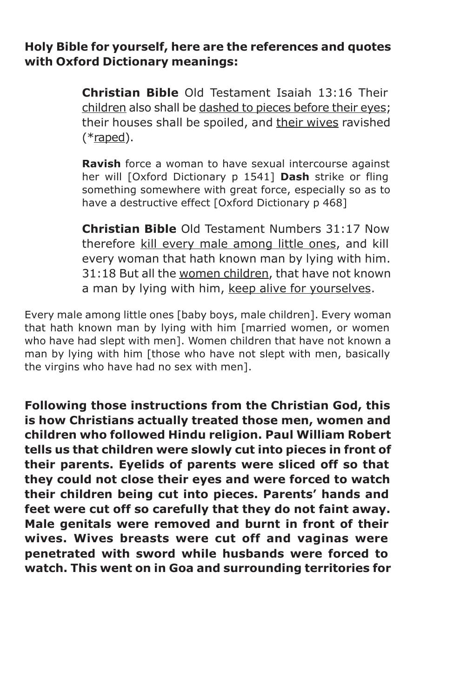#### **Holy Bible for yourself, here are the references and quotes with Oxford Dictionary meanings:**

**Christian Bible** Old Testament Isaiah 13:16 Their children also shall be dashed to pieces before their eyes; their houses shall be spoiled, and their wives ravished (\*raped).

**Ravish** force a woman to have sexual intercourse against her will [Oxford Dictionary p 1541] **Dash** strike or fling something somewhere with great force, especially so as to have a destructive effect [Oxford Dictionary p 468]

**Christian Bible** Old Testament Numbers 31:17 Now therefore kill every male among little ones, and kill every woman that hath known man by lying with him. 31:18 But all the women children, that have not known a man by lying with him, keep alive for yourselves.

Every male among little ones [baby boys, male children]. Every woman that hath known man by lying with him [married women, or women who have had slept with men]. Women children that have not known a man by lying with him [those who have not slept with men, basically the virgins who have had no sex with men].

**Following those instructions from the Christian God, this is how Christians actually treated those men, women and children who followed Hindu religion. Paul William Robert tells us that children were slowly cut into pieces in front of their parents. Eyelids of parents were sliced off so that they could not close their eyes and were forced to watch their children being cut into pieces. Parents' hands and feet were cut off so carefully that they do not faint away. Male genitals were removed and burnt in front of their wives. Wives breasts were cut off and vaginas were penetrated with sword while husbands were forced to watch. This went on in Goa and surrounding territories for**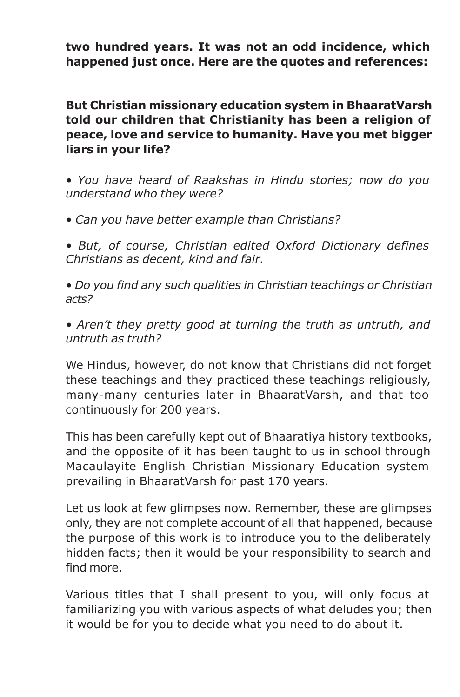**two hundred years. It was not an odd incidence, which happened just once. Here are the quotes and references:**

**But Christian missionary education system in BhaaratVarsh told our children that Christianity has been a religion of peace, love and service to humanity. Have you met bigger liars in your life?**

*• You have heard of Raakshas in Hindu stories; now do you understand who they were?*

*• Can you have better example than Christians?*

*• But, of course, Christian edited Oxford Dictionary defines Christians as decent, kind and fair.*

*• Do you find any such qualities in Christian teachings or Christian acts?*

*• Aren't they pretty good at turning the truth as untruth, and untruth as truth?*

We Hindus, however, do not know that Christians did not forget these teachings and they practiced these teachings religiously, many-many centuries later in BhaaratVarsh, and that too continuously for 200 years.

This has been carefully kept out of Bhaaratiya history textbooks, and the opposite of it has been taught to us in school through Macaulayite English Christian Missionary Education system prevailing in BhaaratVarsh for past 170 years.

Let us look at few glimpses now. Remember, these are glimpses only, they are not complete account of all that happened, because the purpose of this work is to introduce you to the deliberately hidden facts; then it would be your responsibility to search and find more.

Various titles that I shall present to you, will only focus at familiarizing you with various aspects of what deludes you; then it would be for you to decide what you need to do about it.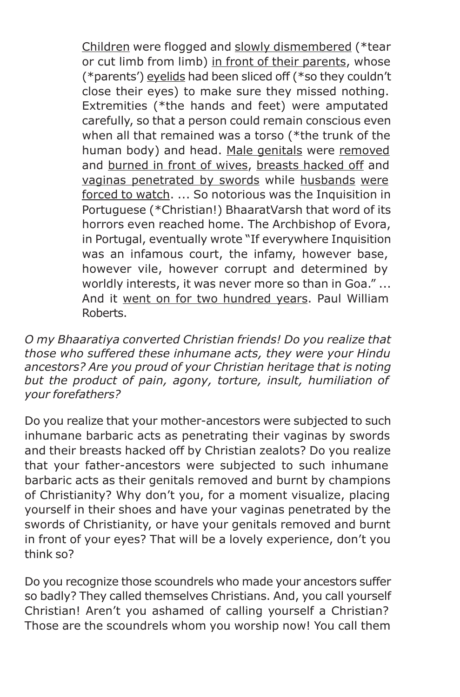Children were flogged and slowly dismembered (\*tear or cut limb from limb) in front of their parents, whose (\*parents') eyelids had been sliced off (\*so they couldn't close their eyes) to make sure they missed nothing. Extremities (\*the hands and feet) were amputated carefully, so that a person could remain conscious even when all that remained was a torso (\*the trunk of the human body) and head. Male genitals were removed and burned in front of wives, breasts hacked off and vaginas penetrated by swords while husbands were forced to watch. ... So notorious was the Inquisition in Portuguese (\*Christian!) BhaaratVarsh that word of its horrors even reached home. The Archbishop of Evora, in Portugal, eventually wrote "If everywhere Inquisition was an infamous court, the infamy, however base, however vile, however corrupt and determined by worldly interests, it was never more so than in Goa." ... And it went on for two hundred years. Paul William Roberts.

*O my Bhaaratiya converted Christian friends! Do you realize that those who suffered these inhumane acts, they were your Hindu ancestors? Are you proud of your Christian heritage that is noting but the product of pain, agony, torture, insult, humiliation of your forefathers?*

Do you realize that your mother-ancestors were subjected to such inhumane barbaric acts as penetrating their vaginas by swords and their breasts hacked off by Christian zealots? Do you realize that your father-ancestors were subjected to such inhumane barbaric acts as their genitals removed and burnt by champions of Christianity? Why don't you, for a moment visualize, placing yourself in their shoes and have your vaginas penetrated by the swords of Christianity, or have your genitals removed and burnt in front of your eyes? That will be a lovely experience, don't you think so?

Do you recognize those scoundrels who made your ancestors suffer so badly? They called themselves Christians. And, you call yourself Christian! Aren't you ashamed of calling yourself a Christian? Those are the scoundrels whom you worship now! You call them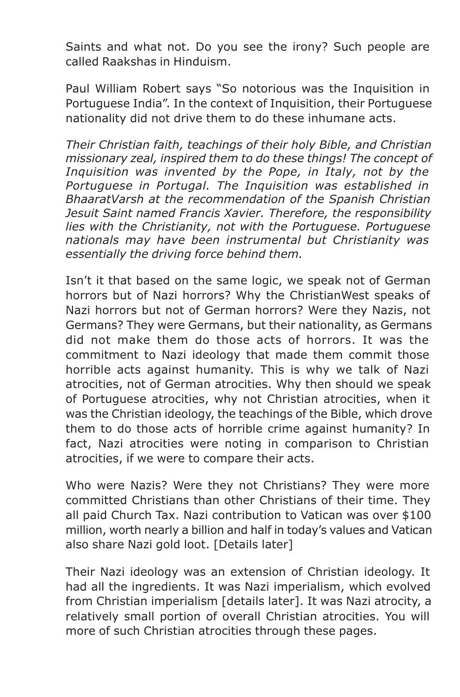Saints and what not. Do you see the irony? Such people are called Raakshas in Hinduism.

Paul William Robert says "So notorious was the Inquisition in Portuguese India". In the context of Inquisition, their Portuguese nationality did not drive them to do these inhumane acts.

*Their Christian faith, teachings of their holy Bible, and Christian missionary zeal, inspired them to do these things! The concept of Inquisition was invented by the Pope, in Italy, not by the Portuguese in Portugal. The Inquisition was established in BhaaratVarsh at the recommendation of the Spanish Christian Jesuit Saint named Francis Xavier. Therefore, the responsibility lies with the Christianity, not with the Portuguese. Portuguese nationals may have been instrumental but Christianity was essentially the driving force behind them.*

Isn't it that based on the same logic, we speak not of German horrors but of Nazi horrors? Why the ChristianWest speaks of Nazi horrors but not of German horrors? Were they Nazis, not Germans? They were Germans, but their nationality, as Germans did not make them do those acts of horrors. It was the commitment to Nazi ideology that made them commit those horrible acts against humanity. This is why we talk of Nazi atrocities, not of German atrocities. Why then should we speak of Portuguese atrocities, why not Christian atrocities, when it was the Christian ideology, the teachings of the Bible, which drove them to do those acts of horrible crime against humanity? In fact, Nazi atrocities were noting in comparison to Christian atrocities, if we were to compare their acts.

Who were Nazis? Were they not Christians? They were more committed Christians than other Christians of their time. They all paid Church Tax. Nazi contribution to Vatican was over \$100 million, worth nearly a billion and half in today's values and Vatican also share Nazi gold loot. [Details later]

Their Nazi ideology was an extension of Christian ideology. It had all the ingredients. It was Nazi imperialism, which evolved from Christian imperialism [details later]. It was Nazi atrocity, a relatively small portion of overall Christian atrocities. You will more of such Christian atrocities through these pages.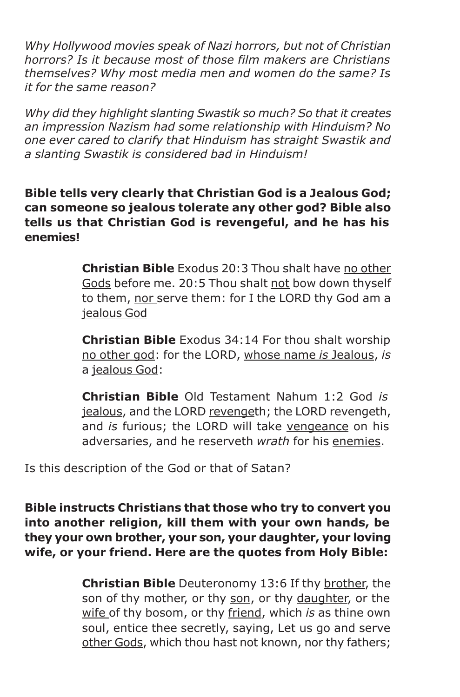*Why Hollywood movies speak of Nazi horrors, but not of Christian horrors? Is it because most of those film makers are Christians themselves? Why most media men and women do the same? Is it for the same reason?*

*Why did they highlight slanting Swastik so much? So that it creates an impression Nazism had some relationship with Hinduism? No one ever cared to clarify that Hinduism has straight Swastik and a slanting Swastik is considered bad in Hinduism!*

**Bible tells very clearly that Christian God is a Jealous God; can someone so jealous tolerate any other god? Bible also tells us that Christian God is revengeful, and he has his enemies!**

> **Christian Bible** Exodus 20:3 Thou shalt have no other Gods before me. 20:5 Thou shalt not bow down thyself to them, nor serve them: for I the LORD thy God am a jealous God

> **Christian Bible** Exodus 34:14 For thou shalt worship no other god: for the LORD, whose name *is* Jealous, *is* a jealous God:

> **Christian Bible** Old Testament Nahum 1:2 God *is* jealous, and the LORD revengeth; the LORD revengeth, and *is* furious; the LORD will take vengeance on his adversaries, and he reserveth *wrath* for his enemies.

Is this description of the God or that of Satan?

**Bible instructs Christians that those who try to convert you into another religion, kill them with your own hands, be they your own brother, your son, your daughter, your loving wife, or your friend. Here are the quotes from Holy Bible:**

> **Christian Bible** Deuteronomy 13:6 If thy brother, the son of thy mother, or thy son, or thy daughter, or the wife of thy bosom, or thy friend, which *is* as thine own soul, entice thee secretly, saying, Let us go and serve other Gods, which thou hast not known, nor thy fathers;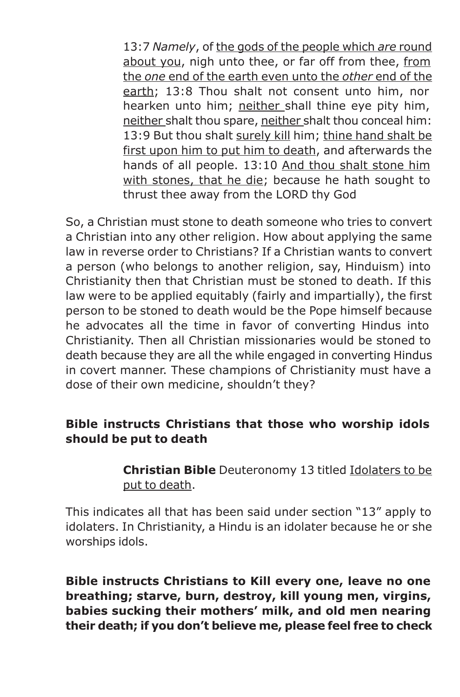13:7 *Namely*, of the gods of the people which *are* round about you, nigh unto thee, or far off from thee, from the *one* end of the earth even unto the *other* end of the earth; 13:8 Thou shalt not consent unto him, nor hearken unto him; neither shall thine eye pity him, neither shalt thou spare, neither shalt thou conceal him: 13:9 But thou shalt surely kill him; thine hand shalt be first upon him to put him to death, and afterwards the hands of all people. 13:10 And thou shalt stone him with stones, that he die; because he hath sought to thrust thee away from the LORD thy God

So, a Christian must stone to death someone who tries to convert a Christian into any other religion. How about applying the same law in reverse order to Christians? If a Christian wants to convert a person (who belongs to another religion, say, Hinduism) into Christianity then that Christian must be stoned to death. If this law were to be applied equitably (fairly and impartially), the first person to be stoned to death would be the Pope himself because he advocates all the time in favor of converting Hindus into Christianity. Then all Christian missionaries would be stoned to death because they are all the while engaged in converting Hindus in covert manner. These champions of Christianity must have a dose of their own medicine, shouldn't they?

#### **Bible instructs Christians that those who worship idols should be put to death**

**Christian Bible** Deuteronomy 13 titled Idolaters to be put to death.

This indicates all that has been said under section "13" apply to idolaters. In Christianity, a Hindu is an idolater because he or she worships idols.

**Bible instructs Christians to Kill every one, leave no one breathing; starve, burn, destroy, kill young men, virgins, babies sucking their mothers' milk, and old men nearing their death; if you don't believe me, please feel free to check**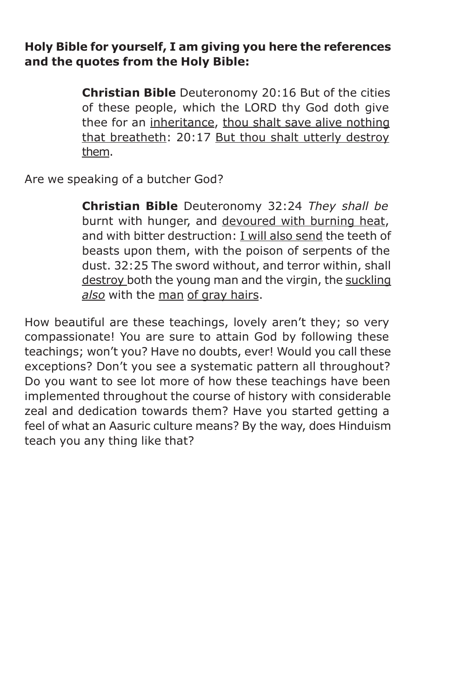#### **Holy Bible for yourself, I am giving you here the references and the quotes from the Holy Bible:**

**Christian Bible** Deuteronomy 20:16 But of the cities of these people, which the LORD thy God doth give thee for an inheritance, thou shalt save alive nothing that breatheth: 20:17 But thou shalt utterly destroy them.

Are we speaking of a butcher God?

**Christian Bible** Deuteronomy 32:24 *They shall be* burnt with hunger, and devoured with burning heat, and with bitter destruction: I will also send the teeth of beasts upon them, with the poison of serpents of the dust. 32:25 The sword without, and terror within, shall destroy both the young man and the virgin, the suckling *also* with the man of gray hairs.

How beautiful are these teachings, lovely aren't they; so very compassionate! You are sure to attain God by following these teachings; won't you? Have no doubts, ever! Would you call these exceptions? Don't you see a systematic pattern all throughout? Do you want to see lot more of how these teachings have been implemented throughout the course of history with considerable zeal and dedication towards them? Have you started getting a feel of what an Aasuric culture means? By the way, does Hinduism teach you any thing like that?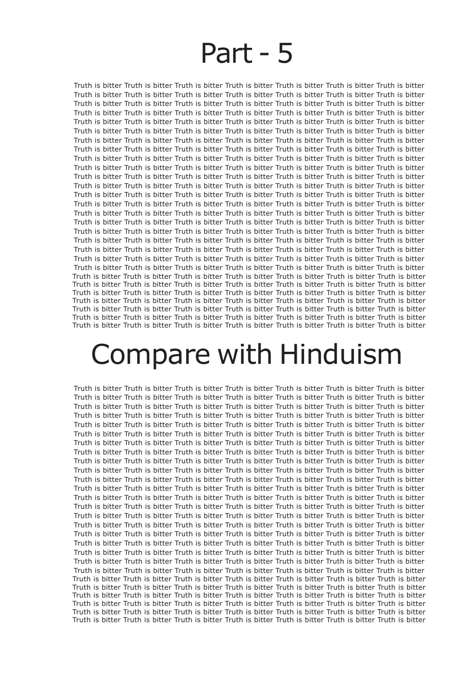## Part - 5

Truth is bitter Truth is bitter Truth is bitter Truth is bitter Truth is bitter Truth is bitter Truth is bitter Truth is bitter Truth is bitter Truth is bitter Truth is bitter Truth is bitter Truth is bitter Truth is bitter Truth is bitter Truth is bitter Truth is bitter Truth is bitter Truth is bitter Truth is bitter Truth is bitter Truth is bitter Truth is bitter Truth is bitter Truth is bitter Truth is bitter Truth is bitter Truth is bitter Truth is bitter Truth is bitter Truth is bitter Truth is bitter Truth is bitter Truth is bitter Truth is bitter Truth is bitter Truth is bitter Truth is bitter Truth is bitter Truth is bitter Truth is bitter Truth is bitter Truth is bitter Truth is bitter Truth is bitter Truth is bitter Truth is bitter Truth is bitter Truth is bitter Truth is bitter Truth is bitter Truth is bitter Truth is bitter Truth is bitter Truth is bitter Truth is bitter Truth is bitter Truth is bitter Truth is bitter Truth is bitter Truth is bitter Truth is bitter Truth is bitter Truth is bitter Truth is bitter Truth is bitter Truth is bitter Truth is bitter Truth is bitter Truth is bitter Truth is bitter Truth is bitter Truth is bitter Truth is bitter Truth is bitter Truth is bitter Truth is bitter Truth is bitter Truth is bitter Truth is bitter Truth is bitter Truth is bitter Truth is bitter Truth is bitter Truth is bitter Truth is bitter Truth is bitter Truth is bitter Truth is bitter Truth is bitter Truth is bitter Truth is bitter Truth is bitter Truth is bitter Truth is bitter Truth is bitter Truth is bitter Truth is bitter Truth is bitter Truth is bitter Truth is bitter Truth is bitter Truth is bitter Truth is bitter Truth is bitter Truth is bitter Truth is bitter Truth is bitter Truth is bitter Truth is bitter Truth is bitter Truth is bitter Truth is bitter Truth is bitter Truth is bitter Truth is bitter Truth is bitter Truth is bitter Truth is bitter Truth is bitter Truth is bitter Truth is bitter Truth is bitter Truth is bitter Truth is bitter Truth is bitter Truth is bitter Truth is bitter Truth is bitter Truth is bitter Truth is bitter Truth is bitter Truth is bitter Truth is bitter Truth is bitter Truth is bitter Truth is bitter Truth is bitter Truth is bitter Truth is bitter Truth is bitter Truth is bitter Truth is bitter Truth is bitter Truth is bitter Truth is bitter Truth is bitter Truth is bitter Truth is bitter Truth is bitter Truth is bitter Truth is bitter Truth is bitter Truth is bitter Truth is bitter Truth is bitter Truth is bitter Truth is bitter Truth is bitter Truth is bitter Truth is bitter Truth is bitter Truth is bitter Truth is bitter Truth is bitter Truth is bitter Truth is bitter Truth is bitter Truth is bitter Truth is bitter Truth is bitter Truth is bitter Truth is bitter Truth is bitter Truth is bitter Truth is bitter Truth is bitter Truth is bitter Truth is bitter Truth is bitter Truth is bitter Truth is bitter Truth is bitter Truth is bitter Truth is bitter Truth is bitter Truth is bitter Truth is bitter Truth is bitter Truth is bitter Truth is bitter Truth is bitter Truth is bitter Truth is bitter Truth is bitter Truth is bitter

# Compare with Hinduism

Truth is bitter Truth is bitter Truth is bitter Truth is bitter Truth is bitter Truth is bitter Truth is bitter Truth is bitter Truth is bitter Truth is bitter Truth is bitter Truth is bitter Truth is bitter Truth is bitter Truth is bitter Truth is bitter Truth is bitter Truth is bitter Truth is bitter Truth is bitter Truth is bitter Truth is bitter Truth is bitter Truth is bitter Truth is bitter Truth is bitter Truth is bitter Truth is bitter Truth is bitter Truth is bitter Truth is bitter Truth is bitter Truth is bitter Truth is bitter Truth is bitter Truth is bitter Truth is bitter Truth is bitter Truth is bitter Truth is bitter Truth is bitter Truth is bitter Truth is bitter Truth is bitter Truth is bitter Truth is bitter Truth is bitter Truth is bitter Truth is bitter Truth is bitter Truth is bitter Truth is bitter Truth is bitter Truth is bitter Truth is bitter Truth is bitter Truth is bitter Truth is bitter Truth is bitter Truth is bitter Truth is bitter Truth is bitter Truth is bitter Truth is bitter Truth is bitter Truth is bitter Truth is bitter Truth is bitter Truth is bitter Truth is bitter Truth is bitter Truth is bitter Truth is bitter Truth is bitter Truth is bitter Truth is bitter Truth is bitter Truth is bitter Truth is bitter Truth is bitter Truth is bitter Truth is bitter Truth is bitter Truth is bitter Truth is bitter Truth is bitter Truth is bitter Truth is bitter Truth is bitter Truth is bitter Truth is bitter Truth is bitter Truth is bitter Truth is bitter Truth is bitter Truth is bitter Truth is bitter Truth is bitter Truth is bitter Truth is bitter Truth is bitter Truth is bitter Truth is bitter Truth is bitter Truth is bitter Truth is bitter Truth is bitter Truth is bitter Truth is bitter Truth is bitter Truth is bitter Truth is bitter Truth is bitter Truth is bitter Truth is bitter Truth is bitter Truth is bitter Truth is bitter Truth is bitter Truth is bitter Truth is bitter Truth is bitter Truth is bitter Truth is bitter Truth is bitter Truth is bitter Truth is bitter Truth is bitter Truth is bitter Truth is bitter Truth is bitter Truth is bitter Truth is bitter Truth is bitter Truth is bitter Truth is bitter Truth is bitter Truth is bitter Truth is bitter Truth is bitter Truth is bitter Truth is bitter Truth is bitter Truth is bitter Truth is bitter Truth is bitter Truth is bitter Truth is bitter Truth is bitter Truth is bitter Truth is bitter Truth is bitter Truth is bitter Truth is bitter Truth is bitter Truth is bitter Truth is bitter Truth is bitter Truth is bitter Truth is bitter Truth is bitter Truth is bitter Truth is bitter Truth is bitter Truth is bitter Truth is bitter Truth is bitter Truth is bitter Truth is bitter Truth is bitter Truth is bitter Truth is bitter Truth is bitter Truth is bitter Truth is bitter Truth is bitter Truth is bitter Truth is bitter Truth is bitter Truth is bitter Truth is bitter Truth is bitter Truth is bitter Truth is bitter Truth is bitter Truth is bitter Truth is bitter Truth is bitter Truth is bitter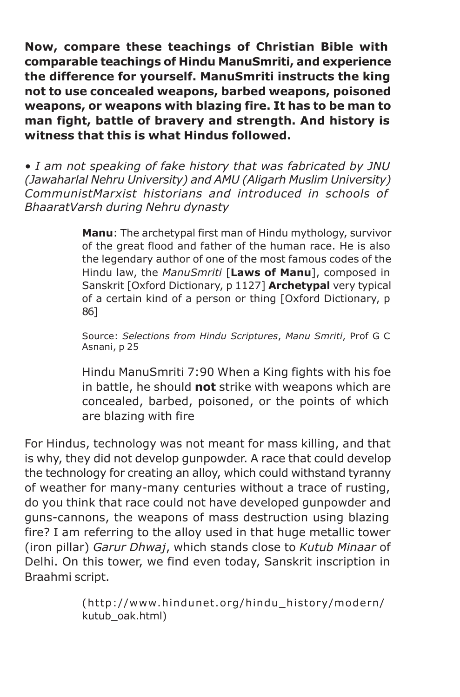**Now, compare these teachings of Christian Bible with comparable teachings of Hindu ManuSmriti, and experience the difference for yourself. ManuSmriti instructs the king not to use concealed weapons, barbed weapons, poisoned weapons, or weapons with blazing fire. It has to be man to man fight, battle of bravery and strength. And history is witness that this is what Hindus followed.**

*• I am not speaking of fake history that was fabricated by JNU (Jawaharlal Nehru University) and AMU (Aligarh Muslim University) CommunistMarxist historians and introduced in schools of BhaaratVarsh during Nehru dynasty*

> **Manu**: The archetypal first man of Hindu mythology, survivor of the great flood and father of the human race. He is also the legendary author of one of the most famous codes of the Hindu law, the *ManuSmriti* [**Laws of Manu**], composed in Sanskrit [Oxford Dictionary, p 1127] **Archetypal** very typical of a certain kind of a person or thing [Oxford Dictionary, p 86]

> Source: *Selections from Hindu Scriptures*, *Manu Smriti*, Prof G C Asnani, p 25

> Hindu ManuSmriti 7:90 When a King fights with his foe in battle, he should **not** strike with weapons which are concealed, barbed, poisoned, or the points of which are blazing with fire

For Hindus, technology was not meant for mass killing, and that is why, they did not develop gunpowder. A race that could develop the technology for creating an alloy, which could withstand tyranny of weather for many-many centuries without a trace of rusting, do you think that race could not have developed gunpowder and guns-cannons, the weapons of mass destruction using blazing fire? I am referring to the alloy used in that huge metallic tower (iron pillar) *Garur Dhwaj*, which stands close to *Kutub Minaar* of Delhi. On this tower, we find even today, Sanskrit inscription in Braahmi script.

> (http://www.hindunet.org/hindu\_history/modern/ kutub\_oak.html)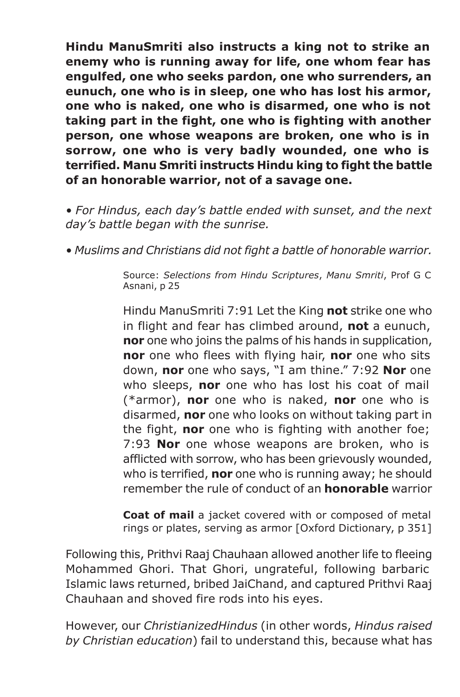**Hindu ManuSmriti also instructs a king not to strike an enemy who is running away for life, one whom fear has engulfed, one who seeks pardon, one who surrenders, an eunuch, one who is in sleep, one who has lost his armor, one who is naked, one who is disarmed, one who is not taking part in the fight, one who is fighting with another person, one whose weapons are broken, one who is in sorrow, one who is very badly wounded, one who is terrified. Manu Smriti instructs Hindu king to fight the battle of an honorable warrior, not of a savage one.**

*• For Hindus, each day's battle ended with sunset, and the next day's battle began with the sunrise.*

*• Muslims and Christians did not fight a battle of honorable warrior.*

Source: *Selections from Hindu Scriptures*, *Manu Smriti*, Prof G C Asnani, p 25

Hindu ManuSmriti 7:91 Let the King **not** strike one who in flight and fear has climbed around, **not** a eunuch, **nor** one who joins the palms of his hands in supplication, **nor** one who flees with flying hair, **nor** one who sits down, **nor** one who says, "I am thine." 7:92 **Nor** one who sleeps, **nor** one who has lost his coat of mail (\*armor), **nor** one who is naked, **nor** one who is disarmed, **nor** one who looks on without taking part in the fight, **nor** one who is fighting with another foe; 7:93 **Nor** one whose weapons are broken, who is afflicted with sorrow, who has been grievously wounded, who is terrified, **nor** one who is running away; he should remember the rule of conduct of an **honorable** warrior

**Coat of mail** a jacket covered with or composed of metal rings or plates, serving as armor [Oxford Dictionary, p 351]

Following this, Prithvi Raaj Chauhaan allowed another life to fleeing Mohammed Ghori. That Ghori, ungrateful, following barbaric Islamic laws returned, bribed JaiChand, and captured Prithvi Raaj Chauhaan and shoved fire rods into his eyes.

However, our *ChristianizedHindus* (in other words, *Hindus raised by Christian education*) fail to understand this, because what has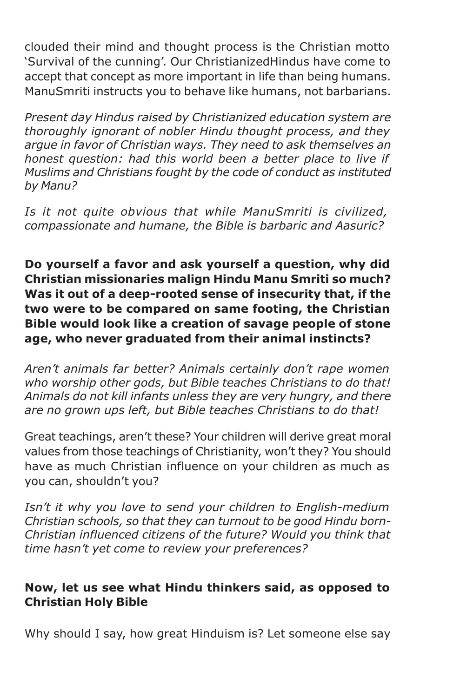clouded their mind and thought process is the Christian motto 'Survival of the cunning'. Our ChristianizedHindus have come to accept that concept as more important in life than being humans. ManuSmriti instructs you to behave like humans, not barbarians.

*Present day Hindus raised by Christianized education system are thoroughly ignorant of nobler Hindu thought process, and they argue in favor of Christian ways. They need to ask themselves an honest question: had this world been a better place to live if Muslims and Christians fought by the code of conduct as instituted by Manu?*

*Is it not quite obvious that while ManuSmriti is civilized, compassionate and humane, the Bible is barbaric and Aasuric?*

**Do yourself a favor and ask yourself a question, why did Christian missionaries malign Hindu Manu Smriti so much? Was it out of a deep-rooted sense of insecurity that, if the two were to be compared on same footing, the Christian Bible would look like a creation of savage people of stone age, who never graduated from their animal instincts?**

*Aren't animals far better? Animals certainly don't rape women who worship other gods, but Bible teaches Christians to do that! Animals do not kill infants unless they are very hungry, and there are no grown ups left, but Bible teaches Christians to do that!*

Great teachings, aren't these? Your children will derive great moral values from those teachings of Christianity, won't they? You should have as much Christian influence on your children as much as you can, shouldn't you?

*Isn't it why you love to send your children to English-medium Christian schools, so that they can turnout to be good Hindu born-Christian influenced citizens of the future? Would you think that time hasn't yet come to review your preferences?*

#### **Now, let us see what Hindu thinkers said, as opposed to Christian Holy Bible**

Why should I say, how great Hinduism is? Let someone else say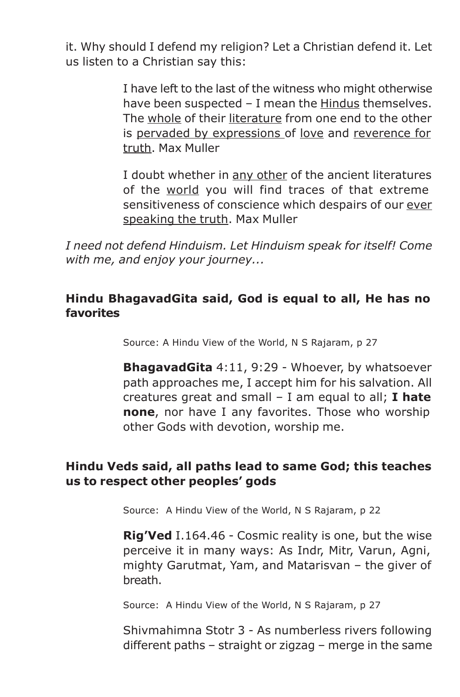it. Why should I defend my religion? Let a Christian defend it. Let us listen to a Christian say this:

> I have left to the last of the witness who might otherwise have been suspected - I mean the Hindus themselves. The whole of their literature from one end to the other is pervaded by expressions of love and reverence for truth. Max Muller

> I doubt whether in any other of the ancient literatures of the world you will find traces of that extreme sensitiveness of conscience which despairs of our ever speaking the truth. Max Muller

*I need not defend Hinduism. Let Hinduism speak for itself! Come with me, and enjoy your journey...*

#### **Hindu BhagavadGita said, God is equal to all, He has no favorites**

Source: A Hindu View of the World, N S Rajaram, p 27

**BhagavadGita** 4:11, 9:29 - Whoever, by whatsoever path approaches me, I accept him for his salvation. All creatures great and small – I am equal to all; **I hate none**, nor have I any favorites. Those who worship other Gods with devotion, worship me.

#### **Hindu Veds said, all paths lead to same God; this teaches us to respect other peoples' gods**

Source: A Hindu View of the World, N S Rajaram, p 22

**Rig'Ved** I.164.46 - Cosmic reality is one, but the wise perceive it in many ways: As Indr, Mitr, Varun, Agni, mighty Garutmat, Yam, and Matarisvan – the giver of breath.

Source: A Hindu View of the World, N S Rajaram, p 27

Shivmahimna Stotr 3 - As numberless rivers following different paths – straight or zigzag – merge in the same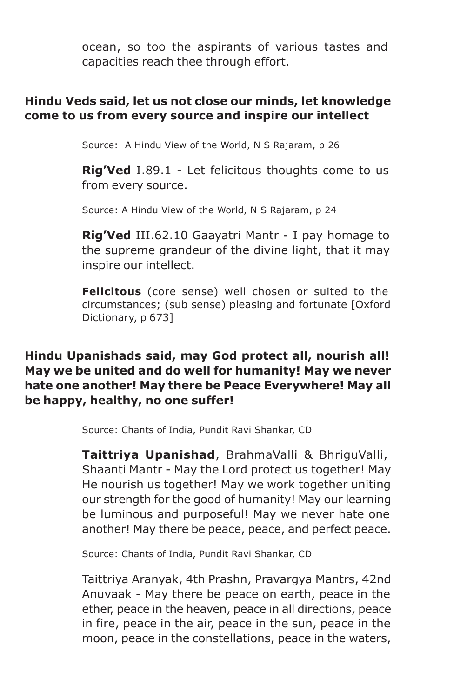ocean, so too the aspirants of various tastes and capacities reach thee through effort.

#### **Hindu Veds said, let us not close our minds, let knowledge come to us from every source and inspire our intellect**

Source: A Hindu View of the World, N S Rajaram, p 26

**Rig'Ved** I.89.1 - Let felicitous thoughts come to us from every source.

Source: A Hindu View of the World, N S Rajaram, p 24

**Rig'Ved** III.62.10 Gaayatri Mantr - I pay homage to the supreme grandeur of the divine light, that it may inspire our intellect.

**Felicitous** (core sense) well chosen or suited to the circumstances; (sub sense) pleasing and fortunate [Oxford Dictionary, p 673]

#### **Hindu Upanishads said, may God protect all, nourish all! May we be united and do well for humanity! May we never hate one another! May there be Peace Everywhere! May all be happy, healthy, no one suffer!**

Source: Chants of India, Pundit Ravi Shankar, CD

**Taittriya Upanishad**, BrahmaValli & BhriguValli, Shaanti Mantr - May the Lord protect us together! May He nourish us together! May we work together uniting our strength for the good of humanity! May our learning be luminous and purposeful! May we never hate one another! May there be peace, peace, and perfect peace.

Source: Chants of India, Pundit Ravi Shankar, CD

Taittriya Aranyak, 4th Prashn, Pravargya Mantrs, 42nd Anuvaak - May there be peace on earth, peace in the ether, peace in the heaven, peace in all directions, peace in fire, peace in the air, peace in the sun, peace in the moon, peace in the constellations, peace in the waters,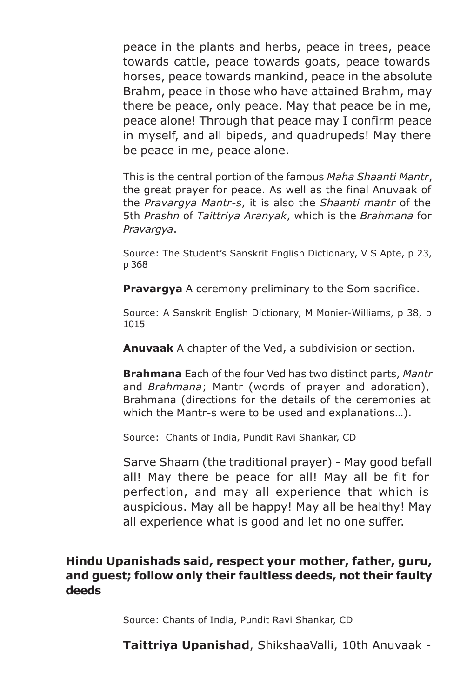peace in the plants and herbs, peace in trees, peace towards cattle, peace towards goats, peace towards horses, peace towards mankind, peace in the absolute Brahm, peace in those who have attained Brahm, may there be peace, only peace. May that peace be in me, peace alone! Through that peace may I confirm peace in myself, and all bipeds, and quadrupeds! May there be peace in me, peace alone.

This is the central portion of the famous *Maha Shaanti Mantr*, the great prayer for peace. As well as the final Anuvaak of the *Pravargya Mantr-s*, it is also the *Shaanti mantr* of the 5th *Prashn* of *Taittriya Aranyak*, which is the *Brahmana* for *Pravargya*.

Source: The Student's Sanskrit English Dictionary, V S Apte, p 23, p 368

**Pravargya** A ceremony preliminary to the Som sacrifice.

Source: A Sanskrit English Dictionary, M Monier-Williams, p 38, p 1015

**Anuvaak** A chapter of the Ved, a subdivision or section.

**Brahmana** Each of the four Ved has two distinct parts, *Mantr* and *Brahmana*; Mantr (words of prayer and adoration), Brahmana (directions for the details of the ceremonies at which the Mantr-s were to be used and explanations…).

Source: Chants of India, Pundit Ravi Shankar, CD

Sarve Shaam (the traditional prayer) - May good befall all! May there be peace for all! May all be fit for perfection, and may all experience that which is auspicious. May all be happy! May all be healthy! May all experience what is good and let no one suffer.

#### **Hindu Upanishads said, respect your mother, father, guru, and guest; follow only their faultless deeds, not their faulty deeds**

Source: Chants of India, Pundit Ravi Shankar, CD

**Taittriya Upanishad**, ShikshaaValli, 10th Anuvaak -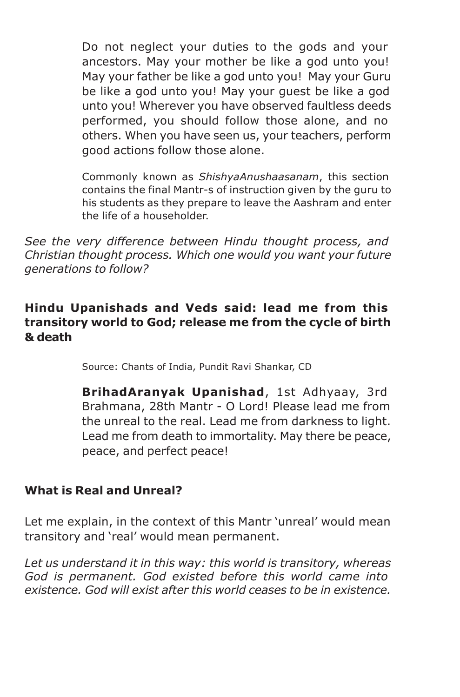Do not neglect your duties to the gods and your ancestors. May your mother be like a god unto you! May your father be like a god unto you! May your Guru be like a god unto you! May your guest be like a god unto you! Wherever you have observed faultless deeds performed, you should follow those alone, and no others. When you have seen us, your teachers, perform good actions follow those alone.

Commonly known as *ShishyaAnushaasanam*, this section contains the final Mantr-s of instruction given by the guru to his students as they prepare to leave the Aashram and enter the life of a householder.

*See the very difference between Hindu thought process, and Christian thought process. Which one would you want your future generations to follow?*

#### **Hindu Upanishads and Veds said: lead me from this transitory world to God; release me from the cycle of birth & death**

Source: Chants of India, Pundit Ravi Shankar, CD

**BrihadAranyak Upanishad**, 1st Adhyaay, 3rd Brahmana, 28th Mantr - O Lord! Please lead me from the unreal to the real. Lead me from darkness to light. Lead me from death to immortality. May there be peace, peace, and perfect peace!

#### **What is Real and Unreal?**

Let me explain, in the context of this Mantr 'unreal' would mean transitory and 'real' would mean permanent.

*Let us understand it in this way: this world is transitory, whereas God is permanent. God existed before this world came into existence. God will exist after this world ceases to be in existence.*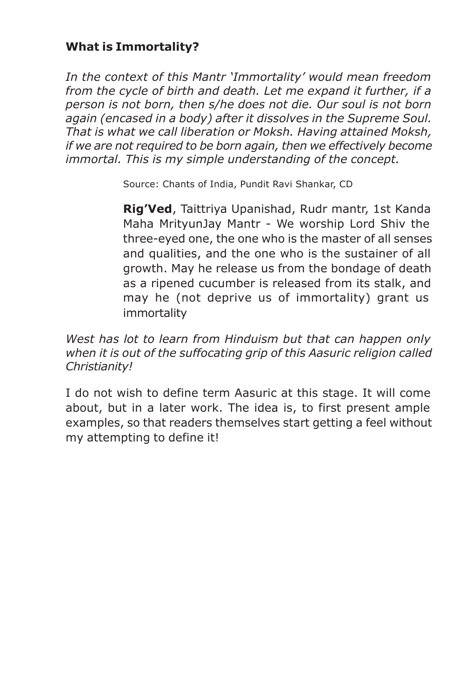#### **What is Immortality?**

*In the context of this Mantr 'Immortality' would mean freedom from the cycle of birth and death. Let me expand it further, if a person is not born, then s/he does not die. Our soul is not born again (encased in a body) after it dissolves in the Supreme Soul. That is what we call liberation or Moksh. Having attained Moksh, if we are not required to be born again, then we effectively become immortal. This is my simple understanding of the concept.*

Source: Chants of India, Pundit Ravi Shankar, CD

**Rig'Ved**, Taittriya Upanishad, Rudr mantr, 1st Kanda Maha MrityunJay Mantr - We worship Lord Shiv the three-eyed one, the one who is the master of all senses and qualities, and the one who is the sustainer of all growth. May he release us from the bondage of death as a ripened cucumber is released from its stalk, and may he (not deprive us of immortality) grant us immortality

*West has lot to learn from Hinduism but that can happen only when it is out of the suffocating grip of this Aasuric religion called Christianity!*

I do not wish to define term Aasuric at this stage. It will come about, but in a later work. The idea is, to first present ample examples, so that readers themselves start getting a feel without my attempting to define it!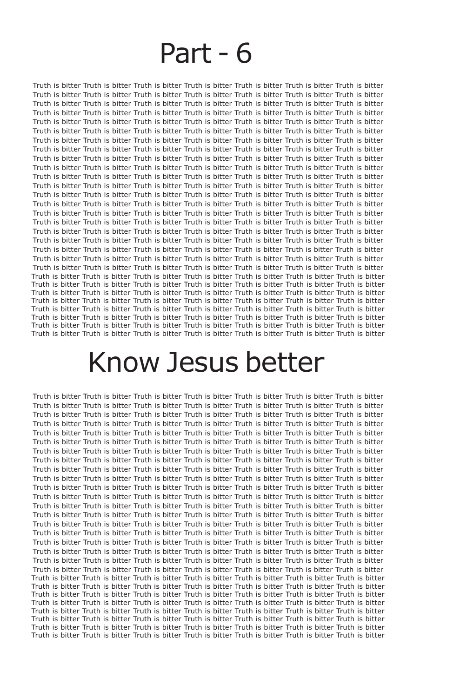### Part - 6

Truth is bitter Truth is bitter Truth is bitter Truth is bitter Truth is bitter Truth is bitter Truth is bitter Truth is bitter Truth is bitter Truth is bitter Truth is bitter Truth is bitter Truth is bitter Truth is bitter Truth is bitter Truth is bitter Truth is bitter Truth is bitter Truth is bitter Truth is bitter Truth is bitter Truth is bitter Truth is bitter Truth is bitter Truth is bitter Truth is bitter Truth is bitter Truth is bitter Truth is bitter Truth is bitter Truth is bitter Truth is bitter Truth is bitter Truth is bitter Truth is bitter Truth is bitter Truth is bitter Truth is bitter Truth is bitter Truth is bitter Truth is bitter Truth is bitter Truth is bitter Truth is bitter Truth is bitter Truth is bitter Truth is bitter Truth is bitter Truth is bitter Truth is bitter Truth is bitter Truth is bitter Truth is bitter Truth is bitter Truth is bitter Truth is bitter Truth is bitter Truth is bitter Truth is bitter Truth is bitter Truth is bitter Truth is bitter Truth is bitter Truth is bitter Truth is bitter Truth is bitter Truth is bitter Truth is bitter Truth is bitter Truth is bitter Truth is bitter Truth is bitter Truth is bitter Truth is bitter Truth is bitter Truth is bitter Truth is bitter Truth is bitter Truth is bitter Truth is bitter Truth is bitter Truth is bitter Truth is bitter Truth is bitter Truth is bitter Truth is bitter Truth is bitter Truth is bitter Truth is bitter Truth is bitter Truth is bitter Truth is bitter Truth is bitter Truth is bitter Truth is bitter Truth is bitter Truth is bitter Truth is bitter Truth is bitter Truth is bitter Truth is bitter Truth is bitter Truth is bitter Truth is bitter Truth is bitter Truth is bitter Truth is bitter Truth is bitter Truth is bitter Truth is bitter Truth is bitter Truth is bitter Truth is bitter Truth is bitter Truth is bitter Truth is bitter Truth is bitter Truth is bitter Truth is bitter Truth is bitter Truth is bitter Truth is bitter Truth is bitter Truth is bitter Truth is bitter Truth is bitter Truth is bitter Truth is bitter Truth is bitter Truth is bitter Truth is bitter Truth is bitter Truth is bitter Truth is bitter Truth is bitter Truth is bitter Truth is bitter Truth is bitter Truth is bitter Truth is bitter Truth is bitter Truth is bitter Truth is bitter Truth is bitter Truth is bitter Truth is bitter Truth is bitter Truth is bitter Truth is bitter Truth is bitter Truth is bitter Truth is bitter Truth is bitter Truth is bitter Truth is bitter Truth is bitter Truth is bitter Truth is bitter Truth is bitter Truth is bitter Truth is bitter Truth is bitter Truth is bitter Truth is bitter Truth is bitter Truth is bitter Truth is bitter Truth is bitter Truth is bitter Truth is bitter Truth is bitter Truth is bitter Truth is bitter Truth is bitter Truth is bitter Truth is bitter Truth is bitter Truth is bitter Truth is bitter Truth is bitter Truth is bitter Truth is bitter Truth is bitter Truth is bitter Truth is bitter Truth is bitter Truth is bitter Truth is bitter Truth is bitter Truth is bitter Truth is bitter Truth is bitter Truth is bitter Truth is bitter Truth is bitter Truth is bitter Truth is bitter Truth is bitter Truth is bitter Truth is bitter Truth is bitter Truth is bitter Truth is bitter

# Know Jesus better

Truth is bitter Truth is bitter Truth is bitter Truth is bitter Truth is bitter Truth is bitter Truth is bitter Truth is bitter Truth is bitter Truth is bitter Truth is bitter Truth is bitter Truth is bitter Truth is bitter Truth is bitter Truth is bitter Truth is bitter Truth is bitter Truth is bitter Truth is bitter Truth is bitter Truth is bitter Truth is bitter Truth is bitter Truth is bitter Truth is bitter Truth is bitter Truth is bitter Truth is bitter Truth is bitter Truth is bitter Truth is bitter Truth is bitter Truth is bitter Truth is bitter Truth is bitter Truth is bitter Truth is bitter Truth is bitter Truth is bitter Truth is bitter Truth is bitter Truth is bitter Truth is bitter Truth is bitter Truth is bitter Truth is bitter Truth is bitter Truth is bitter Truth is bitter Truth is bitter Truth is bitter Truth is bitter Truth is bitter Truth is bitter Truth is bitter Truth is bitter Truth is bitter Truth is bitter Truth is bitter Truth is bitter Truth is bitter Truth is bitter Truth is bitter Truth is bitter Truth is bitter Truth is bitter Truth is bitter Truth is bitter Truth is bitter Truth is bitter Truth is bitter Truth is bitter Truth is bitter Truth is bitter Truth is bitter Truth is bitter Truth is bitter Truth is bitter Truth is bitter Truth is bitter Truth is bitter Truth is bitter Truth is bitter Truth is bitter Truth is bitter Truth is bitter Truth is bitter Truth is bitter Truth is bitter Truth is bitter Truth is bitter Truth is bitter Truth is bitter Truth is bitter Truth is bitter Truth is bitter Truth is bitter Truth is bitter Truth is bitter Truth is bitter Truth is bitter Truth is bitter Truth is bitter Truth is bitter Truth is bitter Truth is bitter Truth is bitter Truth is bitter Truth is bitter Truth is bitter Truth is bitter Truth is bitter Truth is bitter Truth is bitter Truth is bitter Truth is bitter Truth is bitter Truth is bitter Truth is bitter Truth is bitter Truth is bitter Truth is bitter Truth is bitter Truth is bitter Truth is bitter Truth is bitter Truth is bitter Truth is bitter Truth is bitter Truth is bitter Truth is bitter Truth is bitter Truth is bitter Truth is bitter Truth is bitter Truth is bitter Truth is bitter Truth is bitter Truth is bitter Truth is bitter Truth is bitter Truth is bitter Truth is bitter Truth is bitter Truth is bitter Truth is bitter Truth is bitter Truth is bitter Truth is bitter Truth is bitter Truth is bitter Truth is bitter Truth is bitter Truth is bitter Truth is bitter Truth is bitter Truth is bitter Truth is bitter Truth is bitter Truth is bitter Truth is bitter Truth is bitter Truth is bitter Truth is bitter Truth is bitter Truth is bitter Truth is bitter Truth is bitter Truth is bitter Truth is bitter Truth is bitter Truth is bitter Truth is bitter Truth is bitter Truth is bitter Truth is bitter Truth is bitter Truth is bitter Truth is bitter Truth is bitter Truth is bitter Truth is bitter Truth is bitter Truth is bitter Truth is bitter Truth is bitter Truth is bitter Truth is bitter Truth is bitter Truth is bitter Truth is bitter Truth is bitter Truth is bitter Truth is bitter Truth is bitter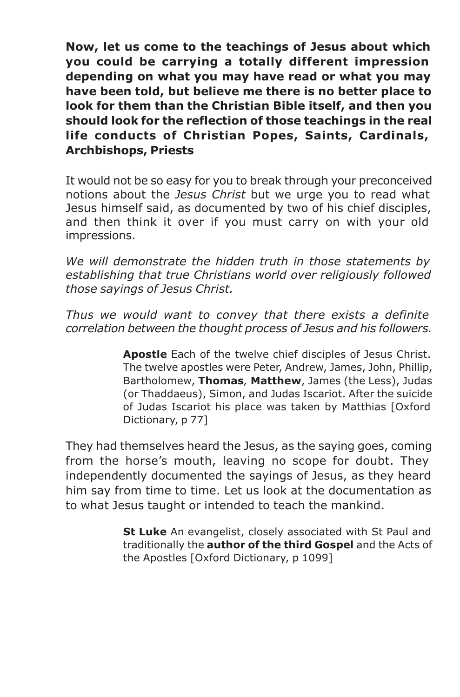**Now, let us come to the teachings of Jesus about which you could be carrying a totally different impression depending on what you may have read or what you may have been told, but believe me there is no better place to look for them than the Christian Bible itself, and then you should look for the reflection of those teachings in the real life conducts of Christian Popes, Saints, Cardinals, Archbishops, Priests**

It would not be so easy for you to break through your preconceived notions about the *Jesus Christ* but we urge you to read what Jesus himself said, as documented by two of his chief disciples, and then think it over if you must carry on with your old impressions.

*We will demonstrate the hidden truth in those statements by establishing that true Christians world over religiously followed those sayings of Jesus Christ.*

*Thus we would want to convey that there exists a definite correlation between the thought process of Jesus and his followers.*

> **Apostle** Each of the twelve chief disciples of Jesus Christ. The twelve apostles were Peter, Andrew, James, John, Phillip, Bartholomew, **Thomas***,* **Matthew**, James (the Less), Judas (or Thaddaeus), Simon, and Judas Iscariot. After the suicide of Judas Iscariot his place was taken by Matthias [Oxford Dictionary, p 77]

They had themselves heard the Jesus, as the saying goes, coming from the horse's mouth, leaving no scope for doubt. They independently documented the sayings of Jesus, as they heard him say from time to time. Let us look at the documentation as to what Jesus taught or intended to teach the mankind.

> **St Luke** An evangelist, closely associated with St Paul and traditionally the **author of the third Gospel** and the Acts of the Apostles [Oxford Dictionary, p 1099]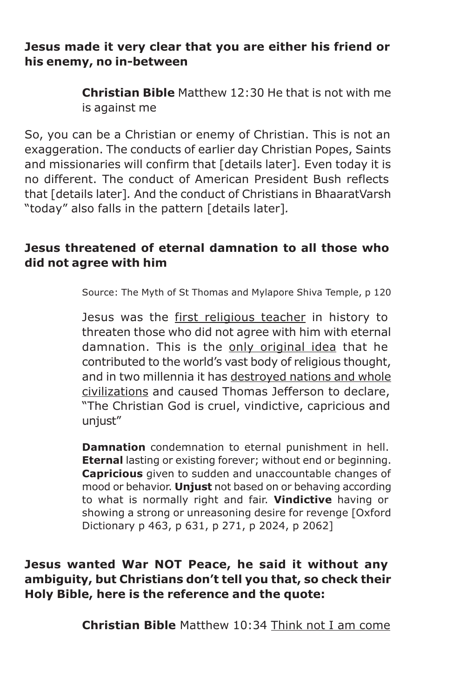#### **Jesus made it very clear that you are either his friend or his enemy, no in-between**

**Christian Bible** Matthew 12:30 He that is not with me is against me

So, you can be a Christian or enemy of Christian. This is not an exaggeration. The conducts of earlier day Christian Popes, Saints and missionaries will confirm that [details later]*.* Even today it is no different. The conduct of American President Bush reflects that [details later]*.* And the conduct of Christians in BhaaratVarsh "today" also falls in the pattern [details later]*.*

#### **Jesus threatened of eternal damnation to all those who did not agree with him**

Source: The Myth of St Thomas and Mylapore Shiva Temple, p 120

Jesus was the first religious teacher in history to threaten those who did not agree with him with eternal damnation. This is the only original idea that he contributed to the world's vast body of religious thought, and in two millennia it has destroyed nations and whole civilizations and caused Thomas Jefferson to declare, "The Christian God is cruel, vindictive, capricious and unjust"

**Damnation** condemnation to eternal punishment in hell. **Eternal** lasting or existing forever; without end or beginning. **Capricious** given to sudden and unaccountable changes of mood or behavior. **Unjust** not based on or behaving according to what is normally right and fair. **Vindictive** having or showing a strong or unreasoning desire for revenge [Oxford Dictionary p 463, p 631, p 271, p 2024, p 2062]

#### **Jesus wanted War NOT Peace, he said it without any ambiguity, but Christians don't tell you that, so check their Holy Bible, here is the reference and the quote:**

**Christian Bible** Matthew 10:34 Think not I am come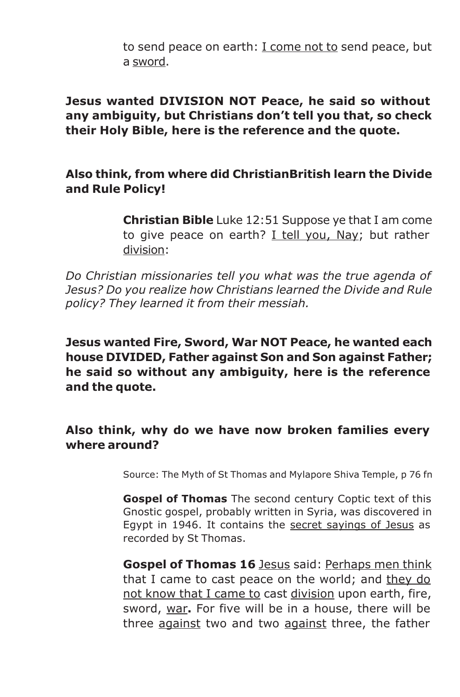to send peace on earth: <u>I come not to</u> send peace, but a sword.

**Jesus wanted DIVISION NOT Peace, he said so without any ambiguity, but Christians don't tell you that, so check their Holy Bible, here is the reference and the quote.**

#### **Also think, from where did ChristianBritish learn the Divide and Rule Policy!**

**Christian Bible** Luke 12:51 Suppose ye that I am come to give peace on earth? I tell you, Nay; but rather division:

*Do Christian missionaries tell you what was the true agenda of Jesus? Do you realize how Christians learned the Divide and Rule policy? They learned it from their messiah.*

**Jesus wanted Fire, Sword, War NOT Peace, he wanted each house DIVIDED, Father against Son and Son against Father; he said so without any ambiguity, here is the reference and the quote.**

#### **Also think, why do we have now broken families every where around?**

Source: The Myth of St Thomas and Mylapore Shiva Temple, p 76 fn

**Gospel of Thomas** The second century Coptic text of this Gnostic gospel, probably written in Syria, was discovered in Egypt in 1946. It contains the secret sayings of Jesus as recorded by St Thomas.

**Gospel of Thomas 16** Jesus said: Perhaps men think that I came to cast peace on the world; and they do not know that I came to cast division upon earth, fire, sword, war**.** For five will be in a house, there will be three against two and two against three, the father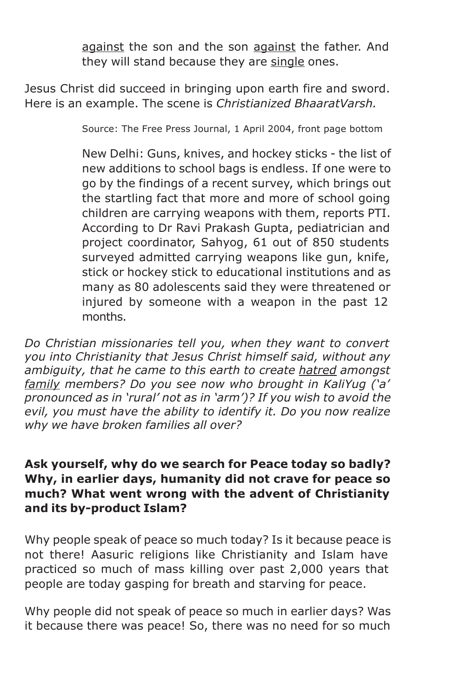against the son and the son against the father. And they will stand because they are single ones.

Jesus Christ did succeed in bringing upon earth fire and sword. Here is an example. The scene is *Christianized BhaaratVarsh.*

Source: The Free Press Journal, 1 April 2004, front page bottom

New Delhi: Guns, knives, and hockey sticks - the list of new additions to school bags is endless. If one were to go by the findings of a recent survey, which brings out the startling fact that more and more of school going children are carrying weapons with them, reports PTI. According to Dr Ravi Prakash Gupta, pediatrician and project coordinator, Sahyog, 61 out of 850 students surveyed admitted carrying weapons like gun, knife, stick or hockey stick to educational institutions and as many as 80 adolescents said they were threatened or injured by someone with a weapon in the past 12 months.

*Do Christian missionaries tell you, when they want to convert you into Christianity that Jesus Christ himself said, without any ambiguity, that he came to this earth to create hatred amongst family members? Do you see now who brought in KaliYug ('a' pronounced as in 'rural' not as in 'arm')? If you wish to avoid the evil, you must have the ability to identify it. Do you now realize why we have broken families all over?*

# **Ask yourself, why do we search for Peace today so badly? Why, in earlier days, humanity did not crave for peace so much? What went wrong with the advent of Christianity and its by-product Islam?**

Why people speak of peace so much today? Is it because peace is not there! Aasuric religions like Christianity and Islam have practiced so much of mass killing over past 2,000 years that people are today gasping for breath and starving for peace.

Why people did not speak of peace so much in earlier days? Was it because there was peace! So, there was no need for so much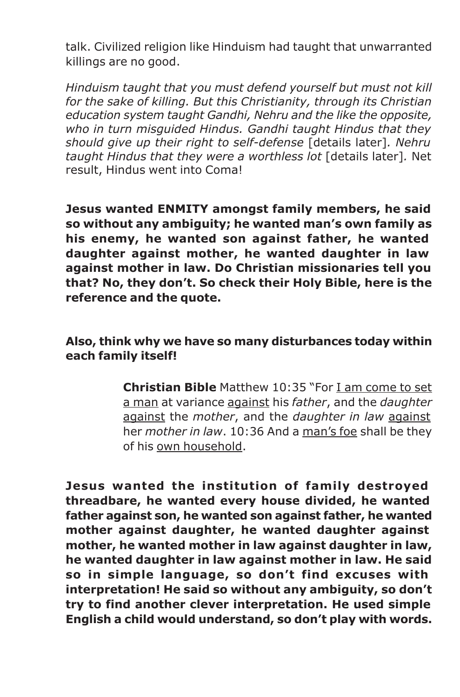talk. Civilized religion like Hinduism had taught that unwarranted killings are no good.

*Hinduism taught that you must defend yourself but must not kill for the sake of killing. But this Christianity, through its Christian education system taught Gandhi, Nehru and the like the opposite, who in turn misguided Hindus. Gandhi taught Hindus that they should give up their right to self-defense* [details later]*. Nehru taught Hindus that they were a worthless lot* [details later]*.* Net result, Hindus went into Coma!

**Jesus wanted ENMITY amongst family members, he said so without any ambiguity; he wanted man's own family as his enemy, he wanted son against father, he wanted daughter against mother, he wanted daughter in law against mother in law. Do Christian missionaries tell you that? No, they don't. So check their Holy Bible, here is the reference and the quote.**

# **Also, think why we have so many disturbances today within each family itself!**

**Christian Bible** Matthew 10:35 "For I am come to set a man at variance against his *father*, and the *daughter* against the *mother*, and the *daughter in law* against her *mother in law*. 10:36 And a man's foe shall be they of his own household.

**Jesus wanted the institution of family destroyed threadbare, he wanted every house divided, he wanted father against son, he wanted son against father, he wanted mother against daughter, he wanted daughter against mother, he wanted mother in law against daughter in law, he wanted daughter in law against mother in law. He said so in simple language, so don't find excuses with interpretation! He said so without any ambiguity, so don't try to find another clever interpretation. He used simple English a child would understand, so don't play with words.**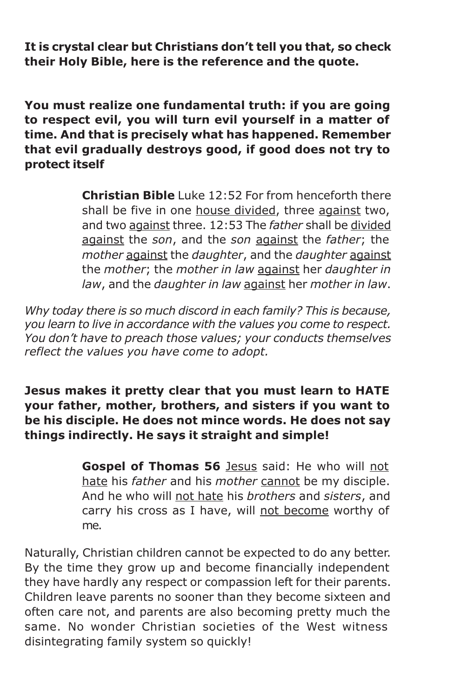**It is crystal clear but Christians don't tell you that, so check their Holy Bible, here is the reference and the quote.**

**You must realize one fundamental truth: if you are going to respect evil, you will turn evil yourself in a matter of time. And that is precisely what has happened. Remember that evil gradually destroys good, if good does not try to protect itself**

> **Christian Bible** Luke 12:52 For from henceforth there shall be five in one house divided, three against two, and two against three. 12:53 The *father* shall be divided against the *son*, and the *son* against the *father*; the *mother* against the *daughter*, and the *daughter* against the *mother*; the *mother in law* against her *daughter in law*, and the *daughter in law* against her *mother in law*.

*Why today there is so much discord in each family? This is because, you learn to live in accordance with the values you come to respect. You don't have to preach those values; your conducts themselves reflect the values you have come to adopt.*

**Jesus makes it pretty clear that you must learn to HATE your father, mother, brothers, and sisters if you want to be his disciple. He does not mince words. He does not say things indirectly. He says it straight and simple!**

> Gospel of Thomas 56 **Jesus said: He who will not** hate his *father* and his *mother* cannot be my disciple. And he who will not hate his *brothers* and *sisters*, and carry his cross as I have, will not become worthy of me.

Naturally, Christian children cannot be expected to do any better. By the time they grow up and become financially independent they have hardly any respect or compassion left for their parents. Children leave parents no sooner than they become sixteen and often care not, and parents are also becoming pretty much the same. No wonder Christian societies of the West witness disintegrating family system so quickly!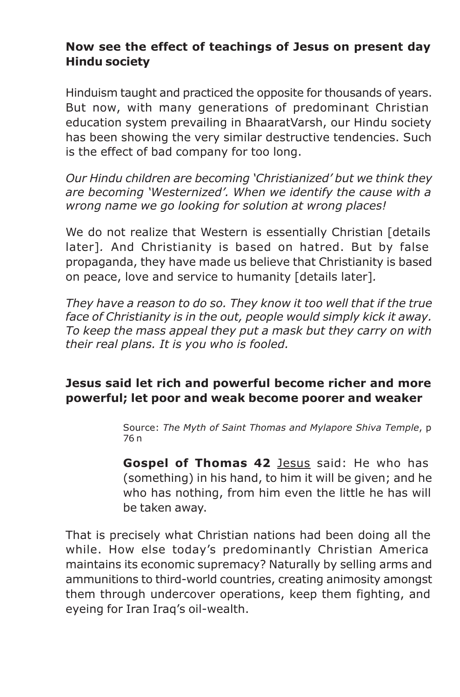# **Now see the effect of teachings of Jesus on present day Hindu society**

Hinduism taught and practiced the opposite for thousands of years. But now, with many generations of predominant Christian education system prevailing in BhaaratVarsh, our Hindu society has been showing the very similar destructive tendencies. Such is the effect of bad company for too long.

*Our Hindu children are becoming 'Christianized' but we think they are becoming 'Westernized'. When we identify the cause with a wrong name we go looking for solution at wrong places!*

We do not realize that Western is essentially Christian [details] later]*.* And Christianity is based on hatred. But by false propaganda, they have made us believe that Christianity is based on peace, love and service to humanity [details later]*.*

*They have a reason to do so. They know it too well that if the true face of Christianity is in the out, people would simply kick it away. To keep the mass appeal they put a mask but they carry on with their real plans. It is you who is fooled.*

# **Jesus said let rich and powerful become richer and more powerful; let poor and weak become poorer and weaker**

Source: *The Myth of Saint Thomas and Mylapore Shiva Temple*, p 76 n

**Gospel of Thomas 42** Jesus said: He who has (something) in his hand, to him it will be given; and he who has nothing, from him even the little he has will be taken away.

That is precisely what Christian nations had been doing all the while. How else today's predominantly Christian America maintains its economic supremacy? Naturally by selling arms and ammunitions to third-world countries, creating animosity amongst them through undercover operations, keep them fighting, and eyeing for Iran Iraq's oil-wealth.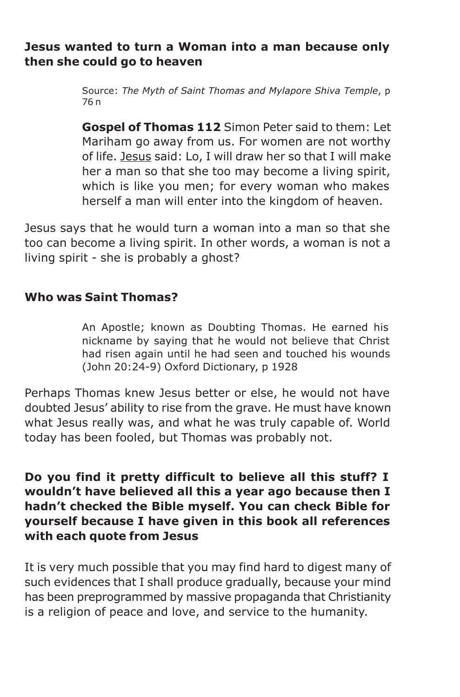#### **Jesus wanted to turn a Woman into a man because only then she could go to heaven**

Source: *The Myth of Saint Thomas and Mylapore Shiva Temple*, p 76 n

**Gospel of Thomas 112** Simon Peter said to them: Let Mariham go away from us. For women are not worthy of life. Jesus said: Lo, I will draw her so that I will make her a man so that she too may become a living spirit, which is like you men; for every woman who makes herself a man will enter into the kingdom of heaven.

Jesus says that he would turn a woman into a man so that she too can become a living spirit. In other words, a woman is not a living spirit - she is probably a ghost?

#### **Who was Saint Thomas?**

An Apostle; known as Doubting Thomas. He earned his nickname by saying that he would not believe that Christ had risen again until he had seen and touched his wounds (John 20:24-9) Oxford Dictionary, p 1928

Perhaps Thomas knew Jesus better or else, he would not have doubted Jesus' ability to rise from the grave. He must have known what Jesus really was, and what he was truly capable of. World today has been fooled, but Thomas was probably not.

**Do you find it pretty difficult to believe all this stuff? I wouldn't have believed all this a year ago because then I hadn't checked the Bible myself. You can check Bible for yourself because I have given in this book all references with each quote from Jesus**

It is very much possible that you may find hard to digest many of such evidences that I shall produce gradually, because your mind has been preprogrammed by massive propaganda that Christianity is a religion of peace and love, and service to the humanity.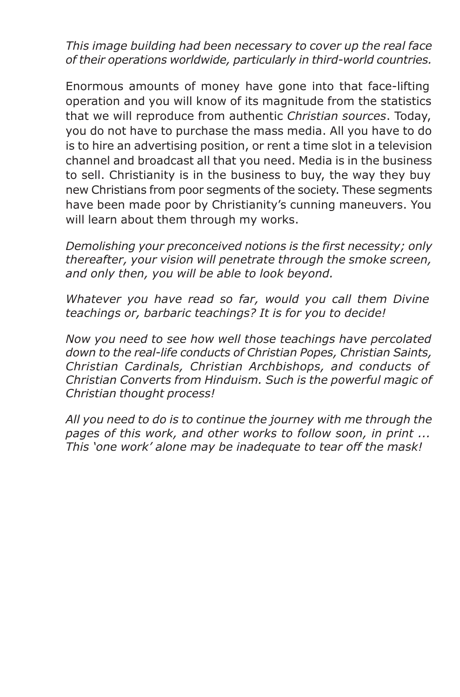*This image building had been necessary to cover up the real face of their operations worldwide, particularly in third-world countries.*

Enormous amounts of money have gone into that face-lifting operation and you will know of its magnitude from the statistics that we will reproduce from authentic *Christian sources*. Today, you do not have to purchase the mass media. All you have to do is to hire an advertising position, or rent a time slot in a television channel and broadcast all that you need. Media is in the business to sell. Christianity is in the business to buy, the way they buy new Christians from poor segments of the society. These segments have been made poor by Christianity's cunning maneuvers. You will learn about them through my works.

*Demolishing your preconceived notions is the first necessity; only thereafter, your vision will penetrate through the smoke screen, and only then, you will be able to look beyond.*

*Whatever you have read so far, would you call them Divine teachings or, barbaric teachings? It is for you to decide!*

*Now you need to see how well those teachings have percolated down to the real-life conducts of Christian Popes, Christian Saints, Christian Cardinals, Christian Archbishops, and conducts of Christian Converts from Hinduism. Such is the powerful magic of Christian thought process!*

*All you need to do is to continue the journey with me through the pages of this work, and other works to follow soon, in print ... This 'one work' alone may be inadequate to tear off the mask!*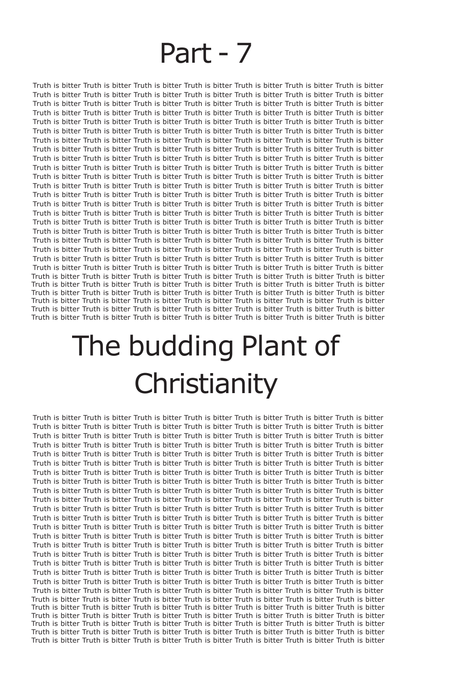# Part - 7

Truth is bitter Truth is bitter Truth is bitter Truth is bitter Truth is bitter Truth is bitter Truth is bitter Truth is bitter Truth is bitter Truth is bitter Truth is bitter Truth is bitter Truth is bitter Truth is bitter Truth is bitter Truth is bitter Truth is bitter Truth is bitter Truth is bitter Truth is bitter Truth is bitter Truth is bitter Truth is bitter Truth is bitter Truth is bitter Truth is bitter Truth is bitter Truth is bitter Truth is bitter Truth is bitter Truth is bitter Truth is bitter Truth is bitter Truth is bitter Truth is bitter Truth is bitter Truth is bitter Truth is bitter Truth is bitter Truth is bitter Truth is bitter Truth is bitter Truth is bitter Truth is bitter Truth is bitter Truth is bitter Truth is bitter Truth is bitter Truth is bitter Truth is bitter Truth is bitter Truth is bitter Truth is bitter Truth is bitter Truth is bitter Truth is bitter Truth is bitter Truth is bitter Truth is bitter Truth is bitter Truth is bitter Truth is bitter Truth is bitter Truth is bitter Truth is bitter Truth is bitter Truth is bitter Truth is bitter Truth is bitter Truth is bitter Truth is bitter Truth is bitter Truth is bitter Truth is bitter Truth is bitter Truth is bitter Truth is bitter Truth is bitter Truth is bitter Truth is bitter Truth is bitter Truth is bitter Truth is bitter Truth is bitter Truth is bitter Truth is bitter Truth is bitter Truth is bitter Truth is bitter Truth is bitter Truth is bitter Truth is bitter Truth is bitter Truth is bitter Truth is bitter Truth is bitter Truth is bitter Truth is bitter Truth is bitter Truth is bitter Truth is bitter Truth is bitter Truth is bitter Truth is bitter Truth is bitter Truth is bitter Truth is bitter Truth is bitter Truth is bitter Truth is bitter Truth is bitter Truth is bitter Truth is bitter Truth is bitter Truth is bitter Truth is bitter Truth is bitter Truth is bitter Truth is bitter Truth is bitter Truth is bitter Truth is bitter Truth is bitter Truth is bitter Truth is bitter Truth is bitter Truth is bitter Truth is bitter Truth is bitter Truth is bitter Truth is bitter Truth is bitter Truth is bitter Truth is bitter Truth is bitter Truth is bitter Truth is bitter Truth is bitter Truth is bitter Truth is bitter Truth is bitter Truth is bitter Truth is bitter Truth is bitter Truth is bitter Truth is bitter Truth is bitter Truth is bitter Truth is bitter Truth is bitter Truth is bitter Truth is bitter Truth is bitter Truth is bitter Truth is bitter Truth is bitter Truth is bitter Truth is bitter Truth is bitter Truth is bitter Truth is bitter Truth is bitter Truth is bitter Truth is bitter Truth is bitter Truth is bitter Truth is bitter Truth is bitter Truth is bitter Truth is bitter Truth is bitter Truth is bitter Truth is bitter Truth is bitter Truth is bitter Truth is bitter Truth is bitter Truth is bitter Truth is bitter Truth is bitter Truth is bitter Truth is bitter Truth is bitter Truth is bitter Truth is bitter Truth is bitter Truth is bitter Truth is bitter Truth is bitter

# The budding Plant of **Christianity**

Truth is bitter Truth is bitter Truth is bitter Truth is bitter Truth is bitter Truth is bitter Truth is bitter Truth is bitter Truth is bitter Truth is bitter Truth is bitter Truth is bitter Truth is bitter Truth is bitter Truth is bitter Truth is bitter Truth is bitter Truth is bitter Truth is bitter Truth is bitter Truth is bitter Truth is bitter Truth is bitter Truth is bitter Truth is bitter Truth is bitter Truth is bitter Truth is bitter Truth is bitter Truth is bitter Truth is bitter Truth is bitter Truth is bitter Truth is bitter Truth is bitter Truth is bitter Truth is bitter Truth is bitter Truth is bitter Truth is bitter Truth is bitter Truth is bitter Truth is bitter Truth is bitter Truth is bitter Truth is bitter Truth is bitter Truth is bitter Truth is bitter Truth is bitter Truth is bitter Truth is bitter Truth is bitter Truth is bitter Truth is bitter Truth is bitter Truth is bitter Truth is bitter Truth is bitter Truth is bitter Truth is bitter Truth is bitter Truth is bitter Truth is bitter Truth is bitter Truth is bitter Truth is bitter Truth is bitter Truth is bitter Truth is bitter Truth is bitter Truth is bitter Truth is bitter Truth is bitter Truth is bitter Truth is bitter Truth is bitter Truth is bitter Truth is bitter Truth is bitter Truth is bitter Truth is bitter Truth is bitter Truth is bitter Truth is bitter Truth is bitter Truth is bitter Truth is bitter Truth is bitter Truth is bitter Truth is bitter Truth is bitter Truth is bitter Truth is bitter Truth is bitter Truth is bitter Truth is bitter Truth is bitter Truth is bitter Truth is bitter Truth is bitter Truth is bitter Truth is bitter Truth is bitter Truth is bitter Truth is bitter Truth is bitter Truth is bitter Truth is bitter Truth is bitter Truth is bitter Truth is bitter Truth is bitter Truth is bitter Truth is bitter Truth is bitter Truth is bitter Truth is bitter Truth is bitter Truth is bitter Truth is bitter Truth is bitter Truth is bitter Truth is bitter Truth is bitter Truth is bitter Truth is bitter Truth is bitter Truth is bitter Truth is bitter Truth is bitter Truth is bitter Truth is bitter Truth is bitter Truth is bitter Truth is bitter Truth is bitter Truth is bitter Truth is bitter Truth is bitter Truth is bitter Truth is bitter Truth is bitter Truth is bitter Truth is bitter Truth is bitter Truth is bitter Truth is bitter Truth is bitter Truth is bitter Truth is bitter Truth is bitter Truth is bitter Truth is bitter Truth is bitter Truth is bitter Truth is bitter Truth is bitter Truth is bitter Truth is bitter Truth is bitter Truth is bitter Truth is bitter Truth is bitter Truth is bitter Truth is bitter Truth is bitter Truth is bitter Truth is bitter Truth is bitter Truth is bitter Truth is bitter Truth is bitter Truth is bitter Truth is bitter Truth is bitter Truth is bitter Truth is bitter Truth is bitter Truth is bitter Truth is bitter Truth is bitter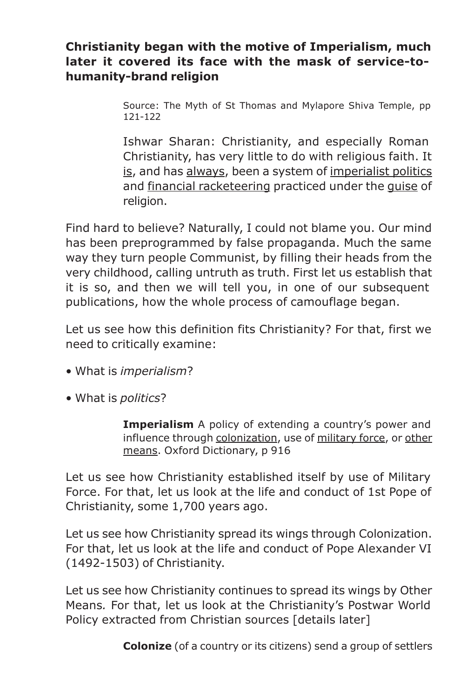# **Christianity began with the motive of Imperialism, much later it covered its face with the mask of service-tohumanity-brand religion**

Source: The Myth of St Thomas and Mylapore Shiva Temple, pp 121-122

Ishwar Sharan: Christianity, and especially Roman Christianity, has very little to do with religious faith. It is, and has always, been a system of imperialist politics and financial racketeering practiced under the quise of religion.

Find hard to believe? Naturally, I could not blame you. Our mind has been preprogrammed by false propaganda. Much the same way they turn people Communist, by filling their heads from the very childhood, calling untruth as truth. First let us establish that it is so, and then we will tell you, in one of our subsequent publications, how the whole process of camouflage began.

Let us see how this definition fits Christianity? For that, first we need to critically examine:

- What is *imperialism*?
- What is *politics*?

**Imperialism** A policy of extending a country's power and influence through colonization, use of military force, or other means. Oxford Dictionary, p 916

Let us see how Christianity established itself by use of Military Force. For that, let us look at the life and conduct of 1st Pope of Christianity, some 1,700 years ago.

Let us see how Christianity spread its wings through Colonization. For that, let us look at the life and conduct of Pope Alexander VI (1492-1503) of Christianity.

Let us see how Christianity continues to spread its wings by Other Means*.* For that, let us look at the Christianity's Postwar World Policy extracted from Christian sources [details later]

**Colonize** (of a country or its citizens) send a group of settlers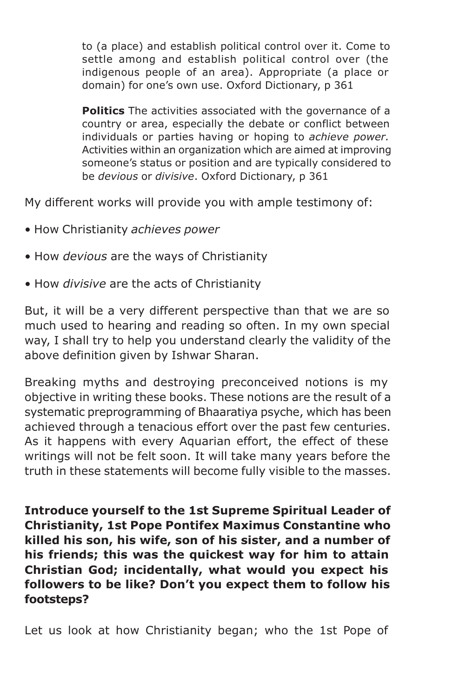to (a place) and establish political control over it. Come to settle among and establish political control over (the indigenous people of an area). Appropriate (a place or domain) for one's own use. Oxford Dictionary, p 361

**Politics** The activities associated with the governance of a country or area, especially the debate or conflict between individuals or parties having or hoping to *achieve power.* Activities within an organization which are aimed at improving someone's status or position and are typically considered to be *devious* or *divisive*. Oxford Dictionary, p 361

My different works will provide you with ample testimony of:

- How Christianity *achieves power*
- How *devious* are the ways of Christianity
- How *divisive* are the acts of Christianity

But, it will be a very different perspective than that we are so much used to hearing and reading so often. In my own special way, I shall try to help you understand clearly the validity of the above definition given by Ishwar Sharan.

Breaking myths and destroying preconceived notions is my objective in writing these books. These notions are the result of a systematic preprogramming of Bhaaratiya psyche, which has been achieved through a tenacious effort over the past few centuries. As it happens with every Aquarian effort, the effect of these writings will not be felt soon. It will take many years before the truth in these statements will become fully visible to the masses.

**Introduce yourself to the 1st Supreme Spiritual Leader of Christianity, 1st Pope Pontifex Maximus Constantine who killed his son, his wife, son of his sister, and a number of his friends; this was the quickest way for him to attain Christian God; incidentally, what would you expect his followers to be like? Don't you expect them to follow his footsteps?**

Let us look at how Christianity began; who the 1st Pope of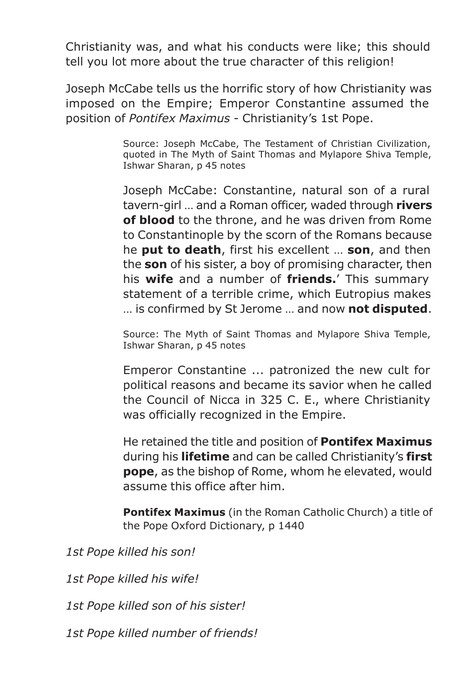Christianity was, and what his conducts were like; this should tell you lot more about the true character of this religion!

Joseph McCabe tells us the horrific story of how Christianity was imposed on the Empire; Emperor Constantine assumed the position of *Pontifex Maximus* - Christianity's 1st Pope.

> Source: Joseph McCabe, The Testament of Christian Civilization, quoted in The Myth of Saint Thomas and Mylapore Shiva Temple, Ishwar Sharan, p 45 notes

> Joseph McCabe: Constantine, natural son of a rural tavern-girl … and a Roman officer, waded through **rivers of blood** to the throne, and he was driven from Rome to Constantinople by the scorn of the Romans because he **put to death**, first his excellent … **son**, and then the **son** of his sister, a boy of promising character, then his **wife** and a number of **friends.**' This summary statement of a terrible crime, which Eutropius makes … is confirmed by St Jerome … and now **not disputed**.

> Source: The Myth of Saint Thomas and Mylapore Shiva Temple, Ishwar Sharan, p 45 notes

> Emperor Constantine ... patronized the new cult for political reasons and became its savior when he called the Council of Nicca in 325 C. E., where Christianity was officially recognized in the Empire.

> He retained the title and position of **Pontifex Maximus** during his **lifetime** and can be called Christianity's **first pope**, as the bishop of Rome, whom he elevated, would assume this office after him.

> **Pontifex Maximus** (in the Roman Catholic Church) a title of the Pope Oxford Dictionary, p 1440

*1st Pope killed his son!*

*1st Pope killed his wife!*

*1st Pope killed son of his sister!*

*1st Pope killed number of friends!*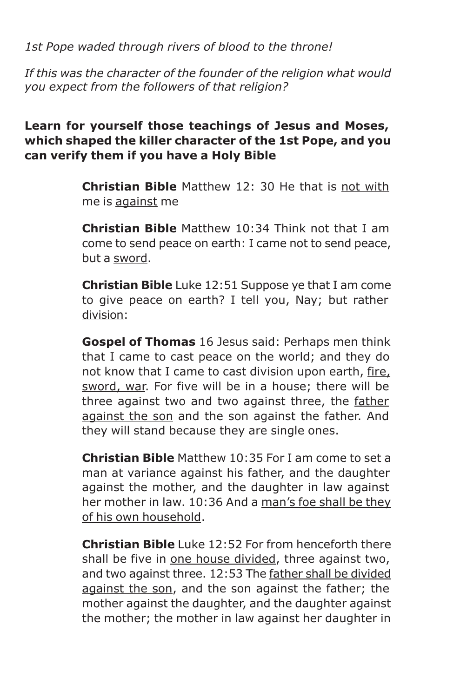*1st Pope waded through rivers of blood to the throne!*

*If this was the character of the founder of the religion what would you expect from the followers of that religion?*

# **Learn for yourself those teachings of Jesus and Moses, which shaped the killer character of the 1st Pope, and you can verify them if you have a Holy Bible**

**Christian Bible** Matthew 12: 30 He that is not with me is against me

**Christian Bible** Matthew 10:34 Think not that I am come to send peace on earth: I came not to send peace, but a sword.

**Christian Bible** Luke 12:51 Suppose ye that I am come to give peace on earth? I tell you, Nay; but rather division:

**Gospel of Thomas** 16 Jesus said: Perhaps men think that I came to cast peace on the world; and they do not know that I came to cast division upon earth, fire, sword, war. For five will be in a house; there will be three against two and two against three, the father against the son and the son against the father. And they will stand because they are single ones.

**Christian Bible** Matthew 10:35 For I am come to set a man at variance against his father, and the daughter against the mother, and the daughter in law against her mother in law. 10:36 And a man's foe shall be they of his own household.

**Christian Bible** Luke 12:52 For from henceforth there shall be five in one house divided, three against two, and two against three. 12:53 The father shall be divided against the son, and the son against the father; the mother against the daughter, and the daughter against the mother; the mother in law against her daughter in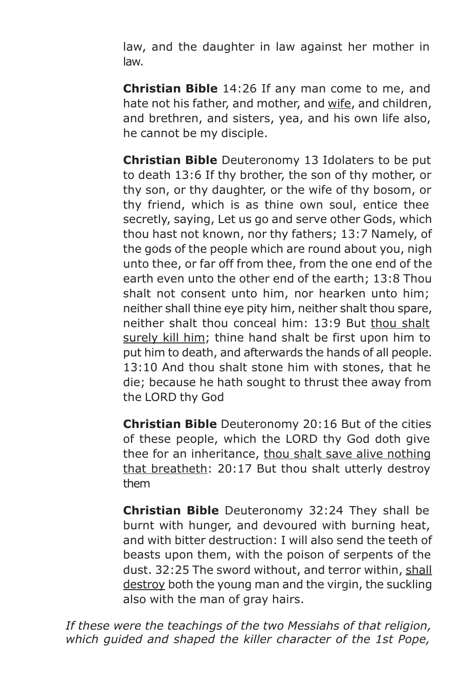law, and the daughter in law against her mother in law.

**Christian Bible** 14:26 If any man come to me, and hate not his father, and mother, and wife, and children, and brethren, and sisters, yea, and his own life also, he cannot be my disciple.

**Christian Bible** Deuteronomy 13 Idolaters to be put to death 13:6 If thy brother, the son of thy mother, or thy son, or thy daughter, or the wife of thy bosom, or thy friend, which is as thine own soul, entice thee secretly, saying, Let us go and serve other Gods, which thou hast not known, nor thy fathers; 13:7 Namely, of the gods of the people which are round about you, nigh unto thee, or far off from thee, from the one end of the earth even unto the other end of the earth; 13:8 Thou shalt not consent unto him, nor hearken unto him; neither shall thine eye pity him, neither shalt thou spare, neither shalt thou conceal him: 13:9 But thou shalt surely kill him; thine hand shalt be first upon him to put him to death, and afterwards the hands of all people. 13:10 And thou shalt stone him with stones, that he die; because he hath sought to thrust thee away from the LORD thy God

**Christian Bible** Deuteronomy 20:16 But of the cities of these people, which the LORD thy God doth give thee for an inheritance, thou shalt save alive nothing that breatheth: 20:17 But thou shalt utterly destroy them

**Christian Bible** Deuteronomy 32:24 They shall be burnt with hunger, and devoured with burning heat, and with bitter destruction: I will also send the teeth of beasts upon them, with the poison of serpents of the dust. 32:25 The sword without, and terror within, shall destroy both the young man and the virgin, the suckling also with the man of gray hairs.

*If these were the teachings of the two Messiahs of that religion, which guided and shaped the killer character of the 1st Pope,*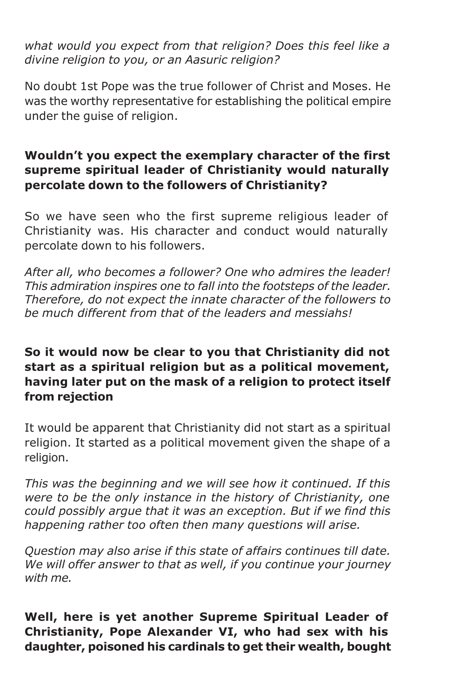#### *what would you expect from that religion? Does this feel like a divine religion to you, or an Aasuric religion?*

No doubt 1st Pope was the true follower of Christ and Moses. He was the worthy representative for establishing the political empire under the guise of religion.

# **Wouldn't you expect the exemplary character of the first supreme spiritual leader of Christianity would naturally percolate down to the followers of Christianity?**

So we have seen who the first supreme religious leader of Christianity was. His character and conduct would naturally percolate down to his followers.

*After all, who becomes a follower? One who admires the leader! This admiration inspires one to fall into the footsteps of the leader. Therefore, do not expect the innate character of the followers to be much different from that of the leaders and messiahs!*

# **So it would now be clear to you that Christianity did not start as a spiritual religion but as a political movement, having later put on the mask of a religion to protect itself from rejection**

It would be apparent that Christianity did not start as a spiritual religion. It started as a political movement given the shape of a religion.

*This was the beginning and we will see how it continued. If this were to be the only instance in the history of Christianity, one could possibly argue that it was an exception. But if we find this happening rather too often then many questions will arise.*

*Question may also arise if this state of affairs continues till date. We will offer answer to that as well, if you continue your journey with me.*

# **Well, here is yet another Supreme Spiritual Leader of Christianity, Pope Alexander VI, who had sex with his daughter, poisoned his cardinals to get their wealth, bought**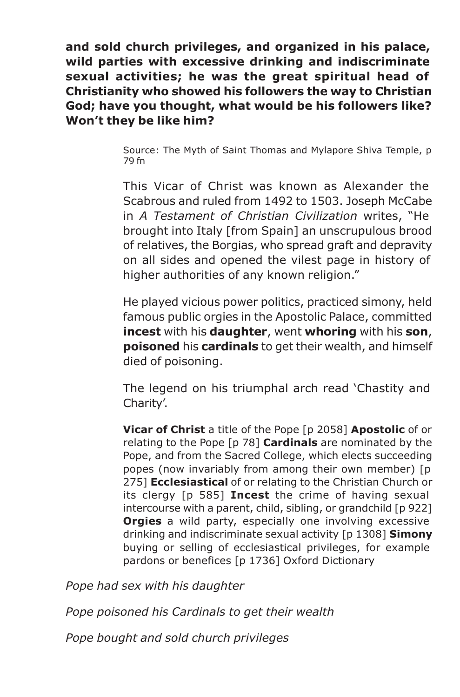**and sold church privileges, and organized in his palace, wild parties with excessive drinking and indiscriminate sexual activities; he was the great spiritual head of Christianity who showed his followers the way to Christian God; have you thought, what would be his followers like? Won't they be like him?**

> Source: The Myth of Saint Thomas and Mylapore Shiva Temple, p 79 fn

> This Vicar of Christ was known as Alexander the Scabrous and ruled from 1492 to 1503. Joseph McCabe in *A Testament of Christian Civilization* writes, "He brought into Italy [from Spain] an unscrupulous brood of relatives, the Borgias, who spread graft and depravity on all sides and opened the vilest page in history of higher authorities of any known religion."

> He played vicious power politics, practiced simony, held famous public orgies in the Apostolic Palace, committed **incest** with his **daughter**, went **whoring** with his **son**, **poisoned** his **cardinals** to get their wealth, and himself died of poisoning.

> The legend on his triumphal arch read 'Chastity and Charity'.

> **Vicar of Christ** a title of the Pope [p 2058] **Apostolic** of or relating to the Pope [p 78] **Cardinals** are nominated by the Pope, and from the Sacred College, which elects succeeding popes (now invariably from among their own member) [p 275] **Ecclesiastical** of or relating to the Christian Church or its clergy [p 585] **Incest** the crime of having sexual intercourse with a parent, child, sibling, or grandchild [p 922] **Orgies** a wild party, especially one involving excessive drinking and indiscriminate sexual activity [p 1308] **Simony** buying or selling of ecclesiastical privileges, for example pardons or benefices [p 1736] Oxford Dictionary

*Pope had sex with his daughter*

*Pope poisoned his Cardinals to get their wealth*

*Pope bought and sold church privileges*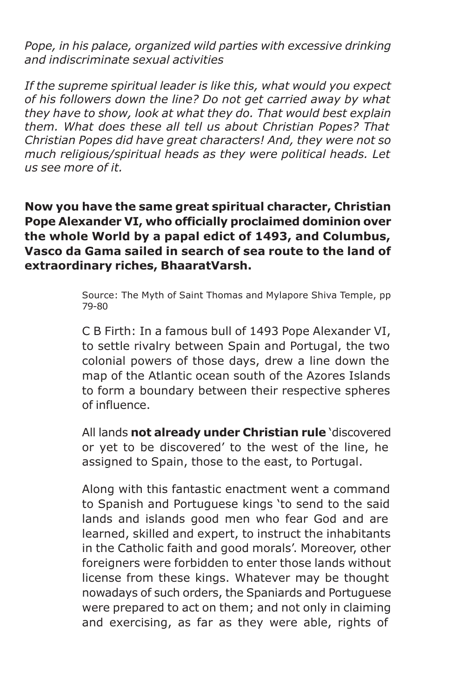*Pope, in his palace, organized wild parties with excessive drinking and indiscriminate sexual activities*

*If the supreme spiritual leader is like this, what would you expect of his followers down the line? Do not get carried away by what they have to show, look at what they do. That would best explain them. What does these all tell us about Christian Popes? That Christian Popes did have great characters! And, they were not so much religious/spiritual heads as they were political heads. Let us see more of it.*

**Now you have the same great spiritual character, Christian Pope Alexander VI, who officially proclaimed dominion over the whole World by a papal edict of 1493, and Columbus, Vasco da Gama sailed in search of sea route to the land of extraordinary riches, BhaaratVarsh.**

> Source: The Myth of Saint Thomas and Mylapore Shiva Temple, pp 79-80

> C B Firth: In a famous bull of 1493 Pope Alexander VI, to settle rivalry between Spain and Portugal, the two colonial powers of those days, drew a line down the map of the Atlantic ocean south of the Azores Islands to form a boundary between their respective spheres of influence.

> All lands **not already under Christian rule** 'discovered or yet to be discovered' to the west of the line, he assigned to Spain, those to the east, to Portugal.

> Along with this fantastic enactment went a command to Spanish and Portuguese kings 'to send to the said lands and islands good men who fear God and are learned, skilled and expert, to instruct the inhabitants in the Catholic faith and good morals'. Moreover, other foreigners were forbidden to enter those lands without license from these kings. Whatever may be thought nowadays of such orders, the Spaniards and Portuguese were prepared to act on them; and not only in claiming and exercising, as far as they were able, rights of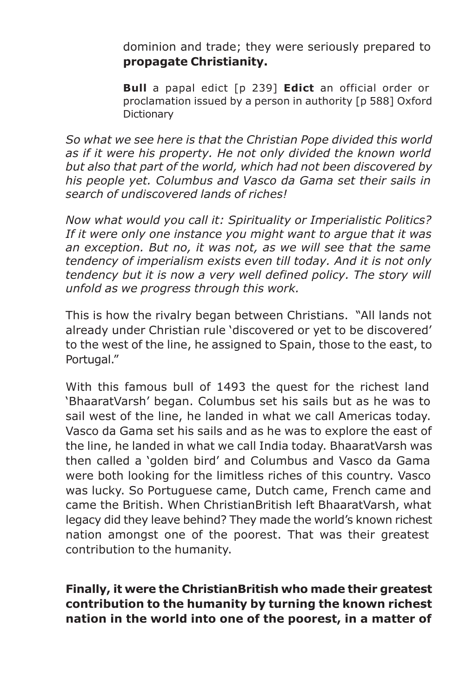dominion and trade; they were seriously prepared to **propagate Christianity.**

**Bull** a papal edict [p 239] **Edict** an official order or proclamation issued by a person in authority [p 588] Oxford **Dictionary** 

*So what we see here is that the Christian Pope divided this world as if it were his property. He not only divided the known world but also that part of the world, which had not been discovered by his people yet. Columbus and Vasco da Gama set their sails in search of undiscovered lands of riches!*

*Now what would you call it: Spirituality or Imperialistic Politics? If it were only one instance you might want to argue that it was an exception. But no, it was not, as we will see that the same tendency of imperialism exists even till today. And it is not only tendency but it is now a very well defined policy. The story will unfold as we progress through this work.*

This is how the rivalry began between Christians. "All lands not already under Christian rule 'discovered or yet to be discovered' to the west of the line, he assigned to Spain, those to the east, to Portugal."

With this famous bull of 1493 the quest for the richest land 'BhaaratVarsh' began. Columbus set his sails but as he was to sail west of the line, he landed in what we call Americas today. Vasco da Gama set his sails and as he was to explore the east of the line, he landed in what we call India today. BhaaratVarsh was then called a 'golden bird' and Columbus and Vasco da Gama were both looking for the limitless riches of this country. Vasco was lucky. So Portuguese came, Dutch came, French came and came the British. When ChristianBritish left BhaaratVarsh, what legacy did they leave behind? They made the world's known richest nation amongst one of the poorest. That was their greatest contribution to the humanity.

**Finally, it were the ChristianBritish who made their greatest contribution to the humanity by turning the known richest nation in the world into one of the poorest, in a matter of**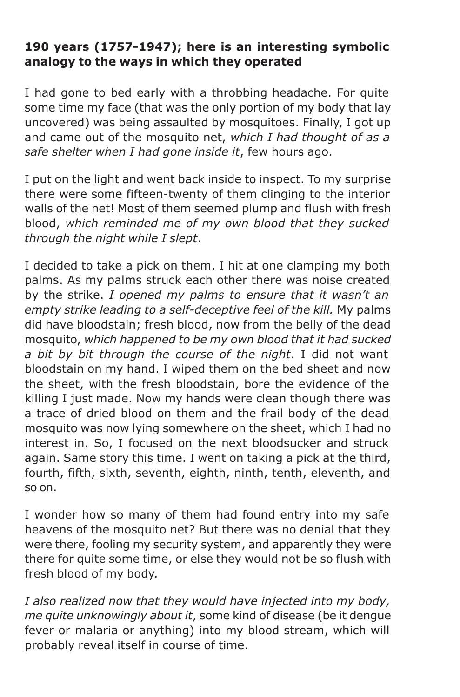# **190 years (1757-1947); here is an interesting symbolic analogy to the ways in which they operated**

I had gone to bed early with a throbbing headache. For quite some time my face (that was the only portion of my body that lay uncovered) was being assaulted by mosquitoes. Finally, I got up and came out of the mosquito net, *which I had thought of as a safe shelter when I had gone inside it*, few hours ago.

I put on the light and went back inside to inspect. To my surprise there were some fifteen-twenty of them clinging to the interior walls of the net! Most of them seemed plump and flush with fresh blood, *which reminded me of my own blood that they sucked through the night while I slept*.

I decided to take a pick on them. I hit at one clamping my both palms. As my palms struck each other there was noise created by the strike. *I opened my palms to ensure that it wasn't an empty strike leading to a self-deceptive feel of the kill.* My palms did have bloodstain; fresh blood, now from the belly of the dead mosquito, *which happened to be my own blood that it had sucked a bit by bit through the course of the night*. I did not want bloodstain on my hand. I wiped them on the bed sheet and now the sheet, with the fresh bloodstain, bore the evidence of the killing I just made. Now my hands were clean though there was a trace of dried blood on them and the frail body of the dead mosquito was now lying somewhere on the sheet, which I had no interest in. So, I focused on the next bloodsucker and struck again. Same story this time. I went on taking a pick at the third, fourth, fifth, sixth, seventh, eighth, ninth, tenth, eleventh, and so on.

I wonder how so many of them had found entry into my safe heavens of the mosquito net? But there was no denial that they were there, fooling my security system, and apparently they were there for quite some time, or else they would not be so flush with fresh blood of my body.

*I also realized now that they would have injected into my body, me quite unknowingly about it*, some kind of disease (be it dengue fever or malaria or anything) into my blood stream, which will probably reveal itself in course of time.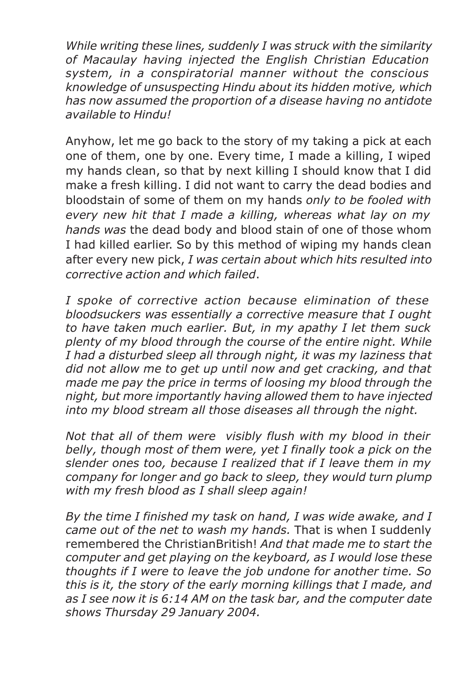*While writing these lines, suddenly I was struck with the similarity of Macaulay having injected the English Christian Education system, in a conspiratorial manner without the conscious knowledge of unsuspecting Hindu about its hidden motive, which has now assumed the proportion of a disease having no antidote available to Hindu!*

Anyhow, let me go back to the story of my taking a pick at each one of them, one by one. Every time, I made a killing, I wiped my hands clean, so that by next killing I should know that I did make a fresh killing. I did not want to carry the dead bodies and bloodstain of some of them on my hands *only to be fooled with every new hit that I made a killing, whereas what lay on my hands was* the dead body and blood stain of one of those whom I had killed earlier. So by this method of wiping my hands clean after every new pick, *I was certain about which hits resulted into corrective action and which failed*.

*I spoke of corrective action because elimination of these bloodsuckers was essentially a corrective measure that I ought to have taken much earlier. But, in my apathy I let them suck plenty of my blood through the course of the entire night. While I had a disturbed sleep all through night, it was my laziness that did not allow me to get up until now and get cracking, and that made me pay the price in terms of loosing my blood through the night, but more importantly having allowed them to have injected into my blood stream all those diseases all through the night.*

*Not that all of them were visibly flush with my blood in their belly, though most of them were, yet I finally took a pick on the slender ones too, because I realized that if I leave them in my company for longer and go back to sleep, they would turn plump with my fresh blood as I shall sleep again!*

*By the time I finished my task on hand, I was wide awake, and I came out of the net to wash my hands.* That is when I suddenly remembered the ChristianBritish! *And that made me to start the computer and get playing on the keyboard, as I would lose these thoughts if I were to leave the job undone for another time. So this is it, the story of the early morning killings that I made, and as I see now it is 6:14 AM on the task bar, and the computer date shows Thursday 29 January 2004.*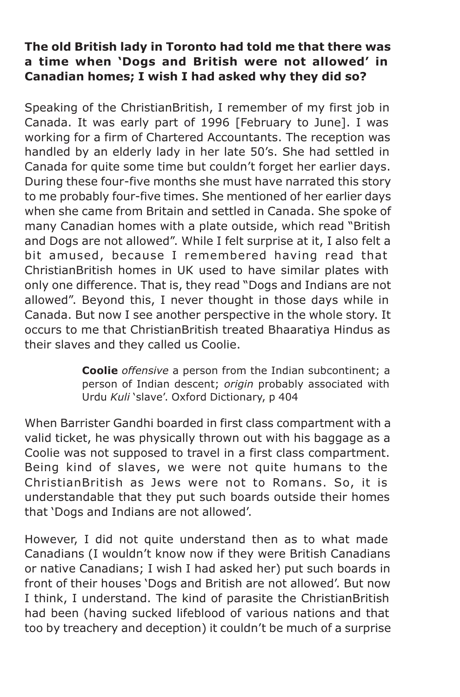# **The old British lady in Toronto had told me that there was a time when 'Dogs and British were not allowed' in Canadian homes; I wish I had asked why they did so?**

Speaking of the ChristianBritish, I remember of my first job in Canada. It was early part of 1996 [February to June]. I was working for a firm of Chartered Accountants. The reception was handled by an elderly lady in her late 50's. She had settled in Canada for quite some time but couldn't forget her earlier days. During these four-five months she must have narrated this story to me probably four-five times. She mentioned of her earlier days when she came from Britain and settled in Canada. She spoke of many Canadian homes with a plate outside, which read "British and Dogs are not allowed". While I felt surprise at it, I also felt a bit amused, because I remembered having read that ChristianBritish homes in UK used to have similar plates with only one difference. That is, they read "Dogs and Indians are not allowed". Beyond this, I never thought in those days while in Canada. But now I see another perspective in the whole story. It occurs to me that ChristianBritish treated Bhaaratiya Hindus as their slaves and they called us Coolie.

> **Coolie** *offensive* a person from the Indian subcontinent; a person of Indian descent; *origin* probably associated with Urdu *Kuli* 'slave'. Oxford Dictionary, p 404

When Barrister Gandhi boarded in first class compartment with a valid ticket, he was physically thrown out with his baggage as a Coolie was not supposed to travel in a first class compartment. Being kind of slaves, we were not quite humans to the ChristianBritish as Jews were not to Romans. So, it is understandable that they put such boards outside their homes that 'Dogs and Indians are not allowed'.

However, I did not quite understand then as to what made Canadians (I wouldn't know now if they were British Canadians or native Canadians; I wish I had asked her) put such boards in front of their houses 'Dogs and British are not allowed'. But now I think, I understand. The kind of parasite the ChristianBritish had been (having sucked lifeblood of various nations and that too by treachery and deception) it couldn't be much of a surprise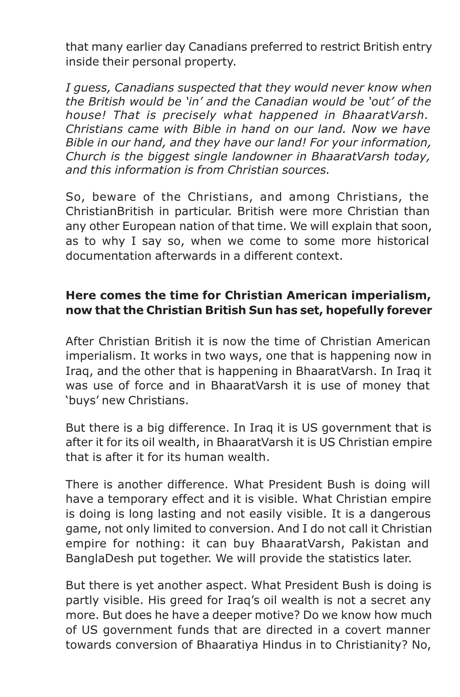that many earlier day Canadians preferred to restrict British entry inside their personal property.

*I guess, Canadians suspected that they would never know when the British would be 'in' and the Canadian would be 'out' of the house! That is precisely what happened in BhaaratVarsh. Christians came with Bible in hand on our land. Now we have Bible in our hand, and they have our land! For your information, Church is the biggest single landowner in BhaaratVarsh today, and this information is from Christian sources.*

So, beware of the Christians, and among Christians, the ChristianBritish in particular. British were more Christian than any other European nation of that time. We will explain that soon, as to why I say so, when we come to some more historical documentation afterwards in a different context.

# **Here comes the time for Christian American imperialism, now that the Christian British Sun has set, hopefully forever**

After Christian British it is now the time of Christian American imperialism. It works in two ways, one that is happening now in Iraq, and the other that is happening in BhaaratVarsh. In Iraq it was use of force and in BhaaratVarsh it is use of money that 'buys' new Christians.

But there is a big difference. In Iraq it is US government that is after it for its oil wealth, in BhaaratVarsh it is US Christian empire that is after it for its human wealth.

There is another difference. What President Bush is doing will have a temporary effect and it is visible. What Christian empire is doing is long lasting and not easily visible. It is a dangerous game, not only limited to conversion. And I do not call it Christian empire for nothing: it can buy BhaaratVarsh, Pakistan and BanglaDesh put together. We will provide the statistics later.

But there is yet another aspect. What President Bush is doing is partly visible. His greed for Iraq's oil wealth is not a secret any more. But does he have a deeper motive? Do we know how much of US government funds that are directed in a covert manner towards conversion of Bhaaratiya Hindus in to Christianity? No,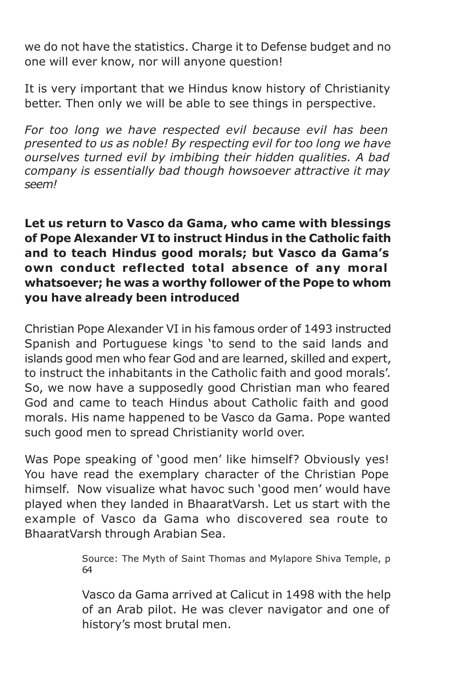we do not have the statistics. Charge it to Defense budget and no one will ever know, nor will anyone question!

It is very important that we Hindus know history of Christianity better. Then only we will be able to see things in perspective.

*For too long we have respected evil because evil has been presented to us as noble! By respecting evil for too long we have ourselves turned evil by imbibing their hidden qualities. A bad company is essentially bad though howsoever attractive it may seem!*

**Let us return to Vasco da Gama, who came with blessings of Pope Alexander VI to instruct Hindus in the Catholic faith and to teach Hindus good morals; but Vasco da Gama's own conduct reflected total absence of any moral whatsoever; he was a worthy follower of the Pope to whom you have already been introduced**

Christian Pope Alexander VI in his famous order of 1493 instructed Spanish and Portuguese kings 'to send to the said lands and islands good men who fear God and are learned, skilled and expert, to instruct the inhabitants in the Catholic faith and good morals'. So, we now have a supposedly good Christian man who feared God and came to teach Hindus about Catholic faith and good morals. His name happened to be Vasco da Gama. Pope wanted such good men to spread Christianity world over.

Was Pope speaking of 'good men' like himself? Obviously yes! You have read the exemplary character of the Christian Pope himself. Now visualize what havoc such 'good men' would have played when they landed in BhaaratVarsh. Let us start with the example of Vasco da Gama who discovered sea route to BhaaratVarsh through Arabian Sea.

> Source: The Myth of Saint Thomas and Mylapore Shiva Temple, p 64

> Vasco da Gama arrived at Calicut in 1498 with the help of an Arab pilot. He was clever navigator and one of history's most brutal men.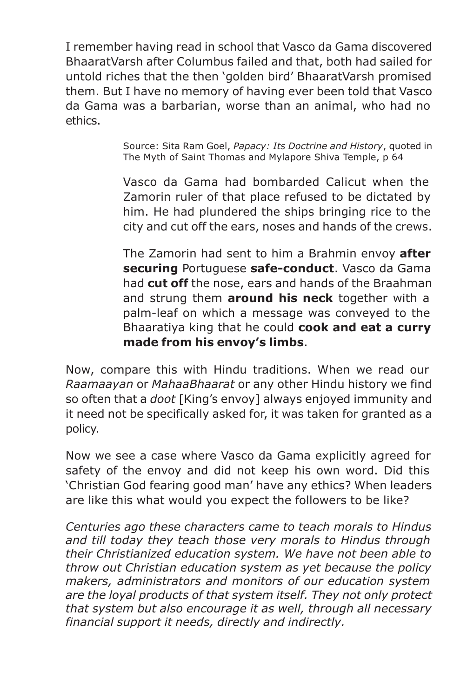I remember having read in school that Vasco da Gama discovered BhaaratVarsh after Columbus failed and that, both had sailed for untold riches that the then 'golden bird' BhaaratVarsh promised them. But I have no memory of having ever been told that Vasco da Gama was a barbarian, worse than an animal, who had no ethics.

> Source: Sita Ram Goel, *Papacy: Its Doctrine and History*, quoted in The Myth of Saint Thomas and Mylapore Shiva Temple, p 64

> Vasco da Gama had bombarded Calicut when the Zamorin ruler of that place refused to be dictated by him. He had plundered the ships bringing rice to the city and cut off the ears, noses and hands of the crews.

> The Zamorin had sent to him a Brahmin envoy **after securing** Portuguese **safe-conduct**. Vasco da Gama had **cut off** the nose, ears and hands of the Braahman and strung them **around his neck** together with a palm-leaf on which a message was conveyed to the Bhaaratiya king that he could **cook and eat a curry made from his envoy's limbs**.

Now, compare this with Hindu traditions. When we read our *Raamaayan* or *MahaaBhaarat* or any other Hindu history we find so often that a *doot* [King's envoy] always enjoyed immunity and it need not be specifically asked for, it was taken for granted as a policy.

Now we see a case where Vasco da Gama explicitly agreed for safety of the envoy and did not keep his own word. Did this 'Christian God fearing good man' have any ethics? When leaders are like this what would you expect the followers to be like?

*Centuries ago these characters came to teach morals to Hindus and till today they teach those very morals to Hindus through their Christianized education system. We have not been able to throw out Christian education system as yet because the policy makers, administrators and monitors of our education system are the loyal products of that system itself. They not only protect that system but also encourage it as well, through all necessary financial support it needs, directly and indirectly.*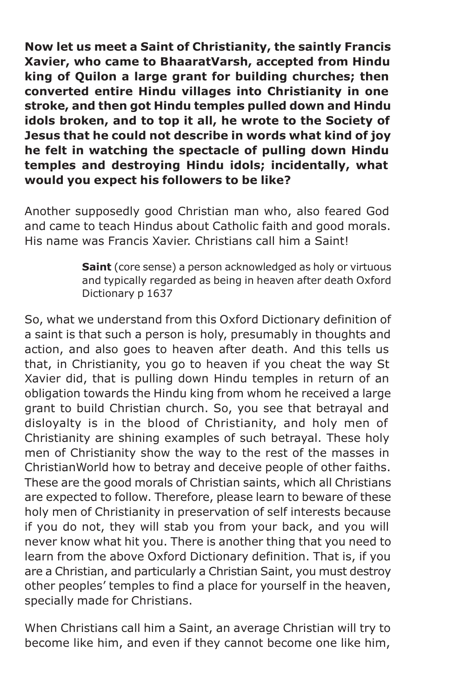**Now let us meet a Saint of Christianity, the saintly Francis Xavier, who came to BhaaratVarsh, accepted from Hindu king of Quilon a large grant for building churches; then converted entire Hindu villages into Christianity in one stroke, and then got Hindu temples pulled down and Hindu idols broken, and to top it all, he wrote to the Society of Jesus that he could not describe in words what kind of joy he felt in watching the spectacle of pulling down Hindu temples and destroying Hindu idols; incidentally, what would you expect his followers to be like?**

Another supposedly good Christian man who, also feared God and came to teach Hindus about Catholic faith and good morals. His name was Francis Xavier. Christians call him a Saint!

> **Saint** (core sense) a person acknowledged as holy or virtuous and typically regarded as being in heaven after death Oxford Dictionary p 1637

So, what we understand from this Oxford Dictionary definition of a saint is that such a person is holy, presumably in thoughts and action, and also goes to heaven after death. And this tells us that, in Christianity, you go to heaven if you cheat the way St Xavier did, that is pulling down Hindu temples in return of an obligation towards the Hindu king from whom he received a large grant to build Christian church. So, you see that betrayal and disloyalty is in the blood of Christianity, and holy men of Christianity are shining examples of such betrayal. These holy men of Christianity show the way to the rest of the masses in ChristianWorld how to betray and deceive people of other faiths. These are the good morals of Christian saints, which all Christians are expected to follow. Therefore, please learn to beware of these holy men of Christianity in preservation of self interests because if you do not, they will stab you from your back, and you will never know what hit you. There is another thing that you need to learn from the above Oxford Dictionary definition. That is, if you are a Christian, and particularly a Christian Saint, you must destroy other peoples' temples to find a place for yourself in the heaven, specially made for Christians.

When Christians call him a Saint, an average Christian will try to become like him, and even if they cannot become one like him,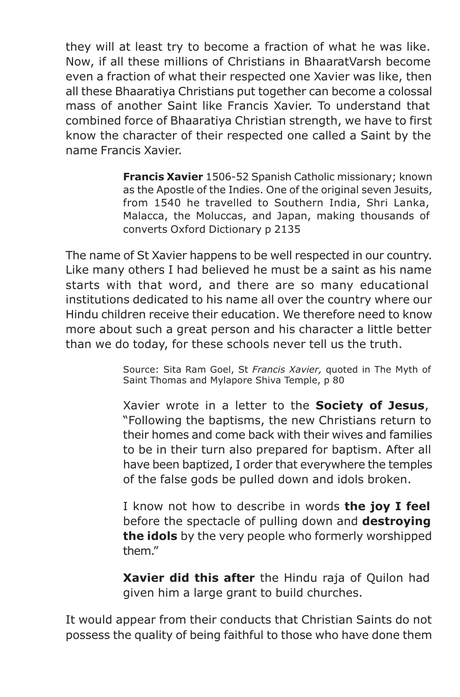they will at least try to become a fraction of what he was like. Now, if all these millions of Christians in BhaaratVarsh become even a fraction of what their respected one Xavier was like, then all these Bhaaratiya Christians put together can become a colossal mass of another Saint like Francis Xavier. To understand that combined force of Bhaaratiya Christian strength, we have to first know the character of their respected one called a Saint by the name Francis Xavier.

> **Francis Xavier** 1506-52 Spanish Catholic missionary; known as the Apostle of the Indies. One of the original seven Jesuits, from 1540 he travelled to Southern India, Shri Lanka, Malacca, the Moluccas, and Japan, making thousands of converts Oxford Dictionary p 2135

The name of St Xavier happens to be well respected in our country. Like many others I had believed he must be a saint as his name starts with that word, and there are so many educational institutions dedicated to his name all over the country where our Hindu children receive their education. We therefore need to know more about such a great person and his character a little better than we do today, for these schools never tell us the truth.

> Source: Sita Ram Goel, St *Francis Xavier,* quoted in The Myth of Saint Thomas and Mylapore Shiva Temple, p 80

> Xavier wrote in a letter to the **Society of Jesus**, "Following the baptisms, the new Christians return to their homes and come back with their wives and families to be in their turn also prepared for baptism. After all have been baptized, I order that everywhere the temples of the false gods be pulled down and idols broken.

> I know not how to describe in words **the joy I feel** before the spectacle of pulling down and **destroying the idols** by the very people who formerly worshipped them."

> **Xavier did this after** the Hindu raja of Quilon had given him a large grant to build churches.

It would appear from their conducts that Christian Saints do not possess the quality of being faithful to those who have done them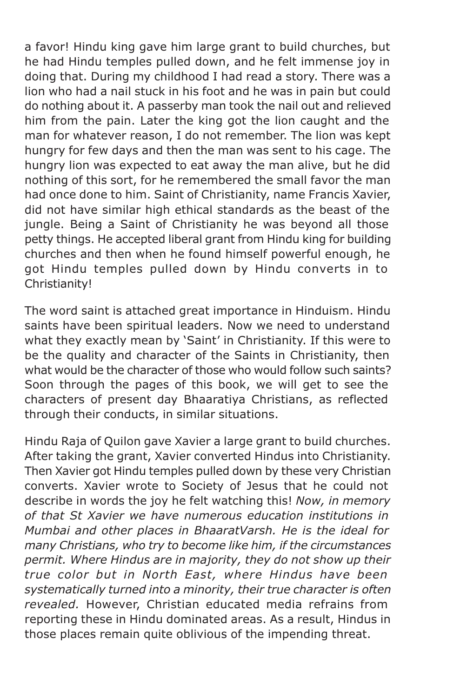a favor! Hindu king gave him large grant to build churches, but he had Hindu temples pulled down, and he felt immense joy in doing that. During my childhood I had read a story. There was a lion who had a nail stuck in his foot and he was in pain but could do nothing about it. A passerby man took the nail out and relieved him from the pain. Later the king got the lion caught and the man for whatever reason, I do not remember. The lion was kept hungry for few days and then the man was sent to his cage. The hungry lion was expected to eat away the man alive, but he did nothing of this sort, for he remembered the small favor the man had once done to him. Saint of Christianity, name Francis Xavier, did not have similar high ethical standards as the beast of the jungle. Being a Saint of Christianity he was beyond all those petty things. He accepted liberal grant from Hindu king for building churches and then when he found himself powerful enough, he got Hindu temples pulled down by Hindu converts in to Christianity!

The word saint is attached great importance in Hinduism. Hindu saints have been spiritual leaders. Now we need to understand what they exactly mean by 'Saint' in Christianity. If this were to be the quality and character of the Saints in Christianity, then what would be the character of those who would follow such saints? Soon through the pages of this book, we will get to see the characters of present day Bhaaratiya Christians, as reflected through their conducts, in similar situations.

Hindu Raja of Quilon gave Xavier a large grant to build churches. After taking the grant, Xavier converted Hindus into Christianity. Then Xavier got Hindu temples pulled down by these very Christian converts. Xavier wrote to Society of Jesus that he could not describe in words the joy he felt watching this! *Now, in memory of that St Xavier we have numerous education institutions in Mumbai and other places in BhaaratVarsh. He is the ideal for many Christians, who try to become like him, if the circumstances permit. Where Hindus are in majority, they do not show up their true color but in North East, where Hindus have been systematically turned into a minority, their true character is often revealed.* However, Christian educated media refrains from reporting these in Hindu dominated areas. As a result, Hindus in those places remain quite oblivious of the impending threat.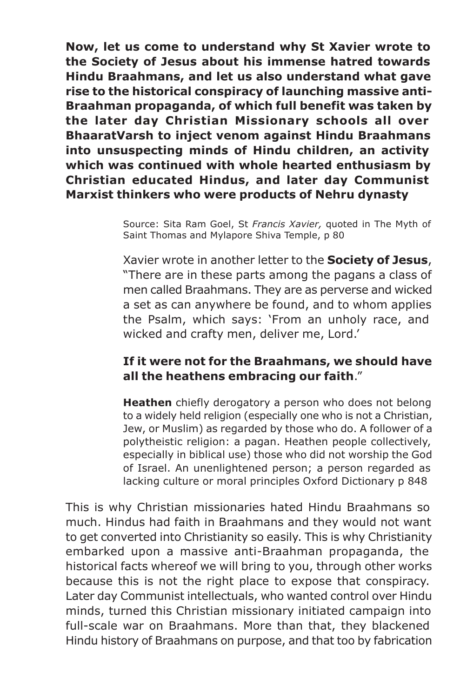**Now, let us come to understand why St Xavier wrote to the Society of Jesus about his immense hatred towards Hindu Braahmans, and let us also understand what gave rise to the historical conspiracy of launching massive anti-Braahman propaganda, of which full benefit was taken by the later day Christian Missionary schools all over BhaaratVarsh to inject venom against Hindu Braahmans into unsuspecting minds of Hindu children, an activity which was continued with whole hearted enthusiasm by Christian educated Hindus, and later day Communist Marxist thinkers who were products of Nehru dynasty**

> Source: Sita Ram Goel, St *Francis Xavier,* quoted in The Myth of Saint Thomas and Mylapore Shiva Temple, p 80

> Xavier wrote in another letter to the **Society of Jesus**, "There are in these parts among the pagans a class of men called Braahmans. They are as perverse and wicked a set as can anywhere be found, and to whom applies the Psalm, which says: 'From an unholy race, and wicked and crafty men, deliver me, Lord.'

#### **If it were not for the Braahmans, we should have all the heathens embracing our faith**."

**Heathen** chiefly derogatory a person who does not belong to a widely held religion (especially one who is not a Christian, Jew, or Muslim) as regarded by those who do. A follower of a polytheistic religion: a pagan. Heathen people collectively, especially in biblical use) those who did not worship the God of Israel. An unenlightened person; a person regarded as lacking culture or moral principles Oxford Dictionary p 848

This is why Christian missionaries hated Hindu Braahmans so much. Hindus had faith in Braahmans and they would not want to get converted into Christianity so easily. This is why Christianity embarked upon a massive anti-Braahman propaganda, the historical facts whereof we will bring to you, through other works because this is not the right place to expose that conspiracy. Later day Communist intellectuals, who wanted control over Hindu minds, turned this Christian missionary initiated campaign into full-scale war on Braahmans. More than that, they blackened Hindu history of Braahmans on purpose, and that too by fabrication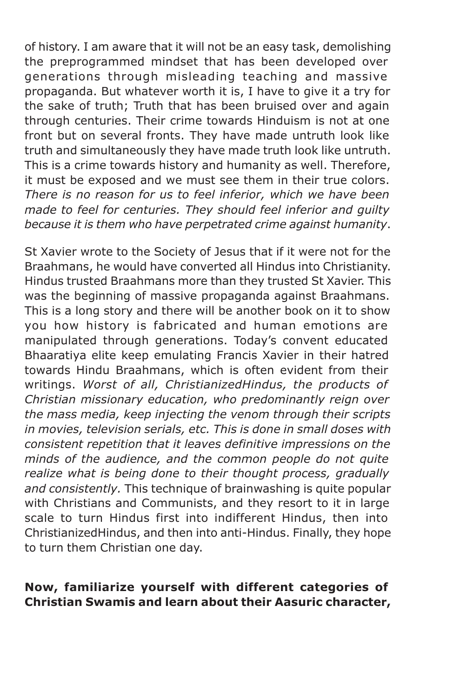of history. I am aware that it will not be an easy task, demolishing the preprogrammed mindset that has been developed over generations through misleading teaching and massive propaganda. But whatever worth it is, I have to give it a try for the sake of truth; Truth that has been bruised over and again through centuries. Their crime towards Hinduism is not at one front but on several fronts. They have made untruth look like truth and simultaneously they have made truth look like untruth. This is a crime towards history and humanity as well. Therefore, it must be exposed and we must see them in their true colors. *There is no reason for us to feel inferior, which we have been made to feel for centuries. They should feel inferior and guilty because it is them who have perpetrated crime against humanity*.

St Xavier wrote to the Society of Jesus that if it were not for the Braahmans, he would have converted all Hindus into Christianity. Hindus trusted Braahmans more than they trusted St Xavier. This was the beginning of massive propaganda against Braahmans. This is a long story and there will be another book on it to show you how history is fabricated and human emotions are manipulated through generations. Today's convent educated Bhaaratiya elite keep emulating Francis Xavier in their hatred towards Hindu Braahmans, which is often evident from their writings. *Worst of all, ChristianizedHindus, the products of Christian missionary education, who predominantly reign over the mass media, keep injecting the venom through their scripts in movies, television serials, etc. This is done in small doses with consistent repetition that it leaves definitive impressions on the minds of the audience, and the common people do not quite realize what is being done to their thought process, gradually and consistently.* This technique of brainwashing is quite popular with Christians and Communists, and they resort to it in large scale to turn Hindus first into indifferent Hindus, then into ChristianizedHindus, and then into anti-Hindus. Finally, they hope to turn them Christian one day.

#### **Now, familiarize yourself with different categories of Christian Swamis and learn about their Aasuric character,**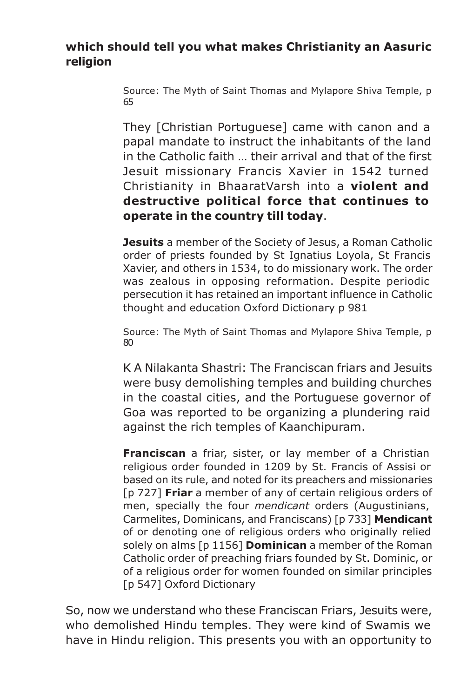# **which should tell you what makes Christianity an Aasuric religion**

Source: The Myth of Saint Thomas and Mylapore Shiva Temple, p 65

They [Christian Portuguese] came with canon and a papal mandate to instruct the inhabitants of the land in the Catholic faith … their arrival and that of the first Jesuit missionary Francis Xavier in 1542 turned Christianity in BhaaratVarsh into a **violent and destructive political force that continues to operate in the country till today**.

**Jesuits** a member of the Society of Jesus, a Roman Catholic order of priests founded by St Ignatius Loyola, St Francis Xavier, and others in 1534, to do missionary work. The order was zealous in opposing reformation. Despite periodic persecution it has retained an important influence in Catholic thought and education Oxford Dictionary p 981

Source: The Myth of Saint Thomas and Mylapore Shiva Temple, p 80

K A Nilakanta Shastri: The Franciscan friars and Jesuits were busy demolishing temples and building churches in the coastal cities, and the Portuguese governor of Goa was reported to be organizing a plundering raid against the rich temples of Kaanchipuram.

**Franciscan** a friar, sister, or lay member of a Christian religious order founded in 1209 by St. Francis of Assisi or based on its rule, and noted for its preachers and missionaries [p 727] **Friar** a member of any of certain religious orders of men, specially the four *mendicant* orders (Augustinians, Carmelites, Dominicans, and Franciscans) [p 733] **Mendicant** of or denoting one of religious orders who originally relied solely on alms [p 1156] **Dominican** a member of the Roman Catholic order of preaching friars founded by St. Dominic, or of a religious order for women founded on similar principles [p 547] Oxford Dictionary

So, now we understand who these Franciscan Friars, Jesuits were, who demolished Hindu temples. They were kind of Swamis we have in Hindu religion. This presents you with an opportunity to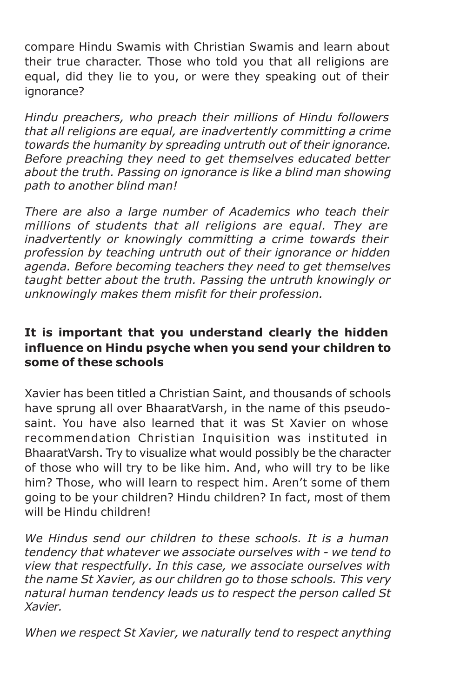compare Hindu Swamis with Christian Swamis and learn about their true character. Those who told you that all religions are equal, did they lie to you, or were they speaking out of their ignorance?

*Hindu preachers, who preach their millions of Hindu followers that all religions are equal, are inadvertently committing a crime towards the humanity by spreading untruth out of their ignorance. Before preaching they need to get themselves educated better about the truth. Passing on ignorance is like a blind man showing path to another blind man!*

*There are also a large number of Academics who teach their millions of students that all religions are equal. They are inadvertently or knowingly committing a crime towards their profession by teaching untruth out of their ignorance or hidden agenda. Before becoming teachers they need to get themselves taught better about the truth. Passing the untruth knowingly or unknowingly makes them misfit for their profession.*

# **It is important that you understand clearly the hidden influence on Hindu psyche when you send your children to some of these schools**

Xavier has been titled a Christian Saint, and thousands of schools have sprung all over BhaaratVarsh, in the name of this pseudosaint. You have also learned that it was St Xavier on whose recommendation Christian Inquisition was instituted in BhaaratVarsh. Try to visualize what would possibly be the character of those who will try to be like him. And, who will try to be like him? Those, who will learn to respect him. Aren't some of them going to be your children? Hindu children? In fact, most of them will be Hindu children!

*We Hindus send our children to these schools. It is a human tendency that whatever we associate ourselves with - we tend to view that respectfully. In this case, we associate ourselves with the name St Xavier, as our children go to those schools. This very natural human tendency leads us to respect the person called St Xavier.*

*When we respect St Xavier, we naturally tend to respect anything*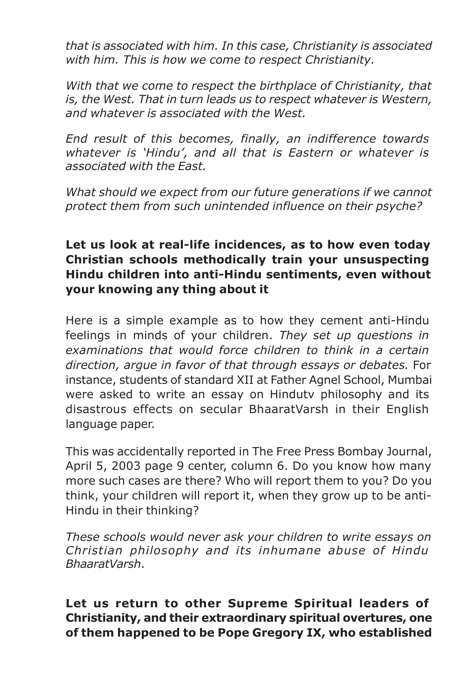*that is associated with him. In this case, Christianity is associated with him. This is how we come to respect Christianity.*

*With that we come to respect the birthplace of Christianity, that is, the West. That in turn leads us to respect whatever is Western, and whatever is associated with the West.*

*End result of this becomes, finally, an indifference towards whatever is 'Hindu', and all that is Eastern or whatever is associated with the East.*

*What should we expect from our future generations if we cannot protect them from such unintended influence on their psyche?*

# **Let us look at real-life incidences, as to how even today Christian schools methodically train your unsuspecting Hindu children into anti-Hindu sentiments, even without your knowing any thing about it**

Here is a simple example as to how they cement anti-Hindu feelings in minds of your children. *They set up questions in examinations that would force children to think in a certain direction, argue in favor of that through essays or debates.* For instance, students of standard XII at Father Agnel School, Mumbai were asked to write an essay on Hindutv philosophy and its disastrous effects on secular BhaaratVarsh in their English language paper.

This was accidentally reported in The Free Press Bombay Journal, April 5, 2003 page 9 center, column 6. Do you know how many more such cases are there? Who will report them to you? Do you think, your children will report it, when they grow up to be anti-Hindu in their thinking?

*These schools would never ask your children to write essays on Christian philosophy and its inhumane abuse of Hindu BhaaratVarsh*.

**Let us return to other Supreme Spiritual leaders of Christianity, and their extraordinary spiritual overtures, one of them happened to be Pope Gregory IX, who established**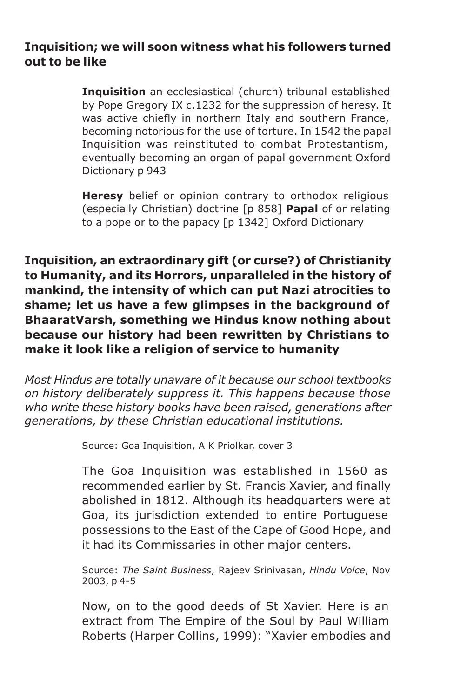#### **Inquisition; we will soon witness what his followers turned out to be like**

**Inquisition** an ecclesiastical (church) tribunal established by Pope Gregory IX c.1232 for the suppression of heresy. It was active chiefly in northern Italy and southern France, becoming notorious for the use of torture. In 1542 the papal Inquisition was reinstituted to combat Protestantism, eventually becoming an organ of papal government Oxford Dictionary p 943

**Heresy** belief or opinion contrary to orthodox religious (especially Christian) doctrine [p 858] **Papal** of or relating to a pope or to the papacy [p 1342] Oxford Dictionary

**Inquisition, an extraordinary gift (or curse?) of Christianity to Humanity, and its Horrors, unparalleled in the history of mankind, the intensity of which can put Nazi atrocities to shame; let us have a few glimpses in the background of BhaaratVarsh, something we Hindus know nothing about because our history had been rewritten by Christians to make it look like a religion of service to humanity**

*Most Hindus are totally unaware of it because our school textbooks on history deliberately suppress it. This happens because those who write these history books have been raised, generations after generations, by these Christian educational institutions.*

Source: Goa Inquisition, A K Priolkar, cover 3

The Goa Inquisition was established in 1560 as recommended earlier by St. Francis Xavier, and finally abolished in 1812. Although its headquarters were at Goa, its jurisdiction extended to entire Portuguese possessions to the East of the Cape of Good Hope, and it had its Commissaries in other major centers.

Source: *The Saint Business*, Rajeev Srinivasan, *Hindu Voice*, Nov 2003, p 4-5

Now, on to the good deeds of St Xavier. Here is an extract from The Empire of the Soul by Paul William Roberts (Harper Collins, 1999): "Xavier embodies and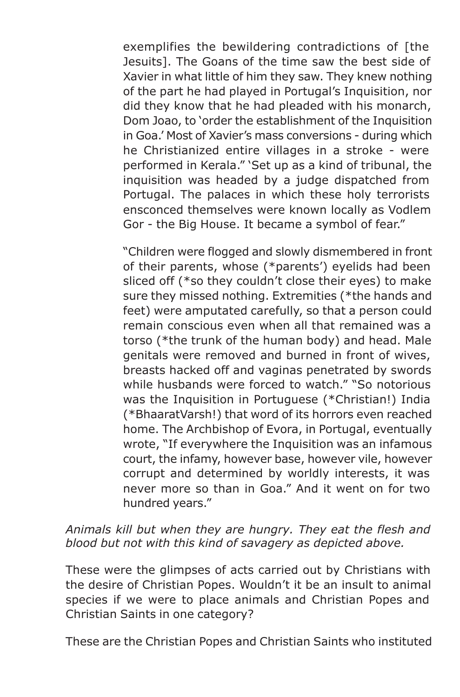exemplifies the bewildering contradictions of [the Jesuits]. The Goans of the time saw the best side of Xavier in what little of him they saw. They knew nothing of the part he had played in Portugal's Inquisition, nor did they know that he had pleaded with his monarch, Dom Joao, to 'order the establishment of the Inquisition in Goa.' Most of Xavier's mass conversions - during which he Christianized entire villages in a stroke - were performed in Kerala." 'Set up as a kind of tribunal, the inquisition was headed by a judge dispatched from Portugal. The palaces in which these holy terrorists ensconced themselves were known locally as Vodlem Gor - the Big House. It became a symbol of fear."

"Children were flogged and slowly dismembered in front of their parents, whose (\*parents') eyelids had been sliced off (\*so they couldn't close their eyes) to make sure they missed nothing. Extremities (\*the hands and feet) were amputated carefully, so that a person could remain conscious even when all that remained was a torso (\*the trunk of the human body) and head. Male genitals were removed and burned in front of wives, breasts hacked off and vaginas penetrated by swords while husbands were forced to watch." "So notorious was the Inquisition in Portuguese (\*Christian!) India (\*BhaaratVarsh!) that word of its horrors even reached home. The Archbishop of Evora, in Portugal, eventually wrote, "If everywhere the Inquisition was an infamous court, the infamy, however base, however vile, however corrupt and determined by worldly interests, it was never more so than in Goa." And it went on for two hundred years."

*Animals kill but when they are hungry. They eat the flesh and blood but not with this kind of savagery as depicted above.*

These were the glimpses of acts carried out by Christians with the desire of Christian Popes. Wouldn't it be an insult to animal species if we were to place animals and Christian Popes and Christian Saints in one category?

These are the Christian Popes and Christian Saints who instituted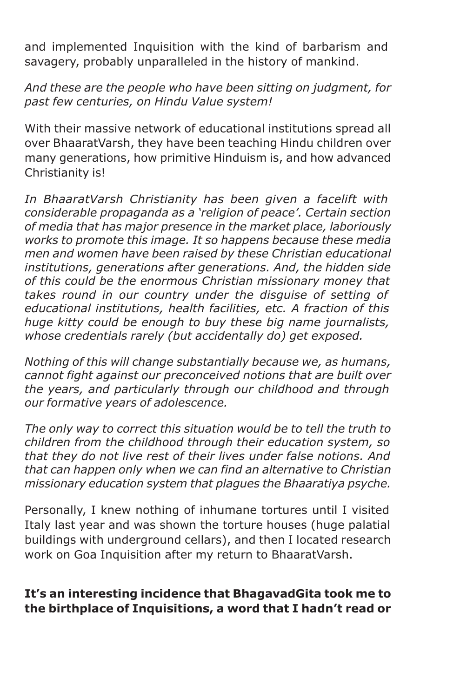and implemented Inquisition with the kind of barbarism and savagery, probably unparalleled in the history of mankind.

*And these are the people who have been sitting on judgment, for past few centuries, on Hindu Value system!*

With their massive network of educational institutions spread all over BhaaratVarsh, they have been teaching Hindu children over many generations, how primitive Hinduism is, and how advanced Christianity is!

*In BhaaratVarsh Christianity has been given a facelift with considerable propaganda as a 'religion of peace'. Certain section of media that has major presence in the market place, laboriously works to promote this image. It so happens because these media men and women have been raised by these Christian educational institutions, generations after generations. And, the hidden side of this could be the enormous Christian missionary money that takes round in our country under the disguise of setting of educational institutions, health facilities, etc. A fraction of this huge kitty could be enough to buy these big name journalists, whose credentials rarely (but accidentally do) get exposed.*

*Nothing of this will change substantially because we, as humans, cannot fight against our preconceived notions that are built over the years, and particularly through our childhood and through our formative years of adolescence.*

*The only way to correct this situation would be to tell the truth to children from the childhood through their education system, so that they do not live rest of their lives under false notions. And that can happen only when we can find an alternative to Christian missionary education system that plagues the Bhaaratiya psyche.*

Personally, I knew nothing of inhumane tortures until I visited Italy last year and was shown the torture houses (huge palatial buildings with underground cellars), and then I located research work on Goa Inquisition after my return to BhaaratVarsh.

#### **It's an interesting incidence that BhagavadGita took me to the birthplace of Inquisitions, a word that I hadn't read or**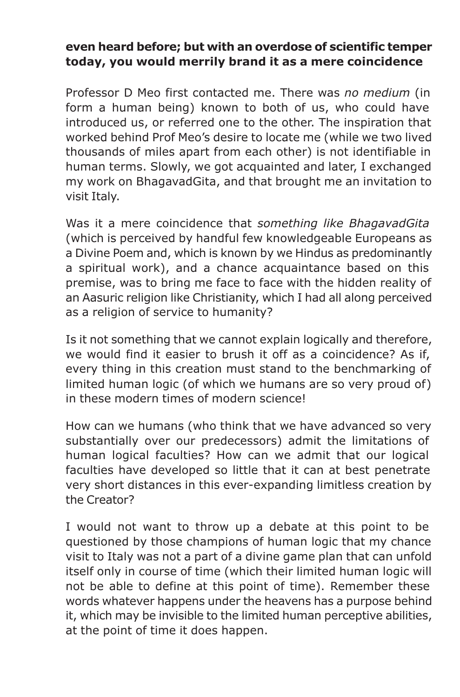# **even heard before; but with an overdose of scientific temper today, you would merrily brand it as a mere coincidence**

Professor D Meo first contacted me. There was *no medium* (in form a human being) known to both of us, who could have introduced us, or referred one to the other. The inspiration that worked behind Prof Meo's desire to locate me (while we two lived thousands of miles apart from each other) is not identifiable in human terms. Slowly, we got acquainted and later, I exchanged my work on BhagavadGita, and that brought me an invitation to visit Italy.

Was it a mere coincidence that *something like BhagavadGita* (which is perceived by handful few knowledgeable Europeans as a Divine Poem and, which is known by we Hindus as predominantly a spiritual work), and a chance acquaintance based on this premise, was to bring me face to face with the hidden reality of an Aasuric religion like Christianity, which I had all along perceived as a religion of service to humanity?

Is it not something that we cannot explain logically and therefore, we would find it easier to brush it off as a coincidence? As if, every thing in this creation must stand to the benchmarking of limited human logic (of which we humans are so very proud of) in these modern times of modern science!

How can we humans (who think that we have advanced so very substantially over our predecessors) admit the limitations of human logical faculties? How can we admit that our logical faculties have developed so little that it can at best penetrate very short distances in this ever-expanding limitless creation by the Creator?

I would not want to throw up a debate at this point to be questioned by those champions of human logic that my chance visit to Italy was not a part of a divine game plan that can unfold itself only in course of time (which their limited human logic will not be able to define at this point of time). Remember these words whatever happens under the heavens has a purpose behind it, which may be invisible to the limited human perceptive abilities, at the point of time it does happen.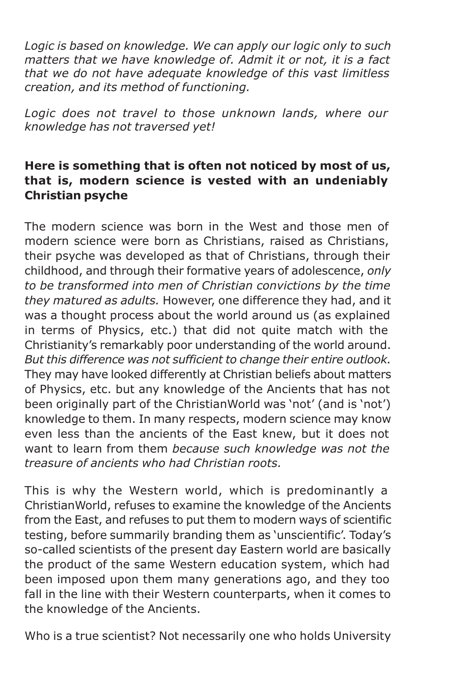*Logic is based on knowledge. We can apply our logic only to such matters that we have knowledge of. Admit it or not, it is a fact that we do not have adequate knowledge of this vast limitless creation, and its method of functioning.*

*Logic does not travel to those unknown lands, where our knowledge has not traversed yet!*

#### **Here is something that is often not noticed by most of us, that is, modern science is vested with an undeniably Christian psyche**

The modern science was born in the West and those men of modern science were born as Christians, raised as Christians, their psyche was developed as that of Christians, through their childhood, and through their formative years of adolescence, *only to be transformed into men of Christian convictions by the time they matured as adults.* However, one difference they had, and it was a thought process about the world around us (as explained in terms of Physics, etc.) that did not quite match with the Christianity's remarkably poor understanding of the world around. *But this difference was not sufficient to change their entire outlook.* They may have looked differently at Christian beliefs about matters of Physics, etc. but any knowledge of the Ancients that has not been originally part of the ChristianWorld was 'not' (and is 'not') knowledge to them. In many respects, modern science may know even less than the ancients of the East knew, but it does not want to learn from them *because such knowledge was not the treasure of ancients who had Christian roots.*

This is why the Western world, which is predominantly a ChristianWorld, refuses to examine the knowledge of the Ancients from the East, and refuses to put them to modern ways of scientific testing, before summarily branding them as 'unscientific'. Today's so-called scientists of the present day Eastern world are basically the product of the same Western education system, which had been imposed upon them many generations ago, and they too fall in the line with their Western counterparts, when it comes to the knowledge of the Ancients.

Who is a true scientist? Not necessarily one who holds University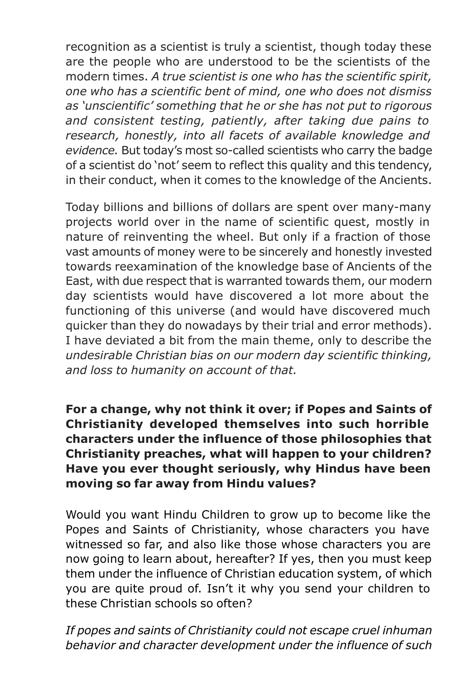recognition as a scientist is truly a scientist, though today these are the people who are understood to be the scientists of the modern times. *A true scientist is one who has the scientific spirit, one who has a scientific bent of mind, one who does not dismiss as 'unscientific' something that he or she has not put to rigorous and consistent testing, patiently, after taking due pains to research, honestly, into all facets of available knowledge and evidence.* But today's most so-called scientists who carry the badge of a scientist do 'not' seem to reflect this quality and this tendency, in their conduct, when it comes to the knowledge of the Ancients.

Today billions and billions of dollars are spent over many-many projects world over in the name of scientific quest, mostly in nature of reinventing the wheel. But only if a fraction of those vast amounts of money were to be sincerely and honestly invested towards reexamination of the knowledge base of Ancients of the East, with due respect that is warranted towards them, our modern day scientists would have discovered a lot more about the functioning of this universe (and would have discovered much quicker than they do nowadays by their trial and error methods). I have deviated a bit from the main theme, only to describe the *undesirable Christian bias on our modern day scientific thinking, and loss to humanity on account of that.*

**For a change, why not think it over; if Popes and Saints of Christianity developed themselves into such horrible characters under the influence of those philosophies that Christianity preaches, what will happen to your children? Have you ever thought seriously, why Hindus have been moving so far away from Hindu values?**

Would you want Hindu Children to grow up to become like the Popes and Saints of Christianity, whose characters you have witnessed so far, and also like those whose characters you are now going to learn about, hereafter? If yes, then you must keep them under the influence of Christian education system, of which you are quite proud of. Isn't it why you send your children to these Christian schools so often?

*If popes and saints of Christianity could not escape cruel inhuman behavior and character development under the influence of such*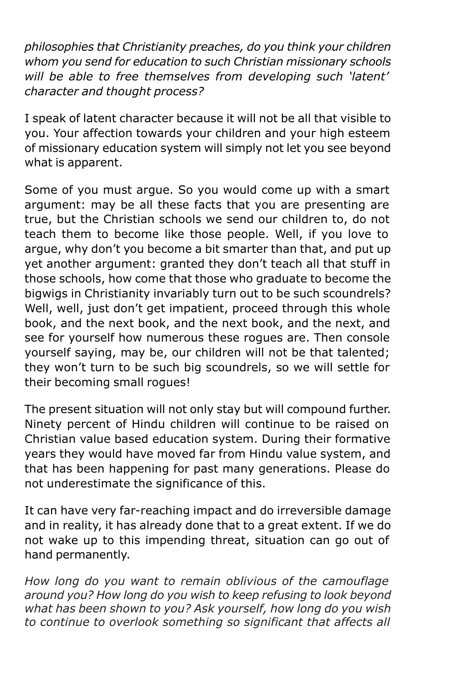*philosophies that Christianity preaches, do you think your children whom you send for education to such Christian missionary schools will be able to free themselves from developing such 'latent' character and thought process?*

I speak of latent character because it will not be all that visible to you. Your affection towards your children and your high esteem of missionary education system will simply not let you see beyond what is apparent.

Some of you must argue. So you would come up with a smart argument: may be all these facts that you are presenting are true, but the Christian schools we send our children to, do not teach them to become like those people. Well, if you love to argue, why don't you become a bit smarter than that, and put up yet another argument: granted they don't teach all that stuff in those schools, how come that those who graduate to become the bigwigs in Christianity invariably turn out to be such scoundrels? Well, well, just don't get impatient, proceed through this whole book, and the next book, and the next book, and the next, and see for yourself how numerous these rogues are. Then console yourself saying, may be, our children will not be that talented; they won't turn to be such big scoundrels, so we will settle for their becoming small rogues!

The present situation will not only stay but will compound further. Ninety percent of Hindu children will continue to be raised on Christian value based education system. During their formative years they would have moved far from Hindu value system, and that has been happening for past many generations. Please do not underestimate the significance of this.

It can have very far-reaching impact and do irreversible damage and in reality, it has already done that to a great extent. If we do not wake up to this impending threat, situation can go out of hand permanently.

*How long do you want to remain oblivious of the camouflage around you? How long do you wish to keep refusing to look beyond what has been shown to you? Ask yourself, how long do you wish to continue to overlook something so significant that affects all*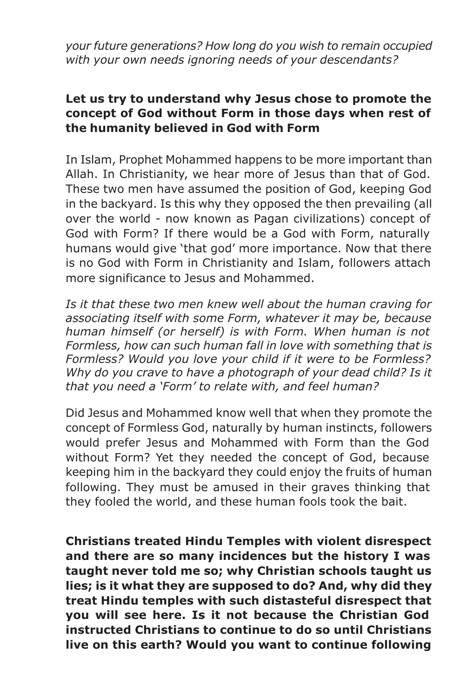*your future generations? How long do you wish to remain occupied with your own needs ignoring needs of your descendants?*

# **Let us try to understand why Jesus chose to promote the concept of God without Form in those days when rest of the humanity believed in God with Form**

In Islam, Prophet Mohammed happens to be more important than Allah. In Christianity, we hear more of Jesus than that of God. These two men have assumed the position of God, keeping God in the backyard. Is this why they opposed the then prevailing (all over the world - now known as Pagan civilizations) concept of God with Form? If there would be a God with Form, naturally humans would give 'that god' more importance. Now that there is no God with Form in Christianity and Islam, followers attach more significance to Jesus and Mohammed.

*Is it that these two men knew well about the human craving for associating itself with some Form, whatever it may be, because human himself (or herself) is with Form. When human is not Formless, how can such human fall in love with something that is Formless? Would you love your child if it were to be Formless? Why do you crave to have a photograph of your dead child? Is it that you need a 'Form' to relate with, and feel human?*

Did Jesus and Mohammed know well that when they promote the concept of Formless God, naturally by human instincts, followers would prefer Jesus and Mohammed with Form than the God without Form? Yet they needed the concept of God, because keeping him in the backyard they could enjoy the fruits of human following. They must be amused in their graves thinking that they fooled the world, and these human fools took the bait.

**Christians treated Hindu Temples with violent disrespect and there are so many incidences but the history I was taught never told me so; why Christian schools taught us lies; is it what they are supposed to do? And, why did they treat Hindu temples with such distasteful disrespect that you will see here. Is it not because the Christian God instructed Christians to continue to do so until Christians live on this earth? Would you want to continue following**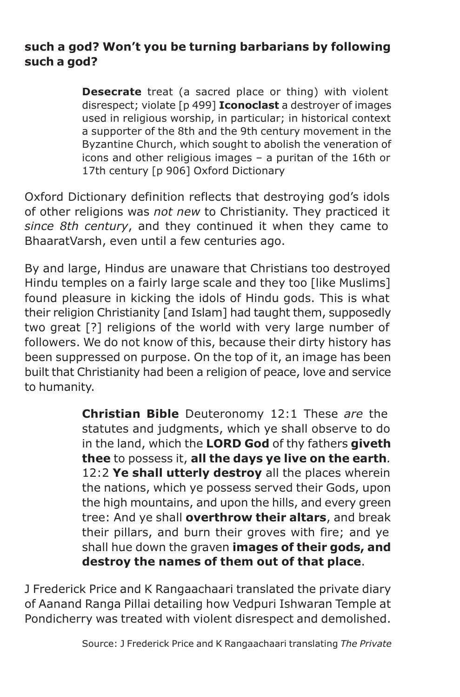# **such a god? Won't you be turning barbarians by following such a god?**

**Desecrate** treat (a sacred place or thing) with violent disrespect; violate [p 499] **Iconoclast** a destroyer of images used in religious worship, in particular; in historical context a supporter of the 8th and the 9th century movement in the Byzantine Church, which sought to abolish the veneration of icons and other religious images – a puritan of the 16th or 17th century [p 906] Oxford Dictionary

Oxford Dictionary definition reflects that destroying god's idols of other religions was *not new* to Christianity. They practiced it *since 8th century*, and they continued it when they came to BhaaratVarsh, even until a few centuries ago.

By and large, Hindus are unaware that Christians too destroyed Hindu temples on a fairly large scale and they too [like Muslims] found pleasure in kicking the idols of Hindu gods. This is what their religion Christianity [and Islam] had taught them, supposedly two great [?] religions of the world with very large number of followers. We do not know of this, because their dirty history has been suppressed on purpose. On the top of it, an image has been built that Christianity had been a religion of peace, love and service to humanity.

> **Christian Bible** Deuteronomy 12:1 These *are* the statutes and judgments, which ye shall observe to do in the land, which the **LORD God** of thy fathers **giveth thee** to possess it, **all the days ye live on the earth***.* 12:2 **Ye shall utterly destroy** all the places wherein the nations, which ye possess served their Gods, upon the high mountains, and upon the hills, and every green tree: And ye shall **overthrow their altars**, and break their pillars, and burn their groves with fire; and ye shall hue down the graven **images of their gods, and destroy the names of them out of that place**.

J Frederick Price and K Rangaachaari translated the private diary of Aanand Ranga Pillai detailing how Vedpuri Ishwaran Temple at Pondicherry was treated with violent disrespect and demolished.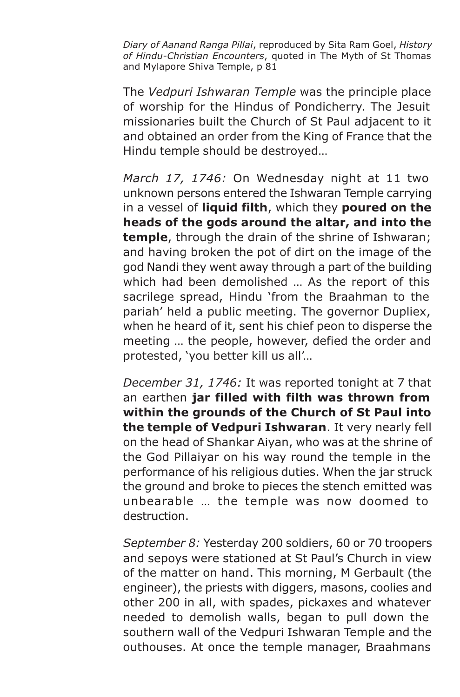*Diary of Aanand Ranga Pillai*, reproduced by Sita Ram Goel, *History of Hindu-Christian Encounters*, quoted in The Myth of St Thomas and Mylapore Shiva Temple, p 81

The *Vedpuri Ishwaran Temple* was the principle place of worship for the Hindus of Pondicherry. The Jesuit missionaries built the Church of St Paul adjacent to it and obtained an order from the King of France that the Hindu temple should be destroyed…

*March 17, 1746:* On Wednesday night at 11 two unknown persons entered the Ishwaran Temple carrying in a vessel of **liquid filth**, which they **poured on the heads of the gods around the altar, and into the temple**, through the drain of the shrine of Ishwaran; and having broken the pot of dirt on the image of the god Nandi they went away through a part of the building which had been demolished … As the report of this sacrilege spread, Hindu 'from the Braahman to the pariah' held a public meeting. The governor Dupliex, when he heard of it, sent his chief peon to disperse the meeting … the people, however, defied the order and protested, 'you better kill us all'…

*December 31, 1746:* It was reported tonight at 7 that an earthen **jar filled with filth was thrown from within the grounds of the Church of St Paul into the temple of Vedpuri Ishwaran**. It very nearly fell on the head of Shankar Aiyan, who was at the shrine of the God Pillaiyar on his way round the temple in the performance of his religious duties. When the jar struck the ground and broke to pieces the stench emitted was unbearable … the temple was now doomed to destruction.

*September 8:* Yesterday 200 soldiers, 60 or 70 troopers and sepoys were stationed at St Paul's Church in view of the matter on hand. This morning, M Gerbault (the engineer), the priests with diggers, masons, coolies and other 200 in all, with spades, pickaxes and whatever needed to demolish walls, began to pull down the southern wall of the Vedpuri Ishwaran Temple and the outhouses. At once the temple manager, Braahmans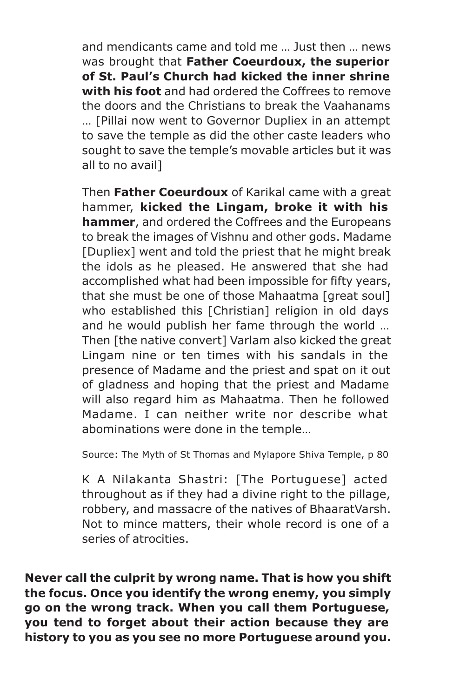and mendicants came and told me … Just then … news was brought that **Father Coeurdoux, the superior of St. Paul's Church had kicked the inner shrine with his foot** and had ordered the Coffrees to remove the doors and the Christians to break the Vaahanams … [Pillai now went to Governor Dupliex in an attempt to save the temple as did the other caste leaders who sought to save the temple's movable articles but it was all to no avail]

Then **Father Coeurdoux** of Karikal came with a great hammer, **kicked the Lingam, broke it with his hammer**, and ordered the Coffrees and the Europeans to break the images of Vishnu and other gods. Madame [Dupliex] went and told the priest that he might break the idols as he pleased. He answered that she had accomplished what had been impossible for fifty years, that she must be one of those Mahaatma [great soul] who established this [Christian] religion in old days and he would publish her fame through the world … Then [the native convert] Varlam also kicked the great Lingam nine or ten times with his sandals in the presence of Madame and the priest and spat on it out of gladness and hoping that the priest and Madame will also regard him as Mahaatma. Then he followed Madame. I can neither write nor describe what abominations were done in the temple…

Source: The Myth of St Thomas and Mylapore Shiva Temple, p 80

K A Nilakanta Shastri: [The Portuguese] acted throughout as if they had a divine right to the pillage, robbery, and massacre of the natives of BhaaratVarsh. Not to mince matters, their whole record is one of a series of atrocities.

**Never call the culprit by wrong name. That is how you shift the focus. Once you identify the wrong enemy, you simply go on the wrong track. When you call them Portuguese, you tend to forget about their action because they are history to you as you see no more Portuguese around you.**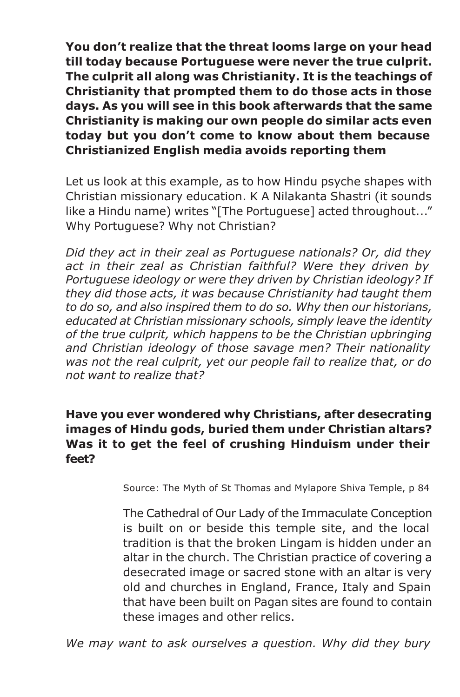**You don't realize that the threat looms large on your head till today because Portuguese were never the true culprit. The culprit all along was Christianity. It is the teachings of Christianity that prompted them to do those acts in those days. As you will see in this book afterwards that the same Christianity is making our own people do similar acts even today but you don't come to know about them because Christianized English media avoids reporting them**

Let us look at this example, as to how Hindu psyche shapes with Christian missionary education. K A Nilakanta Shastri (it sounds like a Hindu name) writes "[The Portuguese] acted throughout..." Why Portuguese? Why not Christian?

*Did they act in their zeal as Portuguese nationals? Or, did they act in their zeal as Christian faithful? Were they driven by Portuguese ideology or were they driven by Christian ideology? If they did those acts, it was because Christianity had taught them to do so, and also inspired them to do so. Why then our historians, educated at Christian missionary schools, simply leave the identity of the true culprit, which happens to be the Christian upbringing and Christian ideology of those savage men? Their nationality was not the real culprit, yet our people fail to realize that, or do not want to realize that?*

### **Have you ever wondered why Christians, after desecrating images of Hindu gods, buried them under Christian altars? Was it to get the feel of crushing Hinduism under their feet?**

Source: The Myth of St Thomas and Mylapore Shiva Temple, p 84

The Cathedral of Our Lady of the Immaculate Conception is built on or beside this temple site, and the local tradition is that the broken Lingam is hidden under an altar in the church. The Christian practice of covering a desecrated image or sacred stone with an altar is very old and churches in England, France, Italy and Spain that have been built on Pagan sites are found to contain these images and other relics.

*We may want to ask ourselves a question. Why did they bury*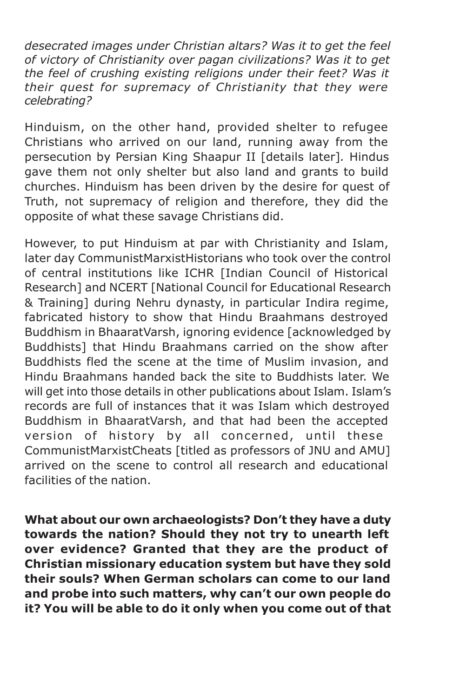*desecrated images under Christian altars? Was it to get the feel of victory of Christianity over pagan civilizations? Was it to get the feel of crushing existing religions under their feet? Was it their quest for supremacy of Christianity that they were celebrating?*

Hinduism, on the other hand, provided shelter to refugee Christians who arrived on our land, running away from the persecution by Persian King Shaapur II [details later]*.* Hindus gave them not only shelter but also land and grants to build churches. Hinduism has been driven by the desire for quest of Truth, not supremacy of religion and therefore, they did the opposite of what these savage Christians did.

However, to put Hinduism at par with Christianity and Islam, later day CommunistMarxistHistorians who took over the control of central institutions like ICHR [Indian Council of Historical Research] and NCERT [National Council for Educational Research & Training] during Nehru dynasty, in particular Indira regime, fabricated history to show that Hindu Braahmans destroyed Buddhism in BhaaratVarsh, ignoring evidence [acknowledged by Buddhists] that Hindu Braahmans carried on the show after Buddhists fled the scene at the time of Muslim invasion, and Hindu Braahmans handed back the site to Buddhists later. We will get into those details in other publications about Islam. Islam's records are full of instances that it was Islam which destroyed Buddhism in BhaaratVarsh, and that had been the accepted version of history by all concerned, until these CommunistMarxistCheats [titled as professors of JNU and AMU] arrived on the scene to control all research and educational facilities of the nation.

**What about our own archaeologists? Don't they have a duty towards the nation? Should they not try to unearth left over evidence? Granted that they are the product of Christian missionary education system but have they sold their souls? When German scholars can come to our land and probe into such matters, why can't our own people do it? You will be able to do it only when you come out of that**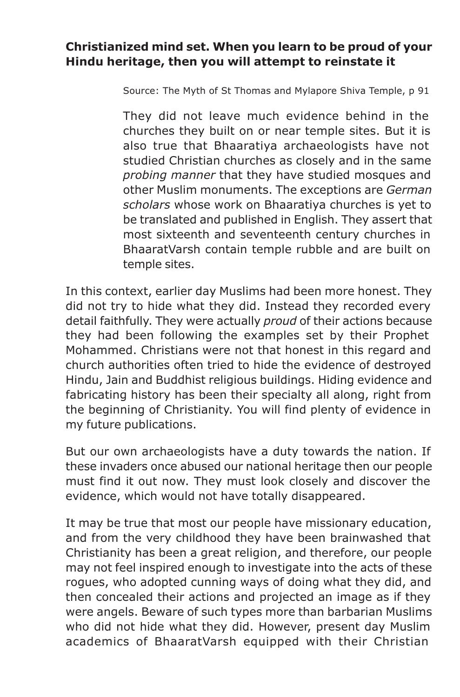## **Christianized mind set. When you learn to be proud of your Hindu heritage, then you will attempt to reinstate it**

Source: The Myth of St Thomas and Mylapore Shiva Temple, p 91

They did not leave much evidence behind in the churches they built on or near temple sites. But it is also true that Bhaaratiya archaeologists have not studied Christian churches as closely and in the same *probing manner* that they have studied mosques and other Muslim monuments. The exceptions are *German scholars* whose work on Bhaaratiya churches is yet to be translated and published in English. They assert that most sixteenth and seventeenth century churches in BhaaratVarsh contain temple rubble and are built on temple sites.

In this context, earlier day Muslims had been more honest. They did not try to hide what they did. Instead they recorded every detail faithfully. They were actually *proud* of their actions because they had been following the examples set by their Prophet Mohammed. Christians were not that honest in this regard and church authorities often tried to hide the evidence of destroyed Hindu, Jain and Buddhist religious buildings. Hiding evidence and fabricating history has been their specialty all along, right from the beginning of Christianity. You will find plenty of evidence in my future publications.

But our own archaeologists have a duty towards the nation. If these invaders once abused our national heritage then our people must find it out now. They must look closely and discover the evidence, which would not have totally disappeared.

It may be true that most our people have missionary education, and from the very childhood they have been brainwashed that Christianity has been a great religion, and therefore, our people may not feel inspired enough to investigate into the acts of these rogues, who adopted cunning ways of doing what they did, and then concealed their actions and projected an image as if they were angels. Beware of such types more than barbarian Muslims who did not hide what they did. However, present day Muslim academics of BhaaratVarsh equipped with their Christian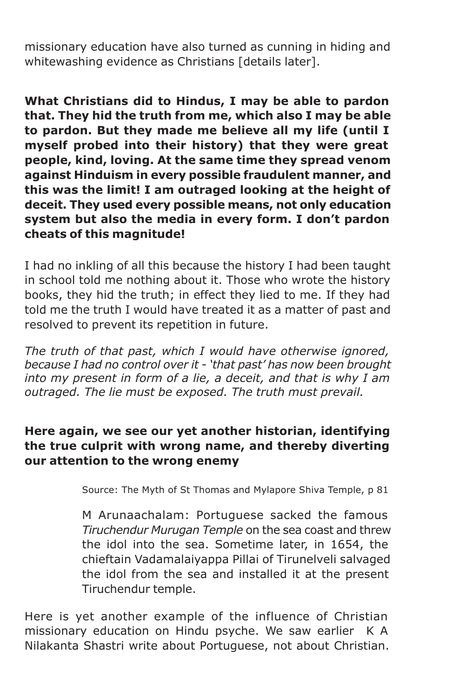missionary education have also turned as cunning in hiding and whitewashing evidence as Christians [details later].

**What Christians did to Hindus, I may be able to pardon that. They hid the truth from me, which also I may be able to pardon. But they made me believe all my life (until I myself probed into their history) that they were great people, kind, loving. At the same time they spread venom against Hinduism in every possible fraudulent manner, and this was the limit! I am outraged looking at the height of deceit. They used every possible means, not only education system but also the media in every form. I don't pardon cheats of this magnitude!**

I had no inkling of all this because the history I had been taught in school told me nothing about it. Those who wrote the history books, they hid the truth; in effect they lied to me. If they had told me the truth I would have treated it as a matter of past and resolved to prevent its repetition in future.

*The truth of that past, which I would have otherwise ignored, because I had no control over it - 'that past' has now been brought into my present in form of a lie, a deceit, and that is why I am outraged. The lie must be exposed. The truth must prevail.*

# **Here again, we see our yet another historian, identifying the true culprit with wrong name, and thereby diverting our attention to the wrong enemy**

Source: The Myth of St Thomas and Mylapore Shiva Temple, p 81

M Arunaachalam: Portuguese sacked the famous *Tiruchendur Murugan Temple* on the sea coast and threw the idol into the sea. Sometime later, in 1654, the chieftain Vadamalaiyappa Pillai of Tirunelveli salvaged the idol from the sea and installed it at the present Tiruchendur temple.

Here is yet another example of the influence of Christian missionary education on Hindu psyche. We saw earlier K A Nilakanta Shastri write about Portuguese, not about Christian.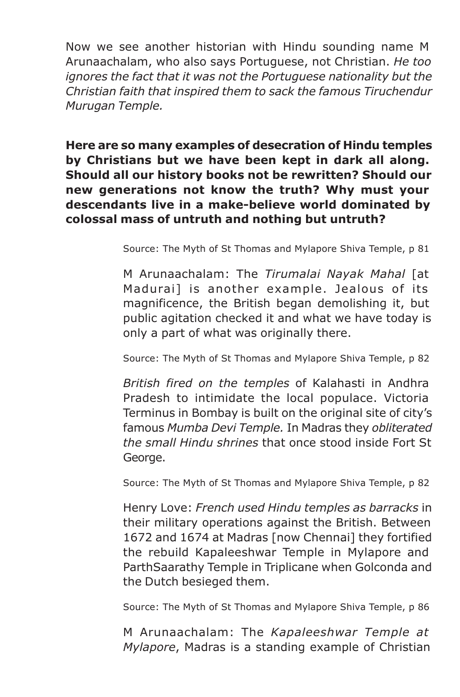Now we see another historian with Hindu sounding name M Arunaachalam, who also says Portuguese, not Christian. *He too ignores the fact that it was not the Portuguese nationality but the Christian faith that inspired them to sack the famous Tiruchendur Murugan Temple.*

**Here are so many examples of desecration of Hindu temples by Christians but we have been kept in dark all along. Should all our history books not be rewritten? Should our new generations not know the truth? Why must your descendants live in a make-believe world dominated by colossal mass of untruth and nothing but untruth?**

Source: The Myth of St Thomas and Mylapore Shiva Temple, p 81

M Arunaachalam: The *Tirumalai Nayak Mahal* [at Madurai] is another example. Jealous of its magnificence, the British began demolishing it, but public agitation checked it and what we have today is only a part of what was originally there.

Source: The Myth of St Thomas and Mylapore Shiva Temple, p 82

*British fired on the temples* of Kalahasti in Andhra Pradesh to intimidate the local populace. Victoria Terminus in Bombay is built on the original site of city's famous *Mumba Devi Temple.* In Madras they *obliterated the small Hindu shrines* that once stood inside Fort St George.

Source: The Myth of St Thomas and Mylapore Shiva Temple, p 82

Henry Love: *French used Hindu temples as barracks* in their military operations against the British. Between 1672 and 1674 at Madras [now Chennai] they fortified the rebuild Kapaleeshwar Temple in Mylapore and ParthSaarathy Temple in Triplicane when Golconda and the Dutch besieged them.

Source: The Myth of St Thomas and Mylapore Shiva Temple, p 86

M Arunaachalam: The *Kapaleeshwar Temple at Mylapore*, Madras is a standing example of Christian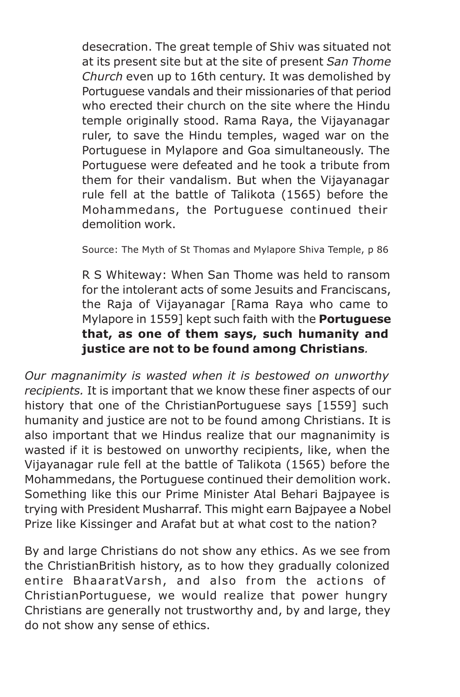desecration. The great temple of Shiv was situated not at its present site but at the site of present *San Thome Church* even up to 16th century. It was demolished by Portuguese vandals and their missionaries of that period who erected their church on the site where the Hindu temple originally stood. Rama Raya, the Vijayanagar ruler, to save the Hindu temples, waged war on the Portuguese in Mylapore and Goa simultaneously. The Portuguese were defeated and he took a tribute from them for their vandalism. But when the Vijayanagar rule fell at the battle of Talikota (1565) before the Mohammedans, the Portuguese continued their demolition work.

Source: The Myth of St Thomas and Mylapore Shiva Temple, p 86

R S Whiteway: When San Thome was held to ransom for the intolerant acts of some Jesuits and Franciscans, the Raja of Vijayanagar [Rama Raya who came to Mylapore in 1559] kept such faith with the **Portuguese that, as one of them says, such humanity and justice are not to be found among Christians***.*

*Our magnanimity is wasted when it is bestowed on unworthy recipients.* It is important that we know these finer aspects of our history that one of the ChristianPortuguese says [1559] such humanity and justice are not to be found among Christians. It is also important that we Hindus realize that our magnanimity is wasted if it is bestowed on unworthy recipients, like, when the Vijayanagar rule fell at the battle of Talikota (1565) before the Mohammedans, the Portuguese continued their demolition work. Something like this our Prime Minister Atal Behari Bajpayee is trying with President Musharraf. This might earn Bajpayee a Nobel Prize like Kissinger and Arafat but at what cost to the nation?

By and large Christians do not show any ethics. As we see from the ChristianBritish history, as to how they gradually colonized entire BhaaratVarsh, and also from the actions of ChristianPortuguese, we would realize that power hungry Christians are generally not trustworthy and, by and large, they do not show any sense of ethics.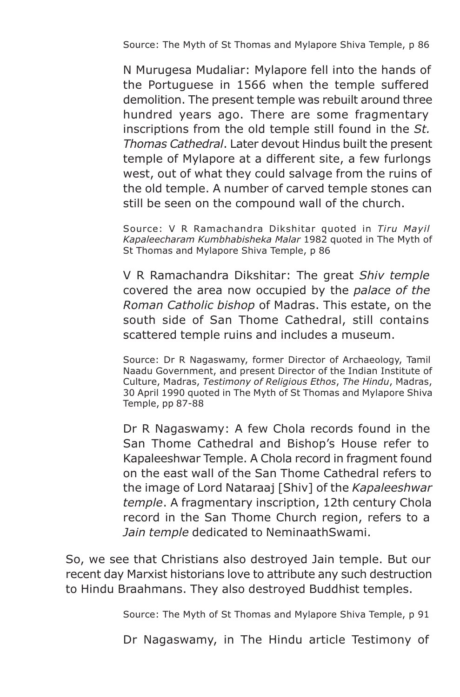Source: The Myth of St Thomas and Mylapore Shiva Temple, p 86

N Murugesa Mudaliar: Mylapore fell into the hands of the Portuguese in 1566 when the temple suffered demolition. The present temple was rebuilt around three hundred years ago. There are some fragmentary inscriptions from the old temple still found in the *St. Thomas Cathedral*. Later devout Hindus built the present temple of Mylapore at a different site, a few furlongs west, out of what they could salvage from the ruins of the old temple. A number of carved temple stones can still be seen on the compound wall of the church.

Source: V R Ramachandra Dikshitar quoted in *Tiru Mayil Kapaleecharam Kumbhabisheka Malar* 1982 quoted in The Myth of St Thomas and Mylapore Shiva Temple, p 86

V R Ramachandra Dikshitar: The great *Shiv temple* covered the area now occupied by the *palace of the Roman Catholic bishop* of Madras. This estate, on the south side of San Thome Cathedral, still contains scattered temple ruins and includes a museum.

Source: Dr R Nagaswamy, former Director of Archaeology, Tamil Naadu Government, and present Director of the Indian Institute of Culture, Madras, *Testimony of Religious Ethos*, *The Hindu*, Madras, 30 April 1990 quoted in The Myth of St Thomas and Mylapore Shiva Temple, pp 87-88

Dr R Nagaswamy: A few Chola records found in the San Thome Cathedral and Bishop's House refer to Kapaleeshwar Temple. A Chola record in fragment found on the east wall of the San Thome Cathedral refers to the image of Lord Nataraaj [Shiv] of the *Kapaleeshwar temple*. A fragmentary inscription, 12th century Chola record in the San Thome Church region, refers to a *Jain temple* dedicated to NeminaathSwami.

So, we see that Christians also destroyed Jain temple. But our recent day Marxist historians love to attribute any such destruction to Hindu Braahmans. They also destroyed Buddhist temples.

Source: The Myth of St Thomas and Mylapore Shiva Temple, p 91

Dr Nagaswamy, in The Hindu article Testimony of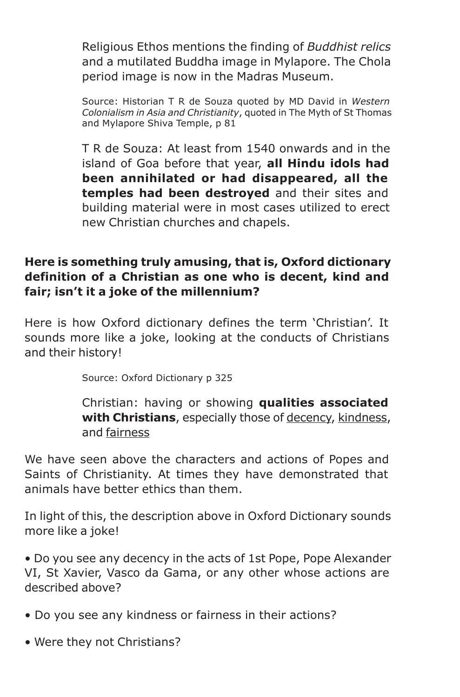Religious Ethos mentions the finding of *Buddhist relics* and a mutilated Buddha image in Mylapore. The Chola period image is now in the Madras Museum.

Source: Historian T R de Souza quoted by MD David in *Western Colonialism in Asia and Christianity*, quoted in The Myth of St Thomas and Mylapore Shiva Temple, p 81

T R de Souza: At least from 1540 onwards and in the island of Goa before that year, **all Hindu idols had been annihilated or had disappeared, all the temples had been destroyed** and their sites and building material were in most cases utilized to erect new Christian churches and chapels.

### **Here is something truly amusing, that is, Oxford dictionary definition of a Christian as one who is decent, kind and fair; isn't it a joke of the millennium?**

Here is how Oxford dictionary defines the term 'Christian'. It sounds more like a joke, looking at the conducts of Christians and their history!

Source: Oxford Dictionary p 325

Christian: having or showing **qualities associated with Christians**, especially those of decency, kindness, and fairness

We have seen above the characters and actions of Popes and Saints of Christianity. At times they have demonstrated that animals have better ethics than them.

In light of this, the description above in Oxford Dictionary sounds more like a joke!

• Do you see any decency in the acts of 1st Pope, Pope Alexander VI, St Xavier, Vasco da Gama, or any other whose actions are described above?

- Do you see any kindness or fairness in their actions?
- Were they not Christians?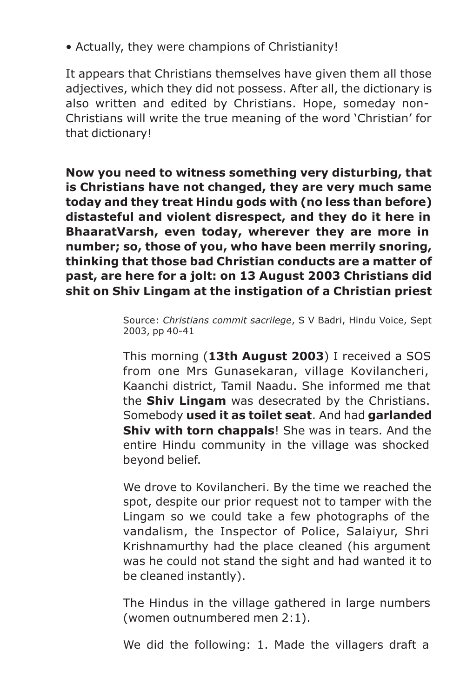• Actually, they were champions of Christianity!

It appears that Christians themselves have given them all those adjectives, which they did not possess. After all, the dictionary is also written and edited by Christians. Hope, someday non-Christians will write the true meaning of the word 'Christian' for that dictionary!

**Now you need to witness something very disturbing, that is Christians have not changed, they are very much same today and they treat Hindu gods with (no less than before) distasteful and violent disrespect, and they do it here in BhaaratVarsh, even today, wherever they are more in number; so, those of you, who have been merrily snoring, thinking that those bad Christian conducts are a matter of past, are here for a jolt: on 13 August 2003 Christians did shit on Shiv Lingam at the instigation of a Christian priest**

> Source: *Christians commit sacrilege*, S V Badri, Hindu Voice, Sept 2003, pp 40-41

> This morning (**13th August 2003**) I received a SOS from one Mrs Gunasekaran, village Kovilancheri, Kaanchi district, Tamil Naadu. She informed me that the **Shiv Lingam** was desecrated by the Christians. Somebody **used it as toilet seat**. And had **garlanded Shiv with torn chappals**! She was in tears. And the entire Hindu community in the village was shocked beyond belief.

> We drove to Kovilancheri. By the time we reached the spot, despite our prior request not to tamper with the Lingam so we could take a few photographs of the vandalism, the Inspector of Police, Salaiyur, Shri Krishnamurthy had the place cleaned (his argument was he could not stand the sight and had wanted it to be cleaned instantly).

> The Hindus in the village gathered in large numbers (women outnumbered men 2:1).

> We did the following: 1. Made the villagers draft a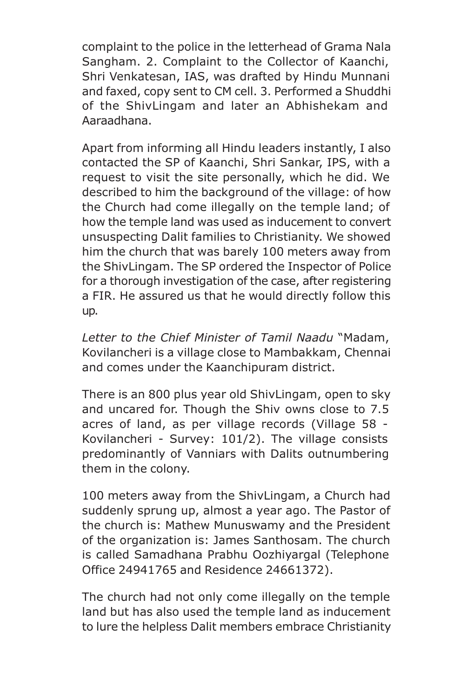complaint to the police in the letterhead of Grama Nala Sangham. 2. Complaint to the Collector of Kaanchi, Shri Venkatesan, IAS, was drafted by Hindu Munnani and faxed, copy sent to CM cell. 3. Performed a Shuddhi of the ShivLingam and later an Abhishekam and Aaraadhana.

Apart from informing all Hindu leaders instantly, I also contacted the SP of Kaanchi, Shri Sankar, IPS, with a request to visit the site personally, which he did. We described to him the background of the village: of how the Church had come illegally on the temple land; of how the temple land was used as inducement to convert unsuspecting Dalit families to Christianity. We showed him the church that was barely 100 meters away from the ShivLingam. The SP ordered the Inspector of Police for a thorough investigation of the case, after registering a FIR. He assured us that he would directly follow this up.

*Letter to the Chief Minister of Tamil Naadu* "Madam, Kovilancheri is a village close to Mambakkam, Chennai and comes under the Kaanchipuram district.

There is an 800 plus year old ShivLingam, open to sky and uncared for. Though the Shiv owns close to 7.5 acres of land, as per village records (Village 58 - Kovilancheri - Survey: 101/2). The village consists predominantly of Vanniars with Dalits outnumbering them in the colony.

100 meters away from the ShivLingam, a Church had suddenly sprung up, almost a year ago. The Pastor of the church is: Mathew Munuswamy and the President of the organization is: James Santhosam. The church is called Samadhana Prabhu Oozhiyargal (Telephone Office 24941765 and Residence 24661372).

The church had not only come illegally on the temple land but has also used the temple land as inducement to lure the helpless Dalit members embrace Christianity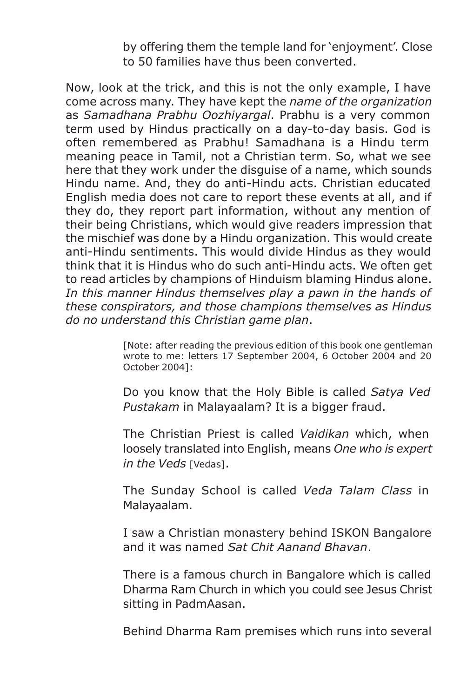by offering them the temple land for 'enjoyment'. Close to 50 families have thus been converted.

Now, look at the trick, and this is not the only example, I have come across many. They have kept the *name of the organization* as *Samadhana Prabhu Oozhiyargal*. Prabhu is a very common term used by Hindus practically on a day-to-day basis. God is often remembered as Prabhu! Samadhana is a Hindu term meaning peace in Tamil, not a Christian term. So, what we see here that they work under the disguise of a name, which sounds Hindu name. And, they do anti-Hindu acts. Christian educated English media does not care to report these events at all, and if they do, they report part information, without any mention of their being Christians, which would give readers impression that the mischief was done by a Hindu organization. This would create anti-Hindu sentiments. This would divide Hindus as they would think that it is Hindus who do such anti-Hindu acts. We often get to read articles by champions of Hinduism blaming Hindus alone. *In this manner Hindus themselves play a pawn in the hands of these conspirators, and those champions themselves as Hindus do no understand this Christian game plan*.

> [Note: after reading the previous edition of this book one gentleman wrote to me: letters 17 September 2004, 6 October 2004 and 20 October 2004]:

> Do you know that the Holy Bible is called *Satya Ved Pustakam* in Malayaalam? It is a bigger fraud.

> The Christian Priest is called *Vaidikan* which, when loosely translated into English, means *One who is expert in the Veds* [Vedas].

The Sunday School is called *Veda Talam Class* in Malayaalam.

I saw a Christian monastery behind ISKON Bangalore and it was named *Sat Chit Aanand Bhavan*.

There is a famous church in Bangalore which is called Dharma Ram Church in which you could see Jesus Christ sitting in PadmAasan.

Behind Dharma Ram premises which runs into several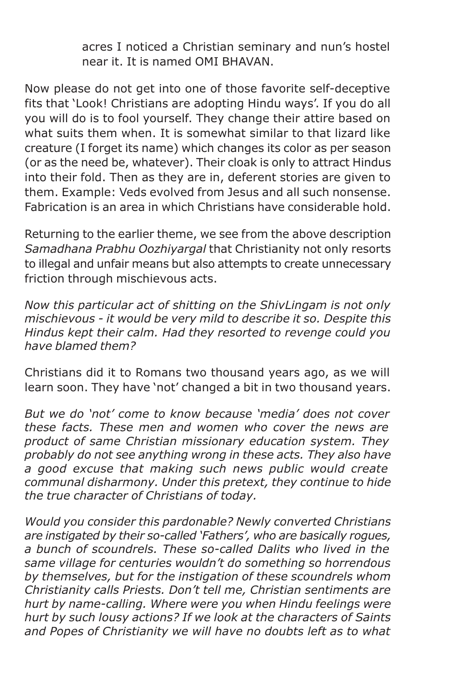acres I noticed a Christian seminary and nun's hostel near it. It is named OMI BHAVAN.

Now please do not get into one of those favorite self-deceptive fits that 'Look! Christians are adopting Hindu ways'. If you do all you will do is to fool yourself. They change their attire based on what suits them when. It is somewhat similar to that lizard like creature (I forget its name) which changes its color as per season (or as the need be, whatever). Their cloak is only to attract Hindus into their fold. Then as they are in, deferent stories are given to them. Example: Veds evolved from Jesus and all such nonsense. Fabrication is an area in which Christians have considerable hold.

Returning to the earlier theme, we see from the above description *Samadhana Prabhu Oozhiyargal* that Christianity not only resorts to illegal and unfair means but also attempts to create unnecessary friction through mischievous acts.

*Now this particular act of shitting on the ShivLingam is not only mischievous - it would be very mild to describe it so. Despite this Hindus kept their calm. Had they resorted to revenge could you have blamed them?*

Christians did it to Romans two thousand years ago, as we will learn soon. They have 'not' changed a bit in two thousand years.

*But we do 'not' come to know because 'media' does not cover these facts. These men and women who cover the news are product of same Christian missionary education system. They probably do not see anything wrong in these acts. They also have a good excuse that making such news public would create communal disharmony. Under this pretext, they continue to hide the true character of Christians of today.*

*Would you consider this pardonable? Newly converted Christians are instigated by their so-called 'Fathers', who are basically rogues, a bunch of scoundrels. These so-called Dalits who lived in the same village for centuries wouldn't do something so horrendous by themselves, but for the instigation of these scoundrels whom Christianity calls Priests. Don't tell me, Christian sentiments are hurt by name-calling. Where were you when Hindu feelings were hurt by such lousy actions? If we look at the characters of Saints and Popes of Christianity we will have no doubts left as to what*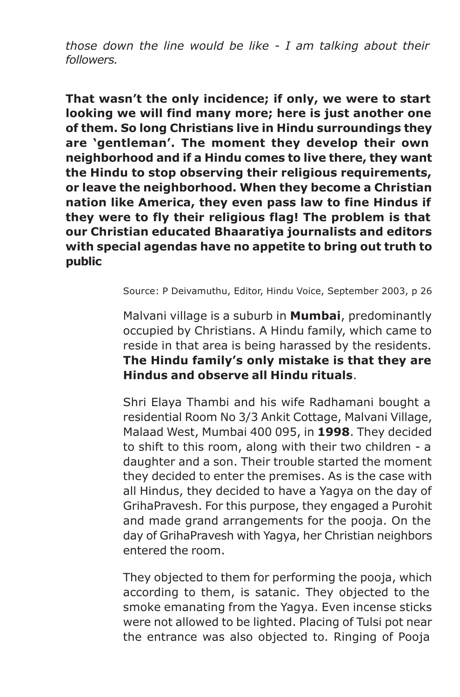*those down the line would be like - I am talking about their followers.*

**That wasn't the only incidence; if only, we were to start looking we will find many more; here is just another one of them. So long Christians live in Hindu surroundings they are 'gentleman'. The moment they develop their own neighborhood and if a Hindu comes to live there, they want the Hindu to stop observing their religious requirements, or leave the neighborhood. When they become a Christian nation like America, they even pass law to fine Hindus if they were to fly their religious flag! The problem is that our Christian educated Bhaaratiya journalists and editors with special agendas have no appetite to bring out truth to public**

Source: P Deivamuthu, Editor, Hindu Voice, September 2003, p 26

Malvani village is a suburb in **Mumbai**, predominantly occupied by Christians. A Hindu family, which came to reside in that area is being harassed by the residents. **The Hindu family's only mistake is that they are Hindus and observe all Hindu rituals**.

Shri Elaya Thambi and his wife Radhamani bought a residential Room No 3/3 Ankit Cottage, Malvani Village, Malaad West, Mumbai 400 095, in **1998**. They decided to shift to this room, along with their two children - a daughter and a son. Their trouble started the moment they decided to enter the premises. As is the case with all Hindus, they decided to have a Yagya on the day of GrihaPravesh. For this purpose, they engaged a Purohit and made grand arrangements for the pooja. On the day of GrihaPravesh with Yagya, her Christian neighbors entered the room.

They objected to them for performing the pooja, which according to them, is satanic. They objected to the smoke emanating from the Yagya. Even incense sticks were not allowed to be lighted. Placing of Tulsi pot near the entrance was also objected to. Ringing of Pooja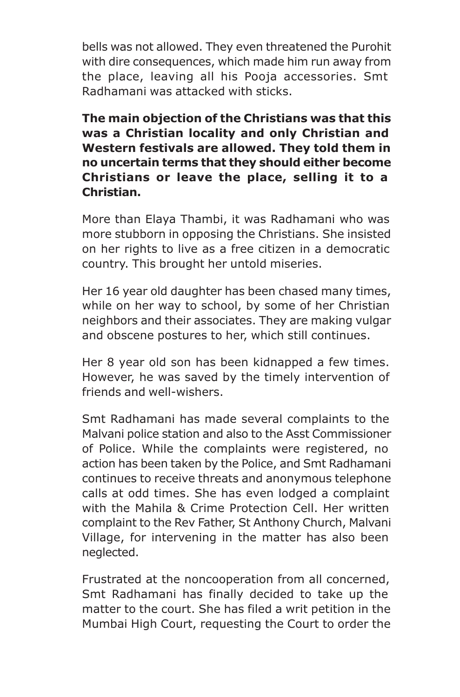bells was not allowed. They even threatened the Purohit with dire consequences, which made him run away from the place, leaving all his Pooja accessories. Smt Radhamani was attacked with sticks.

**The main objection of the Christians was that this was a Christian locality and only Christian and Western festivals are allowed. They told them in no uncertain terms that they should either become Christians or leave the place, selling it to a Christian.**

More than Elaya Thambi, it was Radhamani who was more stubborn in opposing the Christians. She insisted on her rights to live as a free citizen in a democratic country. This brought her untold miseries.

Her 16 year old daughter has been chased many times, while on her way to school, by some of her Christian neighbors and their associates. They are making vulgar and obscene postures to her, which still continues.

Her 8 year old son has been kidnapped a few times. However, he was saved by the timely intervention of friends and well-wishers.

Smt Radhamani has made several complaints to the Malvani police station and also to the Asst Commissioner of Police. While the complaints were registered, no action has been taken by the Police, and Smt Radhamani continues to receive threats and anonymous telephone calls at odd times. She has even lodged a complaint with the Mahila & Crime Protection Cell. Her written complaint to the Rev Father, St Anthony Church, Malvani Village, for intervening in the matter has also been neglected.

Frustrated at the noncooperation from all concerned, Smt Radhamani has finally decided to take up the matter to the court. She has filed a writ petition in the Mumbai High Court, requesting the Court to order the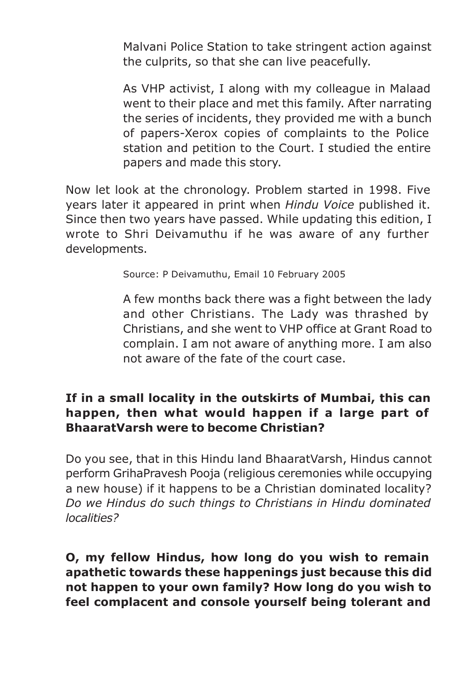Malvani Police Station to take stringent action against the culprits, so that she can live peacefully.

As VHP activist, I along with my colleague in Malaad went to their place and met this family. After narrating the series of incidents, they provided me with a bunch of papers-Xerox copies of complaints to the Police station and petition to the Court. I studied the entire papers and made this story.

Now let look at the chronology. Problem started in 1998. Five years later it appeared in print when *Hindu Voice* published it. Since then two years have passed. While updating this edition, I wrote to Shri Deivamuthu if he was aware of any further developments.

Source: P Deivamuthu, Email 10 February 2005

A few months back there was a fight between the lady and other Christians. The Lady was thrashed by Christians, and she went to VHP office at Grant Road to complain. I am not aware of anything more. I am also not aware of the fate of the court case.

## **If in a small locality in the outskirts of Mumbai, this can happen, then what would happen if a large part of BhaaratVarsh were to become Christian?**

Do you see, that in this Hindu land BhaaratVarsh, Hindus cannot perform GrihaPravesh Pooja (religious ceremonies while occupying a new house) if it happens to be a Christian dominated locality? *Do we Hindus do such things to Christians in Hindu dominated localities?*

**O, my fellow Hindus, how long do you wish to remain apathetic towards these happenings just because this did not happen to your own family? How long do you wish to feel complacent and console yourself being tolerant and**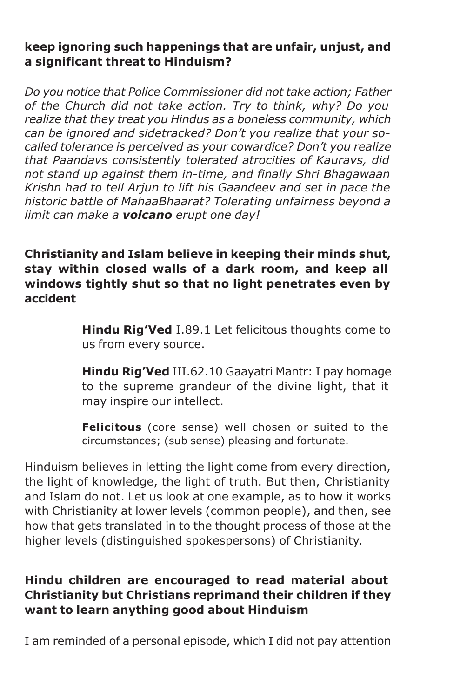## **keep ignoring such happenings that are unfair, unjust, and a significant threat to Hinduism?**

*Do you notice that Police Commissioner did not take action; Father of the Church did not take action. Try to think, why? Do you realize that they treat you Hindus as a boneless community, which can be ignored and sidetracked? Don't you realize that your socalled tolerance is perceived as your cowardice? Don't you realize that Paandavs consistently tolerated atrocities of Kauravs, did not stand up against them in-time, and finally Shri Bhagawaan Krishn had to tell Arjun to lift his Gaandeev and set in pace the historic battle of MahaaBhaarat? Tolerating unfairness beyond a limit can make a volcano erupt one day!*

**Christianity and Islam believe in keeping their minds shut, stay within closed walls of a dark room, and keep all windows tightly shut so that no light penetrates even by accident**

> **Hindu Rig'Ved** I.89.1 Let felicitous thoughts come to us from every source.

> **Hindu Rig'Ved** III.62.10 Gaayatri Mantr: I pay homage to the supreme grandeur of the divine light, that it may inspire our intellect.

> **Felicitous** (core sense) well chosen or suited to the circumstances; (sub sense) pleasing and fortunate.

Hinduism believes in letting the light come from every direction, the light of knowledge, the light of truth. But then, Christianity and Islam do not. Let us look at one example, as to how it works with Christianity at lower levels (common people), and then, see how that gets translated in to the thought process of those at the higher levels (distinguished spokespersons) of Christianity.

# **Hindu children are encouraged to read material about Christianity but Christians reprimand their children if they want to learn anything good about Hinduism**

I am reminded of a personal episode, which I did not pay attention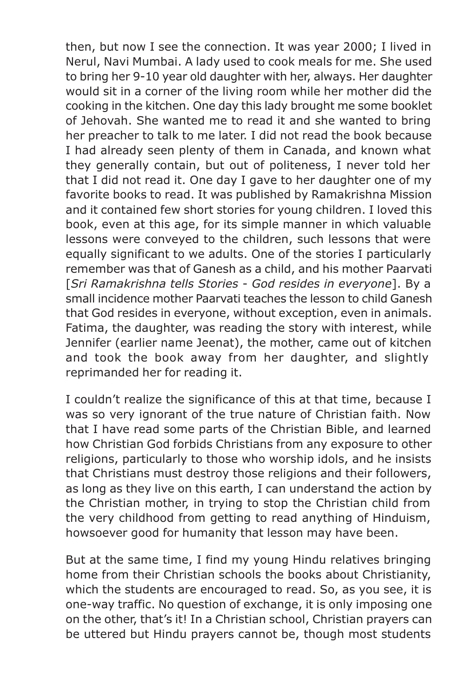then, but now I see the connection. It was year 2000; I lived in Nerul, Navi Mumbai. A lady used to cook meals for me. She used to bring her 9-10 year old daughter with her, always. Her daughter would sit in a corner of the living room while her mother did the cooking in the kitchen. One day this lady brought me some booklet of Jehovah. She wanted me to read it and she wanted to bring her preacher to talk to me later. I did not read the book because I had already seen plenty of them in Canada, and known what they generally contain, but out of politeness, I never told her that I did not read it. One day I gave to her daughter one of my favorite books to read. It was published by Ramakrishna Mission and it contained few short stories for young children. I loved this book, even at this age, for its simple manner in which valuable lessons were conveyed to the children, such lessons that were equally significant to we adults. One of the stories I particularly remember was that of Ganesh as a child, and his mother Paarvati [*Sri Ramakrishna tells Stories* - *God resides in everyone*]. By a small incidence mother Paarvati teaches the lesson to child Ganesh that God resides in everyone, without exception, even in animals. Fatima, the daughter, was reading the story with interest, while Jennifer (earlier name Jeenat), the mother, came out of kitchen and took the book away from her daughter, and slightly reprimanded her for reading it.

I couldn't realize the significance of this at that time, because I was so very ignorant of the true nature of Christian faith. Now that I have read some parts of the Christian Bible, and learned how Christian God forbids Christians from any exposure to other religions, particularly to those who worship idols, and he insists that Christians must destroy those religions and their followers, as long as they live on this earth*,* I can understand the action by the Christian mother, in trying to stop the Christian child from the very childhood from getting to read anything of Hinduism, howsoever good for humanity that lesson may have been.

But at the same time, I find my young Hindu relatives bringing home from their Christian schools the books about Christianity, which the students are encouraged to read. So, as you see, it is one-way traffic. No question of exchange, it is only imposing one on the other, that's it! In a Christian school, Christian prayers can be uttered but Hindu prayers cannot be, though most students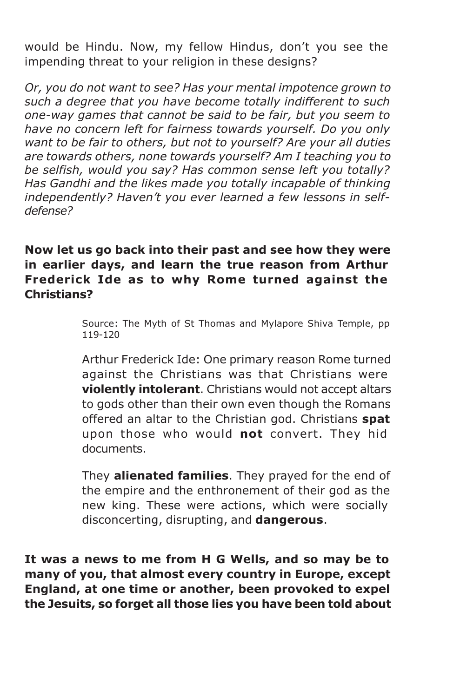would be Hindu. Now, my fellow Hindus, don't you see the impending threat to your religion in these designs?

*Or, you do not want to see? Has your mental impotence grown to such a degree that you have become totally indifferent to such one-way games that cannot be said to be fair, but you seem to have no concern left for fairness towards yourself. Do you only want to be fair to others, but not to yourself? Are your all duties are towards others, none towards yourself? Am I teaching you to be selfish, would you say? Has common sense left you totally? Has Gandhi and the likes made you totally incapable of thinking independently? Haven't you ever learned a few lessons in selfdefense?*

**Now let us go back into their past and see how they were in earlier days, and learn the true reason from Arthur Frederick Ide as to why Rome turned against the Christians?**

> Source: The Myth of St Thomas and Mylapore Shiva Temple, pp 119-120

> Arthur Frederick Ide: One primary reason Rome turned against the Christians was that Christians were **violently intolerant**. Christians would not accept altars to gods other than their own even though the Romans offered an altar to the Christian god. Christians **spat** upon those who would **not** convert. They hid documents.

> They **alienated families**. They prayed for the end of the empire and the enthronement of their god as the new king. These were actions, which were socially disconcerting, disrupting, and **dangerous**.

**It was a news to me from H G Wells, and so may be to many of you, that almost every country in Europe, except England, at one time or another, been provoked to expel the Jesuits, so forget all those lies you have been told about**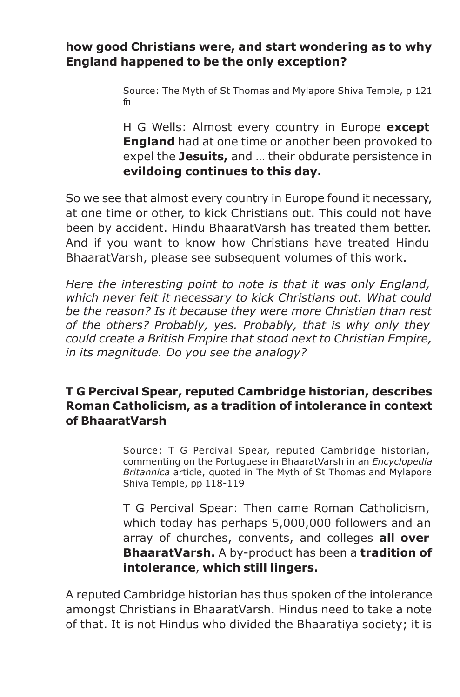## **how good Christians were, and start wondering as to why England happened to be the only exception?**

Source: The Myth of St Thomas and Mylapore Shiva Temple, p 121 fn

H G Wells: Almost every country in Europe **except England** had at one time or another been provoked to expel the **Jesuits,** and … their obdurate persistence in **evildoing continues to this day.**

So we see that almost every country in Europe found it necessary, at one time or other, to kick Christians out. This could not have been by accident. Hindu BhaaratVarsh has treated them better. And if you want to know how Christians have treated Hindu BhaaratVarsh, please see subsequent volumes of this work.

*Here the interesting point to note is that it was only England, which never felt it necessary to kick Christians out. What could be the reason? Is it because they were more Christian than rest of the others? Probably, yes. Probably, that is why only they could create a British Empire that stood next to Christian Empire, in its magnitude. Do you see the analogy?*

# **T G Percival Spear, reputed Cambridge historian, describes Roman Catholicism, as a tradition of intolerance in context of BhaaratVarsh**

Source: T G Percival Spear, reputed Cambridge historian, commenting on the Portuguese in BhaaratVarsh in an *Encyclopedia Britannica* article, quoted in The Myth of St Thomas and Mylapore Shiva Temple, pp 118-119

T G Percival Spear: Then came Roman Catholicism, which today has perhaps 5,000,000 followers and an array of churches, convents, and colleges **all over BhaaratVarsh.** A by-product has been a **tradition of intolerance**, **which still lingers.**

A reputed Cambridge historian has thus spoken of the intolerance amongst Christians in BhaaratVarsh. Hindus need to take a note of that. It is not Hindus who divided the Bhaaratiya society; it is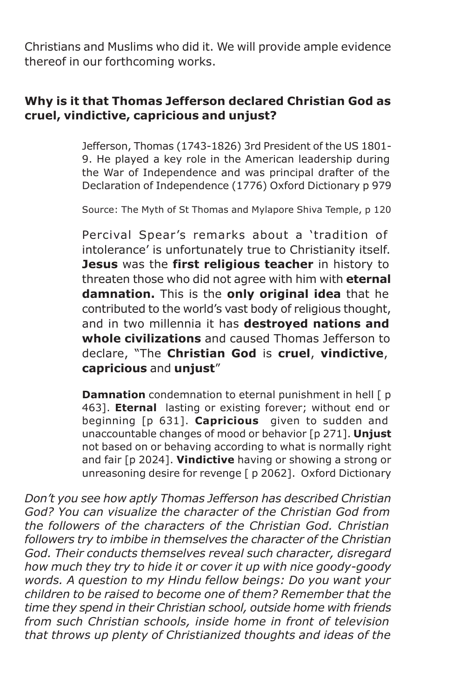Christians and Muslims who did it. We will provide ample evidence thereof in our forthcoming works.

## **Why is it that Thomas Jefferson declared Christian God as cruel, vindictive, capricious and unjust?**

Jefferson, Thomas (1743-1826) 3rd President of the US 1801- 9. He played a key role in the American leadership during the War of Independence and was principal drafter of the Declaration of Independence (1776) Oxford Dictionary p 979

Source: The Myth of St Thomas and Mylapore Shiva Temple, p 120

Percival Spear's remarks about a 'tradition of intolerance' is unfortunately true to Christianity itself. **Jesus** was the **first religious teacher** in history to threaten those who did not agree with him with **eternal damnation.** This is the **only original idea** that he contributed to the world's vast body of religious thought, and in two millennia it has **destroyed nations and whole civilizations** and caused Thomas Jefferson to declare, "The **Christian God** is **cruel**, **vindictive**, **capricious** and **unjust**"

**Damnation** condemnation to eternal punishment in hell [p 463]. **Eternal** lasting or existing forever; without end or beginning [p 631]. **Capricious** given to sudden and unaccountable changes of mood or behavior [p 271]. **Unjust** not based on or behaving according to what is normally right and fair [p 2024]. **Vindictive** having or showing a strong or unreasoning desire for revenge [ p 2062]. Oxford Dictionary

*Don't you see how aptly Thomas Jefferson has described Christian God? You can visualize the character of the Christian God from the followers of the characters of the Christian God. Christian followers try to imbibe in themselves the character of the Christian God. Their conducts themselves reveal such character, disregard how much they try to hide it or cover it up with nice goody-goody words. A question to my Hindu fellow beings: Do you want your children to be raised to become one of them? Remember that the time they spend in their Christian school, outside home with friends from such Christian schools, inside home in front of television that throws up plenty of Christianized thoughts and ideas of the*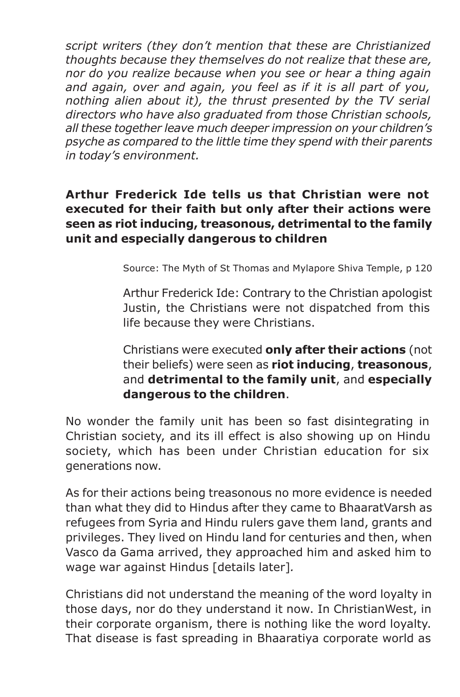*script writers (they don't mention that these are Christianized thoughts because they themselves do not realize that these are, nor do you realize because when you see or hear a thing again and again, over and again, you feel as if it is all part of you, nothing alien about it), the thrust presented by the TV serial directors who have also graduated from those Christian schools, all these together leave much deeper impression on your children's psyche as compared to the little time they spend with their parents in today's environment.*

### **Arthur Frederick Ide tells us that Christian were not executed for their faith but only after their actions were seen as riot inducing, treasonous, detrimental to the family unit and especially dangerous to children**

Source: The Myth of St Thomas and Mylapore Shiva Temple, p 120

Arthur Frederick Ide: Contrary to the Christian apologist Justin, the Christians were not dispatched from this life because they were Christians.

Christians were executed **only after their actions** (not their beliefs) were seen as **riot inducing**, **treasonous**, and **detrimental to the family unit**, and **especially dangerous to the children**.

No wonder the family unit has been so fast disintegrating in Christian society, and its ill effect is also showing up on Hindu society, which has been under Christian education for six generations now.

As for their actions being treasonous no more evidence is needed than what they did to Hindus after they came to BhaaratVarsh as refugees from Syria and Hindu rulers gave them land, grants and privileges. They lived on Hindu land for centuries and then, when Vasco da Gama arrived, they approached him and asked him to wage war against Hindus [details later]*.*

Christians did not understand the meaning of the word loyalty in those days, nor do they understand it now. In ChristianWest, in their corporate organism, there is nothing like the word loyalty. That disease is fast spreading in Bhaaratiya corporate world as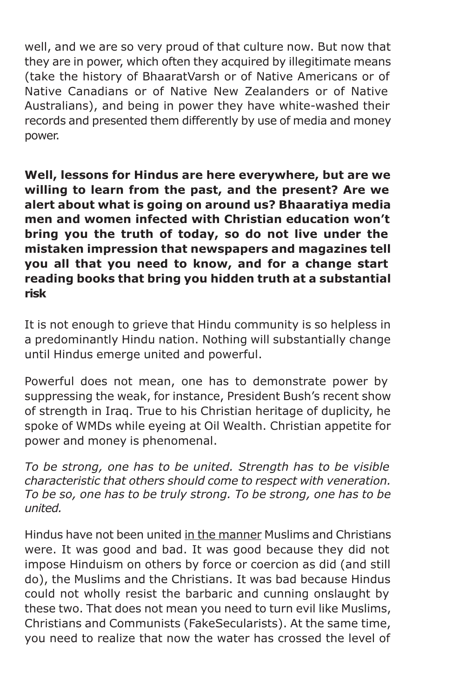well, and we are so very proud of that culture now. But now that they are in power, which often they acquired by illegitimate means (take the history of BhaaratVarsh or of Native Americans or of Native Canadians or of Native New Zealanders or of Native Australians), and being in power they have white-washed their records and presented them differently by use of media and money power.

**Well, lessons for Hindus are here everywhere, but are we willing to learn from the past, and the present? Are we alert about what is going on around us? Bhaaratiya media men and women infected with Christian education won't bring you the truth of today, so do not live under the mistaken impression that newspapers and magazines tell you all that you need to know, and for a change start reading books that bring you hidden truth at a substantial risk**

It is not enough to grieve that Hindu community is so helpless in a predominantly Hindu nation. Nothing will substantially change until Hindus emerge united and powerful.

Powerful does not mean, one has to demonstrate power by suppressing the weak, for instance, President Bush's recent show of strength in Iraq. True to his Christian heritage of duplicity, he spoke of WMDs while eyeing at Oil Wealth. Christian appetite for power and money is phenomenal.

*To be strong, one has to be united. Strength has to be visible characteristic that others should come to respect with veneration. To be so, one has to be truly strong. To be strong, one has to be united.*

Hindus have not been united in the manner Muslims and Christians were. It was good and bad. It was good because they did not impose Hinduism on others by force or coercion as did (and still do), the Muslims and the Christians. It was bad because Hindus could not wholly resist the barbaric and cunning onslaught by these two. That does not mean you need to turn evil like Muslims, Christians and Communists (FakeSecularists). At the same time, you need to realize that now the water has crossed the level of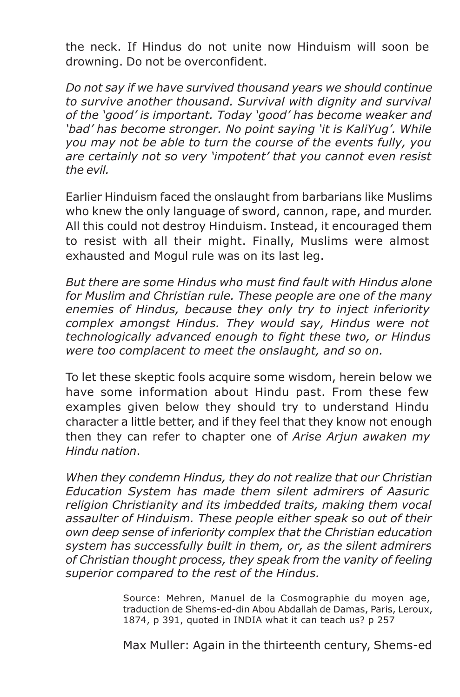the neck. If Hindus do not unite now Hinduism will soon be drowning. Do not be overconfident.

*Do not say if we have survived thousand years we should continue to survive another thousand. Survival with dignity and survival of the 'good' is important. Today 'good' has become weaker and 'bad' has become stronger. No point saying 'it is KaliYug'. While you may not be able to turn the course of the events fully, you are certainly not so very 'impotent' that you cannot even resist the evil.*

Earlier Hinduism faced the onslaught from barbarians like Muslims who knew the only language of sword, cannon, rape, and murder. All this could not destroy Hinduism. Instead, it encouraged them to resist with all their might. Finally, Muslims were almost exhausted and Mogul rule was on its last leg.

*But there are some Hindus who must find fault with Hindus alone for Muslim and Christian rule. These people are one of the many enemies of Hindus, because they only try to inject inferiority complex amongst Hindus. They would say, Hindus were not technologically advanced enough to fight these two, or Hindus were too complacent to meet the onslaught, and so on.*

To let these skeptic fools acquire some wisdom, herein below we have some information about Hindu past. From these few examples given below they should try to understand Hindu character a little better, and if they feel that they know not enough then they can refer to chapter one of *Arise Arjun awaken my Hindu nation*.

*When they condemn Hindus, they do not realize that our Christian Education System has made them silent admirers of Aasuric religion Christianity and its imbedded traits, making them vocal assaulter of Hinduism. These people either speak so out of their own deep sense of inferiority complex that the Christian education system has successfully built in them, or, as the silent admirers of Christian thought process, they speak from the vanity of feeling superior compared to the rest of the Hindus.*

> Source: Mehren, Manuel de la Cosmographie du moyen age, traduction de Shems-ed-din Abou Abdallah de Damas, Paris, Leroux, 1874, p 391, quoted in INDIA what it can teach us? p 257

> Max Muller: Again in the thirteenth century, Shems-ed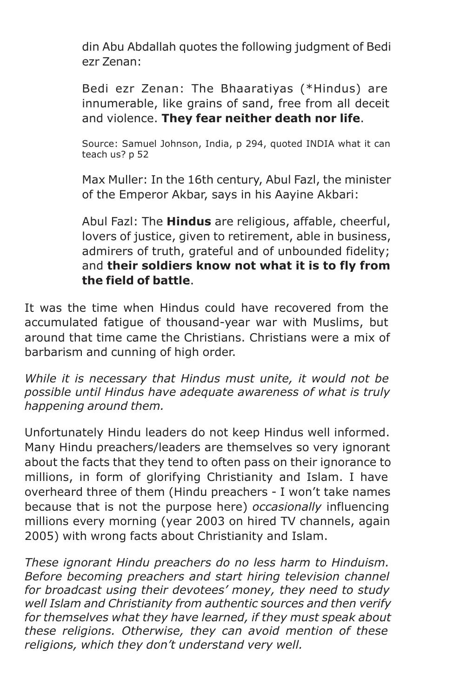din Abu Abdallah quotes the following judgment of Bedi ezr Zenan:

Bedi ezr Zenan: The Bhaaratiyas (\*Hindus) are innumerable, like grains of sand, free from all deceit and violence. **They fear neither death nor life**.

Source: Samuel Johnson, India, p 294, quoted INDIA what it can teach us? p 52

Max Muller: In the 16th century, Abul Fazl, the minister of the Emperor Akbar, says in his Aayine Akbari:

Abul Fazl: The **Hindus** are religious, affable, cheerful, lovers of justice, given to retirement, able in business, admirers of truth, grateful and of unbounded fidelity; and **their soldiers know not what it is to fly from the field of battle**.

It was the time when Hindus could have recovered from the accumulated fatigue of thousand-year war with Muslims, but around that time came the Christians. Christians were a mix of barbarism and cunning of high order.

*While it is necessary that Hindus must unite, it would not be possible until Hindus have adequate awareness of what is truly happening around them.*

Unfortunately Hindu leaders do not keep Hindus well informed. Many Hindu preachers/leaders are themselves so very ignorant about the facts that they tend to often pass on their ignorance to millions, in form of glorifying Christianity and Islam. I have overheard three of them (Hindu preachers - I won't take names because that is not the purpose here) *occasionally* influencing millions every morning (year 2003 on hired TV channels, again 2005) with wrong facts about Christianity and Islam.

*These ignorant Hindu preachers do no less harm to Hinduism. Before becoming preachers and start hiring television channel for broadcast using their devotees' money, they need to study well Islam and Christianity from authentic sources and then verify for themselves what they have learned, if they must speak about these religions. Otherwise, they can avoid mention of these religions, which they don't understand very well.*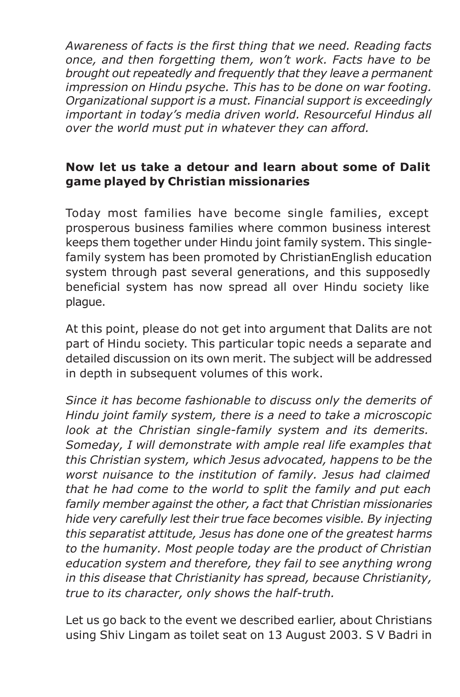*Awareness of facts is the first thing that we need. Reading facts once, and then forgetting them, won't work. Facts have to be brought out repeatedly and frequently that they leave a permanent impression on Hindu psyche. This has to be done on war footing. Organizational support is a must. Financial support is exceedingly important in today's media driven world. Resourceful Hindus all over the world must put in whatever they can afford.*

# **Now let us take a detour and learn about some of Dalit game played by Christian missionaries**

Today most families have become single families, except prosperous business families where common business interest keeps them together under Hindu joint family system. This singlefamily system has been promoted by ChristianEnglish education system through past several generations, and this supposedly beneficial system has now spread all over Hindu society like plague.

At this point, please do not get into argument that Dalits are not part of Hindu society. This particular topic needs a separate and detailed discussion on its own merit. The subject will be addressed in depth in subsequent volumes of this work.

*Since it has become fashionable to discuss only the demerits of Hindu joint family system, there is a need to take a microscopic look at the Christian single-family system and its demerits. Someday, I will demonstrate with ample real life examples that this Christian system, which Jesus advocated, happens to be the worst nuisance to the institution of family. Jesus had claimed that he had come to the world to split the family and put each family member against the other, a fact that Christian missionaries hide very carefully lest their true face becomes visible. By injecting this separatist attitude, Jesus has done one of the greatest harms to the humanity. Most people today are the product of Christian education system and therefore, they fail to see anything wrong in this disease that Christianity has spread, because Christianity, true to its character, only shows the half-truth.*

Let us go back to the event we described earlier, about Christians using Shiv Lingam as toilet seat on 13 August 2003. S V Badri in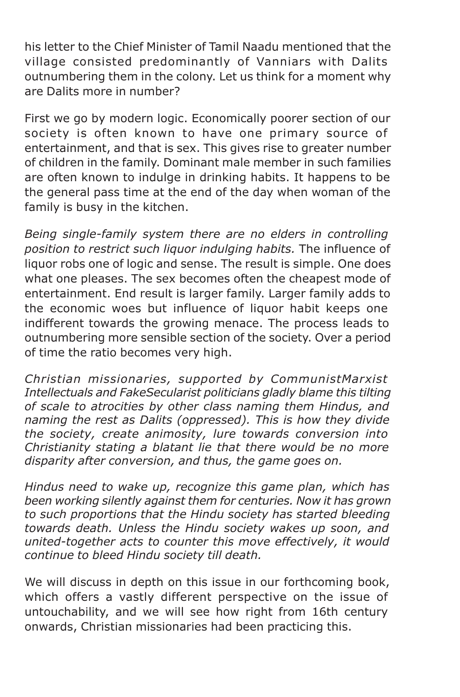his letter to the Chief Minister of Tamil Naadu mentioned that the village consisted predominantly of Vanniars with Dalits outnumbering them in the colony. Let us think for a moment why are Dalits more in number?

First we go by modern logic. Economically poorer section of our society is often known to have one primary source of entertainment, and that is sex. This gives rise to greater number of children in the family. Dominant male member in such families are often known to indulge in drinking habits. It happens to be the general pass time at the end of the day when woman of the family is busy in the kitchen.

*Being single-family system there are no elders in controlling position to restrict such liquor indulging habits.* The influence of liquor robs one of logic and sense. The result is simple. One does what one pleases. The sex becomes often the cheapest mode of entertainment. End result is larger family. Larger family adds to the economic woes but influence of liquor habit keeps one indifferent towards the growing menace. The process leads to outnumbering more sensible section of the society. Over a period of time the ratio becomes very high.

*Christian missionaries, supported by CommunistMarxist Intellectuals and FakeSecularist politicians gladly blame this tilting of scale to atrocities by other class naming them Hindus, and naming the rest as Dalits (oppressed). This is how they divide the society, create animosity, lure towards conversion into Christianity stating a blatant lie that there would be no more disparity after conversion, and thus, the game goes on.*

*Hindus need to wake up, recognize this game plan, which has been working silently against them for centuries. Now it has grown to such proportions that the Hindu society has started bleeding towards death. Unless the Hindu society wakes up soon, and united-together acts to counter this move effectively, it would continue to bleed Hindu society till death.*

We will discuss in depth on this issue in our forthcoming book, which offers a vastly different perspective on the issue of untouchability, and we will see how right from 16th century onwards, Christian missionaries had been practicing this.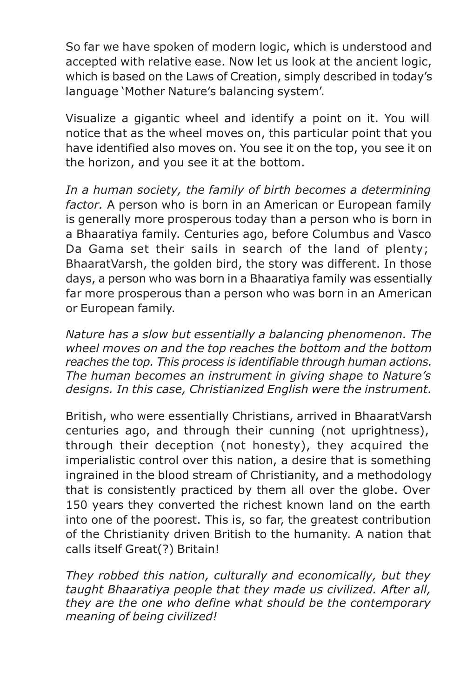So far we have spoken of modern logic, which is understood and accepted with relative ease. Now let us look at the ancient logic, which is based on the Laws of Creation, simply described in today's language 'Mother Nature's balancing system'.

Visualize a gigantic wheel and identify a point on it. You will notice that as the wheel moves on, this particular point that you have identified also moves on. You see it on the top, you see it on the horizon, and you see it at the bottom.

*In a human society, the family of birth becomes a determining factor.* A person who is born in an American or European family is generally more prosperous today than a person who is born in a Bhaaratiya family. Centuries ago, before Columbus and Vasco Da Gama set their sails in search of the land of plenty; BhaaratVarsh, the golden bird, the story was different. In those days, a person who was born in a Bhaaratiya family was essentially far more prosperous than a person who was born in an American or European family.

*Nature has a slow but essentially a balancing phenomenon. The wheel moves on and the top reaches the bottom and the bottom reaches the top. This process is identifiable through human actions. The human becomes an instrument in giving shape to Nature's designs. In this case, Christianized English were the instrument.*

British, who were essentially Christians, arrived in BhaaratVarsh centuries ago, and through their cunning (not uprightness), through their deception (not honesty), they acquired the imperialistic control over this nation, a desire that is something ingrained in the blood stream of Christianity, and a methodology that is consistently practiced by them all over the globe. Over 150 years they converted the richest known land on the earth into one of the poorest. This is, so far, the greatest contribution of the Christianity driven British to the humanity. A nation that calls itself Great(?) Britain!

*They robbed this nation, culturally and economically, but they taught Bhaaratiya people that they made us civilized. After all, they are the one who define what should be the contemporary meaning of being civilized!*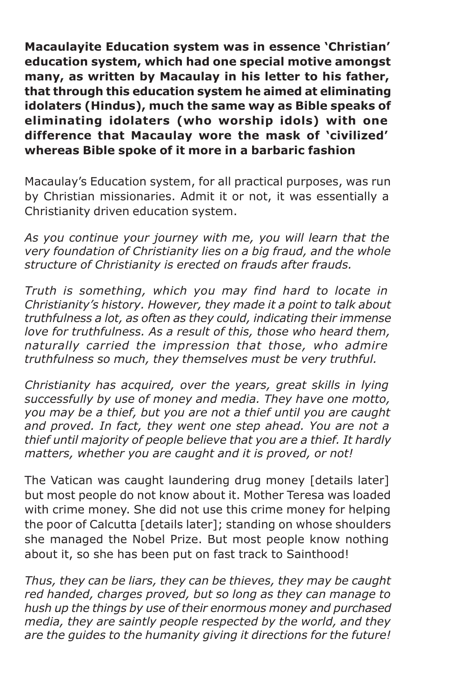**Macaulayite Education system was in essence 'Christian' education system, which had one special motive amongst many, as written by Macaulay in his letter to his father, that through this education system he aimed at eliminating idolaters (Hindus), much the same way as Bible speaks of eliminating idolaters (who worship idols) with one difference that Macaulay wore the mask of 'civilized' whereas Bible spoke of it more in a barbaric fashion**

Macaulay's Education system, for all practical purposes, was run by Christian missionaries. Admit it or not, it was essentially a Christianity driven education system.

*As you continue your journey with me, you will learn that the very foundation of Christianity lies on a big fraud, and the whole structure of Christianity is erected on frauds after frauds.*

*Truth is something, which you may find hard to locate in Christianity's history. However, they made it a point to talk about truthfulness a lot, as often as they could, indicating their immense love for truthfulness. As a result of this, those who heard them, naturally carried the impression that those, who admire truthfulness so much, they themselves must be very truthful.*

*Christianity has acquired, over the years, great skills in lying successfully by use of money and media. They have one motto, you may be a thief, but you are not a thief until you are caught and proved. In fact, they went one step ahead. You are not a thief until majority of people believe that you are a thief. It hardly matters, whether you are caught and it is proved, or not!*

The Vatican was caught laundering drug money [details later] but most people do not know about it. Mother Teresa was loaded with crime money. She did not use this crime money for helping the poor of Calcutta [details later]; standing on whose shoulders she managed the Nobel Prize. But most people know nothing about it, so she has been put on fast track to Sainthood!

*Thus, they can be liars, they can be thieves, they may be caught red handed, charges proved, but so long as they can manage to hush up the things by use of their enormous money and purchased media, they are saintly people respected by the world, and they are the guides to the humanity giving it directions for the future!*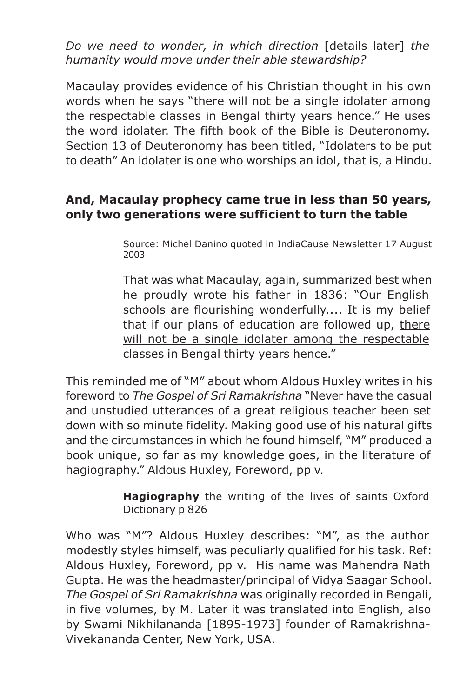*Do we need to wonder, in which direction* [details later] *the humanity would move under their able stewardship?*

Macaulay provides evidence of his Christian thought in his own words when he says "there will not be a single idolater among the respectable classes in Bengal thirty years hence." He uses the word idolater. The fifth book of the Bible is Deuteronomy. Section 13 of Deuteronomy has been titled, "Idolaters to be put to death" An idolater is one who worships an idol, that is, a Hindu.

### **And, Macaulay prophecy came true in less than 50 years, only two generations were sufficient to turn the table**

Source: Michel Danino quoted in IndiaCause Newsletter 17 August 2003

That was what Macaulay, again, summarized best when he proudly wrote his father in 1836: "Our English schools are flourishing wonderfully.... It is my belief that if our plans of education are followed up, there will not be a single idolater among the respectable classes in Bengal thirty years hence."

This reminded me of "M" about whom Aldous Huxley writes in his foreword to *The Gospel of Sri Ramakrishna* "Never have the casual and unstudied utterances of a great religious teacher been set down with so minute fidelity. Making good use of his natural gifts and the circumstances in which he found himself, "M" produced a book unique, so far as my knowledge goes, in the literature of hagiography." Aldous Huxley, Foreword, pp v.

> **Hagiography** the writing of the lives of saints Oxford Dictionary p 826

Who was "M"? Aldous Huxley describes: "M", as the author modestly styles himself, was peculiarly qualified for his task. Ref: Aldous Huxley, Foreword, pp v. His name was Mahendra Nath Gupta. He was the headmaster/principal of Vidya Saagar School. *The Gospel of Sri Ramakrishna* was originally recorded in Bengali, in five volumes, by M. Later it was translated into English, also by Swami Nikhilananda [1895-1973] founder of Ramakrishna-Vivekananda Center, New York, USA.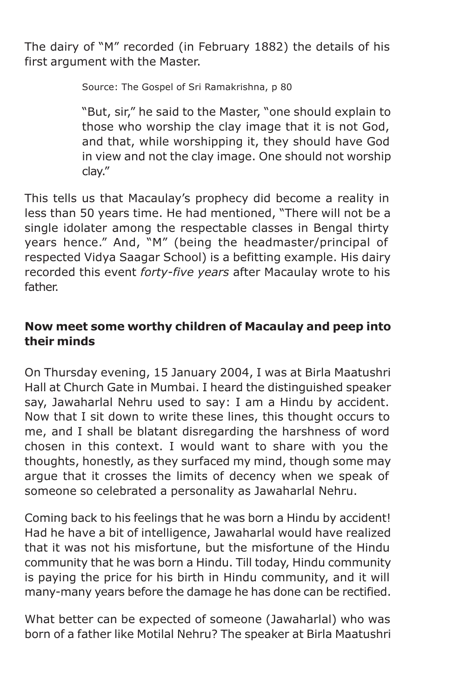The dairy of "M" recorded (in February 1882) the details of his first argument with the Master.

Source: The Gospel of Sri Ramakrishna, p 80

"But, sir," he said to the Master, "one should explain to those who worship the clay image that it is not God, and that, while worshipping it, they should have God in view and not the clay image. One should not worship clay."

This tells us that Macaulay's prophecy did become a reality in less than 50 years time. He had mentioned, "There will not be a single idolater among the respectable classes in Bengal thirty years hence." And, "M" (being the headmaster/principal of respected Vidya Saagar School) is a befitting example. His dairy recorded this event *forty-five years* after Macaulay wrote to his father.

# **Now meet some worthy children of Macaulay and peep into their minds**

On Thursday evening, 15 January 2004, I was at Birla Maatushri Hall at Church Gate in Mumbai. I heard the distinguished speaker say, Jawaharlal Nehru used to say: I am a Hindu by accident. Now that I sit down to write these lines, this thought occurs to me, and I shall be blatant disregarding the harshness of word chosen in this context. I would want to share with you the thoughts, honestly, as they surfaced my mind, though some may argue that it crosses the limits of decency when we speak of someone so celebrated a personality as Jawaharlal Nehru.

Coming back to his feelings that he was born a Hindu by accident! Had he have a bit of intelligence, Jawaharlal would have realized that it was not his misfortune, but the misfortune of the Hindu community that he was born a Hindu. Till today, Hindu community is paying the price for his birth in Hindu community, and it will many-many years before the damage he has done can be rectified.

What better can be expected of someone (Jawaharlal) who was born of a father like Motilal Nehru? The speaker at Birla Maatushri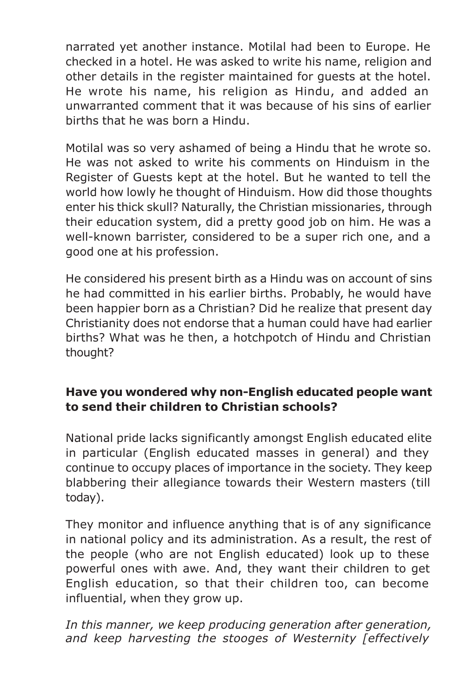narrated yet another instance. Motilal had been to Europe. He checked in a hotel. He was asked to write his name, religion and other details in the register maintained for guests at the hotel. He wrote his name, his religion as Hindu, and added an unwarranted comment that it was because of his sins of earlier births that he was born a Hindu.

Motilal was so very ashamed of being a Hindu that he wrote so. He was not asked to write his comments on Hinduism in the Register of Guests kept at the hotel. But he wanted to tell the world how lowly he thought of Hinduism. How did those thoughts enter his thick skull? Naturally, the Christian missionaries, through their education system, did a pretty good job on him. He was a well-known barrister, considered to be a super rich one, and a good one at his profession.

He considered his present birth as a Hindu was on account of sins he had committed in his earlier births. Probably, he would have been happier born as a Christian? Did he realize that present day Christianity does not endorse that a human could have had earlier births? What was he then, a hotchpotch of Hindu and Christian thought?

## **Have you wondered why non-English educated people want to send their children to Christian schools?**

National pride lacks significantly amongst English educated elite in particular (English educated masses in general) and they continue to occupy places of importance in the society. They keep blabbering their allegiance towards their Western masters (till today).

They monitor and influence anything that is of any significance in national policy and its administration. As a result, the rest of the people (who are not English educated) look up to these powerful ones with awe. And, they want their children to get English education, so that their children too, can become influential, when they grow up.

*In this manner, we keep producing generation after generation, and keep harvesting the stooges of Westernity [effectively*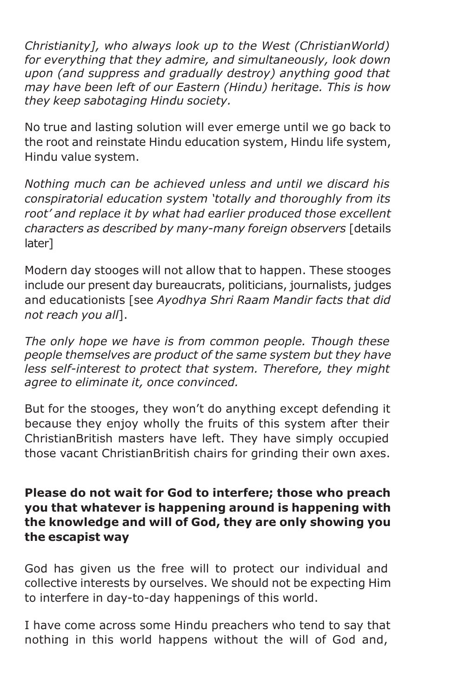*Christianity], who always look up to the West (ChristianWorld) for everything that they admire, and simultaneously, look down upon (and suppress and gradually destroy) anything good that may have been left of our Eastern (Hindu) heritage. This is how they keep sabotaging Hindu society.*

No true and lasting solution will ever emerge until we go back to the root and reinstate Hindu education system, Hindu life system, Hindu value system.

*Nothing much can be achieved unless and until we discard his conspiratorial education system 'totally and thoroughly from its root' and replace it by what had earlier produced those excellent characters as described by many-many foreign observers* [details later]

Modern day stooges will not allow that to happen. These stooges include our present day bureaucrats, politicians, journalists, judges and educationists [see *Ayodhya Shri Raam Mandir facts that did not reach you all*].

*The only hope we have is from common people. Though these people themselves are product of the same system but they have less self-interest to protect that system. Therefore, they might agree to eliminate it, once convinced.*

But for the stooges, they won't do anything except defending it because they enjoy wholly the fruits of this system after their ChristianBritish masters have left. They have simply occupied those vacant ChristianBritish chairs for grinding their own axes.

## **Please do not wait for God to interfere; those who preach you that whatever is happening around is happening with the knowledge and will of God, they are only showing you the escapist way**

God has given us the free will to protect our individual and collective interests by ourselves. We should not be expecting Him to interfere in day-to-day happenings of this world.

I have come across some Hindu preachers who tend to say that nothing in this world happens without the will of God and,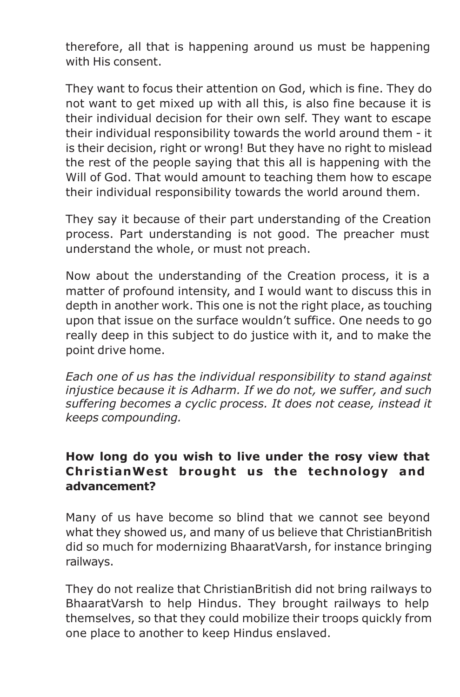therefore, all that is happening around us must be happening with His consent.

They want to focus their attention on God, which is fine. They do not want to get mixed up with all this, is also fine because it is their individual decision for their own self. They want to escape their individual responsibility towards the world around them - it is their decision, right or wrong! But they have no right to mislead the rest of the people saying that this all is happening with the Will of God. That would amount to teaching them how to escape their individual responsibility towards the world around them.

They say it because of their part understanding of the Creation process. Part understanding is not good. The preacher must understand the whole, or must not preach.

Now about the understanding of the Creation process, it is a matter of profound intensity, and I would want to discuss this in depth in another work. This one is not the right place, as touching upon that issue on the surface wouldn't suffice. One needs to go really deep in this subject to do justice with it, and to make the point drive home.

*Each one of us has the individual responsibility to stand against injustice because it is Adharm. If we do not, we suffer, and such suffering becomes a cyclic process. It does not cease, instead it keeps compounding.*

# **How long do you wish to live under the rosy view that ChristianWest brought us the technology and advancement?**

Many of us have become so blind that we cannot see beyond what they showed us, and many of us believe that ChristianBritish did so much for modernizing BhaaratVarsh, for instance bringing railways.

They do not realize that ChristianBritish did not bring railways to BhaaratVarsh to help Hindus. They brought railways to help themselves, so that they could mobilize their troops quickly from one place to another to keep Hindus enslaved.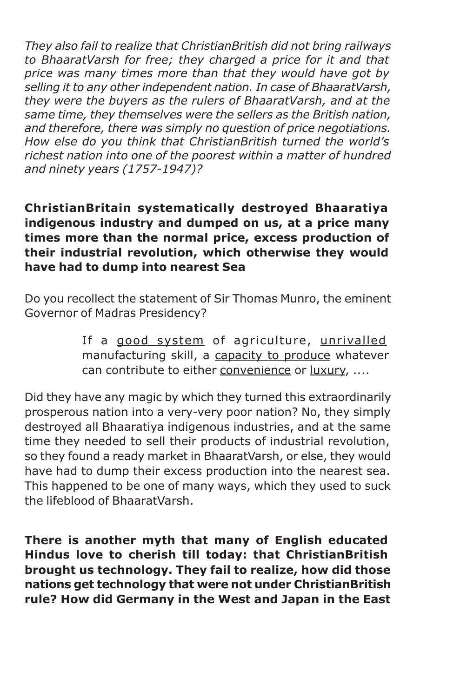*They also fail to realize that ChristianBritish did not bring railways to BhaaratVarsh for free; they charged a price for it and that price was many times more than that they would have got by selling it to any other independent nation. In case of BhaaratVarsh, they were the buyers as the rulers of BhaaratVarsh, and at the same time, they themselves were the sellers as the British nation, and therefore, there was simply no question of price negotiations. How else do you think that ChristianBritish turned the world's richest nation into one of the poorest within a matter of hundred and ninety years (1757-1947)?*

# **ChristianBritain systematically destroyed Bhaaratiya indigenous industry and dumped on us, at a price many times more than the normal price, excess production of their industrial revolution, which otherwise they would have had to dump into nearest Sea**

Do you recollect the statement of Sir Thomas Munro, the eminent Governor of Madras Presidency?

> If a good system of agriculture, unrivalled manufacturing skill, a capacity to produce whatever can contribute to either convenience or luxury, ....

Did they have any magic by which they turned this extraordinarily prosperous nation into a very-very poor nation? No, they simply destroyed all Bhaaratiya indigenous industries, and at the same time they needed to sell their products of industrial revolution, so they found a ready market in BhaaratVarsh, or else, they would have had to dump their excess production into the nearest sea. This happened to be one of many ways, which they used to suck the lifeblood of BhaaratVarsh.

**There is another myth that many of English educated Hindus love to cherish till today: that ChristianBritish brought us technology. They fail to realize, how did those nations get technology that were not under ChristianBritish rule? How did Germany in the West and Japan in the East**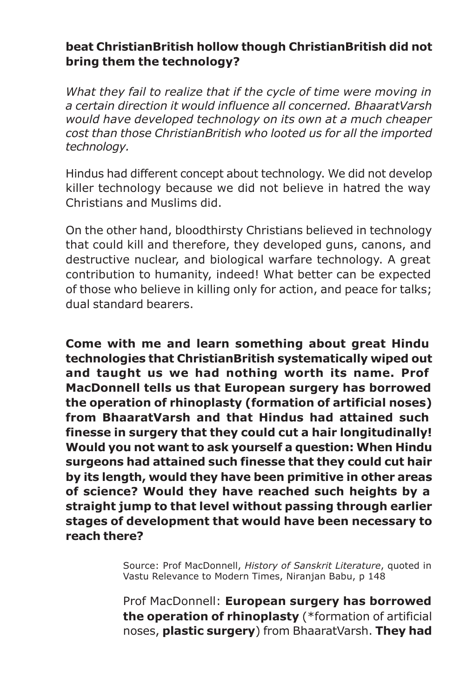#### **beat ChristianBritish hollow though ChristianBritish did not bring them the technology?**

*What they fail to realize that if the cycle of time were moving in a certain direction it would influence all concerned. BhaaratVarsh would have developed technology on its own at a much cheaper cost than those ChristianBritish who looted us for all the imported technology.*

Hindus had different concept about technology. We did not develop killer technology because we did not believe in hatred the way Christians and Muslims did.

On the other hand, bloodthirsty Christians believed in technology that could kill and therefore, they developed guns, canons, and destructive nuclear, and biological warfare technology. A great contribution to humanity, indeed! What better can be expected of those who believe in killing only for action, and peace for talks; dual standard bearers.

**Come with me and learn something about great Hindu technologies that ChristianBritish systematically wiped out and taught us we had nothing worth its name. Prof MacDonnell tells us that European surgery has borrowed the operation of rhinoplasty (formation of artificial noses) from BhaaratVarsh and that Hindus had attained such finesse in surgery that they could cut a hair longitudinally! Would you not want to ask yourself a question: When Hindu surgeons had attained such finesse that they could cut hair by its length, would they have been primitive in other areas of science? Would they have reached such heights by a straight jump to that level without passing through earlier stages of development that would have been necessary to reach there?**

> Source: Prof MacDonnell, *History of Sanskrit Literature*, quoted in Vastu Relevance to Modern Times, Niranjan Babu, p 148

> Prof MacDonnell: **European surgery has borrowed the operation of rhinoplasty** (\*formation of artificial noses, **plastic surgery**) from BhaaratVarsh. **They had**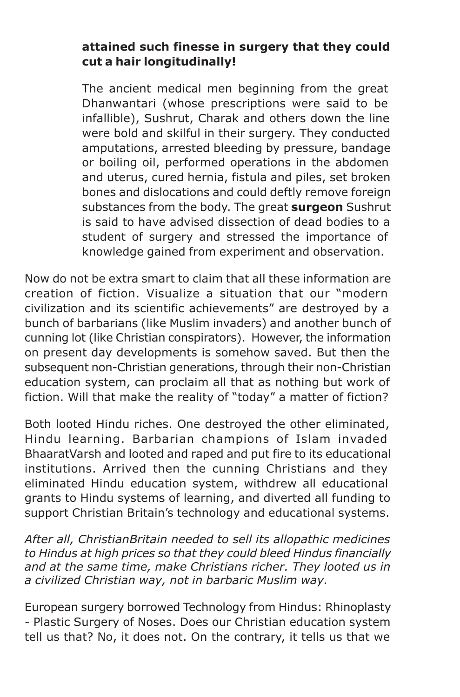# **attained such finesse in surgery that they could cut a hair longitudinally!**

The ancient medical men beginning from the great Dhanwantari (whose prescriptions were said to be infallible), Sushrut, Charak and others down the line were bold and skilful in their surgery. They conducted amputations, arrested bleeding by pressure, bandage or boiling oil, performed operations in the abdomen and uterus, cured hernia, fistula and piles, set broken bones and dislocations and could deftly remove foreign substances from the body. The great **surgeon** Sushrut is said to have advised dissection of dead bodies to a student of surgery and stressed the importance of knowledge gained from experiment and observation.

Now do not be extra smart to claim that all these information are creation of fiction. Visualize a situation that our "modern civilization and its scientific achievements" are destroyed by a bunch of barbarians (like Muslim invaders) and another bunch of cunning lot (like Christian conspirators). However, the information on present day developments is somehow saved. But then the subsequent non-Christian generations, through their non-Christian education system, can proclaim all that as nothing but work of fiction. Will that make the reality of "today" a matter of fiction?

Both looted Hindu riches. One destroyed the other eliminated, Hindu learning. Barbarian champions of Islam invaded BhaaratVarsh and looted and raped and put fire to its educational institutions. Arrived then the cunning Christians and they eliminated Hindu education system, withdrew all educational grants to Hindu systems of learning, and diverted all funding to support Christian Britain's technology and educational systems.

*After all, ChristianBritain needed to sell its allopathic medicines to Hindus at high prices so that they could bleed Hindus financially and at the same time, make Christians richer. They looted us in a civilized Christian way, not in barbaric Muslim way.*

European surgery borrowed Technology from Hindus: Rhinoplasty - Plastic Surgery of Noses. Does our Christian education system tell us that? No, it does not. On the contrary, it tells us that we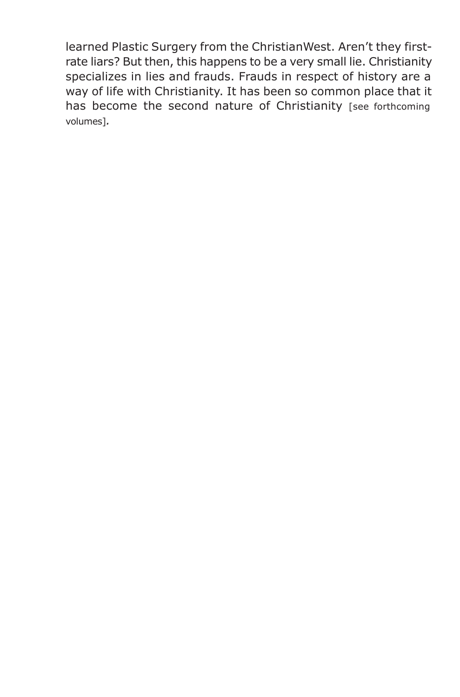learned Plastic Surgery from the ChristianWest. Aren't they firstrate liars? But then, this happens to be a very small lie. Christianity specializes in lies and frauds. Frauds in respect of history are a way of life with Christianity. It has been so common place that it has become the second nature of Christianity [see forthcoming volumes]*.*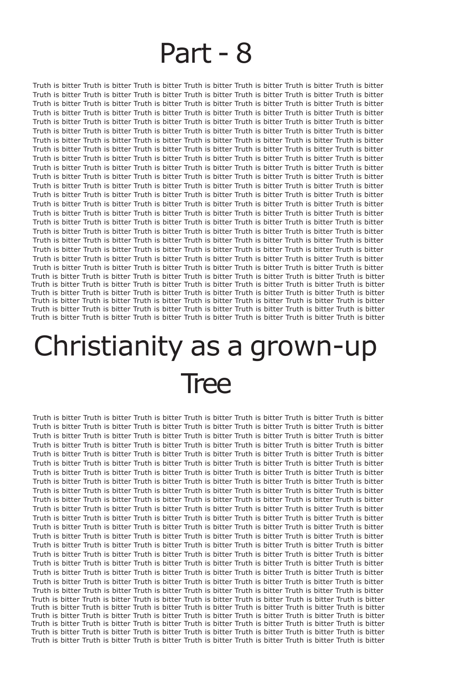# Part - 8

Truth is bitter Truth is bitter Truth is bitter Truth is bitter Truth is bitter Truth is bitter Truth is bitter Truth is bitter Truth is bitter Truth is bitter Truth is bitter Truth is bitter Truth is bitter Truth is bitter Truth is bitter Truth is bitter Truth is bitter Truth is bitter Truth is bitter Truth is bitter Truth is bitter Truth is bitter Truth is bitter Truth is bitter Truth is bitter Truth is bitter Truth is bitter Truth is bitter Truth is bitter Truth is bitter Truth is bitter Truth is bitter Truth is bitter Truth is bitter Truth is bitter Truth is bitter Truth is bitter Truth is bitter Truth is bitter Truth is bitter Truth is bitter Truth is bitter Truth is bitter Truth is bitter Truth is bitter Truth is bitter Truth is bitter Truth is bitter Truth is bitter Truth is bitter Truth is bitter Truth is bitter Truth is bitter Truth is bitter Truth is bitter Truth is bitter Truth is bitter Truth is bitter Truth is bitter Truth is bitter Truth is bitter Truth is bitter Truth is bitter Truth is bitter Truth is bitter Truth is bitter Truth is bitter Truth is bitter Truth is bitter Truth is bitter Truth is bitter Truth is bitter Truth is bitter Truth is bitter Truth is bitter Truth is bitter Truth is bitter Truth is bitter Truth is bitter Truth is bitter Truth is bitter Truth is bitter Truth is bitter Truth is bitter Truth is bitter Truth is bitter Truth is bitter Truth is bitter Truth is bitter Truth is bitter Truth is bitter Truth is bitter Truth is bitter Truth is bitter Truth is bitter Truth is bitter Truth is bitter Truth is bitter Truth is bitter Truth is bitter Truth is bitter Truth is bitter Truth is bitter Truth is bitter Truth is bitter Truth is bitter Truth is bitter Truth is bitter Truth is bitter Truth is bitter Truth is bitter Truth is bitter Truth is bitter Truth is bitter Truth is bitter Truth is bitter Truth is bitter Truth is bitter Truth is bitter Truth is bitter Truth is bitter Truth is bitter Truth is bitter Truth is bitter Truth is bitter Truth is bitter Truth is bitter Truth is bitter Truth is bitter Truth is bitter Truth is bitter Truth is bitter Truth is bitter Truth is bitter Truth is bitter Truth is bitter Truth is bitter Truth is bitter Truth is bitter Truth is bitter Truth is bitter Truth is bitter Truth is bitter Truth is bitter Truth is bitter Truth is bitter Truth is bitter Truth is bitter Truth is bitter Truth is bitter Truth is bitter Truth is bitter Truth is bitter Truth is bitter Truth is bitter Truth is bitter Truth is bitter Truth is bitter Truth is bitter Truth is bitter Truth is bitter Truth is bitter Truth is bitter Truth is bitter Truth is bitter Truth is bitter Truth is bitter Truth is bitter Truth is bitter Truth is bitter Truth is bitter Truth is bitter Truth is bitter Truth is bitter Truth is bitter Truth is bitter Truth is bitter Truth is bitter Truth is bitter Truth is bitter Truth is bitter Truth is bitter Truth is bitter Truth is bitter Truth is bitter Truth is bitter Truth is bitter Truth is bitter Truth is bitter

# Christianity as a grown-up Tree

Truth is bitter Truth is bitter Truth is bitter Truth is bitter Truth is bitter Truth is bitter Truth is bitter Truth is bitter Truth is bitter Truth is bitter Truth is bitter Truth is bitter Truth is bitter Truth is bitter Truth is bitter Truth is bitter Truth is bitter Truth is bitter Truth is bitter Truth is bitter Truth is bitter Truth is bitter Truth is bitter Truth is bitter Truth is bitter Truth is bitter Truth is bitter Truth is bitter Truth is bitter Truth is bitter Truth is bitter Truth is bitter Truth is bitter Truth is bitter Truth is bitter Truth is bitter Truth is bitter Truth is bitter Truth is bitter Truth is bitter Truth is bitter Truth is bitter Truth is bitter Truth is bitter Truth is bitter Truth is bitter Truth is bitter Truth is bitter Truth is bitter Truth is bitter Truth is bitter Truth is bitter Truth is bitter Truth is bitter Truth is bitter Truth is bitter Truth is bitter Truth is bitter Truth is bitter Truth is bitter Truth is bitter Truth is bitter Truth is bitter Truth is bitter Truth is bitter Truth is bitter Truth is bitter Truth is bitter Truth is bitter Truth is bitter Truth is bitter Truth is bitter Truth is bitter Truth is bitter Truth is bitter Truth is bitter Truth is bitter Truth is bitter Truth is bitter Truth is bitter Truth is bitter Truth is bitter Truth is bitter Truth is bitter Truth is bitter Truth is bitter Truth is bitter Truth is bitter Truth is bitter Truth is bitter Truth is bitter Truth is bitter Truth is bitter Truth is bitter Truth is bitter Truth is bitter Truth is bitter Truth is bitter Truth is bitter Truth is bitter Truth is bitter Truth is bitter Truth is bitter Truth is bitter Truth is bitter Truth is bitter Truth is bitter Truth is bitter Truth is bitter Truth is bitter Truth is bitter Truth is bitter Truth is bitter Truth is bitter Truth is bitter Truth is bitter Truth is bitter Truth is bitter Truth is bitter Truth is bitter Truth is bitter Truth is bitter Truth is bitter Truth is bitter Truth is bitter Truth is bitter Truth is bitter Truth is bitter Truth is bitter Truth is bitter Truth is bitter Truth is bitter Truth is bitter Truth is bitter Truth is bitter Truth is bitter Truth is bitter Truth is bitter Truth is bitter Truth is bitter Truth is bitter Truth is bitter Truth is bitter Truth is bitter Truth is bitter Truth is bitter Truth is bitter Truth is bitter Truth is bitter Truth is bitter Truth is bitter Truth is bitter Truth is bitter Truth is bitter Truth is bitter Truth is bitter Truth is bitter Truth is bitter Truth is bitter Truth is bitter Truth is bitter Truth is bitter Truth is bitter Truth is bitter Truth is bitter Truth is bitter Truth is bitter Truth is bitter Truth is bitter Truth is bitter Truth is bitter Truth is bitter Truth is bitter Truth is bitter Truth is bitter Truth is bitter Truth is bitter Truth is bitter Truth is bitter Truth is bitter Truth is bitter Truth is bitter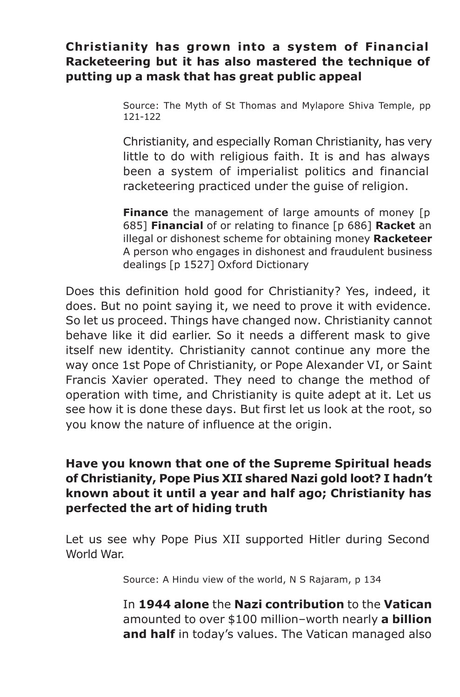#### **Christianity has grown into a system of Financial Racketeering but it has also mastered the technique of putting up a mask that has great public appeal**

Source: The Myth of St Thomas and Mylapore Shiva Temple, pp 121-122

Christianity, and especially Roman Christianity, has very little to do with religious faith. It is and has always been a system of imperialist politics and financial racketeering practiced under the guise of religion.

**Finance** the management of large amounts of money [p 685] **Financial** of or relating to finance [p 686] **Racket** an illegal or dishonest scheme for obtaining money **Racketeer** A person who engages in dishonest and fraudulent business dealings [p 1527] Oxford Dictionary

Does this definition hold good for Christianity? Yes, indeed, it does. But no point saying it, we need to prove it with evidence. So let us proceed. Things have changed now. Christianity cannot behave like it did earlier. So it needs a different mask to give itself new identity. Christianity cannot continue any more the way once 1st Pope of Christianity, or Pope Alexander VI, or Saint Francis Xavier operated. They need to change the method of operation with time, and Christianity is quite adept at it. Let us see how it is done these days. But first let us look at the root, so you know the nature of influence at the origin.

# **Have you known that one of the Supreme Spiritual heads of Christianity, Pope Pius XII shared Nazi gold loot? I hadn't known about it until a year and half ago; Christianity has perfected the art of hiding truth**

Let us see why Pope Pius XII supported Hitler during Second World War.

Source: A Hindu view of the world, N S Rajaram, p 134

In **1944 alone** the **Nazi contribution** to the **Vatican** amounted to over \$100 million–worth nearly **a billion and half** in today's values. The Vatican managed also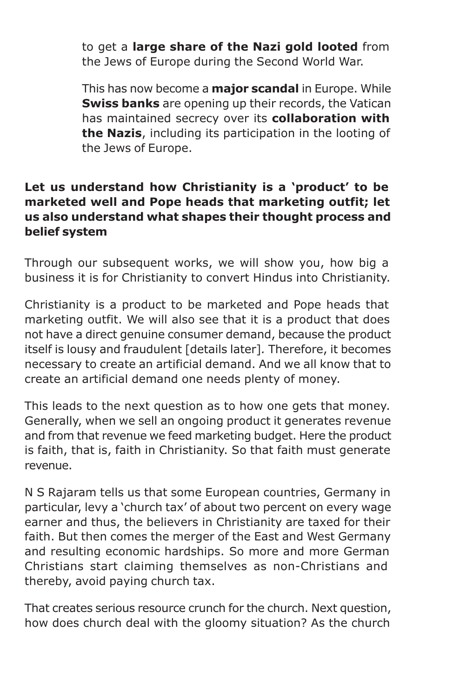to get a **large share of the Nazi gold looted** from the Jews of Europe during the Second World War.

This has now become a **major scandal** in Europe. While **Swiss banks** are opening up their records, the Vatican has maintained secrecy over its **collaboration with the Nazis**, including its participation in the looting of the Jews of Europe.

# **Let us understand how Christianity is a 'product' to be marketed well and Pope heads that marketing outfit; let us also understand what shapes their thought process and belief system**

Through our subsequent works, we will show you, how big a business it is for Christianity to convert Hindus into Christianity.

Christianity is a product to be marketed and Pope heads that marketing outfit. We will also see that it is a product that does not have a direct genuine consumer demand, because the product itself is lousy and fraudulent [details later]*.* Therefore, it becomes necessary to create an artificial demand. And we all know that to create an artificial demand one needs plenty of money.

This leads to the next question as to how one gets that money. Generally, when we sell an ongoing product it generates revenue and from that revenue we feed marketing budget. Here the product is faith, that is, faith in Christianity. So that faith must generate revenue.

N S Rajaram tells us that some European countries, Germany in particular, levy a 'church tax' of about two percent on every wage earner and thus, the believers in Christianity are taxed for their faith. But then comes the merger of the East and West Germany and resulting economic hardships. So more and more German Christians start claiming themselves as non-Christians and thereby, avoid paying church tax.

That creates serious resource crunch for the church. Next question, how does church deal with the gloomy situation? As the church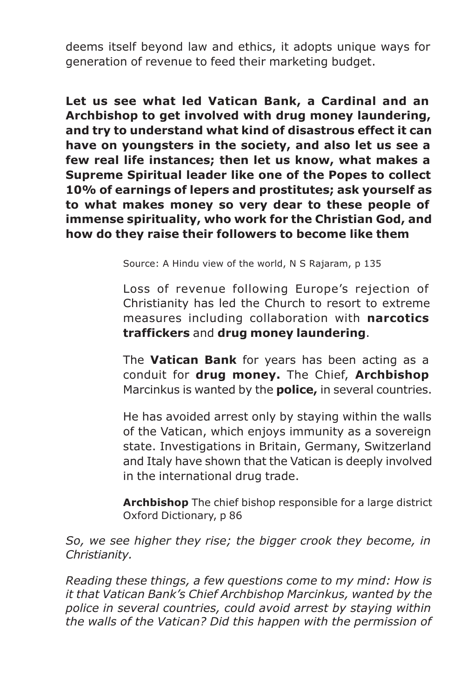deems itself beyond law and ethics, it adopts unique ways for generation of revenue to feed their marketing budget.

**Let us see what led Vatican Bank, a Cardinal and an Archbishop to get involved with drug money laundering, and try to understand what kind of disastrous effect it can have on youngsters in the society, and also let us see a few real life instances; then let us know, what makes a Supreme Spiritual leader like one of the Popes to collect 10% of earnings of lepers and prostitutes; ask yourself as to what makes money so very dear to these people of immense spirituality, who work for the Christian God, and how do they raise their followers to become like them**

Source: A Hindu view of the world, N S Rajaram, p 135

Loss of revenue following Europe's rejection of Christianity has led the Church to resort to extreme measures including collaboration with **narcotics traffickers** and **drug money laundering**.

The **Vatican Bank** for years has been acting as a conduit for **drug money.** The Chief, **Archbishop** Marcinkus is wanted by the **police,** in several countries.

He has avoided arrest only by staying within the walls of the Vatican, which enjoys immunity as a sovereign state. Investigations in Britain, Germany, Switzerland and Italy have shown that the Vatican is deeply involved in the international drug trade.

**Archbishop** The chief bishop responsible for a large district Oxford Dictionary, p 86

*So, we see higher they rise; the bigger crook they become, in Christianity.*

*Reading these things, a few questions come to my mind: How is it that Vatican Bank's Chief Archbishop Marcinkus, wanted by the police in several countries, could avoid arrest by staying within the walls of the Vatican? Did this happen with the permission of*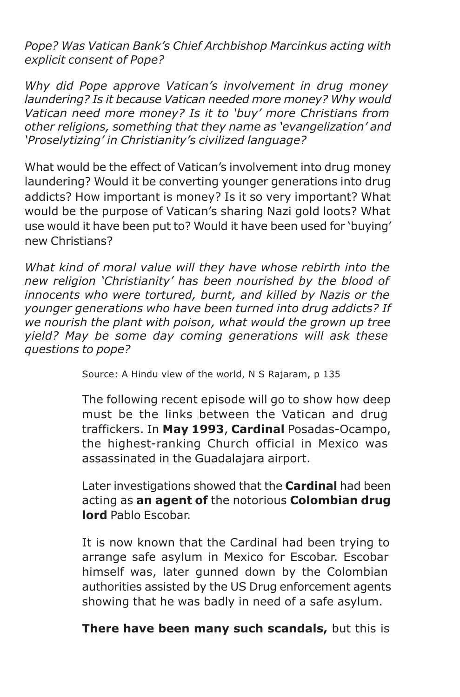*Pope? Was Vatican Bank's Chief Archbishop Marcinkus acting with explicit consent of Pope?*

*Why did Pope approve Vatican's involvement in drug money laundering? Is it because Vatican needed more money? Why would Vatican need more money? Is it to 'buy' more Christians from other religions, something that they name as 'evangelization' and 'Proselytizing' in Christianity's civilized language?*

What would be the effect of Vatican's involvement into drug money laundering? Would it be converting younger generations into drug addicts? How important is money? Is it so very important? What would be the purpose of Vatican's sharing Nazi gold loots? What use would it have been put to? Would it have been used for 'buying' new Christians?

*What kind of moral value will they have whose rebirth into the new religion 'Christianity' has been nourished by the blood of innocents who were tortured, burnt, and killed by Nazis or the younger generations who have been turned into drug addicts? If we nourish the plant with poison, what would the grown up tree yield? May be some day coming generations will ask these questions to pope?*

Source: A Hindu view of the world, N S Rajaram, p 135

The following recent episode will go to show how deep must be the links between the Vatican and drug traffickers. In **May 1993**, **Cardinal** Posadas-Ocampo, the highest-ranking Church official in Mexico was assassinated in the Guadalajara airport.

Later investigations showed that the **Cardinal** had been acting as **an agent of** the notorious **Colombian drug lord** Pablo Escobar.

It is now known that the Cardinal had been trying to arrange safe asylum in Mexico for Escobar. Escobar himself was, later gunned down by the Colombian authorities assisted by the US Drug enforcement agents showing that he was badly in need of a safe asylum.

**There have been many such scandals,** but this is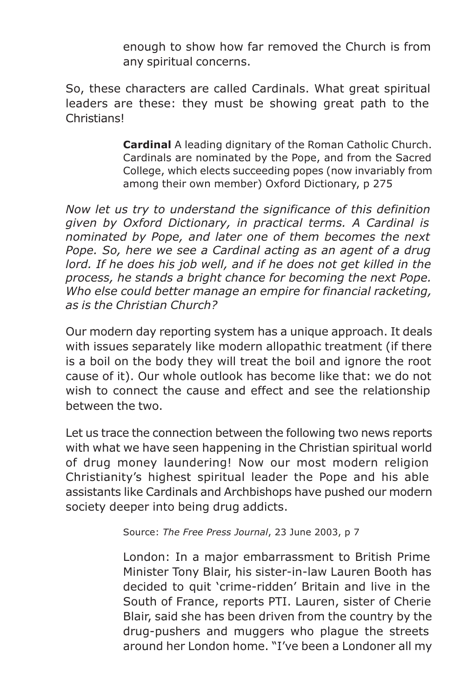enough to show how far removed the Church is from any spiritual concerns.

So, these characters are called Cardinals. What great spiritual leaders are these: they must be showing great path to the Christians!

> **Cardinal** A leading dignitary of the Roman Catholic Church. Cardinals are nominated by the Pope, and from the Sacred College, which elects succeeding popes (now invariably from among their own member) Oxford Dictionary, p 275

*Now let us try to understand the significance of this definition given by Oxford Dictionary, in practical terms. A Cardinal is nominated by Pope, and later one of them becomes the next Pope. So, here we see a Cardinal acting as an agent of a drug lord. If he does his job well, and if he does not get killed in the process, he stands a bright chance for becoming the next Pope. Who else could better manage an empire for financial racketing, as is the Christian Church?*

Our modern day reporting system has a unique approach. It deals with issues separately like modern allopathic treatment (if there is a boil on the body they will treat the boil and ignore the root cause of it). Our whole outlook has become like that: we do not wish to connect the cause and effect and see the relationship between the two.

Let us trace the connection between the following two news reports with what we have seen happening in the Christian spiritual world of drug money laundering! Now our most modern religion Christianity's highest spiritual leader the Pope and his able assistants like Cardinals and Archbishops have pushed our modern society deeper into being drug addicts.

Source: *The Free Press Journal*, 23 June 2003, p 7

London: In a major embarrassment to British Prime Minister Tony Blair, his sister-in-law Lauren Booth has decided to quit 'crime-ridden' Britain and live in the South of France, reports PTI. Lauren, sister of Cherie Blair, said she has been driven from the country by the drug-pushers and muggers who plague the streets around her London home. "I've been a Londoner all my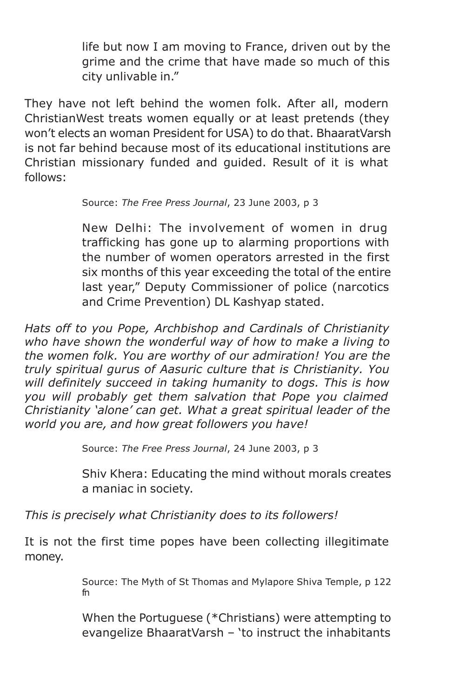life but now I am moving to France, driven out by the grime and the crime that have made so much of this city unlivable in."

They have not left behind the women folk. After all, modern ChristianWest treats women equally or at least pretends (they won't elects an woman President for USA) to do that. BhaaratVarsh is not far behind because most of its educational institutions are Christian missionary funded and guided. Result of it is what follows:

Source: *The Free Press Journal*, 23 June 2003, p 3

New Delhi: The involvement of women in drug trafficking has gone up to alarming proportions with the number of women operators arrested in the first six months of this year exceeding the total of the entire last year," Deputy Commissioner of police (narcotics and Crime Prevention) DL Kashyap stated.

*Hats off to you Pope, Archbishop and Cardinals of Christianity who have shown the wonderful way of how to make a living to the women folk. You are worthy of our admiration! You are the truly spiritual gurus of Aasuric culture that is Christianity. You will definitely succeed in taking humanity to dogs. This is how you will probably get them salvation that Pope you claimed Christianity 'alone' can get. What a great spiritual leader of the world you are, and how great followers you have!*

Source: *The Free Press Journal*, 24 June 2003, p 3

Shiv Khera: Educating the mind without morals creates a maniac in society.

*This is precisely what Christianity does to its followers!*

It is not the first time popes have been collecting illegitimate money.

> Source: The Myth of St Thomas and Mylapore Shiva Temple, p 122 fn

> When the Portuguese (\*Christians) were attempting to evangelize BhaaratVarsh – 'to instruct the inhabitants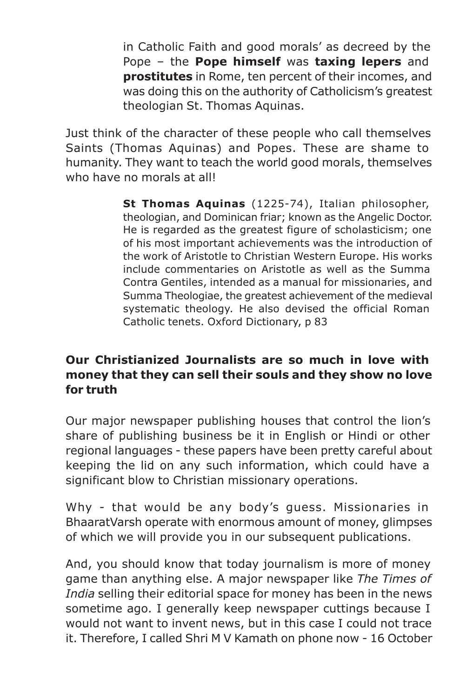in Catholic Faith and good morals' as decreed by the Pope – the **Pope himself** was **taxing lepers** and **prostitutes** in Rome, ten percent of their incomes, and was doing this on the authority of Catholicism's greatest theologian St. Thomas Aquinas.

Just think of the character of these people who call themselves Saints (Thomas Aquinas) and Popes. These are shame to humanity. They want to teach the world good morals, themselves who have no morals at all!

> **St Thomas Aquinas** (1225-74), Italian philosopher, theologian, and Dominican friar; known as the Angelic Doctor. He is regarded as the greatest figure of scholasticism; one of his most important achievements was the introduction of the work of Aristotle to Christian Western Europe. His works include commentaries on Aristotle as well as the Summa Contra Gentiles, intended as a manual for missionaries, and Summa Theologiae, the greatest achievement of the medieval systematic theology. He also devised the official Roman Catholic tenets. Oxford Dictionary, p 83

# **Our Christianized Journalists are so much in love with money that they can sell their souls and they show no love for truth**

Our major newspaper publishing houses that control the lion's share of publishing business be it in English or Hindi or other regional languages - these papers have been pretty careful about keeping the lid on any such information, which could have a significant blow to Christian missionary operations.

Why - that would be any body's guess. Missionaries in BhaaratVarsh operate with enormous amount of money, glimpses of which we will provide you in our subsequent publications.

And, you should know that today journalism is more of money game than anything else. A major newspaper like *The Times of India* selling their editorial space for money has been in the news sometime ago. I generally keep newspaper cuttings because I would not want to invent news, but in this case I could not trace it. Therefore, I called Shri M V Kamath on phone now - 16 October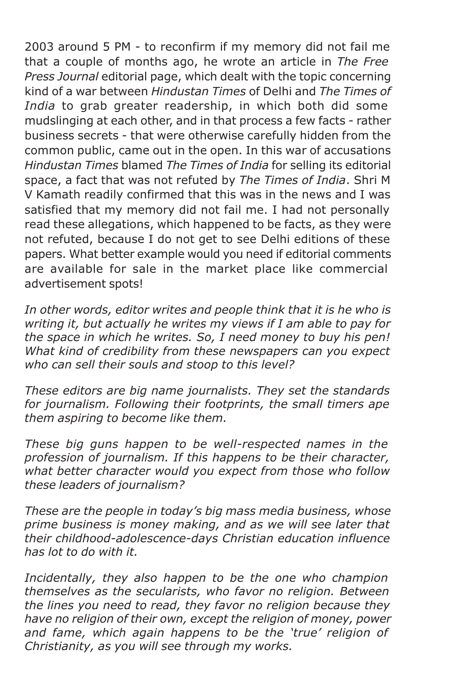2003 around 5 PM - to reconfirm if my memory did not fail me that a couple of months ago, he wrote an article in *The Free Press Journal* editorial page, which dealt with the topic concerning kind of a war between *Hindustan Times* of Delhi and *The Times of India* to grab greater readership, in which both did some mudslinging at each other, and in that process a few facts - rather business secrets - that were otherwise carefully hidden from the common public, came out in the open. In this war of accusations *Hindustan Times* blamed *The Times of India* for selling its editorial space, a fact that was not refuted by *The Times of India*. Shri M V Kamath readily confirmed that this was in the news and I was satisfied that my memory did not fail me. I had not personally read these allegations, which happened to be facts, as they were not refuted, because I do not get to see Delhi editions of these papers. What better example would you need if editorial comments are available for sale in the market place like commercial advertisement spots!

*In other words, editor writes and people think that it is he who is writing it, but actually he writes my views if I am able to pay for the space in which he writes. So, I need money to buy his pen! What kind of credibility from these newspapers can you expect who can sell their souls and stoop to this level?*

*These editors are big name journalists. They set the standards for journalism. Following their footprints, the small timers ape them aspiring to become like them.*

*These big guns happen to be well-respected names in the profession of journalism. If this happens to be their character, what better character would you expect from those who follow these leaders of journalism?*

*These are the people in today's big mass media business, whose prime business is money making, and as we will see later that their childhood-adolescence-days Christian education influence has lot to do with it.*

*Incidentally, they also happen to be the one who champion themselves as the secularists, who favor no religion. Between the lines you need to read, they favor no religion because they have no religion of their own, except the religion of money, power and fame, which again happens to be the 'true' religion of Christianity, as you will see through my works.*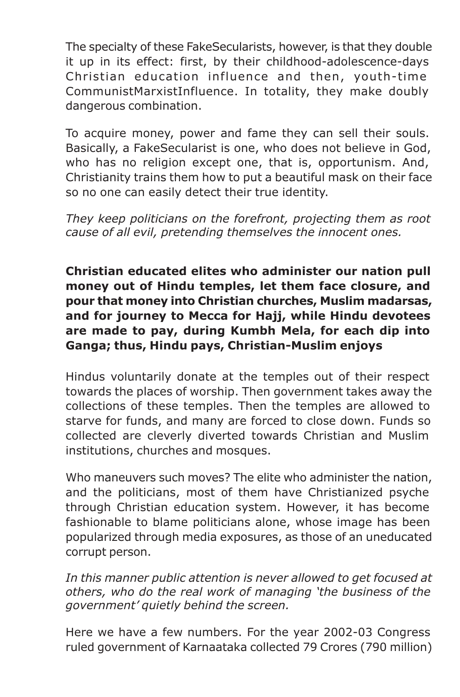The specialty of these FakeSecularists, however, is that they double it up in its effect: first, by their childhood-adolescence-days Christian education influence and then, youth-time CommunistMarxistInfluence. In totality, they make doubly dangerous combination.

To acquire money, power and fame they can sell their souls. Basically, a FakeSecularist is one, who does not believe in God, who has no religion except one, that is, opportunism. And, Christianity trains them how to put a beautiful mask on their face so no one can easily detect their true identity.

*They keep politicians on the forefront, projecting them as root cause of all evil, pretending themselves the innocent ones.*

**Christian educated elites who administer our nation pull money out of Hindu temples, let them face closure, and pour that money into Christian churches, Muslim madarsas, and for journey to Mecca for Hajj, while Hindu devotees are made to pay, during Kumbh Mela, for each dip into Ganga; thus, Hindu pays, Christian-Muslim enjoys**

Hindus voluntarily donate at the temples out of their respect towards the places of worship. Then government takes away the collections of these temples. Then the temples are allowed to starve for funds, and many are forced to close down. Funds so collected are cleverly diverted towards Christian and Muslim institutions, churches and mosques.

Who maneuvers such moves? The elite who administer the nation, and the politicians, most of them have Christianized psyche through Christian education system. However, it has become fashionable to blame politicians alone, whose image has been popularized through media exposures, as those of an uneducated corrupt person.

*In this manner public attention is never allowed to get focused at others, who do the real work of managing 'the business of the government' quietly behind the screen.*

Here we have a few numbers. For the year 2002-03 Congress ruled government of Karnaataka collected 79 Crores (790 million)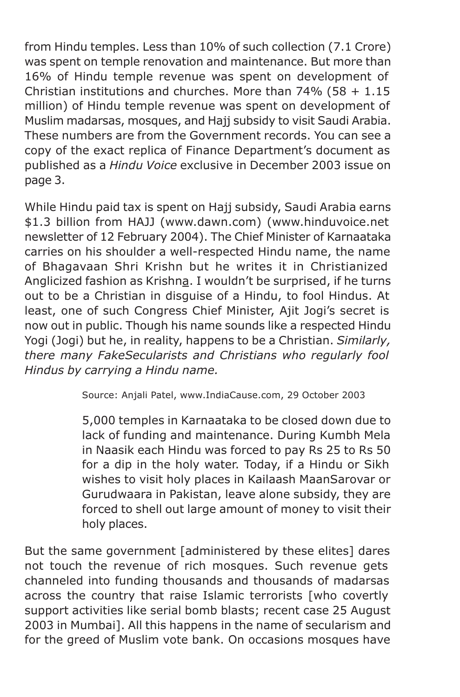from Hindu temples. Less than 10% of such collection (7.1 Crore) was spent on temple renovation and maintenance. But more than 16% of Hindu temple revenue was spent on development of Christian institutions and churches. More than  $74\%$  (58 +  $1.15$ ) million) of Hindu temple revenue was spent on development of Muslim madarsas, mosques, and Hajj subsidy to visit Saudi Arabia. These numbers are from the Government records. You can see a copy of the exact replica of Finance Department's document as published as a *Hindu Voice* exclusive in December 2003 issue on page 3.

While Hindu paid tax is spent on Hajj subsidy, Saudi Arabia earns \$1.3 billion from HAJJ (www.dawn.com) (www.hinduvoice.net newsletter of 12 February 2004). The Chief Minister of Karnaataka carries on his shoulder a well-respected Hindu name, the name of Bhagavaan Shri Krishn but he writes it in Christianized Anglicized fashion as Krishna. I wouldn't be surprised, if he turns out to be a Christian in disguise of a Hindu, to fool Hindus. At least, one of such Congress Chief Minister, Ajit Jogi's secret is now out in public. Though his name sounds like a respected Hindu Yogi (Jogi) but he, in reality, happens to be a Christian. *Similarly, there many FakeSecularists and Christians who regularly fool Hindus by carrying a Hindu name.*

Source: Anjali Patel, www.IndiaCause.com, 29 October 2003

5,000 temples in Karnaataka to be closed down due to lack of funding and maintenance. During Kumbh Mela in Naasik each Hindu was forced to pay Rs 25 to Rs 50 for a dip in the holy water. Today, if a Hindu or Sikh wishes to visit holy places in Kailaash MaanSarovar or Gurudwaara in Pakistan, leave alone subsidy, they are forced to shell out large amount of money to visit their holy places.

But the same government [administered by these elites] dares not touch the revenue of rich mosques. Such revenue gets channeled into funding thousands and thousands of madarsas across the country that raise Islamic terrorists [who covertly support activities like serial bomb blasts; recent case 25 August 2003 in Mumbai]. All this happens in the name of secularism and for the greed of Muslim vote bank. On occasions mosques have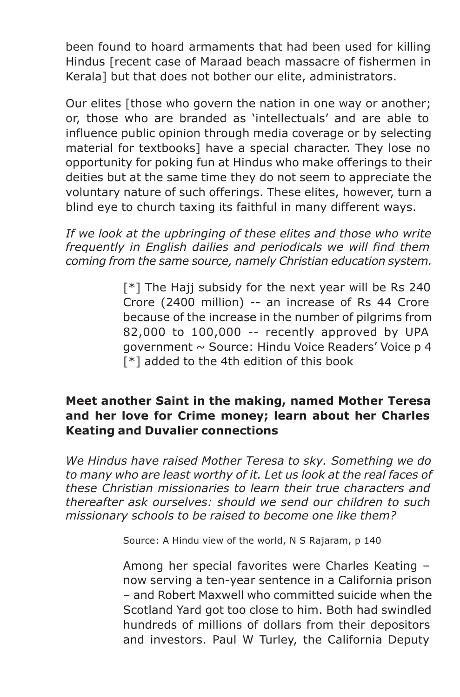been found to hoard armaments that had been used for killing Hindus [recent case of Maraad beach massacre of fishermen in Kerala] but that does not bother our elite, administrators.

Our elites [those who govern the nation in one way or another; or, those who are branded as 'intellectuals' and are able to influence public opinion through media coverage or by selecting material for textbooks] have a special character. They lose no opportunity for poking fun at Hindus who make offerings to their deities but at the same time they do not seem to appreciate the voluntary nature of such offerings. These elites, however, turn a blind eye to church taxing its faithful in many different ways.

*If we look at the upbringing of these elites and those who write frequently in English dailies and periodicals we will find them coming from the same source, namely Christian education system.*

> [\*] The Hajj subsidy for the next year will be Rs 240 Crore (2400 million) -- an increase of Rs 44 Crore because of the increase in the number of pilgrims from 82,000 to 100,000 -- recently approved by UPA government ~ Source: Hindu Voice Readers' Voice p 4 [\*] added to the 4th edition of this book

# **Meet another Saint in the making, named Mother Teresa and her love for Crime money; learn about her Charles Keating and Duvalier connections**

*We Hindus have raised Mother Teresa to sky. Something we do to many who are least worthy of it. Let us look at the real faces of these Christian missionaries to learn their true characters and thereafter ask ourselves: should we send our children to such missionary schools to be raised to become one like them?*

Source: A Hindu view of the world, N S Rajaram, p 140

Among her special favorites were Charles Keating – now serving a ten-year sentence in a California prison – and Robert Maxwell who committed suicide when the Scotland Yard got too close to him. Both had swindled hundreds of millions of dollars from their depositors and investors. Paul W Turley, the California Deputy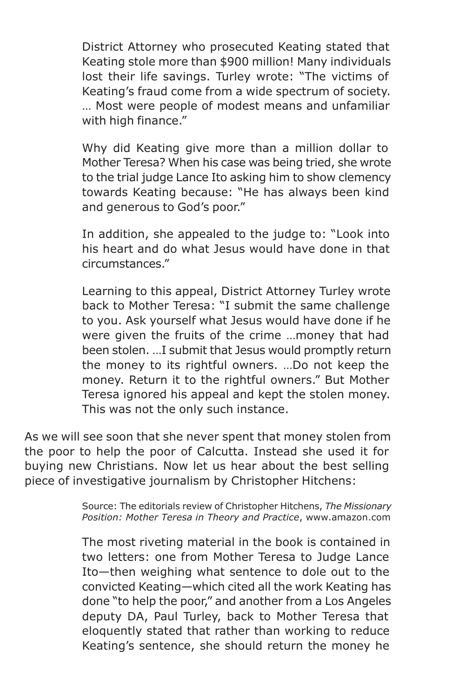District Attorney who prosecuted Keating stated that Keating stole more than \$900 million! Many individuals lost their life savings. Turley wrote: "The victims of Keating's fraud come from a wide spectrum of society. … Most were people of modest means and unfamiliar with high finance."

Why did Keating give more than a million dollar to Mother Teresa? When his case was being tried, she wrote to the trial judge Lance Ito asking him to show clemency towards Keating because: "He has always been kind and generous to God's poor."

In addition, she appealed to the judge to: "Look into his heart and do what Jesus would have done in that circumstances."

Learning to this appeal, District Attorney Turley wrote back to Mother Teresa: "I submit the same challenge to you. Ask yourself what Jesus would have done if he were given the fruits of the crime …money that had been stolen. …I submit that Jesus would promptly return the money to its rightful owners. …Do not keep the money. Return it to the rightful owners." But Mother Teresa ignored his appeal and kept the stolen money. This was not the only such instance.

As we will see soon that she never spent that money stolen from the poor to help the poor of Calcutta. Instead she used it for buying new Christians. Now let us hear about the best selling piece of investigative journalism by Christopher Hitchens:

> Source: The editorials review of Christopher Hitchens, *The Missionary Position: Mother Teresa in Theory and Practice*, www.amazon.com

> The most riveting material in the book is contained in two letters: one from Mother Teresa to Judge Lance Ito—then weighing what sentence to dole out to the convicted Keating—which cited all the work Keating has done "to help the poor," and another from a Los Angeles deputy DA, Paul Turley, back to Mother Teresa that eloquently stated that rather than working to reduce Keating's sentence, she should return the money he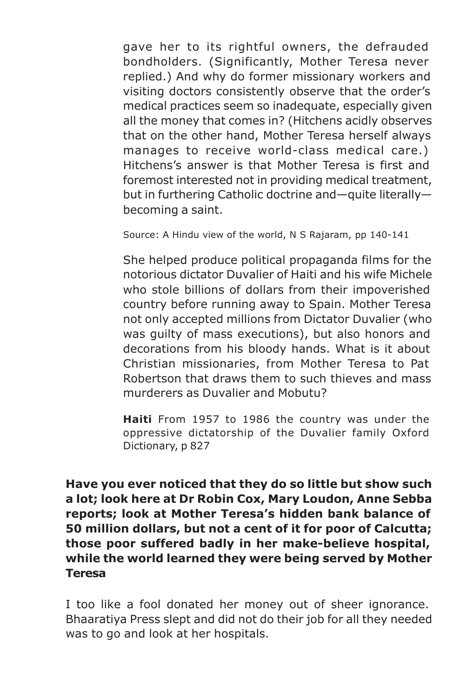gave her to its rightful owners, the defrauded bondholders. (Significantly, Mother Teresa never replied.) And why do former missionary workers and visiting doctors consistently observe that the order's medical practices seem so inadequate, especially given all the money that comes in? (Hitchens acidly observes that on the other hand, Mother Teresa herself always manages to receive world-class medical care.) Hitchens's answer is that Mother Teresa is first and foremost interested not in providing medical treatment, but in furthering Catholic doctrine and—quite literally becoming a saint.

Source: A Hindu view of the world, N S Rajaram, pp 140-141

She helped produce political propaganda films for the notorious dictator Duvalier of Haiti and his wife Michele who stole billions of dollars from their impoverished country before running away to Spain. Mother Teresa not only accepted millions from Dictator Duvalier (who was guilty of mass executions), but also honors and decorations from his bloody hands. What is it about Christian missionaries, from Mother Teresa to Pat Robertson that draws them to such thieves and mass murderers as Duvalier and Mobutu?

**Haiti** From 1957 to 1986 the country was under the oppressive dictatorship of the Duvalier family Oxford Dictionary, p 827

**Have you ever noticed that they do so little but show such a lot; look here at Dr Robin Cox, Mary Loudon, Anne Sebba reports; look at Mother Teresa's hidden bank balance of 50 million dollars, but not a cent of it for poor of Calcutta; those poor suffered badly in her make-believe hospital, while the world learned they were being served by Mother Teresa**

I too like a fool donated her money out of sheer ignorance. Bhaaratiya Press slept and did not do their job for all they needed was to go and look at her hospitals.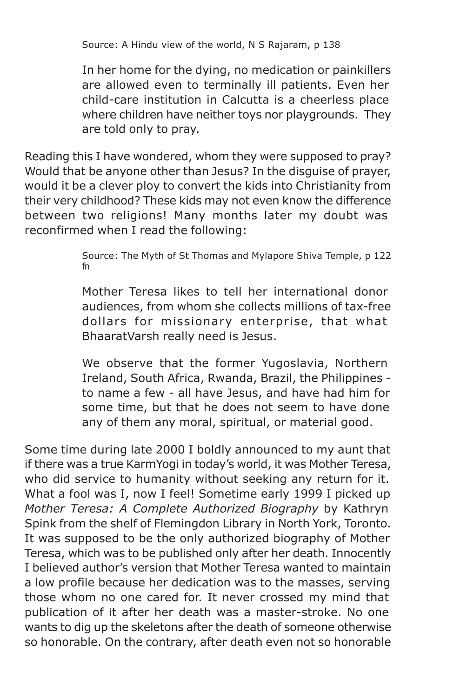Source: A Hindu view of the world, N S Rajaram, p 138

In her home for the dying, no medication or painkillers are allowed even to terminally ill patients. Even her child-care institution in Calcutta is a cheerless place where children have neither toys nor playgrounds. They are told only to pray.

Reading this I have wondered, whom they were supposed to pray? Would that be anyone other than Jesus? In the disguise of prayer, would it be a clever ploy to convert the kids into Christianity from their very childhood? These kids may not even know the difference between two religions! Many months later my doubt was reconfirmed when I read the following:

> Source: The Myth of St Thomas and Mylapore Shiva Temple, p 122 fn

> Mother Teresa likes to tell her international donor audiences, from whom she collects millions of tax-free dollars for missionary enterprise, that what BhaaratVarsh really need is Jesus.

> We observe that the former Yugoslavia, Northern Ireland, South Africa, Rwanda, Brazil, the Philippines to name a few - all have Jesus, and have had him for some time, but that he does not seem to have done any of them any moral, spiritual, or material good.

Some time during late 2000 I boldly announced to my aunt that if there was a true KarmYogi in today's world, it was Mother Teresa, who did service to humanity without seeking any return for it. What a fool was I, now I feel! Sometime early 1999 I picked up *Mother Teresa: A Complete Authorized Biography* by Kathryn Spink from the shelf of Flemingdon Library in North York, Toronto. It was supposed to be the only authorized biography of Mother Teresa, which was to be published only after her death. Innocently I believed author's version that Mother Teresa wanted to maintain a low profile because her dedication was to the masses, serving those whom no one cared for. It never crossed my mind that publication of it after her death was a master-stroke. No one wants to dig up the skeletons after the death of someone otherwise so honorable. On the contrary, after death even not so honorable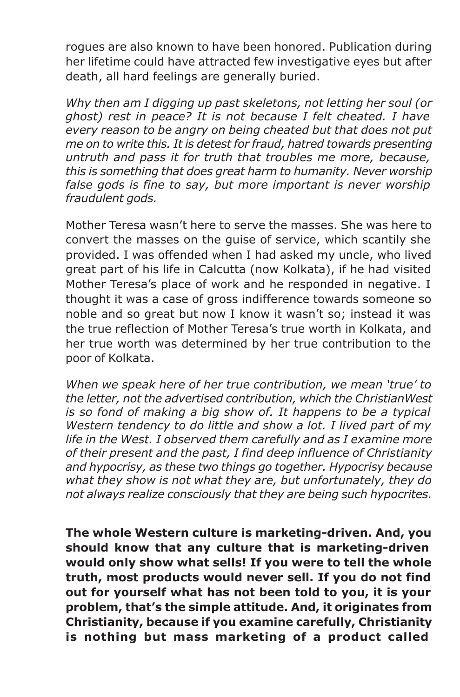rogues are also known to have been honored. Publication during her lifetime could have attracted few investigative eyes but after death, all hard feelings are generally buried.

*Why then am I digging up past skeletons, not letting her soul (or ghost) rest in peace? It is not because I felt cheated. I have every reason to be angry on being cheated but that does not put me on to write this. It is detest for fraud, hatred towards presenting untruth and pass it for truth that troubles me more, because, this is something that does great harm to humanity. Never worship false gods is fine to say, but more important is never worship fraudulent gods.*

Mother Teresa wasn't here to serve the masses. She was here to convert the masses on the guise of service, which scantily she provided. I was offended when I had asked my uncle, who lived great part of his life in Calcutta (now Kolkata), if he had visited Mother Teresa's place of work and he responded in negative. I thought it was a case of gross indifference towards someone so noble and so great but now I know it wasn't so; instead it was the true reflection of Mother Teresa's true worth in Kolkata, and her true worth was determined by her true contribution to the poor of Kolkata.

*When we speak here of her true contribution, we mean 'true' to the letter, not the advertised contribution, which the ChristianWest is so fond of making a big show of. It happens to be a typical Western tendency to do little and show a lot. I lived part of my life in the West. I observed them carefully and as I examine more of their present and the past, I find deep influence of Christianity and hypocrisy, as these two things go together. Hypocrisy because what they show is not what they are, but unfortunately, they do not always realize consciously that they are being such hypocrites.*

**The whole Western culture is marketing-driven. And, you should know that any culture that is marketing-driven would only show what sells! If you were to tell the whole truth, most products would never sell. If you do not find out for yourself what has not been told to you, it is your problem, that's the simple attitude. And, it originates from Christianity, because if you examine carefully, Christianity is nothing but mass marketing of a product called**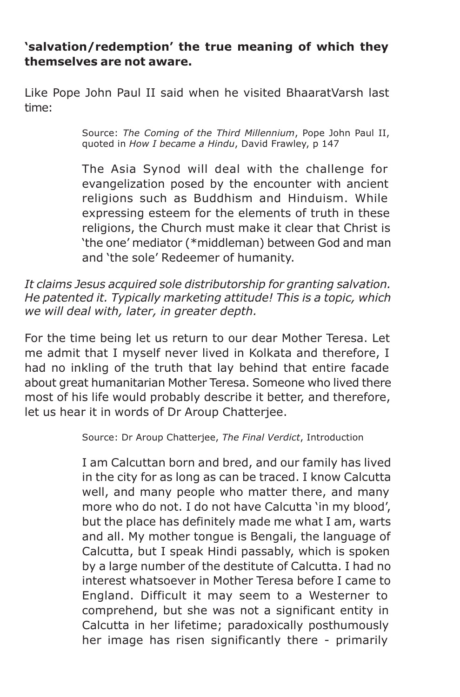#### **'salvation/redemption' the true meaning of which they themselves are not aware.**

Like Pope John Paul II said when he visited BhaaratVarsh last time:

> Source: *The Coming of the Third Millennium*, Pope John Paul II, quoted in *How I became a Hindu*, David Frawley, p 147

> The Asia Synod will deal with the challenge for evangelization posed by the encounter with ancient religions such as Buddhism and Hinduism. While expressing esteem for the elements of truth in these religions, the Church must make it clear that Christ is 'the one' mediator (\*middleman) between God and man and 'the sole' Redeemer of humanity.

*It claims Jesus acquired sole distributorship for granting salvation. He patented it. Typically marketing attitude! This is a topic, which we will deal with, later, in greater depth.*

For the time being let us return to our dear Mother Teresa. Let me admit that I myself never lived in Kolkata and therefore, I had no inkling of the truth that lay behind that entire facade about great humanitarian Mother Teresa. Someone who lived there most of his life would probably describe it better, and therefore, let us hear it in words of Dr Aroup Chatterjee.

Source: Dr Aroup Chatterjee, *The Final Verdict*, Introduction

I am Calcuttan born and bred, and our family has lived in the city for as long as can be traced. I know Calcutta well, and many people who matter there, and many more who do not. I do not have Calcutta 'in my blood', but the place has definitely made me what I am, warts and all. My mother tongue is Bengali, the language of Calcutta, but I speak Hindi passably, which is spoken by a large number of the destitute of Calcutta. I had no interest whatsoever in Mother Teresa before I came to England. Difficult it may seem to a Westerner to comprehend, but she was not a significant entity in Calcutta in her lifetime; paradoxically posthumously her image has risen significantly there - primarily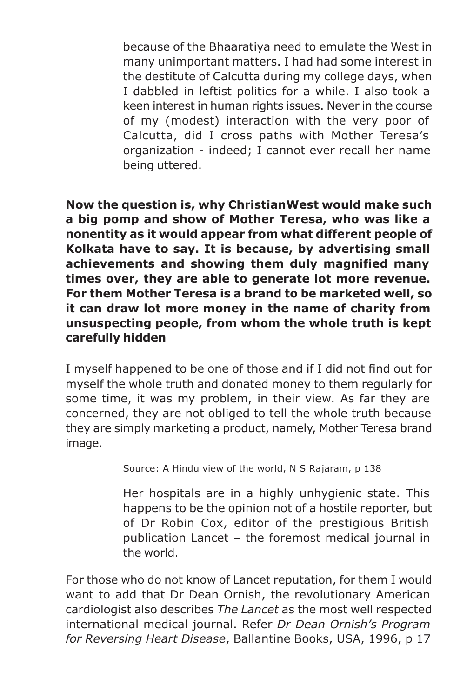because of the Bhaaratiya need to emulate the West in many unimportant matters. I had had some interest in the destitute of Calcutta during my college days, when I dabbled in leftist politics for a while. I also took a keen interest in human rights issues. Never in the course of my (modest) interaction with the very poor of Calcutta, did I cross paths with Mother Teresa's organization - indeed; I cannot ever recall her name being uttered.

**Now the question is, why ChristianWest would make such a big pomp and show of Mother Teresa, who was like a nonentity as it would appear from what different people of Kolkata have to say. It is because, by advertising small achievements and showing them duly magnified many times over, they are able to generate lot more revenue. For them Mother Teresa is a brand to be marketed well, so it can draw lot more money in the name of charity from unsuspecting people, from whom the whole truth is kept carefully hidden**

I myself happened to be one of those and if I did not find out for myself the whole truth and donated money to them regularly for some time, it was my problem, in their view. As far they are concerned, they are not obliged to tell the whole truth because they are simply marketing a product, namely, Mother Teresa brand image.

Source: A Hindu view of the world, N S Rajaram, p 138

Her hospitals are in a highly unhygienic state. This happens to be the opinion not of a hostile reporter, but of Dr Robin Cox, editor of the prestigious British publication Lancet – the foremost medical journal in the world.

For those who do not know of Lancet reputation, for them I would want to add that Dr Dean Ornish, the revolutionary American cardiologist also describes *The Lancet* as the most well respected international medical journal. Refer *Dr Dean Ornish's Program for Reversing Heart Disease*, Ballantine Books, USA, 1996, p 17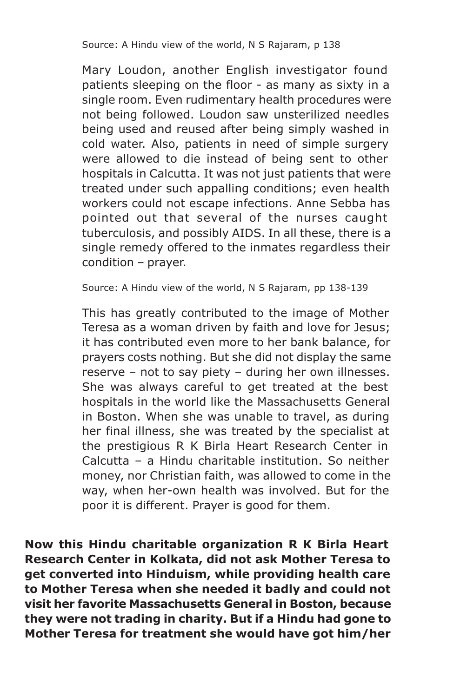Source: A Hindu view of the world, N S Rajaram, p 138

Mary Loudon, another English investigator found patients sleeping on the floor - as many as sixty in a single room. Even rudimentary health procedures were not being followed. Loudon saw unsterilized needles being used and reused after being simply washed in cold water. Also, patients in need of simple surgery were allowed to die instead of being sent to other hospitals in Calcutta. It was not just patients that were treated under such appalling conditions; even health workers could not escape infections. Anne Sebba has pointed out that several of the nurses caught tuberculosis, and possibly AIDS. In all these, there is a single remedy offered to the inmates regardless their condition – prayer.

Source: A Hindu view of the world, N S Rajaram, pp 138-139

This has greatly contributed to the image of Mother Teresa as a woman driven by faith and love for Jesus; it has contributed even more to her bank balance, for prayers costs nothing. But she did not display the same reserve – not to say piety – during her own illnesses. She was always careful to get treated at the best hospitals in the world like the Massachusetts General in Boston. When she was unable to travel, as during her final illness, she was treated by the specialist at the prestigious R K Birla Heart Research Center in Calcutta – a Hindu charitable institution. So neither money, nor Christian faith, was allowed to come in the way, when her-own health was involved. But for the poor it is different. Prayer is good for them.

**Now this Hindu charitable organization R K Birla Heart Research Center in Kolkata, did not ask Mother Teresa to get converted into Hinduism, while providing health care to Mother Teresa when she needed it badly and could not visit her favorite Massachusetts General in Boston, because they were not trading in charity. But if a Hindu had gone to Mother Teresa for treatment she would have got him/her**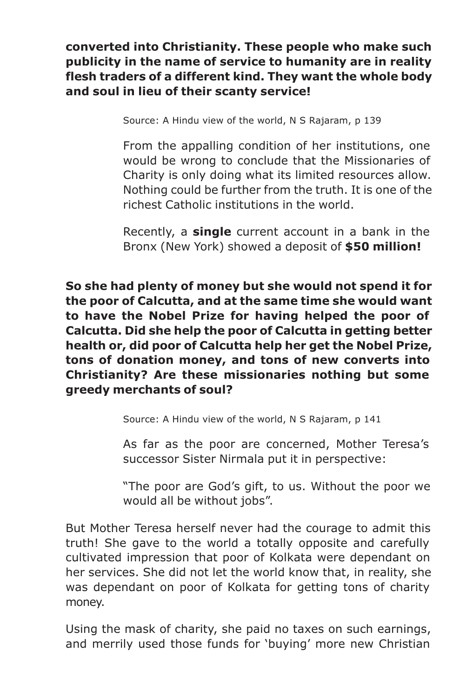**converted into Christianity. These people who make such publicity in the name of service to humanity are in reality flesh traders of a different kind. They want the whole body and soul in lieu of their scanty service!**

Source: A Hindu view of the world, N S Rajaram, p 139

From the appalling condition of her institutions, one would be wrong to conclude that the Missionaries of Charity is only doing what its limited resources allow. Nothing could be further from the truth. It is one of the richest Catholic institutions in the world.

Recently, a **single** current account in a bank in the Bronx (New York) showed a deposit of **\$50 million!**

**So she had plenty of money but she would not spend it for the poor of Calcutta, and at the same time she would want to have the Nobel Prize for having helped the poor of Calcutta. Did she help the poor of Calcutta in getting better health or, did poor of Calcutta help her get the Nobel Prize, tons of donation money, and tons of new converts into Christianity? Are these missionaries nothing but some greedy merchants of soul?**

Source: A Hindu view of the world, N S Rajaram, p 141

As far as the poor are concerned, Mother Teresa's successor Sister Nirmala put it in perspective:

"The poor are God's gift, to us. Without the poor we would all be without jobs".

But Mother Teresa herself never had the courage to admit this truth! She gave to the world a totally opposite and carefully cultivated impression that poor of Kolkata were dependant on her services. She did not let the world know that, in reality, she was dependant on poor of Kolkata for getting tons of charity money.

Using the mask of charity, she paid no taxes on such earnings, and merrily used those funds for 'buying' more new Christian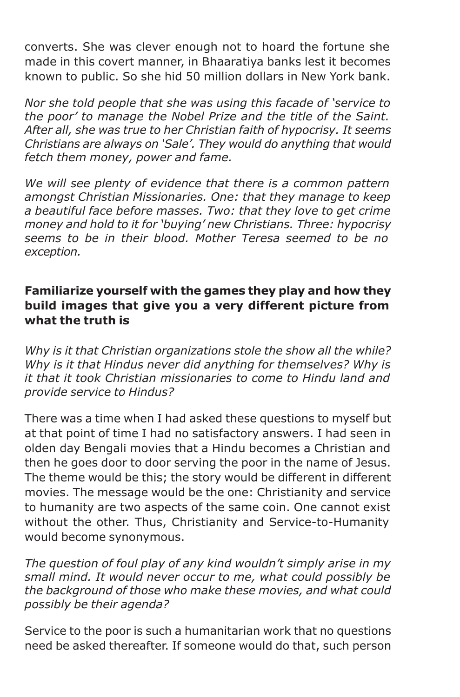converts. She was clever enough not to hoard the fortune she made in this covert manner, in Bhaaratiya banks lest it becomes known to public. So she hid 50 million dollars in New York bank.

*Nor she told people that she was using this facade of 'service to the poor' to manage the Nobel Prize and the title of the Saint. After all, she was true to her Christian faith of hypocrisy. It seems Christians are always on 'Sale'. They would do anything that would fetch them money, power and fame.*

*We will see plenty of evidence that there is a common pattern amongst Christian Missionaries. One: that they manage to keep a beautiful face before masses. Two: that they love to get crime money and hold to it for 'buying' new Christians. Three: hypocrisy seems to be in their blood. Mother Teresa seemed to be no exception.*

# **Familiarize yourself with the games they play and how they build images that give you a very different picture from what the truth is**

*Why is it that Christian organizations stole the show all the while? Why is it that Hindus never did anything for themselves? Why is it that it took Christian missionaries to come to Hindu land and provide service to Hindus?*

There was a time when I had asked these questions to myself but at that point of time I had no satisfactory answers. I had seen in olden day Bengali movies that a Hindu becomes a Christian and then he goes door to door serving the poor in the name of Jesus. The theme would be this; the story would be different in different movies. The message would be the one: Christianity and service to humanity are two aspects of the same coin. One cannot exist without the other. Thus, Christianity and Service-to-Humanity would become synonymous.

*The question of foul play of any kind wouldn't simply arise in my small mind. It would never occur to me, what could possibly be the background of those who make these movies, and what could possibly be their agenda?*

Service to the poor is such a humanitarian work that no questions need be asked thereafter. If someone would do that, such person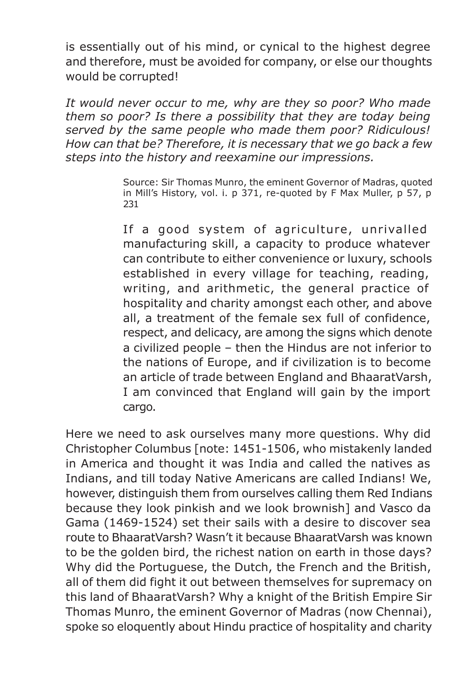is essentially out of his mind, or cynical to the highest degree and therefore, must be avoided for company, or else our thoughts would be corrupted!

*It would never occur to me, why are they so poor? Who made them so poor? Is there a possibility that they are today being served by the same people who made them poor? Ridiculous! How can that be? Therefore, it is necessary that we go back a few steps into the history and reexamine our impressions.*

> Source: Sir Thomas Munro, the eminent Governor of Madras, quoted in Mill's History, vol. i. p 371, re-quoted by F Max Muller, p 57, p 231

> If a good system of agriculture, unrivalled manufacturing skill, a capacity to produce whatever can contribute to either convenience or luxury, schools established in every village for teaching, reading, writing, and arithmetic, the general practice of hospitality and charity amongst each other, and above all, a treatment of the female sex full of confidence, respect, and delicacy, are among the signs which denote a civilized people – then the Hindus are not inferior to the nations of Europe, and if civilization is to become an article of trade between England and BhaaratVarsh, I am convinced that England will gain by the import cargo.

Here we need to ask ourselves many more questions. Why did Christopher Columbus [note: 1451-1506, who mistakenly landed in America and thought it was India and called the natives as Indians, and till today Native Americans are called Indians! We, however, distinguish them from ourselves calling them Red Indians because they look pinkish and we look brownish] and Vasco da Gama (1469-1524) set their sails with a desire to discover sea route to BhaaratVarsh? Wasn't it because BhaaratVarsh was known to be the golden bird, the richest nation on earth in those days? Why did the Portuguese, the Dutch, the French and the British, all of them did fight it out between themselves for supremacy on this land of BhaaratVarsh? Why a knight of the British Empire Sir Thomas Munro, the eminent Governor of Madras (now Chennai), spoke so eloquently about Hindu practice of hospitality and charity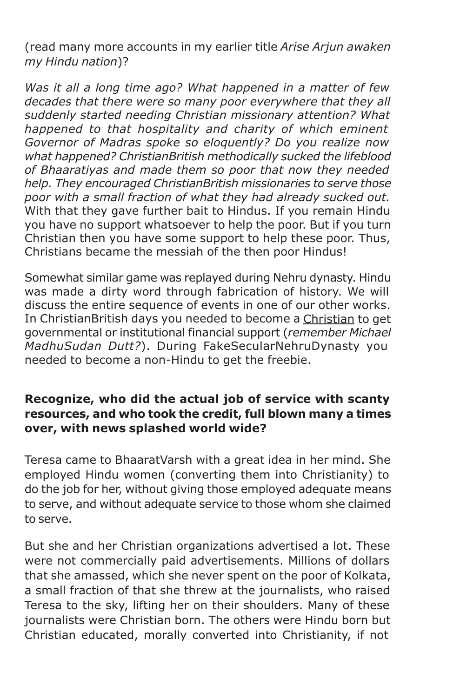(read many more accounts in my earlier title *Arise Arjun awaken my Hindu nation*)?

*Was it all a long time ago? What happened in a matter of few decades that there were so many poor everywhere that they all suddenly started needing Christian missionary attention? What happened to that hospitality and charity of which eminent Governor of Madras spoke so eloquently? Do you realize now what happened? ChristianBritish methodically sucked the lifeblood of Bhaaratiyas and made them so poor that now they needed help. They encouraged ChristianBritish missionaries to serve those poor with a small fraction of what they had already sucked out.* With that they gave further bait to Hindus. If you remain Hindu you have no support whatsoever to help the poor. But if you turn Christian then you have some support to help these poor. Thus, Christians became the messiah of the then poor Hindus!

Somewhat similar game was replayed during Nehru dynasty. Hindu was made a dirty word through fabrication of history. We will discuss the entire sequence of events in one of our other works. In ChristianBritish days you needed to become a Christian to get governmental or institutional financial support (*remember Michael MadhuSudan Dutt?*). During FakeSecularNehruDynasty you needed to become a non-Hindu to get the freebie.

#### **Recognize, who did the actual job of service with scanty resources, and who took the credit, full blown many a times over, with news splashed world wide?**

Teresa came to BhaaratVarsh with a great idea in her mind. She employed Hindu women (converting them into Christianity) to do the job for her, without giving those employed adequate means to serve, and without adequate service to those whom she claimed to serve.

But she and her Christian organizations advertised a lot. These were not commercially paid advertisements. Millions of dollars that she amassed, which she never spent on the poor of Kolkata, a small fraction of that she threw at the journalists, who raised Teresa to the sky, lifting her on their shoulders. Many of these journalists were Christian born. The others were Hindu born but Christian educated, morally converted into Christianity, if not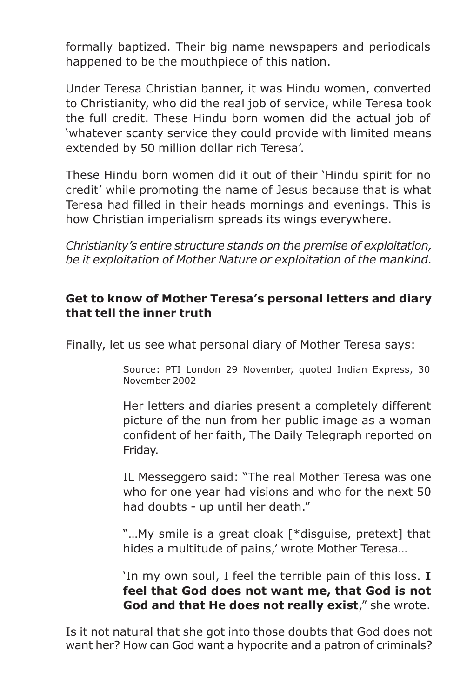formally baptized. Their big name newspapers and periodicals happened to be the mouthpiece of this nation.

Under Teresa Christian banner, it was Hindu women, converted to Christianity, who did the real job of service, while Teresa took the full credit. These Hindu born women did the actual job of 'whatever scanty service they could provide with limited means extended by 50 million dollar rich Teresa'.

These Hindu born women did it out of their 'Hindu spirit for no credit' while promoting the name of Jesus because that is what Teresa had filled in their heads mornings and evenings. This is how Christian imperialism spreads its wings everywhere.

*Christianity's entire structure stands on the premise of exploitation, be it exploitation of Mother Nature or exploitation of the mankind.*

# **Get to know of Mother Teresa's personal letters and diary that tell the inner truth**

Finally, let us see what personal diary of Mother Teresa says:

Source: PTI London 29 November, quoted Indian Express, 30 November 2002

Her letters and diaries present a completely different picture of the nun from her public image as a woman confident of her faith, The Daily Telegraph reported on Friday.

IL Messeggero said: "The real Mother Teresa was one who for one year had visions and who for the next 50 had doubts - up until her death."

"…My smile is a great cloak [\*disguise, pretext] that hides a multitude of pains,' wrote Mother Teresa…

'In my own soul, I feel the terrible pain of this loss. **I feel that God does not want me, that God is not God and that He does not really exist**," she wrote.

Is it not natural that she got into those doubts that God does not want her? How can God want a hypocrite and a patron of criminals?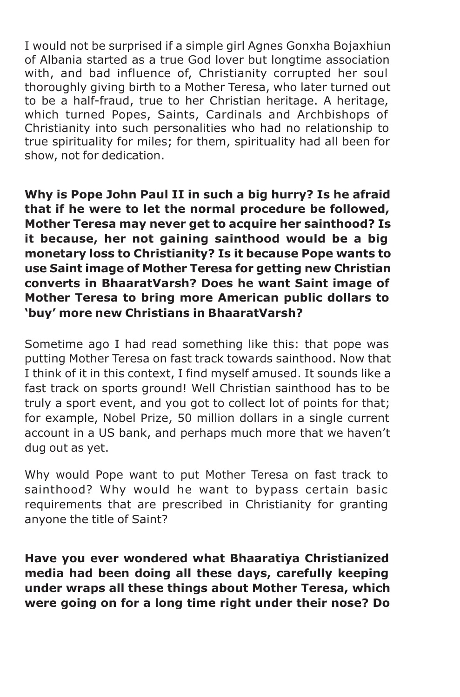I would not be surprised if a simple girl Agnes Gonxha Bojaxhiun of Albania started as a true God lover but longtime association with, and bad influence of, Christianity corrupted her soul thoroughly giving birth to a Mother Teresa, who later turned out to be a half-fraud, true to her Christian heritage. A heritage, which turned Popes, Saints, Cardinals and Archbishops of Christianity into such personalities who had no relationship to true spirituality for miles; for them, spirituality had all been for show, not for dedication.

**Why is Pope John Paul II in such a big hurry? Is he afraid that if he were to let the normal procedure be followed, Mother Teresa may never get to acquire her sainthood? Is it because, her not gaining sainthood would be a big monetary loss to Christianity? Is it because Pope wants to use Saint image of Mother Teresa for getting new Christian converts in BhaaratVarsh? Does he want Saint image of Mother Teresa to bring more American public dollars to 'buy' more new Christians in BhaaratVarsh?**

Sometime ago I had read something like this: that pope was putting Mother Teresa on fast track towards sainthood. Now that I think of it in this context, I find myself amused. It sounds like a fast track on sports ground! Well Christian sainthood has to be truly a sport event, and you got to collect lot of points for that; for example, Nobel Prize, 50 million dollars in a single current account in a US bank, and perhaps much more that we haven't dug out as yet.

Why would Pope want to put Mother Teresa on fast track to sainthood? Why would he want to bypass certain basic requirements that are prescribed in Christianity for granting anyone the title of Saint?

**Have you ever wondered what Bhaaratiya Christianized media had been doing all these days, carefully keeping under wraps all these things about Mother Teresa, which were going on for a long time right under their nose? Do**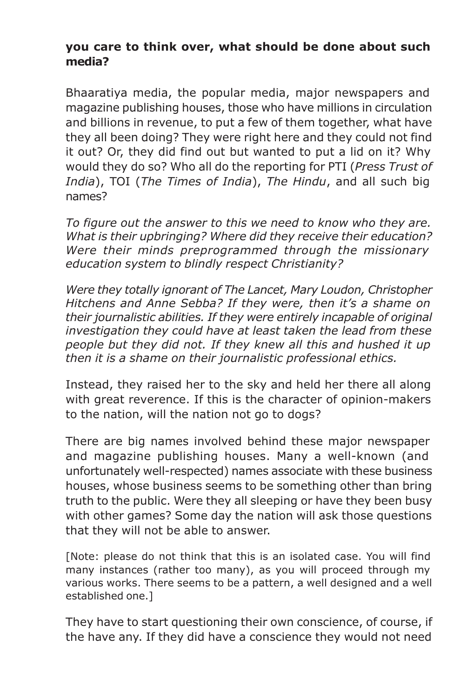#### **you care to think over, what should be done about such media?**

Bhaaratiya media, the popular media, major newspapers and magazine publishing houses, those who have millions in circulation and billions in revenue, to put a few of them together, what have they all been doing? They were right here and they could not find it out? Or, they did find out but wanted to put a lid on it? Why would they do so? Who all do the reporting for PTI (*Press Trust of India*), TOI (*The Times of India*), *The Hindu*, and all such big names?

*To figure out the answer to this we need to know who they are. What is their upbringing? Where did they receive their education? Were their minds preprogrammed through the missionary education system to blindly respect Christianity?*

*Were they totally ignorant of The Lancet, Mary Loudon, Christopher Hitchens and Anne Sebba? If they were, then it's a shame on their journalistic abilities. If they were entirely incapable of original investigation they could have at least taken the lead from these people but they did not. If they knew all this and hushed it up then it is a shame on their journalistic professional ethics.*

Instead, they raised her to the sky and held her there all along with great reverence. If this is the character of opinion-makers to the nation, will the nation not go to dogs?

There are big names involved behind these major newspaper and magazine publishing houses. Many a well-known (and unfortunately well-respected) names associate with these business houses, whose business seems to be something other than bring truth to the public. Were they all sleeping or have they been busy with other games? Some day the nation will ask those questions that they will not be able to answer.

[Note: please do not think that this is an isolated case. You will find many instances (rather too many), as you will proceed through my various works. There seems to be a pattern, a well designed and a well established one.]

They have to start questioning their own conscience, of course, if the have any. If they did have a conscience they would not need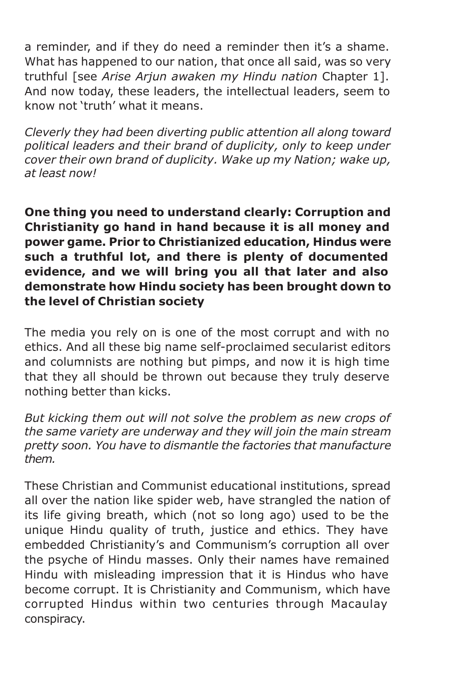a reminder, and if they do need a reminder then it's a shame. What has happened to our nation, that once all said, was so very truthful [see *Arise Arjun awaken my Hindu nation* Chapter 1]. And now today, these leaders, the intellectual leaders, seem to know not 'truth' what it means.

*Cleverly they had been diverting public attention all along toward political leaders and their brand of duplicity, only to keep under cover their own brand of duplicity. Wake up my Nation; wake up, at least now!*

**One thing you need to understand clearly: Corruption and Christianity go hand in hand because it is all money and power game. Prior to Christianized education, Hindus were such a truthful lot, and there is plenty of documented evidence, and we will bring you all that later and also demonstrate how Hindu society has been brought down to the level of Christian society**

The media you rely on is one of the most corrupt and with no ethics. And all these big name self-proclaimed secularist editors and columnists are nothing but pimps, and now it is high time that they all should be thrown out because they truly deserve nothing better than kicks.

*But kicking them out will not solve the problem as new crops of the same variety are underway and they will join the main stream pretty soon. You have to dismantle the factories that manufacture them.*

These Christian and Communist educational institutions, spread all over the nation like spider web, have strangled the nation of its life giving breath, which (not so long ago) used to be the unique Hindu quality of truth, justice and ethics. They have embedded Christianity's and Communism's corruption all over the psyche of Hindu masses. Only their names have remained Hindu with misleading impression that it is Hindus who have become corrupt. It is Christianity and Communism, which have corrupted Hindus within two centuries through Macaulay conspiracy.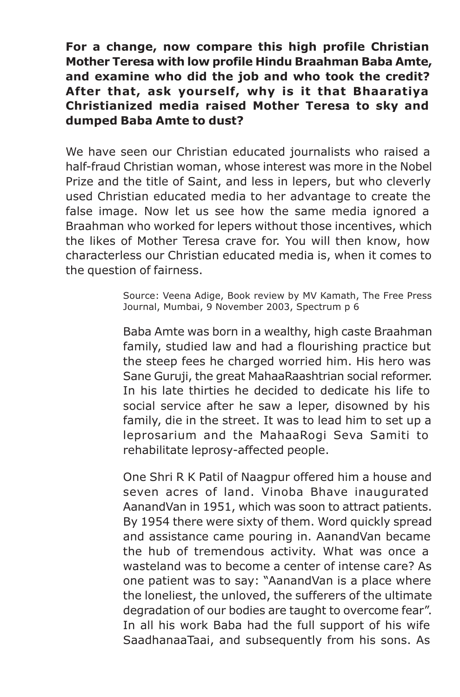**For a change, now compare this high profile Christian Mother Teresa with low profile Hindu Braahman Baba Amte, and examine who did the job and who took the credit? After that, ask yourself, why is it that Bhaaratiya Christianized media raised Mother Teresa to sky and dumped Baba Amte to dust?**

We have seen our Christian educated journalists who raised a half-fraud Christian woman, whose interest was more in the Nobel Prize and the title of Saint, and less in lepers, but who cleverly used Christian educated media to her advantage to create the false image. Now let us see how the same media ignored a Braahman who worked for lepers without those incentives, which the likes of Mother Teresa crave for. You will then know, how characterless our Christian educated media is, when it comes to the question of fairness.

> Source: Veena Adige, Book review by MV Kamath, The Free Press Journal, Mumbai, 9 November 2003, Spectrum p 6

> Baba Amte was born in a wealthy, high caste Braahman family, studied law and had a flourishing practice but the steep fees he charged worried him. His hero was Sane Guruji, the great MahaaRaashtrian social reformer. In his late thirties he decided to dedicate his life to social service after he saw a leper, disowned by his family, die in the street. It was to lead him to set up a leprosarium and the MahaaRogi Seva Samiti to rehabilitate leprosy-affected people.

> One Shri R K Patil of Naagpur offered him a house and seven acres of land. Vinoba Bhave inaugurated AanandVan in 1951, which was soon to attract patients. By 1954 there were sixty of them. Word quickly spread and assistance came pouring in. AanandVan became the hub of tremendous activity. What was once a wasteland was to become a center of intense care? As one patient was to say: "AanandVan is a place where the loneliest, the unloved, the sufferers of the ultimate degradation of our bodies are taught to overcome fear". In all his work Baba had the full support of his wife SaadhanaaTaai, and subsequently from his sons. As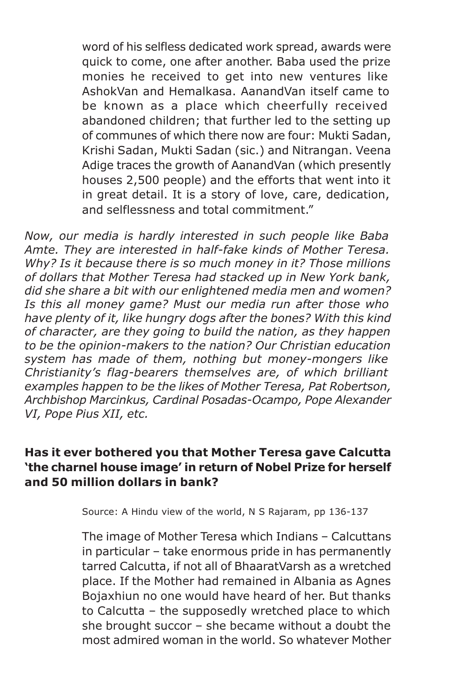word of his selfless dedicated work spread, awards were quick to come, one after another. Baba used the prize monies he received to get into new ventures like AshokVan and Hemalkasa. AanandVan itself came to be known as a place which cheerfully received abandoned children; that further led to the setting up of communes of which there now are four: Mukti Sadan, Krishi Sadan, Mukti Sadan (sic.) and Nitrangan. Veena Adige traces the growth of AanandVan (which presently houses 2,500 people) and the efforts that went into it in great detail. It is a story of love, care, dedication, and selflessness and total commitment."

*Now, our media is hardly interested in such people like Baba Amte. They are interested in half-fake kinds of Mother Teresa. Why? Is it because there is so much money in it? Those millions of dollars that Mother Teresa had stacked up in New York bank, did she share a bit with our enlightened media men and women? Is this all money game? Must our media run after those who have plenty of it, like hungry dogs after the bones? With this kind of character, are they going to build the nation, as they happen to be the opinion-makers to the nation? Our Christian education system has made of them, nothing but money-mongers like Christianity's flag-bearers themselves are, of which brilliant examples happen to be the likes of Mother Teresa, Pat Robertson, Archbishop Marcinkus, Cardinal Posadas-Ocampo, Pope Alexander VI, Pope Pius XII, etc.*

#### **Has it ever bothered you that Mother Teresa gave Calcutta 'the charnel house image' in return of Nobel Prize for herself and 50 million dollars in bank?**

Source: A Hindu view of the world, N S Rajaram, pp 136-137

The image of Mother Teresa which Indians – Calcuttans in particular – take enormous pride in has permanently tarred Calcutta, if not all of BhaaratVarsh as a wretched place. If the Mother had remained in Albania as Agnes Bojaxhiun no one would have heard of her. But thanks to Calcutta – the supposedly wretched place to which she brought succor – she became without a doubt the most admired woman in the world. So whatever Mother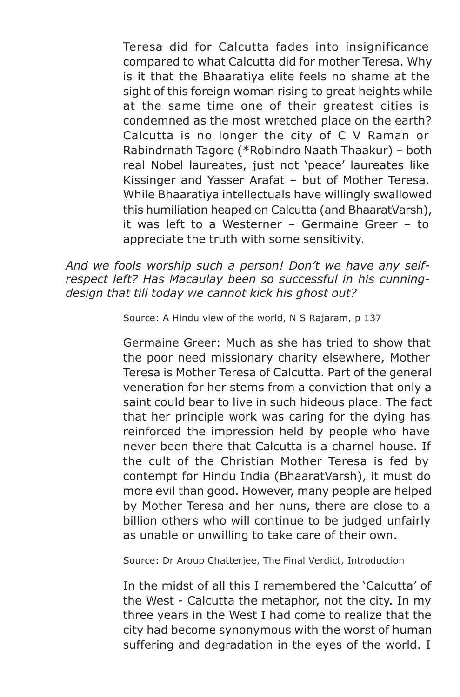Teresa did for Calcutta fades into insignificance compared to what Calcutta did for mother Teresa. Why is it that the Bhaaratiya elite feels no shame at the sight of this foreign woman rising to great heights while at the same time one of their greatest cities is condemned as the most wretched place on the earth? Calcutta is no longer the city of C V Raman or Rabindrnath Tagore (\*Robindro Naath Thaakur) – both real Nobel laureates, just not 'peace' laureates like Kissinger and Yasser Arafat – but of Mother Teresa. While Bhaaratiya intellectuals have willingly swallowed this humiliation heaped on Calcutta (and BhaaratVarsh), it was left to a Westerner – Germaine Greer – to appreciate the truth with some sensitivity.

#### *And we fools worship such a person! Don't we have any selfrespect left? Has Macaulay been so successful in his cunningdesign that till today we cannot kick his ghost out?*

Source: A Hindu view of the world, N S Rajaram, p 137

Germaine Greer: Much as she has tried to show that the poor need missionary charity elsewhere, Mother Teresa is Mother Teresa of Calcutta. Part of the general veneration for her stems from a conviction that only a saint could bear to live in such hideous place. The fact that her principle work was caring for the dying has reinforced the impression held by people who have never been there that Calcutta is a charnel house. If the cult of the Christian Mother Teresa is fed by contempt for Hindu India (BhaaratVarsh), it must do more evil than good. However, many people are helped by Mother Teresa and her nuns, there are close to a billion others who will continue to be judged unfairly as unable or unwilling to take care of their own.

Source: Dr Aroup Chatterjee, The Final Verdict, Introduction

In the midst of all this I remembered the 'Calcutta' of the West - Calcutta the metaphor, not the city. In my three years in the West I had come to realize that the city had become synonymous with the worst of human suffering and degradation in the eyes of the world. I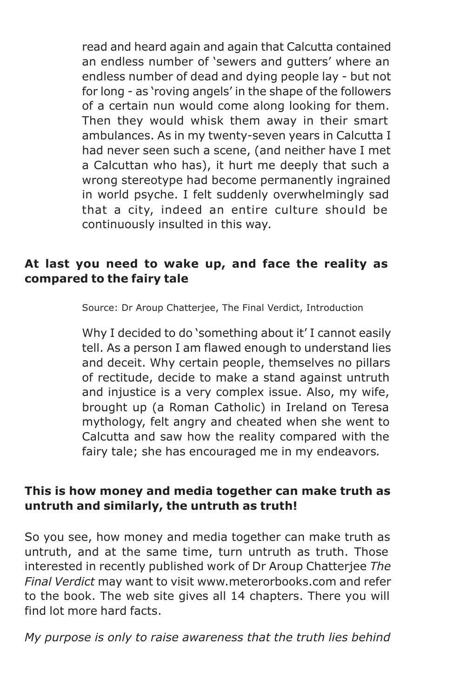read and heard again and again that Calcutta contained an endless number of 'sewers and gutters' where an endless number of dead and dying people lay - but not for long - as 'roving angels' in the shape of the followers of a certain nun would come along looking for them. Then they would whisk them away in their smart ambulances. As in my twenty-seven years in Calcutta I had never seen such a scene, (and neither have I met a Calcuttan who has), it hurt me deeply that such a wrong stereotype had become permanently ingrained in world psyche. I felt suddenly overwhelmingly sad that a city, indeed an entire culture should be continuously insulted in this way*.*

### **At last you need to wake up, and face the reality as compared to the fairy tale**

Source: Dr Aroup Chatterjee, The Final Verdict, Introduction

Why I decided to do 'something about it' I cannot easily tell. As a person I am flawed enough to understand lies and deceit. Why certain people, themselves no pillars of rectitude, decide to make a stand against untruth and injustice is a very complex issue. Also, my wife, brought up (a Roman Catholic) in Ireland on Teresa mythology, felt angry and cheated when she went to Calcutta and saw how the reality compared with the fairy tale; she has encouraged me in my endeavors*.*

### **This is how money and media together can make truth as untruth and similarly, the untruth as truth!**

So you see, how money and media together can make truth as untruth, and at the same time, turn untruth as truth. Those interested in recently published work of Dr Aroup Chatterjee *The Final Verdict* may want to visit www.meterorbooks.com and refer to the book. The web site gives all 14 chapters. There you will find lot more hard facts.

*My purpose is only to raise awareness that the truth lies behind*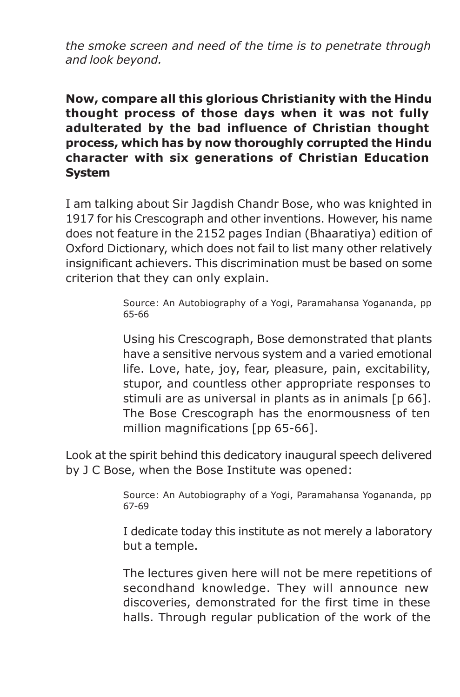*the smoke screen and need of the time is to penetrate through and look beyond.*

**Now, compare all this glorious Christianity with the Hindu thought process of those days when it was not fully adulterated by the bad influence of Christian thought process, which has by now thoroughly corrupted the Hindu character with six generations of Christian Education System**

I am talking about Sir Jagdish Chandr Bose, who was knighted in 1917 for his Crescograph and other inventions. However, his name does not feature in the 2152 pages Indian (Bhaaratiya) edition of Oxford Dictionary, which does not fail to list many other relatively insignificant achievers. This discrimination must be based on some criterion that they can only explain.

> Source: An Autobiography of a Yogi, Paramahansa Yogananda, pp 65-66

> Using his Crescograph, Bose demonstrated that plants have a sensitive nervous system and a varied emotional life. Love, hate, joy, fear, pleasure, pain, excitability, stupor, and countless other appropriate responses to stimuli are as universal in plants as in animals [p 66]. The Bose Crescograph has the enormousness of ten million magnifications [pp 65-66].

Look at the spirit behind this dedicatory inaugural speech delivered by J C Bose, when the Bose Institute was opened:

> Source: An Autobiography of a Yogi, Paramahansa Yogananda, pp 67-69

> I dedicate today this institute as not merely a laboratory but a temple.

> The lectures given here will not be mere repetitions of secondhand knowledge. They will announce new discoveries, demonstrated for the first time in these halls. Through regular publication of the work of the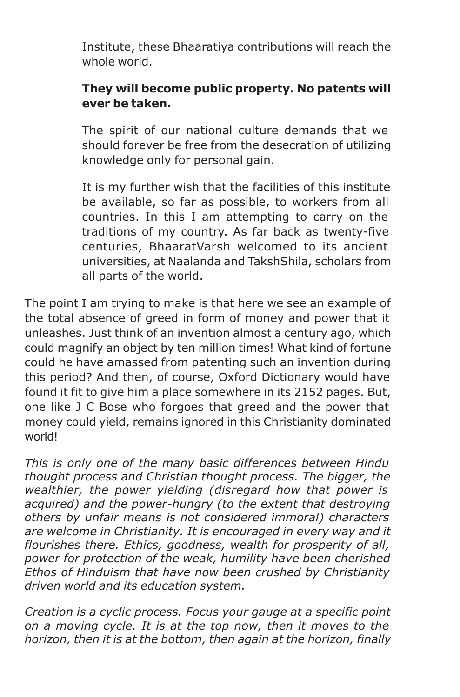Institute, these Bhaaratiya contributions will reach the whole world.

### **They will become public property. No patents will ever be taken.**

The spirit of our national culture demands that we should forever be free from the desecration of utilizing knowledge only for personal gain.

It is my further wish that the facilities of this institute be available, so far as possible, to workers from all countries. In this I am attempting to carry on the traditions of my country. As far back as twenty-five centuries, BhaaratVarsh welcomed to its ancient universities, at Naalanda and TakshShila, scholars from all parts of the world.

The point I am trying to make is that here we see an example of the total absence of greed in form of money and power that it unleashes. Just think of an invention almost a century ago, which could magnify an object by ten million times! What kind of fortune could he have amassed from patenting such an invention during this period? And then, of course, Oxford Dictionary would have found it fit to give him a place somewhere in its 2152 pages. But, one like J C Bose who forgoes that greed and the power that money could yield, remains ignored in this Christianity dominated world!

*This is only one of the many basic differences between Hindu thought process and Christian thought process. The bigger, the wealthier, the power yielding (disregard how that power is acquired) and the power-hungry (to the extent that destroying others by unfair means is not considered immoral) characters are welcome in Christianity. It is encouraged in every way and it flourishes there. Ethics, goodness, wealth for prosperity of all, power for protection of the weak, humility have been cherished Ethos of Hinduism that have now been crushed by Christianity driven world and its education system.*

*Creation is a cyclic process. Focus your gauge at a specific point on a moving cycle. It is at the top now, then it moves to the horizon, then it is at the bottom, then again at the horizon, finally*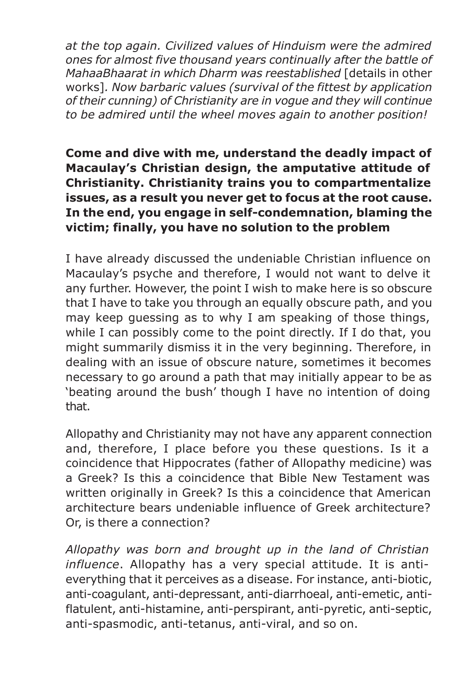*at the top again. Civilized values of Hinduism were the admired ones for almost five thousand years continually after the battle of MahaaBhaarat in which Dharm was reestablished* [details in other works]*. Now barbaric values (survival of the fittest by application of their cunning) of Christianity are in vogue and they will continue to be admired until the wheel moves again to another position!*

### **Come and dive with me, understand the deadly impact of Macaulay's Christian design, the amputative attitude of Christianity. Christianity trains you to compartmentalize issues, as a result you never get to focus at the root cause. In the end, you engage in self-condemnation, blaming the victim; finally, you have no solution to the problem**

I have already discussed the undeniable Christian influence on Macaulay's psyche and therefore, I would not want to delve it any further. However, the point I wish to make here is so obscure that I have to take you through an equally obscure path, and you may keep guessing as to why I am speaking of those things, while I can possibly come to the point directly. If I do that, you might summarily dismiss it in the very beginning. Therefore, in dealing with an issue of obscure nature, sometimes it becomes necessary to go around a path that may initially appear to be as 'beating around the bush' though I have no intention of doing that.

Allopathy and Christianity may not have any apparent connection and, therefore, I place before you these questions. Is it a coincidence that Hippocrates (father of Allopathy medicine) was a Greek? Is this a coincidence that Bible New Testament was written originally in Greek? Is this a coincidence that American architecture bears undeniable influence of Greek architecture? Or, is there a connection?

*Allopathy was born and brought up in the land of Christian influence*. Allopathy has a very special attitude. It is antieverything that it perceives as a disease. For instance, anti-biotic, anti-coagulant, anti-depressant, anti-diarrhoeal, anti-emetic, antiflatulent, anti-histamine, anti-perspirant, anti-pyretic, anti-septic, anti-spasmodic, anti-tetanus, anti-viral, and so on.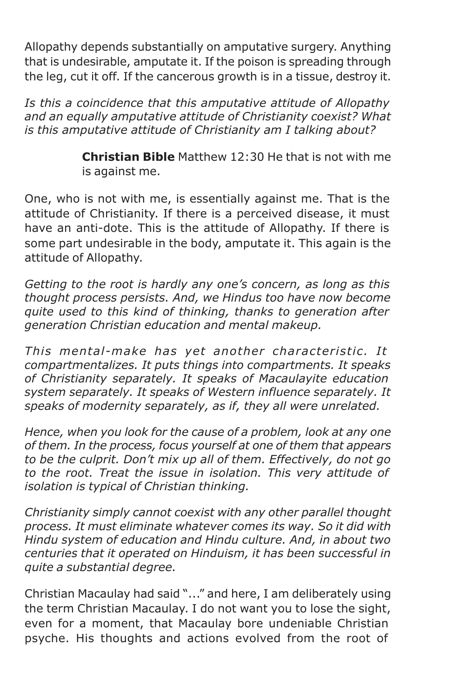Allopathy depends substantially on amputative surgery. Anything that is undesirable, amputate it. If the poison is spreading through the leg, cut it off. If the cancerous growth is in a tissue, destroy it.

*Is this a coincidence that this amputative attitude of Allopathy and an equally amputative attitude of Christianity coexist? What is this amputative attitude of Christianity am I talking about?*

> **Christian Bible** Matthew 12:30 He that is not with me is against me.

One, who is not with me, is essentially against me. That is the attitude of Christianity. If there is a perceived disease, it must have an anti-dote. This is the attitude of Allopathy. If there is some part undesirable in the body, amputate it. This again is the attitude of Allopathy.

*Getting to the root is hardly any one's concern, as long as this thought process persists. And, we Hindus too have now become quite used to this kind of thinking, thanks to generation after generation Christian education and mental makeup.*

*This mental-make has yet another characteristic. It compartmentalizes. It puts things into compartments. It speaks of Christianity separately. It speaks of Macaulayite education system separately. It speaks of Western influence separately. It speaks of modernity separately, as if, they all were unrelated.*

*Hence, when you look for the cause of a problem, look at any one of them. In the process, focus yourself at one of them that appears to be the culprit. Don't mix up all of them. Effectively, do not go to the root. Treat the issue in isolation. This very attitude of isolation is typical of Christian thinking.*

*Christianity simply cannot coexist with any other parallel thought process. It must eliminate whatever comes its way. So it did with Hindu system of education and Hindu culture. And, in about two centuries that it operated on Hinduism, it has been successful in quite a substantial degree.*

Christian Macaulay had said "..." and here, I am deliberately using the term Christian Macaulay. I do not want you to lose the sight, even for a moment, that Macaulay bore undeniable Christian psyche. His thoughts and actions evolved from the root of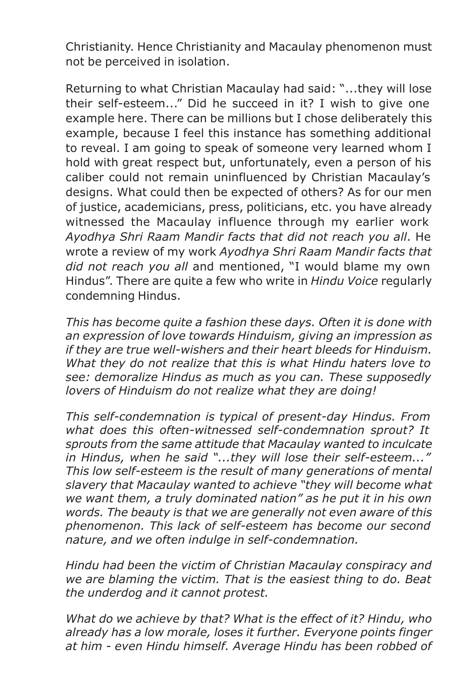Christianity. Hence Christianity and Macaulay phenomenon must not be perceived in isolation.

Returning to what Christian Macaulay had said: "...they will lose their self-esteem..." Did he succeed in it? I wish to give one example here. There can be millions but I chose deliberately this example, because I feel this instance has something additional to reveal. I am going to speak of someone very learned whom I hold with great respect but, unfortunately, even a person of his caliber could not remain uninfluenced by Christian Macaulay's designs. What could then be expected of others? As for our men of justice, academicians, press, politicians, etc. you have already witnessed the Macaulay influence through my earlier work *Ayodhya Shri Raam Mandir facts that did not reach you all*. He wrote a review of my work *Ayodhya Shri Raam Mandir facts that did not reach you all* and mentioned, "I would blame my own Hindus". There are quite a few who write in *Hindu Voice* regularly condemning Hindus.

*This has become quite a fashion these days. Often it is done with an expression of love towards Hinduism, giving an impression as if they are true well-wishers and their heart bleeds for Hinduism. What they do not realize that this is what Hindu haters love to see: demoralize Hindus as much as you can. These supposedly lovers of Hinduism do not realize what they are doing!*

*This self-condemnation is typical of present-day Hindus. From what does this often-witnessed self-condemnation sprout? It sprouts from the same attitude that Macaulay wanted to inculcate in Hindus, when he said "...they will lose their self-esteem..." This low self-esteem is the result of many generations of mental slavery that Macaulay wanted to achieve "they will become what we want them, a truly dominated nation" as he put it in his own words. The beauty is that we are generally not even aware of this phenomenon. This lack of self-esteem has become our second nature, and we often indulge in self-condemnation.*

*Hindu had been the victim of Christian Macaulay conspiracy and we are blaming the victim. That is the easiest thing to do. Beat the underdog and it cannot protest.*

*What do we achieve by that? What is the effect of it? Hindu, who already has a low morale, loses it further. Everyone points finger at him - even Hindu himself. Average Hindu has been robbed of*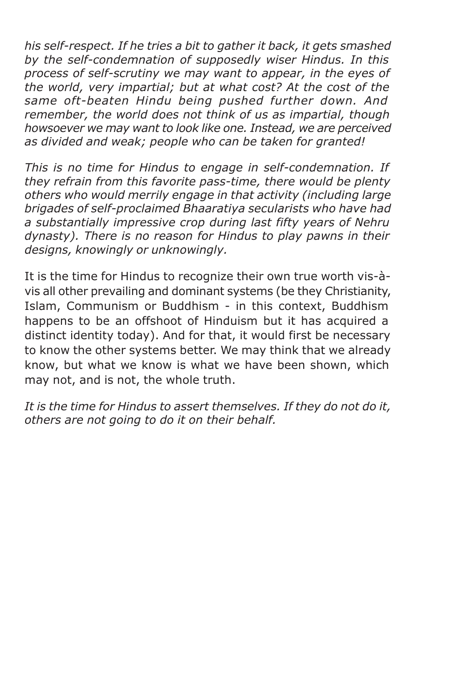*his self-respect. If he tries a bit to gather it back, it gets smashed by the self-condemnation of supposedly wiser Hindus. In this process of self-scrutiny we may want to appear, in the eyes of the world, very impartial; but at what cost? At the cost of the same oft-beaten Hindu being pushed further down. And remember, the world does not think of us as impartial, though howsoever we may want to look like one. Instead, we are perceived as divided and weak; people who can be taken for granted!*

*This is no time for Hindus to engage in self-condemnation. If they refrain from this favorite pass-time, there would be plenty others who would merrily engage in that activity (including large brigades of self-proclaimed Bhaaratiya secularists who have had a substantially impressive crop during last fifty years of Nehru dynasty). There is no reason for Hindus to play pawns in their designs, knowingly or unknowingly.*

It is the time for Hindus to recognize their own true worth vis-àvis all other prevailing and dominant systems (be they Christianity, Islam, Communism or Buddhism - in this context, Buddhism happens to be an offshoot of Hinduism but it has acquired a distinct identity today). And for that, it would first be necessary to know the other systems better. We may think that we already know, but what we know is what we have been shown, which may not, and is not, the whole truth.

*It is the time for Hindus to assert themselves. If they do not do it, others are not going to do it on their behalf.*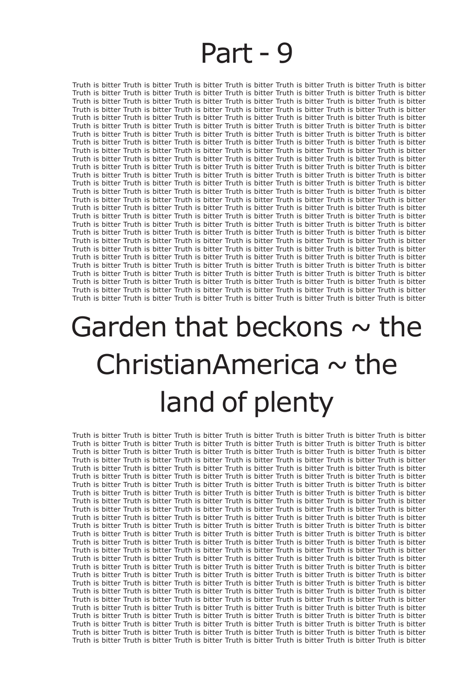# Part - 9

Truth is bitter Truth is bitter Truth is bitter Truth is bitter Truth is bitter Truth is bitter Truth is bitter Truth is bitter Truth is bitter Truth is bitter Truth is bitter Truth is bitter Truth is bitter Truth is bitter Truth is bitter Truth is bitter Truth is bitter Truth is bitter Truth is bitter Truth is bitter Truth is bitter Truth is bitter Truth is bitter Truth is bitter Truth is bitter Truth is bitter Truth is bitter Truth is bitter Truth is bitter Truth is bitter Truth is bitter Truth is bitter Truth is bitter Truth is bitter Truth is bitter Truth is bitter Truth is bitter Truth is bitter Truth is bitter Truth is bitter Truth is bitter Truth is bitter Truth is bitter Truth is bitter Truth is bitter Truth is bitter Truth is bitter Truth is bitter Truth is bitter Truth is bitter Truth is bitter Truth is bitter Truth is bitter Truth is bitter Truth is bitter Truth is bitter Truth is bitter Truth is bitter Truth is bitter Truth is bitter Truth is bitter Truth is bitter Truth is bitter Truth is bitter Truth is bitter Truth is bitter Truth is bitter Truth is bitter Truth is bitter Truth is bitter Truth is bitter Truth is bitter Truth is bitter Truth is bitter Truth is bitter Truth is bitter Truth is bitter Truth is bitter Truth is bitter Truth is bitter Truth is bitter Truth is bitter Truth is bitter Truth is bitter Truth is bitter Truth is bitter Truth is bitter Truth is bitter Truth is bitter Truth is bitter Truth is bitter Truth is bitter Truth is bitter Truth is bitter Truth is bitter Truth is bitter Truth is bitter Truth is bitter Truth is bitter Truth is bitter Truth is bitter Truth is bitter Truth is bitter Truth is bitter Truth is bitter Truth is bitter Truth is bitter Truth is bitter Truth is bitter Truth is bitter Truth is bitter Truth is bitter Truth is bitter Truth is bitter Truth is bitter Truth is bitter Truth is bitter Truth is bitter Truth is bitter Truth is bitter Truth is bitter Truth is bitter Truth is bitter Truth is bitter Truth is bitter Truth is bitter Truth is bitter Truth is bitter Truth is bitter Truth is bitter Truth is bitter Truth is bitter Truth is bitter Truth is bitter Truth is bitter Truth is bitter Truth is bitter Truth is bitter Truth is bitter Truth is bitter Truth is bitter Truth is bitter Truth is bitter Truth is bitter Truth is bitter Truth is bitter Truth is bitter Truth is bitter Truth is bitter Truth is bitter Truth is bitter Truth is bitter Truth is bitter Truth is bitter Truth is bitter Truth is bitter Truth is bitter Truth is bitter Truth is bitter Truth is bitter Truth is bitter Truth is bitter Truth is bitter Truth is bitter Truth is bitter Truth is bitter Truth is bitter Truth is bitter Truth is bitter Truth is bitter Truth is bitter Truth is bitter Truth is bitter Truth is bitter Truth is bitter Truth is bitter Truth is bitter Truth is bitter Truth is bitter Truth is bitter Truth is bitter Truth is bitter Truth is bitter Truth is bitter Truth is bitter Truth is bitter Truth is bitter Truth is bitter Truth is bitter

# Garden that beckons  $\sim$  the ChristianAmerica  $\sim$  the land of plenty

Truth is bitter Truth is bitter Truth is bitter Truth is bitter Truth is bitter Truth is bitter Truth is bitter Truth is bitter Truth is bitter Truth is bitter Truth is bitter Truth is bitter Truth is bitter Truth is bitter Truth is bitter Truth is bitter Truth is bitter Truth is bitter Truth is bitter Truth is bitter Truth is bitter Truth is bitter Truth is bitter Truth is bitter Truth is bitter Truth is bitter Truth is bitter Truth is bitter Truth is bitter Truth is bitter Truth is bitter Truth is bitter Truth is bitter Truth is bitter Truth is bitter Truth is bitter Truth is bitter Truth is bitter Truth is bitter Truth is bitter Truth is bitter Truth is bitter Truth is bitter Truth is bitter Truth is bitter Truth is bitter Truth is bitter Truth is bitter Truth is bitter Truth is bitter Truth is bitter Truth is bitter Truth is bitter Truth is bitter Truth is bitter Truth is bitter Truth is bitter Truth is bitter Truth is bitter Truth is bitter Truth is bitter Truth is bitter Truth is bitter Truth is bitter Truth is bitter Truth is bitter Truth is bitter Truth is bitter Truth is bitter Truth is bitter Truth is bitter Truth is bitter Truth is bitter Truth is bitter Truth is bitter Truth is bitter Truth is bitter Truth is bitter Truth is bitter Truth is bitter Truth is bitter Truth is bitter Truth is bitter Truth is bitter Truth is bitter Truth is bitter Truth is bitter Truth is bitter Truth is bitter Truth is bitter Truth is bitter Truth is bitter Truth is bitter Truth is bitter Truth is bitter Truth is bitter Truth is bitter Truth is bitter Truth is bitter Truth is bitter Truth is bitter Truth is bitter Truth is bitter Truth is bitter Truth is bitter Truth is bitter Truth is bitter Truth is bitter Truth is bitter Truth is bitter Truth is bitter Truth is bitter Truth is bitter Truth is bitter Truth is bitter Truth is bitter Truth is bitter Truth is bitter Truth is bitter Truth is bitter Truth is bitter Truth is bitter Truth is bitter Truth is bitter Truth is bitter Truth is bitter Truth is bitter Truth is bitter Truth is bitter Truth is bitter Truth is bitter Truth is bitter Truth is bitter Truth is bitter Truth is bitter Truth is bitter Truth is bitter Truth is bitter Truth is bitter Truth is bitter Truth is bitter Truth is bitter Truth is bitter Truth is bitter Truth is bitter Truth is bitter Truth is bitter Truth is bitter Truth is bitter Truth is bitter Truth is bitter Truth is bitter Truth is bitter Truth is bitter Truth is bitter Truth is bitter Truth is bitter Truth is bitter Truth is bitter Truth is bitter Truth is bitter Truth is bitter Truth is bitter Truth is bitter Truth is bitter Truth is bitter Truth is bitter Truth is bitter Truth is bitter Truth is bitter Truth is bitter Truth is bitter Truth is bitter Truth is bitter Truth is bitter Truth is bitter Truth is bitter Truth is bitter Truth is bitter Truth is bitter Truth is bitter Truth is bitter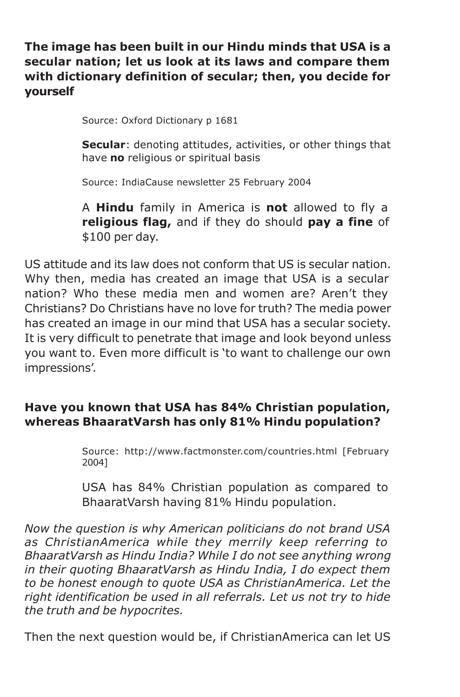**The image has been built in our Hindu minds that USA is a secular nation; let us look at its laws and compare them with dictionary definition of secular; then, you decide for yourself**

Source: Oxford Dictionary p 1681

**Secular**: denoting attitudes, activities, or other things that have **no** religious or spiritual basis

Source: IndiaCause newsletter 25 February 2004

A **Hindu** family in America is **not** allowed to fly a **religious flag,** and if they do should **pay a fine** of \$100 per day.

US attitude and its law does not conform that US is secular nation. Why then, media has created an image that USA is a secular nation? Who these media men and women are? Aren't they Christians? Do Christians have no love for truth? The media power has created an image in our mind that USA has a secular society. It is very difficult to penetrate that image and look beyond unless you want to. Even more difficult is 'to want to challenge our own impressions'.

## **Have you known that USA has 84% Christian population, whereas BhaaratVarsh has only 81% Hindu population?**

Source: http://www.factmonster.com/countries.html [February 2004]

USA has 84% Christian population as compared to BhaaratVarsh having 81% Hindu population.

*Now the question is why American politicians do not brand USA as ChristianAmerica while they merrily keep referring to BhaaratVarsh as Hindu India? While I do not see anything wrong in their quoting BhaaratVarsh as Hindu India, I do expect them to be honest enough to quote USA as ChristianAmerica. Let the right identification be used in all referrals. Let us not try to hide the truth and be hypocrites.*

Then the next question would be, if ChristianAmerica can let US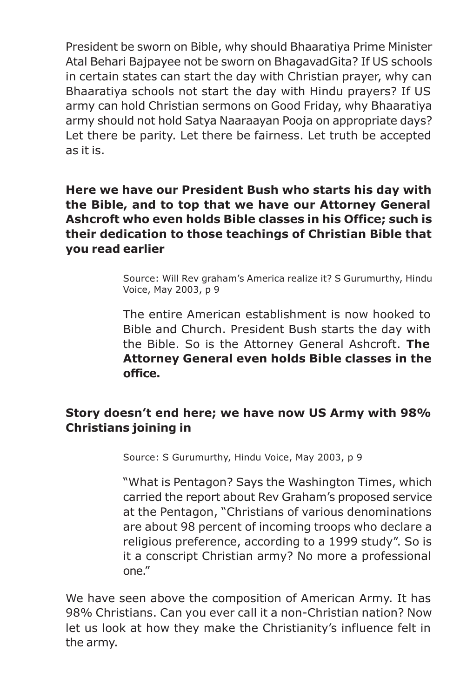President be sworn on Bible, why should Bhaaratiya Prime Minister Atal Behari Bajpayee not be sworn on BhagavadGita? If US schools in certain states can start the day with Christian prayer, why can Bhaaratiya schools not start the day with Hindu prayers? If US army can hold Christian sermons on Good Friday, why Bhaaratiya army should not hold Satya Naaraayan Pooja on appropriate days? Let there be parity. Let there be fairness. Let truth be accepted as it is.

### **Here we have our President Bush who starts his day with the Bible, and to top that we have our Attorney General Ashcroft who even holds Bible classes in his Office; such is their dedication to those teachings of Christian Bible that you read earlier**

Source: Will Rev graham's America realize it? S Gurumurthy, Hindu Voice, May 2003, p 9

The entire American establishment is now hooked to Bible and Church. President Bush starts the day with the Bible. So is the Attorney General Ashcroft. **The Attorney General even holds Bible classes in the office.**

## **Story doesn't end here; we have now US Army with 98% Christians joining in**

Source: S Gurumurthy, Hindu Voice, May 2003, p 9

"What is Pentagon? Says the Washington Times, which carried the report about Rev Graham's proposed service at the Pentagon, "Christians of various denominations are about 98 percent of incoming troops who declare a religious preference, according to a 1999 study". So is it a conscript Christian army? No more a professional one."

We have seen above the composition of American Army. It has 98% Christians. Can you ever call it a non-Christian nation? Now let us look at how they make the Christianity's influence felt in the army.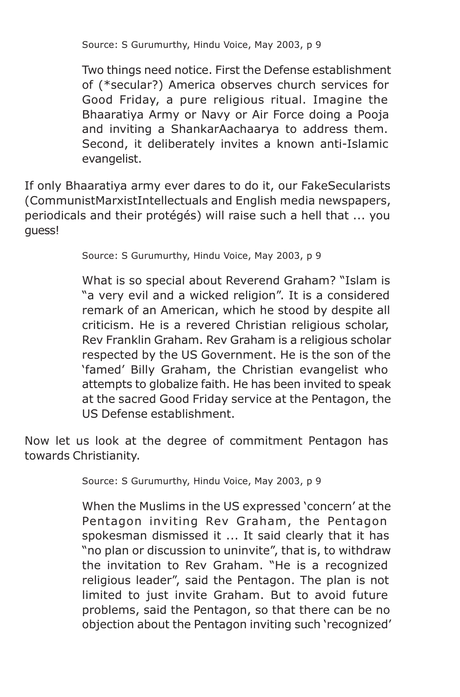Source: S Gurumurthy, Hindu Voice, May 2003, p 9

Two things need notice. First the Defense establishment of (\*secular?) America observes church services for Good Friday, a pure religious ritual. Imagine the Bhaaratiya Army or Navy or Air Force doing a Pooja and inviting a ShankarAachaarya to address them. Second, it deliberately invites a known anti-Islamic evangelist.

If only Bhaaratiya army ever dares to do it, our FakeSecularists (CommunistMarxistIntellectuals and English media newspapers, periodicals and their protégés) will raise such a hell that ... you guess!

Source: S Gurumurthy, Hindu Voice, May 2003, p 9

What is so special about Reverend Graham? "Islam is "a very evil and a wicked religion". It is a considered remark of an American, which he stood by despite all criticism. He is a revered Christian religious scholar, Rev Franklin Graham. Rev Graham is a religious scholar respected by the US Government. He is the son of the 'famed' Billy Graham, the Christian evangelist who attempts to globalize faith. He has been invited to speak at the sacred Good Friday service at the Pentagon, the US Defense establishment.

Now let us look at the degree of commitment Pentagon has towards Christianity.

Source: S Gurumurthy, Hindu Voice, May 2003, p 9

When the Muslims in the US expressed 'concern' at the Pentagon inviting Rev Graham, the Pentagon spokesman dismissed it ... It said clearly that it has "no plan or discussion to uninvite", that is, to withdraw the invitation to Rev Graham. "He is a recognized religious leader", said the Pentagon. The plan is not limited to just invite Graham. But to avoid future problems, said the Pentagon, so that there can be no objection about the Pentagon inviting such 'recognized'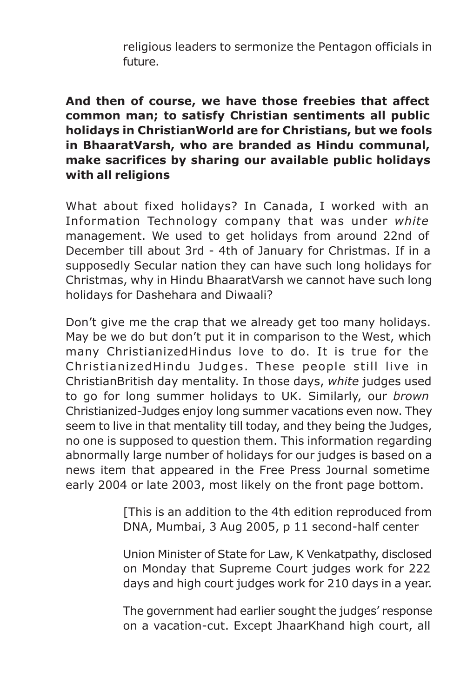religious leaders to sermonize the Pentagon officials in future.

**And then of course, we have those freebies that affect common man; to satisfy Christian sentiments all public holidays in ChristianWorld are for Christians, but we fools in BhaaratVarsh, who are branded as Hindu communal, make sacrifices by sharing our available public holidays with all religions**

What about fixed holidays? In Canada, I worked with an Information Technology company that was under *white* management. We used to get holidays from around 22nd of December till about 3rd - 4th of January for Christmas. If in a supposedly Secular nation they can have such long holidays for Christmas, why in Hindu BhaaratVarsh we cannot have such long holidays for Dashehara and Diwaali?

Don't give me the crap that we already get too many holidays. May be we do but don't put it in comparison to the West, which many ChristianizedHindus love to do. It is true for the ChristianizedHindu Judges. These people still live in ChristianBritish day mentality. In those days, *white* judges used to go for long summer holidays to UK. Similarly, our *brown* Christianized-Judges enjoy long summer vacations even now. They seem to live in that mentality till today, and they being the Judges, no one is supposed to question them. This information regarding abnormally large number of holidays for our judges is based on a news item that appeared in the Free Press Journal sometime early 2004 or late 2003, most likely on the front page bottom.

> [This is an addition to the 4th edition reproduced from DNA, Mumbai, 3 Aug 2005, p 11 second-half center

> Union Minister of State for Law, K Venkatpathy, disclosed on Monday that Supreme Court judges work for 222 days and high court judges work for 210 days in a year.

> The government had earlier sought the judges' response on a vacation-cut. Except JhaarKhand high court, all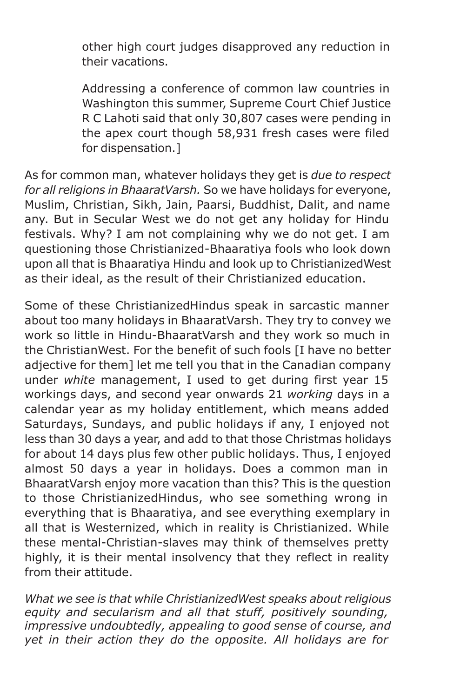other high court judges disapproved any reduction in their vacations.

Addressing a conference of common law countries in Washington this summer, Supreme Court Chief Justice R C Lahoti said that only 30,807 cases were pending in the apex court though 58,931 fresh cases were filed for dispensation.]

As for common man, whatever holidays they get is *due to respect for all religions in BhaaratVarsh.* So we have holidays for everyone, Muslim, Christian, Sikh, Jain, Paarsi, Buddhist, Dalit, and name any. But in Secular West we do not get any holiday for Hindu festivals. Why? I am not complaining why we do not get. I am questioning those Christianized-Bhaaratiya fools who look down upon all that is Bhaaratiya Hindu and look up to ChristianizedWest as their ideal, as the result of their Christianized education.

Some of these ChristianizedHindus speak in sarcastic manner about too many holidays in BhaaratVarsh. They try to convey we work so little in Hindu-BhaaratVarsh and they work so much in the ChristianWest. For the benefit of such fools [I have no better adjective for them] let me tell you that in the Canadian company under *white* management, I used to get during first year 15 workings days, and second year onwards 21 *working* days in a calendar year as my holiday entitlement, which means added Saturdays, Sundays, and public holidays if any, I enjoyed not less than 30 days a year, and add to that those Christmas holidays for about 14 days plus few other public holidays. Thus, I enjoyed almost 50 days a year in holidays. Does a common man in BhaaratVarsh enjoy more vacation than this? This is the question to those ChristianizedHindus, who see something wrong in everything that is Bhaaratiya, and see everything exemplary in all that is Westernized, which in reality is Christianized. While these mental-Christian-slaves may think of themselves pretty highly, it is their mental insolvency that they reflect in reality from their attitude.

*What we see is that while ChristianizedWest speaks about religious equity and secularism and all that stuff, positively sounding, impressive undoubtedly, appealing to good sense of course, and yet in their action they do the opposite. All holidays are for*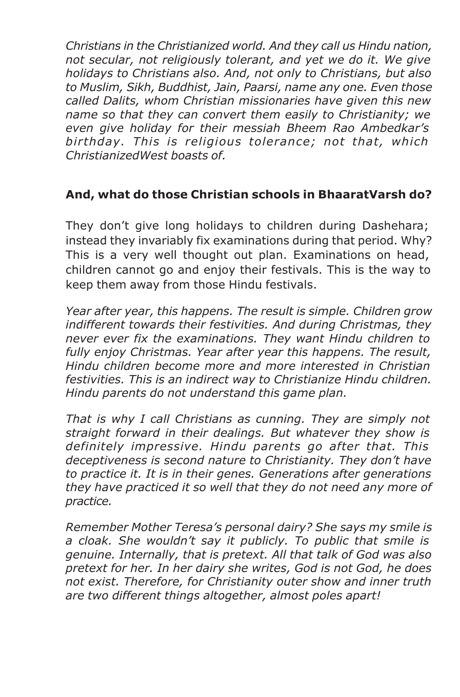*Christians in the Christianized world. And they call us Hindu nation, not secular, not religiously tolerant, and yet we do it. We give holidays to Christians also. And, not only to Christians, but also to Muslim, Sikh, Buddhist, Jain, Paarsi, name any one. Even those called Dalits, whom Christian missionaries have given this new name so that they can convert them easily to Christianity; we even give holiday for their messiah Bheem Rao Ambedkar's birthday. This is religious tolerance; not that, which ChristianizedWest boasts of.*

## **And, what do those Christian schools in BhaaratVarsh do?**

They don't give long holidays to children during Dashehara; instead they invariably fix examinations during that period. Why? This is a very well thought out plan. Examinations on head, children cannot go and enjoy their festivals. This is the way to keep them away from those Hindu festivals.

*Year after year, this happens. The result is simple. Children grow indifferent towards their festivities. And during Christmas, they never ever fix the examinations. They want Hindu children to fully enjoy Christmas. Year after year this happens. The result, Hindu children become more and more interested in Christian festivities. This is an indirect way to Christianize Hindu children. Hindu parents do not understand this game plan.*

*That is why I call Christians as cunning. They are simply not straight forward in their dealings. But whatever they show is definitely impressive. Hindu parents go after that. This deceptiveness is second nature to Christianity. They don't have to practice it. It is in their genes. Generations after generations they have practiced it so well that they do not need any more of practice.*

*Remember Mother Teresa's personal dairy? She says my smile is a cloak. She wouldn't say it publicly. To public that smile is genuine. Internally, that is pretext. All that talk of God was also pretext for her. In her dairy she writes, God is not God, he does not exist. Therefore, for Christianity outer show and inner truth are two different things altogether, almost poles apart!*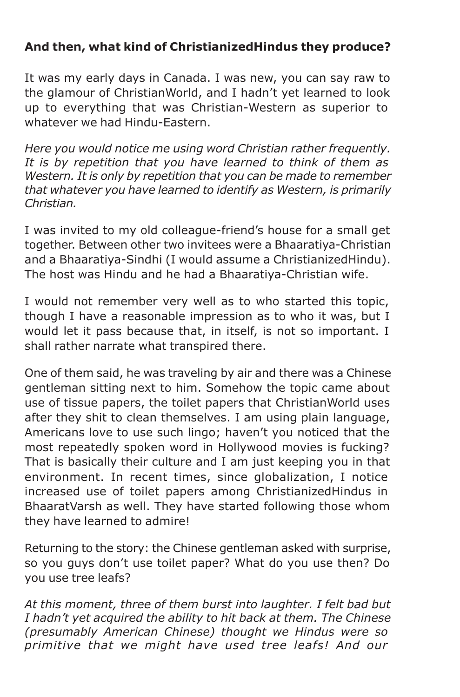## **And then, what kind of ChristianizedHindus they produce?**

It was my early days in Canada. I was new, you can say raw to the glamour of ChristianWorld, and I hadn't yet learned to look up to everything that was Christian-Western as superior to whatever we had Hindu-Eastern.

*Here you would notice me using word Christian rather frequently. It is by repetition that you have learned to think of them as Western. It is only by repetition that you can be made to remember that whatever you have learned to identify as Western, is primarily Christian.*

I was invited to my old colleague-friend's house for a small get together. Between other two invitees were a Bhaaratiya-Christian and a Bhaaratiya-Sindhi (I would assume a ChristianizedHindu). The host was Hindu and he had a Bhaaratiya-Christian wife.

I would not remember very well as to who started this topic, though I have a reasonable impression as to who it was, but I would let it pass because that, in itself, is not so important. I shall rather narrate what transpired there.

One of them said, he was traveling by air and there was a Chinese gentleman sitting next to him. Somehow the topic came about use of tissue papers, the toilet papers that ChristianWorld uses after they shit to clean themselves. I am using plain language, Americans love to use such lingo; haven't you noticed that the most repeatedly spoken word in Hollywood movies is fucking? That is basically their culture and I am just keeping you in that environment. In recent times, since globalization, I notice increased use of toilet papers among ChristianizedHindus in BhaaratVarsh as well. They have started following those whom they have learned to admire!

Returning to the story: the Chinese gentleman asked with surprise, so you guys don't use toilet paper? What do you use then? Do you use tree leafs?

*At this moment, three of them burst into laughter. I felt bad but I hadn't yet acquired the ability to hit back at them. The Chinese (presumably American Chinese) thought we Hindus were so primitive that we might have used tree leafs! And our*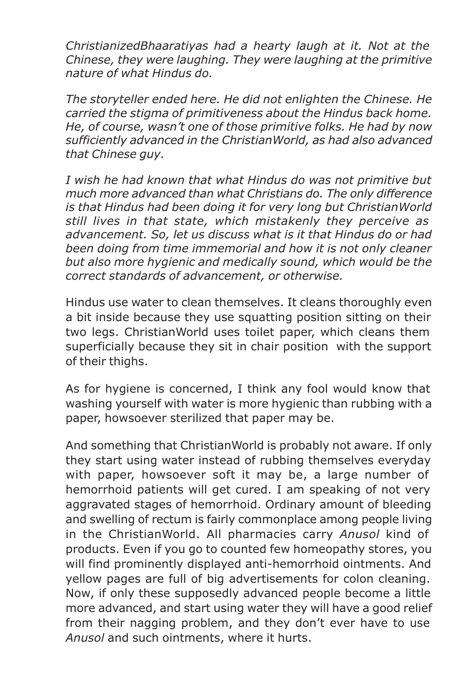*ChristianizedBhaaratiyas had a hearty laugh at it. Not at the Chinese, they were laughing. They were laughing at the primitive nature of what Hindus do.*

*The storyteller ended here. He did not enlighten the Chinese. He carried the stigma of primitiveness about the Hindus back home. He, of course, wasn't one of those primitive folks. He had by now sufficiently advanced in the ChristianWorld, as had also advanced that Chinese guy.*

*I wish he had known that what Hindus do was not primitive but much more advanced than what Christians do. The only difference is that Hindus had been doing it for very long but ChristianWorld still lives in that state, which mistakenly they perceive as advancement. So, let us discuss what is it that Hindus do or had been doing from time immemorial and how it is not only cleaner but also more hygienic and medically sound, which would be the correct standards of advancement, or otherwise.*

Hindus use water to clean themselves. It cleans thoroughly even a bit inside because they use squatting position sitting on their two legs. ChristianWorld uses toilet paper, which cleans them superficially because they sit in chair position with the support of their thighs.

As for hygiene is concerned, I think any fool would know that washing yourself with water is more hygienic than rubbing with a paper, howsoever sterilized that paper may be.

And something that ChristianWorld is probably not aware. If only they start using water instead of rubbing themselves everyday with paper, howsoever soft it may be, a large number of hemorrhoid patients will get cured. I am speaking of not very aggravated stages of hemorrhoid. Ordinary amount of bleeding and swelling of rectum is fairly commonplace among people living in the ChristianWorld. All pharmacies carry *Anusol* kind of products. Even if you go to counted few homeopathy stores, you will find prominently displayed anti-hemorrhoid ointments. And yellow pages are full of big advertisements for colon cleaning. Now, if only these supposedly advanced people become a little more advanced, and start using water they will have a good relief from their nagging problem, and they don't ever have to use *Anusol* and such ointments, where it hurts.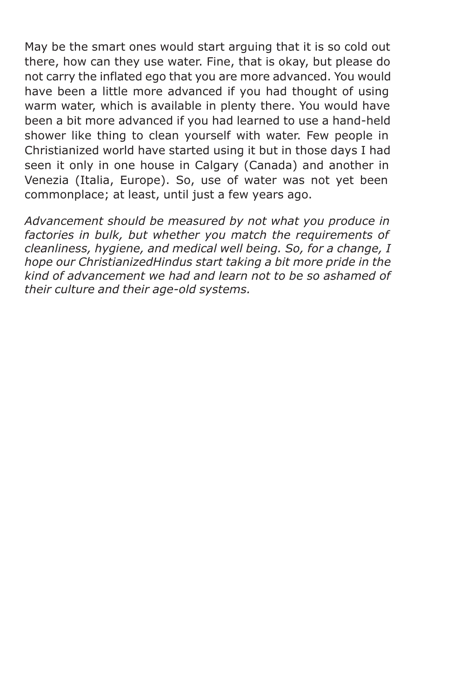May be the smart ones would start arguing that it is so cold out there, how can they use water. Fine, that is okay, but please do not carry the inflated ego that you are more advanced. You would have been a little more advanced if you had thought of using warm water, which is available in plenty there. You would have been a bit more advanced if you had learned to use a hand-held shower like thing to clean yourself with water. Few people in Christianized world have started using it but in those days I had seen it only in one house in Calgary (Canada) and another in Venezia (Italia, Europe). So, use of water was not yet been commonplace; at least, until just a few years ago.

*Advancement should be measured by not what you produce in factories in bulk, but whether you match the requirements of cleanliness, hygiene, and medical well being. So, for a change, I hope our ChristianizedHindus start taking a bit more pride in the kind of advancement we had and learn not to be so ashamed of their culture and their age-old systems.*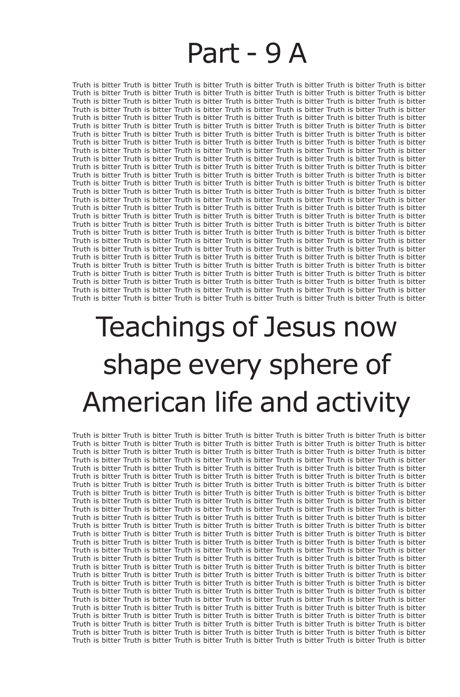# Part - 9 A

Truth is bitter Truth is bitter Truth is bitter Truth is bitter Truth is bitter Truth is bitter Truth is bitter Truth is bitter Truth is bitter Truth is bitter Truth is bitter Truth is bitter Truth is bitter Truth is bitter Truth is bitter Truth is bitter Truth is bitter Truth is bitter Truth is bitter Truth is bitter Truth is bitter Truth is bitter Truth is bitter Truth is bitter Truth is bitter Truth is bitter Truth is bitter Truth is bitter Truth is bitter Truth is bitter Truth is bitter Truth is bitter Truth is bitter Truth is bitter Truth is bitter Truth is bitter Truth is bitter Truth is bitter Truth is bitter Truth is bitter Truth is bitter Truth is bitter Truth is bitter Truth is bitter Truth is bitter Truth is bitter Truth is bitter Truth is bitter Truth is bitter Truth is bitter Truth is bitter Truth is bitter Truth is bitter Truth is bitter Truth is bitter Truth is bitter Truth is bitter Truth is bitter Truth is bitter Truth is bitter Truth is bitter Truth is bitter Truth is bitter Truth is bitter Truth is bitter Truth is bitter Truth is bitter Truth is bitter Truth is bitter Truth is bitter Truth is bitter Truth is bitter Truth is bitter Truth is bitter Truth is bitter Truth is bitter Truth is bitter Truth is bitter Truth is bitter Truth is bitter Truth is bitter Truth is bitter Truth is bitter Truth is bitter Truth is bitter Truth is bitter Truth is bitter Truth is bitter Truth is bitter Truth is bitter Truth is bitter Truth is bitter Truth is bitter Truth is bitter Truth is bitter Truth is bitter Truth is bitter Truth is bitter Truth is bitter Truth is bitter Truth is bitter Truth is bitter Truth is bitter Truth is bitter Truth is bitter Truth is bitter Truth is bitter Truth is bitter Truth is bitter Truth is bitter Truth is bitter Truth is bitter Truth is bitter Truth is bitter Truth is bitter Truth is bitter Truth is bitter Truth is bitter Truth is bitter Truth is bitter Truth is bitter Truth is bitter Truth is bitter Truth is bitter Truth is bitter Truth is bitter Truth is bitter Truth is bitter Truth is bitter Truth is bitter Truth is bitter Truth is bitter Truth is bitter Truth is bitter Truth is bitter Truth is bitter Truth is bitter Truth is bitter Truth is bitter Truth is bitter Truth is bitter Truth is bitter Truth is bitter Truth is bitter Truth is bitter Truth is bitter Truth is bitter Truth is bitter Truth is bitter Truth is bitter Truth is bitter Truth is bitter Truth is bitter Truth is bitter Truth is bitter Truth is bitter Truth is bitter Truth is bitter Truth is bitter Truth is bitter Truth is bitter Truth is bitter Truth is bitter Truth is bitter Truth is bitter Truth is bitter Truth is bitter Truth is bitter Truth is bitter Truth is bitter Truth is bitter Truth is bitter Truth is bitter Truth is bitter Truth is bitter Truth is bitter Truth is bitter Truth is bitter Truth is bitter Truth is bitter Truth is bitter Truth is bitter Truth is bitter Truth is bitter Truth is bitter Truth is bitter Truth is bitter Truth is bitter Truth is bitter

# Teachings of Jesus now shape every sphere of American life and activity

Truth is bitter Truth is bitter Truth is bitter Truth is bitter Truth is bitter Truth is bitter Truth is bitter Truth is bitter Truth is bitter Truth is bitter Truth is bitter Truth is bitter Truth is bitter Truth is bitter Truth is bitter Truth is bitter Truth is bitter Truth is bitter Truth is bitter Truth is bitter Truth is bitter Truth is bitter Truth is bitter Truth is bitter Truth is bitter Truth is bitter Truth is bitter Truth is bitter Truth is bitter Truth is bitter Truth is bitter Truth is bitter Truth is bitter Truth is bitter Truth is bitter Truth is bitter Truth is bitter Truth is bitter Truth is bitter Truth is bitter Truth is bitter Truth is bitter Truth is bitter Truth is bitter Truth is bitter Truth is bitter Truth is bitter Truth is bitter Truth is bitter Truth is bitter Truth is bitter Truth is bitter Truth is bitter Truth is bitter Truth is bitter Truth is bitter Truth is bitter Truth is bitter Truth is bitter Truth is bitter Truth is bitter Truth is bitter Truth is bitter Truth is bitter Truth is bitter Truth is bitter Truth is bitter Truth is bitter Truth is bitter Truth is bitter Truth is bitter Truth is bitter Truth is bitter Truth is bitter Truth is bitter Truth is bitter Truth is bitter Truth is bitter Truth is bitter Truth is bitter Truth is bitter Truth is bitter Truth is bitter Truth is bitter Truth is bitter Truth is bitter Truth is bitter Truth is bitter Truth is bitter Truth is bitter Truth is bitter Truth is bitter Truth is bitter Truth is bitter Truth is bitter Truth is bitter Truth is bitter Truth is bitter Truth is bitter Truth is bitter Truth is bitter Truth is bitter Truth is bitter Truth is bitter Truth is bitter Truth is bitter Truth is bitter Truth is bitter Truth is bitter Truth is bitter Truth is bitter Truth is bitter Truth is bitter Truth is bitter Truth is bitter Truth is bitter Truth is bitter Truth is bitter Truth is bitter Truth is bitter Truth is bitter Truth is bitter Truth is bitter Truth is bitter Truth is bitter Truth is bitter Truth is bitter Truth is bitter Truth is bitter Truth is bitter Truth is bitter Truth is bitter Truth is bitter Truth is bitter Truth is bitter Truth is bitter Truth is bitter Truth is bitter Truth is bitter Truth is bitter Truth is bitter Truth is bitter Truth is bitter Truth is bitter Truth is bitter Truth is bitter Truth is bitter Truth is bitter Truth is bitter Truth is bitter Truth is bitter Truth is bitter Truth is bitter Truth is bitter Truth is bitter Truth is bitter Truth is bitter Truth is bitter Truth is bitter Truth is bitter Truth is bitter Truth is bitter Truth is bitter Truth is bitter Truth is bitter Truth is bitter Truth is bitter Truth is bitter Truth is bitter Truth is bitter Truth is bitter Truth is bitter Truth is bitter Truth is bitter Truth is bitter Truth is bitter Truth is bitter Truth is bitter Truth is bitter Truth is bitter Truth is bitter Truth is bitter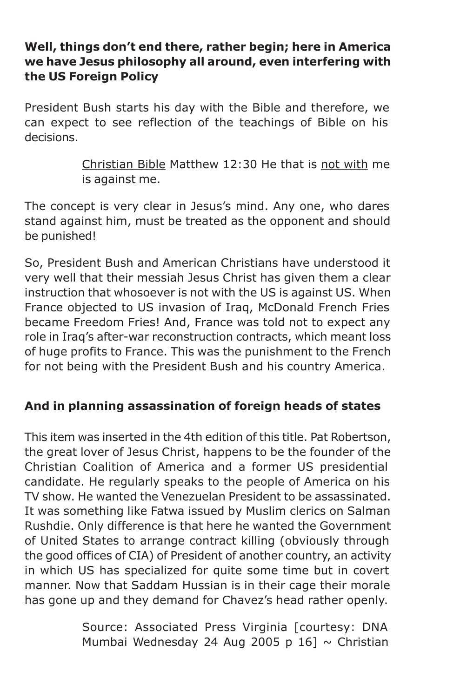### **Well, things don't end there, rather begin; here in America we have Jesus philosophy all around, even interfering with the US Foreign Policy**

President Bush starts his day with the Bible and therefore, we can expect to see reflection of the teachings of Bible on his decisions.

> Christian Bible Matthew 12:30 He that is not with me is against me.

The concept is very clear in Jesus's mind. Any one, who dares stand against him, must be treated as the opponent and should be punished!

So, President Bush and American Christians have understood it very well that their messiah Jesus Christ has given them a clear instruction that whosoever is not with the US is against US. When France objected to US invasion of Iraq, McDonald French Fries became Freedom Fries! And, France was told not to expect any role in Iraq's after-war reconstruction contracts, which meant loss of huge profits to France. This was the punishment to the French for not being with the President Bush and his country America.

### **And in planning assassination of foreign heads of states**

This item was inserted in the 4th edition of this title. Pat Robertson, the great lover of Jesus Christ, happens to be the founder of the Christian Coalition of America and a former US presidential candidate. He regularly speaks to the people of America on his TV show. He wanted the Venezuelan President to be assassinated. It was something like Fatwa issued by Muslim clerics on Salman Rushdie. Only difference is that here he wanted the Government of United States to arrange contract killing (obviously through the good offices of CIA) of President of another country, an activity in which US has specialized for quite some time but in covert manner. Now that Saddam Hussian is in their cage their morale has gone up and they demand for Chavez's head rather openly.

> Source: Associated Press Virginia [courtesy: DNA Mumbai Wednesday 24 Aug 2005 p 16]  $\sim$  Christian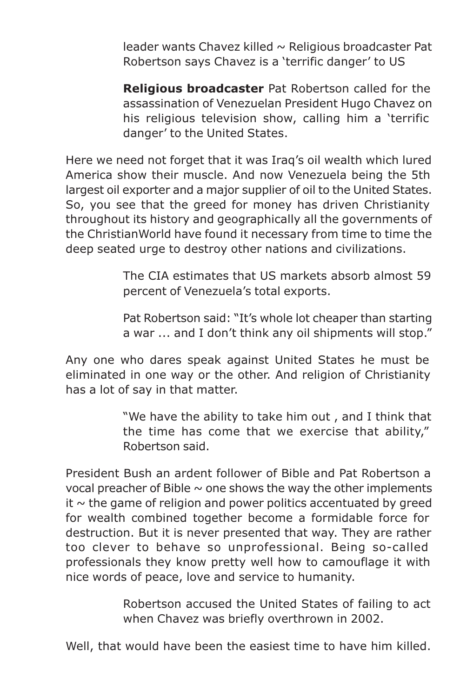leader wants Chavez killed  $\sim$  Religious broadcaster Pat Robertson says Chavez is a 'terrific danger' to US

**Religious broadcaster** Pat Robertson called for the assassination of Venezuelan President Hugo Chavez on his religious television show, calling him a 'terrific danger' to the United States.

Here we need not forget that it was Iraq's oil wealth which lured America show their muscle. And now Venezuela being the 5th largest oil exporter and a major supplier of oil to the United States. So, you see that the greed for money has driven Christianity throughout its history and geographically all the governments of the ChristianWorld have found it necessary from time to time the deep seated urge to destroy other nations and civilizations.

> The CIA estimates that US markets absorb almost 59 percent of Venezuela's total exports.

> Pat Robertson said: "It's whole lot cheaper than starting a war ... and I don't think any oil shipments will stop."

Any one who dares speak against United States he must be eliminated in one way or the other. And religion of Christianity has a lot of say in that matter.

> "We have the ability to take him out , and I think that the time has come that we exercise that ability," Robertson said.

President Bush an ardent follower of Bible and Pat Robertson a vocal preacher of Bible  $\sim$  one shows the way the other implements  $it \sim$  the game of religion and power politics accentuated by greed for wealth combined together become a formidable force for destruction. But it is never presented that way. They are rather too clever to behave so unprofessional. Being so-called professionals they know pretty well how to camouflage it with nice words of peace, love and service to humanity.

> Robertson accused the United States of failing to act when Chavez was briefly overthrown in 2002.

Well, that would have been the easiest time to have him killed.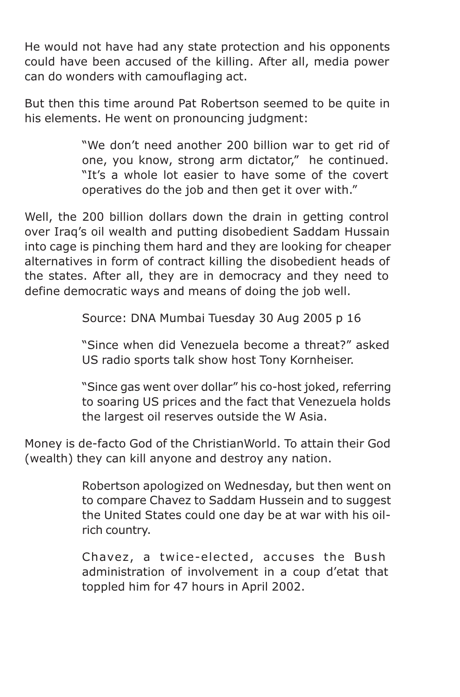He would not have had any state protection and his opponents could have been accused of the killing. After all, media power can do wonders with camouflaging act.

But then this time around Pat Robertson seemed to be quite in his elements. He went on pronouncing judgment:

> "We don't need another 200 billion war to get rid of one, you know, strong arm dictator," he continued. "It's a whole lot easier to have some of the covert operatives do the job and then get it over with."

Well, the 200 billion dollars down the drain in getting control over Iraq's oil wealth and putting disobedient Saddam Hussain into cage is pinching them hard and they are looking for cheaper alternatives in form of contract killing the disobedient heads of the states. After all, they are in democracy and they need to define democratic ways and means of doing the job well.

Source: DNA Mumbai Tuesday 30 Aug 2005 p 16

"Since when did Venezuela become a threat?" asked US radio sports talk show host Tony Kornheiser.

"Since gas went over dollar" his co-host joked, referring to soaring US prices and the fact that Venezuela holds the largest oil reserves outside the W Asia.

Money is de-facto God of the ChristianWorld. To attain their God (wealth) they can kill anyone and destroy any nation.

> Robertson apologized on Wednesday, but then went on to compare Chavez to Saddam Hussein and to suggest the United States could one day be at war with his oilrich country.

> Chavez, a twice-elected, accuses the Bush administration of involvement in a coup d'etat that toppled him for 47 hours in April 2002.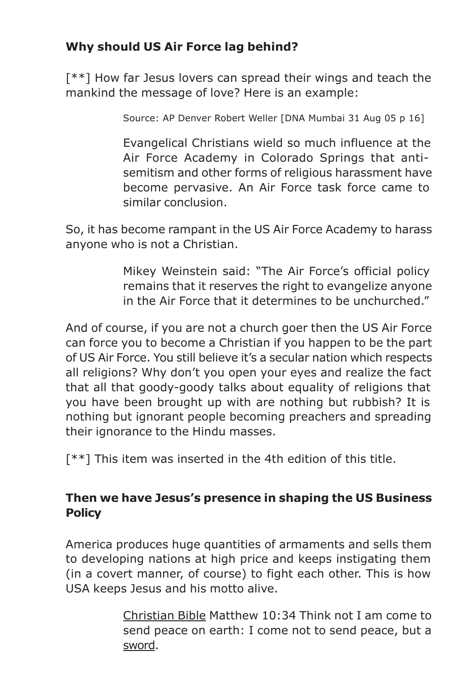# **Why should US Air Force lag behind?**

[\*\*] How far Jesus lovers can spread their wings and teach the mankind the message of love? Here is an example:

Source: AP Denver Robert Weller [DNA Mumbai 31 Aug 05 p 16]

Evangelical Christians wield so much influence at the Air Force Academy in Colorado Springs that antisemitism and other forms of religious harassment have become pervasive. An Air Force task force came to similar conclusion.

So, it has become rampant in the US Air Force Academy to harass anyone who is not a Christian.

> Mikey Weinstein said: "The Air Force's official policy remains that it reserves the right to evangelize anyone in the Air Force that it determines to be unchurched."

And of course, if you are not a church goer then the US Air Force can force you to become a Christian if you happen to be the part of US Air Force. You still believe it's a secular nation which respects all religions? Why don't you open your eyes and realize the fact that all that goody-goody talks about equality of religions that you have been brought up with are nothing but rubbish? It is nothing but ignorant people becoming preachers and spreading their ignorance to the Hindu masses.

[\*\*] This item was inserted in the 4th edition of this title.

### **Then we have Jesus's presence in shaping the US Business Policy**

America produces huge quantities of armaments and sells them to developing nations at high price and keeps instigating them (in a covert manner, of course) to fight each other. This is how USA keeps Jesus and his motto alive.

> Christian Bible Matthew 10:34 Think not I am come to send peace on earth: I come not to send peace, but a sword.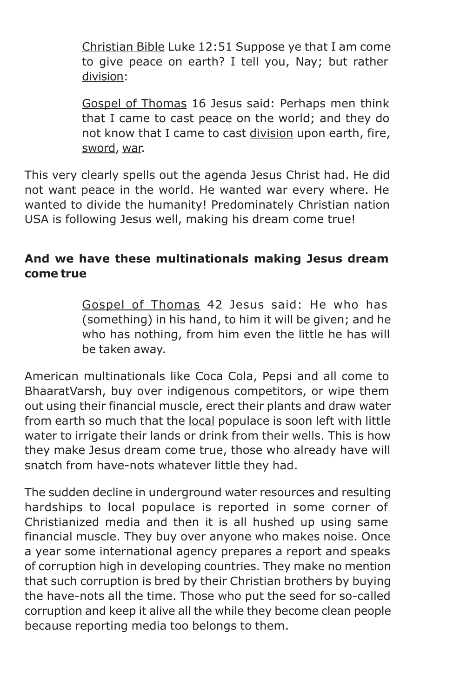Christian Bible Luke 12:51 Suppose ye that I am come to give peace on earth? I tell you, Nay; but rather division:

Gospel of Thomas 16 Jesus said: Perhaps men think that I came to cast peace on the world; and they do not know that I came to cast division upon earth, fire, sword, war.

This very clearly spells out the agenda Jesus Christ had. He did not want peace in the world. He wanted war every where. He wanted to divide the humanity! Predominately Christian nation USA is following Jesus well, making his dream come true!

### **And we have these multinationals making Jesus dream come true**

Gospel of Thomas 42 Jesus said: He who has (something) in his hand, to him it will be given; and he who has nothing, from him even the little he has will be taken away.

American multinationals like Coca Cola, Pepsi and all come to BhaaratVarsh, buy over indigenous competitors, or wipe them out using their financial muscle, erect their plants and draw water from earth so much that the local populace is soon left with little water to irrigate their lands or drink from their wells. This is how they make Jesus dream come true, those who already have will snatch from have-nots whatever little they had.

The sudden decline in underground water resources and resulting hardships to local populace is reported in some corner of Christianized media and then it is all hushed up using same financial muscle. They buy over anyone who makes noise. Once a year some international agency prepares a report and speaks of corruption high in developing countries. They make no mention that such corruption is bred by their Christian brothers by buying the have-nots all the time. Those who put the seed for so-called corruption and keep it alive all the while they become clean people because reporting media too belongs to them.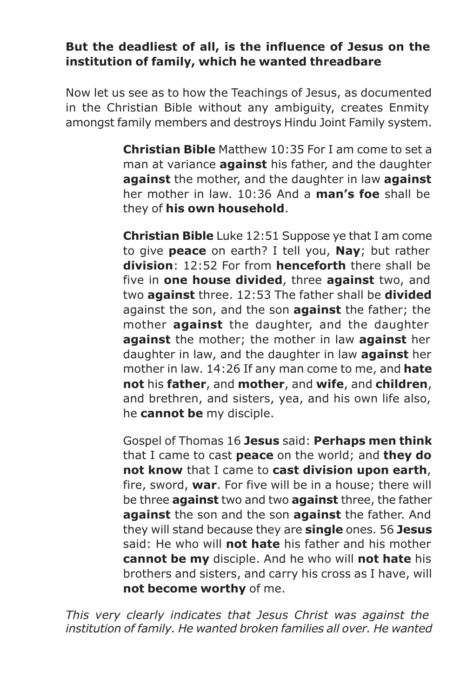### **But the deadliest of all, is the influence of Jesus on the institution of family, which he wanted threadbare**

Now let us see as to how the Teachings of Jesus, as documented in the Christian Bible without any ambiguity, creates Enmity amongst family members and destroys Hindu Joint Family system.

> **Christian Bible** Matthew 10:35 For I am come to set a man at variance **against** his father, and the daughter **against** the mother, and the daughter in law **against** her mother in law. 10:36 And a **man's foe** shall be they of **his own household**.

> **Christian Bible** Luke 12:51 Suppose ye that I am come to give **peace** on earth? I tell you, **Nay**; but rather **division**: 12:52 For from **henceforth** there shall be five in **one house divided**, three **against** two, and two **against** three. 12:53 The father shall be **divided** against the son, and the son **against** the father; the mother **against** the daughter, and the daughter **against** the mother; the mother in law **against** her daughter in law, and the daughter in law **against** her mother in law. 14:26 If any man come to me, and **hate not** his **father**, and **mother**, and **wife**, and **children**, and brethren, and sisters, yea, and his own life also, he **cannot be** my disciple.

> Gospel of Thomas 16 **Jesus** said: **Perhaps men think** that I came to cast **peace** on the world; and **they do not know** that I came to **cast division upon earth**, fire, sword, **war**. For five will be in a house; there will be three **against** two and two **against** three, the father **against** the son and the son **against** the father. And they will stand because they are **single** ones. 56 **Jesus** said: He who will **not hate** his father and his mother **cannot be my** disciple. And he who will **not hate** his brothers and sisters, and carry his cross as I have, will **not become worthy** of me.

*This very clearly indicates that Jesus Christ was against the institution of family. He wanted broken families all over. He wanted*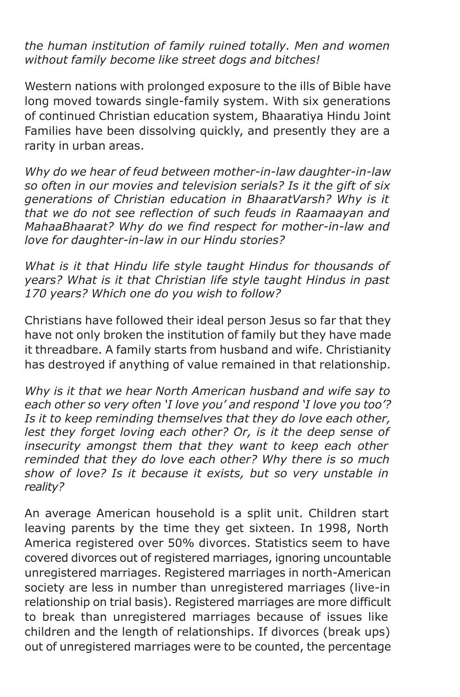*the human institution of family ruined totally. Men and women without family become like street dogs and bitches!*

Western nations with prolonged exposure to the ills of Bible have long moved towards single-family system. With six generations of continued Christian education system, Bhaaratiya Hindu Joint Families have been dissolving quickly, and presently they are a rarity in urban areas.

*Why do we hear of feud between mother-in-law daughter-in-law so often in our movies and television serials? Is it the gift of six generations of Christian education in BhaaratVarsh? Why is it that we do not see reflection of such feuds in Raamaayan and MahaaBhaarat? Why do we find respect for mother-in-law and love for daughter-in-law in our Hindu stories?*

*What is it that Hindu life style taught Hindus for thousands of years? What is it that Christian life style taught Hindus in past 170 years? Which one do you wish to follow?*

Christians have followed their ideal person Jesus so far that they have not only broken the institution of family but they have made it threadbare. A family starts from husband and wife. Christianity has destroyed if anything of value remained in that relationship.

*Why is it that we hear North American husband and wife say to each other so very often 'I love you' and respond 'I love you too'? Is it to keep reminding themselves that they do love each other, lest they forget loving each other? Or, is it the deep sense of insecurity amongst them that they want to keep each other reminded that they do love each other? Why there is so much show of love? Is it because it exists, but so very unstable in reality?*

An average American household is a split unit. Children start leaving parents by the time they get sixteen. In 1998, North America registered over 50% divorces. Statistics seem to have covered divorces out of registered marriages, ignoring uncountable unregistered marriages. Registered marriages in north-American society are less in number than unregistered marriages (live-in relationship on trial basis). Registered marriages are more difficult to break than unregistered marriages because of issues like children and the length of relationships. If divorces (break ups) out of unregistered marriages were to be counted, the percentage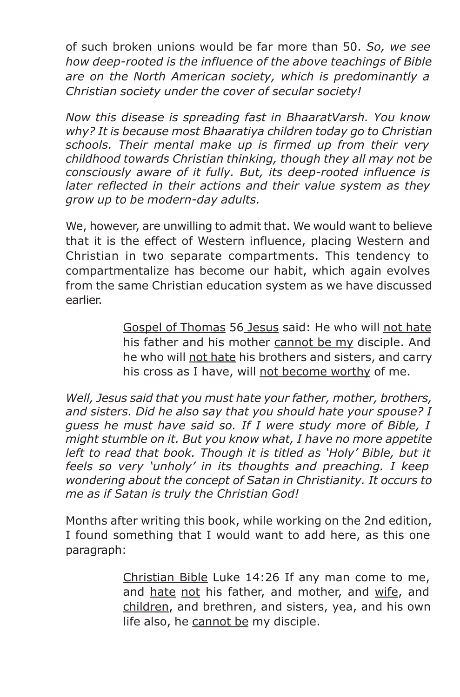of such broken unions would be far more than 50. *So, we see how deep-rooted is the influence of the above teachings of Bible are on the North American society, which is predominantly a Christian society under the cover of secular society!*

*Now this disease is spreading fast in BhaaratVarsh. You know why? It is because most Bhaaratiya children today go to Christian schools. Their mental make up is firmed up from their very childhood towards Christian thinking, though they all may not be consciously aware of it fully. But, its deep-rooted influence is later reflected in their actions and their value system as they grow up to be modern-day adults.*

We, however, are unwilling to admit that. We would want to believe that it is the effect of Western influence, placing Western and Christian in two separate compartments. This tendency to compartmentalize has become our habit, which again evolves from the same Christian education system as we have discussed earlier.

> Gospel of Thomas 56 Jesus said: He who will not hate his father and his mother cannot be my disciple. And he who will not hate his brothers and sisters, and carry his cross as I have, will not become worthy of me.

*Well, Jesus said that you must hate your father, mother, brothers, and sisters. Did he also say that you should hate your spouse? I guess he must have said so. If I were study more of Bible, I might stumble on it. But you know what, I have no more appetite left to read that book. Though it is titled as 'Holy' Bible, but it feels so very 'unholy' in its thoughts and preaching. I keep wondering about the concept of Satan in Christianity. It occurs to me as if Satan is truly the Christian God!*

Months after writing this book, while working on the 2nd edition, I found something that I would want to add here, as this one paragraph:

> Christian Bible Luke 14:26 If any man come to me, and hate not his father, and mother, and wife, and children, and brethren, and sisters, yea, and his own life also, he cannot be my disciple.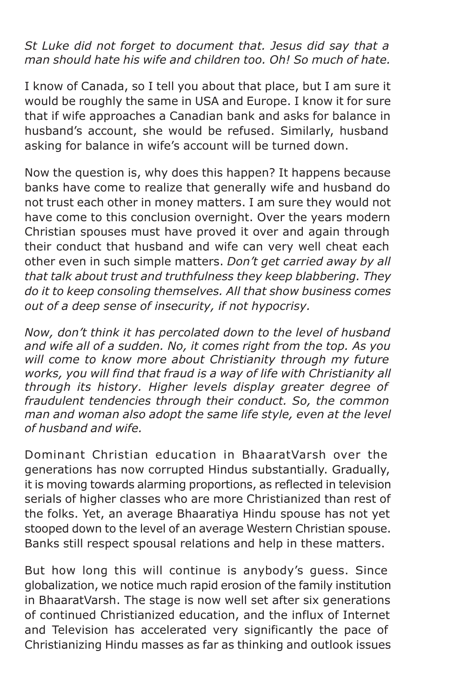*St Luke did not forget to document that. Jesus did say that a man should hate his wife and children too. Oh! So much of hate.*

I know of Canada, so I tell you about that place, but I am sure it would be roughly the same in USA and Europe. I know it for sure that if wife approaches a Canadian bank and asks for balance in husband's account, she would be refused. Similarly, husband asking for balance in wife's account will be turned down.

Now the question is, why does this happen? It happens because banks have come to realize that generally wife and husband do not trust each other in money matters. I am sure they would not have come to this conclusion overnight. Over the years modern Christian spouses must have proved it over and again through their conduct that husband and wife can very well cheat each other even in such simple matters. *Don't get carried away by all that talk about trust and truthfulness they keep blabbering. They do it to keep consoling themselves. All that show business comes out of a deep sense of insecurity, if not hypocrisy.*

*Now, don't think it has percolated down to the level of husband and wife all of a sudden. No, it comes right from the top. As you will come to know more about Christianity through my future works, you will find that fraud is a way of life with Christianity all through its history. Higher levels display greater degree of fraudulent tendencies through their conduct. So, the common man and woman also adopt the same life style, even at the level of husband and wife.*

Dominant Christian education in BhaaratVarsh over the generations has now corrupted Hindus substantially. Gradually, it is moving towards alarming proportions, as reflected in television serials of higher classes who are more Christianized than rest of the folks. Yet, an average Bhaaratiya Hindu spouse has not yet stooped down to the level of an average Western Christian spouse. Banks still respect spousal relations and help in these matters.

But how long this will continue is anybody's guess. Since globalization, we notice much rapid erosion of the family institution in BhaaratVarsh. The stage is now well set after six generations of continued Christianized education, and the influx of Internet and Television has accelerated very significantly the pace of Christianizing Hindu masses as far as thinking and outlook issues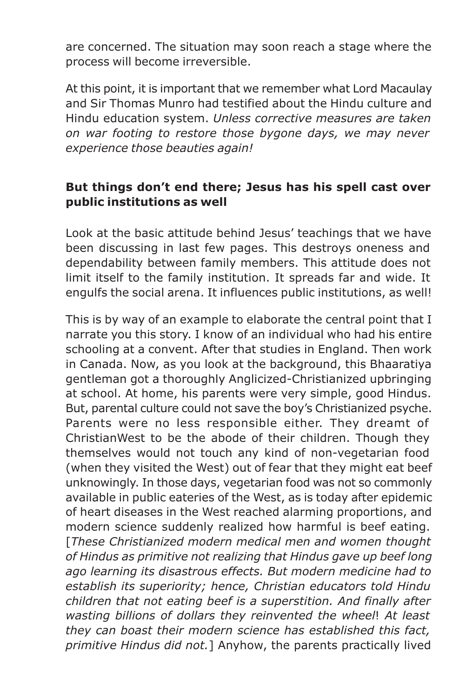are concerned. The situation may soon reach a stage where the process will become irreversible.

At this point, it is important that we remember what Lord Macaulay and Sir Thomas Munro had testified about the Hindu culture and Hindu education system. *Unless corrective measures are taken on war footing to restore those bygone days, we may never experience those beauties again!*

### **But things don't end there; Jesus has his spell cast over public institutions as well**

Look at the basic attitude behind Jesus' teachings that we have been discussing in last few pages. This destroys oneness and dependability between family members. This attitude does not limit itself to the family institution. It spreads far and wide. It engulfs the social arena. It influences public institutions, as well!

This is by way of an example to elaborate the central point that I narrate you this story. I know of an individual who had his entire schooling at a convent. After that studies in England. Then work in Canada. Now, as you look at the background, this Bhaaratiya gentleman got a thoroughly Anglicized-Christianized upbringing at school. At home, his parents were very simple, good Hindus. But, parental culture could not save the boy's Christianized psyche. Parents were no less responsible either. They dreamt of ChristianWest to be the abode of their children. Though they themselves would not touch any kind of non-vegetarian food (when they visited the West) out of fear that they might eat beef unknowingly. In those days, vegetarian food was not so commonly available in public eateries of the West, as is today after epidemic of heart diseases in the West reached alarming proportions, and modern science suddenly realized how harmful is beef eating. [*These Christianized modern medical men and women thought of Hindus as primitive not realizing that Hindus gave up beef long ago learning its disastrous effects. But modern medicine had to establish its superiority; hence, Christian educators told Hindu children that not eating beef is a superstition. And finally after wasting billions of dollars they reinvented the wheel*! *At least they can boast their modern science has established this fact, primitive Hindus did not.*] Anyhow, the parents practically lived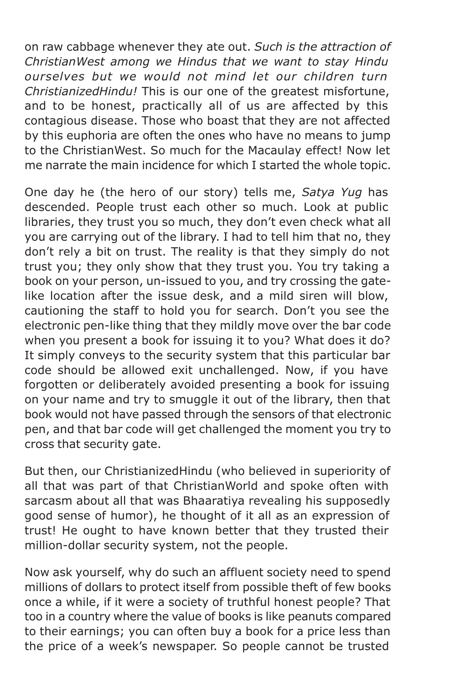on raw cabbage whenever they ate out. *Such is the attraction of ChristianWest among we Hindus that we want to stay Hindu ourselves but we would not mind let our children turn ChristianizedHindu!* This is our one of the greatest misfortune, and to be honest, practically all of us are affected by this contagious disease. Those who boast that they are not affected by this euphoria are often the ones who have no means to jump to the ChristianWest. So much for the Macaulay effect! Now let me narrate the main incidence for which I started the whole topic.

One day he (the hero of our story) tells me, *Satya Yug* has descended. People trust each other so much. Look at public libraries, they trust you so much, they don't even check what all you are carrying out of the library. I had to tell him that no, they don't rely a bit on trust. The reality is that they simply do not trust you; they only show that they trust you. You try taking a book on your person, un-issued to you, and try crossing the gatelike location after the issue desk, and a mild siren will blow, cautioning the staff to hold you for search. Don't you see the electronic pen-like thing that they mildly move over the bar code when you present a book for issuing it to you? What does it do? It simply conveys to the security system that this particular bar code should be allowed exit unchallenged. Now, if you have forgotten or deliberately avoided presenting a book for issuing on your name and try to smuggle it out of the library, then that book would not have passed through the sensors of that electronic pen, and that bar code will get challenged the moment you try to cross that security gate.

But then, our ChristianizedHindu (who believed in superiority of all that was part of that ChristianWorld and spoke often with sarcasm about all that was Bhaaratiya revealing his supposedly good sense of humor), he thought of it all as an expression of trust! He ought to have known better that they trusted their million-dollar security system, not the people.

Now ask yourself, why do such an affluent society need to spend millions of dollars to protect itself from possible theft of few books once a while, if it were a society of truthful honest people? That too in a country where the value of books is like peanuts compared to their earnings; you can often buy a book for a price less than the price of a week's newspaper. So people cannot be trusted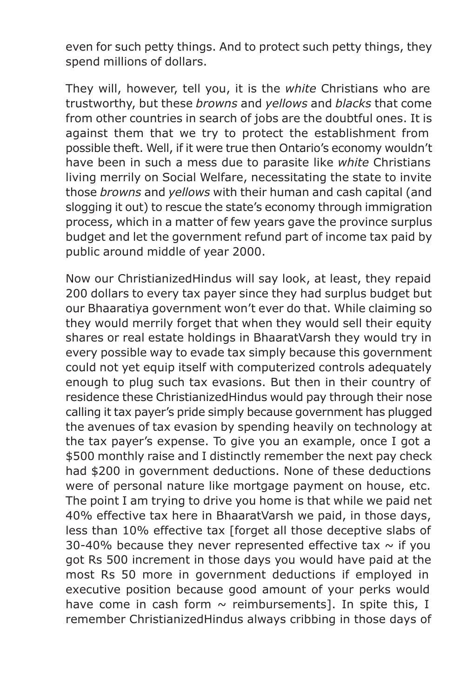even for such petty things. And to protect such petty things, they spend millions of dollars.

They will, however, tell you, it is the *white* Christians who are trustworthy, but these *browns* and *yellows* and *blacks* that come from other countries in search of jobs are the doubtful ones. It is against them that we try to protect the establishment from possible theft. Well, if it were true then Ontario's economy wouldn't have been in such a mess due to parasite like *white* Christians living merrily on Social Welfare, necessitating the state to invite those *browns* and *yellows* with their human and cash capital (and slogging it out) to rescue the state's economy through immigration process, which in a matter of few years gave the province surplus budget and let the government refund part of income tax paid by public around middle of year 2000.

Now our ChristianizedHindus will say look, at least, they repaid 200 dollars to every tax payer since they had surplus budget but our Bhaaratiya government won't ever do that. While claiming so they would merrily forget that when they would sell their equity shares or real estate holdings in BhaaratVarsh they would try in every possible way to evade tax simply because this government could not yet equip itself with computerized controls adequately enough to plug such tax evasions. But then in their country of residence these ChristianizedHindus would pay through their nose calling it tax payer's pride simply because government has plugged the avenues of tax evasion by spending heavily on technology at the tax payer's expense. To give you an example, once I got a \$500 monthly raise and I distinctly remember the next pay check had \$200 in government deductions. None of these deductions were of personal nature like mortgage payment on house, etc. The point I am trying to drive you home is that while we paid net 40% effective tax here in BhaaratVarsh we paid, in those days, less than 10% effective tax [forget all those deceptive slabs of 30-40% because they never represented effective tax  $\sim$  if you got Rs 500 increment in those days you would have paid at the most Rs 50 more in government deductions if employed in executive position because good amount of your perks would have come in cash form  $\sim$  reimbursements]. In spite this, I remember ChristianizedHindus always cribbing in those days of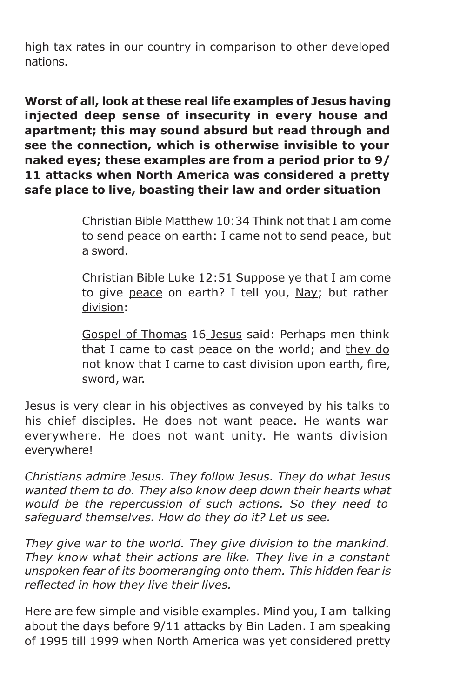high tax rates in our country in comparison to other developed nations.

**Worst of all, look at these real life examples of Jesus having injected deep sense of insecurity in every house and apartment; this may sound absurd but read through and see the connection, which is otherwise invisible to your naked eyes; these examples are from a period prior to 9/ 11 attacks when North America was considered a pretty safe place to live, boasting their law and order situation**

> Christian Bible Matthew 10:34 Think not that I am come to send peace on earth: I came not to send peace, but a sword.

> Christian Bible Luke 12:51 Suppose ye that I am come to give peace on earth? I tell you, Nay; but rather division:

> Gospel of Thomas 16 Jesus said: Perhaps men think that I came to cast peace on the world; and they do not know that I came to cast division upon earth, fire, sword, war.

Jesus is very clear in his objectives as conveyed by his talks to his chief disciples. He does not want peace. He wants war everywhere. He does not want unity. He wants division everywhere!

*Christians admire Jesus. They follow Jesus. They do what Jesus wanted them to do. They also know deep down their hearts what would be the repercussion of such actions. So they need to safeguard themselves. How do they do it? Let us see.*

*They give war to the world. They give division to the mankind. They know what their actions are like. They live in a constant unspoken fear of its boomeranging onto them. This hidden fear is reflected in how they live their lives.*

Here are few simple and visible examples. Mind you, I am talking about the days before 9/11 attacks by Bin Laden. I am speaking of 1995 till 1999 when North America was yet considered pretty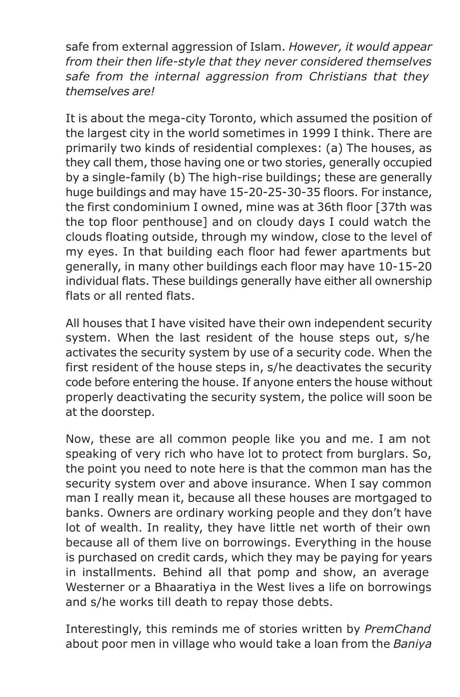safe from external aggression of Islam. *However, it would appear from their then life-style that they never considered themselves safe from the internal aggression from Christians that they themselves are!*

It is about the mega-city Toronto, which assumed the position of the largest city in the world sometimes in 1999 I think. There are primarily two kinds of residential complexes: (a) The houses, as they call them, those having one or two stories, generally occupied by a single-family (b) The high-rise buildings; these are generally huge buildings and may have 15-20-25-30-35 floors. For instance, the first condominium I owned, mine was at 36th floor [37th was the top floor penthouse] and on cloudy days I could watch the clouds floating outside, through my window, close to the level of my eyes. In that building each floor had fewer apartments but generally, in many other buildings each floor may have 10-15-20 individual flats. These buildings generally have either all ownership flats or all rented flats.

All houses that I have visited have their own independent security system. When the last resident of the house steps out, s/he activates the security system by use of a security code. When the first resident of the house steps in, s/he deactivates the security code before entering the house. If anyone enters the house without properly deactivating the security system, the police will soon be at the doorstep.

Now, these are all common people like you and me. I am not speaking of very rich who have lot to protect from burglars. So, the point you need to note here is that the common man has the security system over and above insurance. When I say common man I really mean it, because all these houses are mortgaged to banks. Owners are ordinary working people and they don't have lot of wealth. In reality, they have little net worth of their own because all of them live on borrowings. Everything in the house is purchased on credit cards, which they may be paying for years in installments. Behind all that pomp and show, an average Westerner or a Bhaaratiya in the West lives a life on borrowings and s/he works till death to repay those debts.

Interestingly, this reminds me of stories written by *PremChand* about poor men in village who would take a loan from the *Baniya*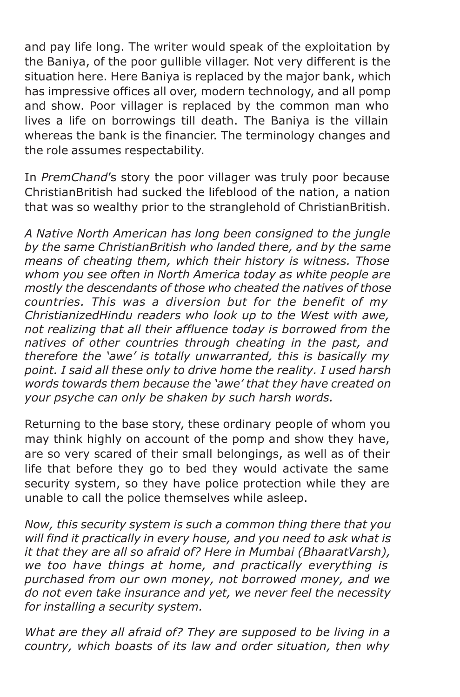and pay life long. The writer would speak of the exploitation by the Baniya, of the poor gullible villager. Not very different is the situation here. Here Baniya is replaced by the major bank, which has impressive offices all over, modern technology, and all pomp and show. Poor villager is replaced by the common man who lives a life on borrowings till death. The Baniya is the villain whereas the bank is the financier. The terminology changes and the role assumes respectability.

In *PremChand*'s story the poor villager was truly poor because ChristianBritish had sucked the lifeblood of the nation, a nation that was so wealthy prior to the stranglehold of ChristianBritish.

*A Native North American has long been consigned to the jungle by the same ChristianBritish who landed there, and by the same means of cheating them, which their history is witness. Those whom you see often in North America today as white people are mostly the descendants of those who cheated the natives of those countries. This was a diversion but for the benefit of my ChristianizedHindu readers who look up to the West with awe, not realizing that all their affluence today is borrowed from the natives of other countries through cheating in the past, and therefore the 'awe' is totally unwarranted, this is basically my point. I said all these only to drive home the reality. I used harsh words towards them because the 'awe' that they have created on your psyche can only be shaken by such harsh words.*

Returning to the base story, these ordinary people of whom you may think highly on account of the pomp and show they have, are so very scared of their small belongings, as well as of their life that before they go to bed they would activate the same security system, so they have police protection while they are unable to call the police themselves while asleep.

*Now, this security system is such a common thing there that you will find it practically in every house, and you need to ask what is it that they are all so afraid of? Here in Mumbai (BhaaratVarsh), we too have things at home, and practically everything is purchased from our own money, not borrowed money, and we do not even take insurance and yet, we never feel the necessity for installing a security system.*

*What are they all afraid of? They are supposed to be living in a country, which boasts of its law and order situation, then why*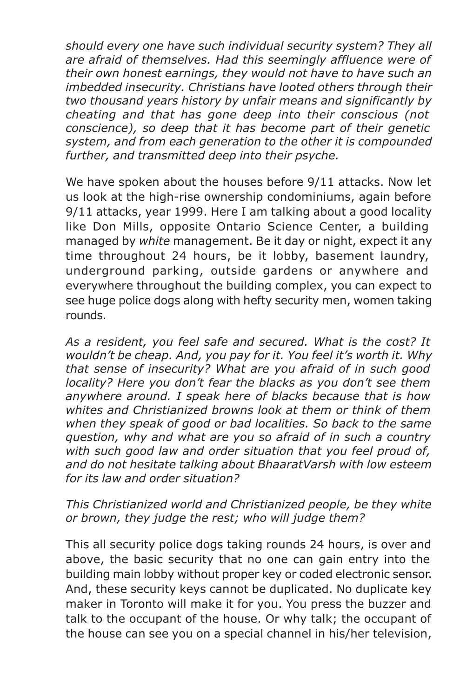*should every one have such individual security system? They all are afraid of themselves. Had this seemingly affluence were of their own honest earnings, they would not have to have such an imbedded insecurity. Christians have looted others through their two thousand years history by unfair means and significantly by cheating and that has gone deep into their conscious (not conscience), so deep that it has become part of their genetic system, and from each generation to the other it is compounded further, and transmitted deep into their psyche.*

We have spoken about the houses before 9/11 attacks. Now let us look at the high-rise ownership condominiums, again before 9/11 attacks, year 1999. Here I am talking about a good locality like Don Mills, opposite Ontario Science Center, a building managed by *white* management. Be it day or night, expect it any time throughout 24 hours, be it lobby, basement laundry, underground parking, outside gardens or anywhere and everywhere throughout the building complex, you can expect to see huge police dogs along with hefty security men, women taking rounds.

*As a resident, you feel safe and secured. What is the cost? It wouldn't be cheap. And, you pay for it. You feel it's worth it. Why that sense of insecurity? What are you afraid of in such good locality? Here you don't fear the blacks as you don't see them anywhere around. I speak here of blacks because that is how whites and Christianized browns look at them or think of them when they speak of good or bad localities. So back to the same question, why and what are you so afraid of in such a country with such good law and order situation that you feel proud of, and do not hesitate talking about BhaaratVarsh with low esteem for its law and order situation?*

### *This Christianized world and Christianized people, be they white or brown, they judge the rest; who will judge them?*

This all security police dogs taking rounds 24 hours, is over and above, the basic security that no one can gain entry into the building main lobby without proper key or coded electronic sensor. And, these security keys cannot be duplicated. No duplicate key maker in Toronto will make it for you. You press the buzzer and talk to the occupant of the house. Or why talk; the occupant of the house can see you on a special channel in his/her television,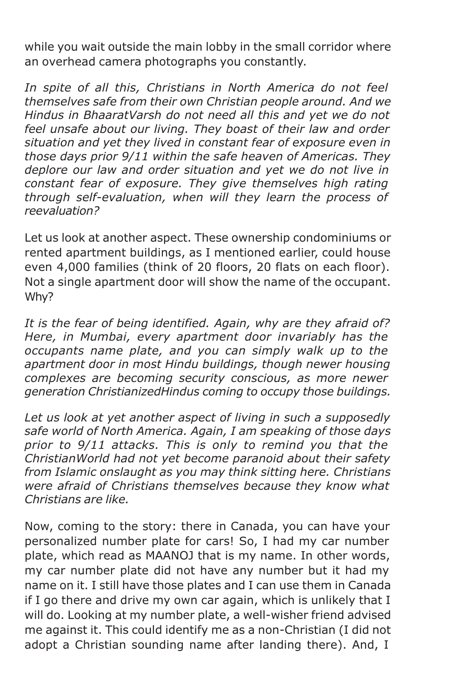while you wait outside the main lobby in the small corridor where an overhead camera photographs you constantly.

*In spite of all this, Christians in North America do not feel themselves safe from their own Christian people around. And we Hindus in BhaaratVarsh do not need all this and yet we do not feel unsafe about our living. They boast of their law and order situation and yet they lived in constant fear of exposure even in those days prior 9/11 within the safe heaven of Americas. They deplore our law and order situation and yet we do not live in constant fear of exposure. They give themselves high rating through self-evaluation, when will they learn the process of reevaluation?*

Let us look at another aspect. These ownership condominiums or rented apartment buildings, as I mentioned earlier, could house even 4,000 families (think of 20 floors, 20 flats on each floor). Not a single apartment door will show the name of the occupant. Why?

*It is the fear of being identified. Again, why are they afraid of? Here, in Mumbai, every apartment door invariably has the occupants name plate, and you can simply walk up to the apartment door in most Hindu buildings, though newer housing complexes are becoming security conscious, as more newer generation ChristianizedHindus coming to occupy those buildings.*

*Let us look at yet another aspect of living in such a supposedly safe world of North America. Again, I am speaking of those days prior to 9/11 attacks. This is only to remind you that the ChristianWorld had not yet become paranoid about their safety from Islamic onslaught as you may think sitting here. Christians were afraid of Christians themselves because they know what Christians are like.*

Now, coming to the story: there in Canada, you can have your personalized number plate for cars! So, I had my car number plate, which read as MAANOJ that is my name. In other words, my car number plate did not have any number but it had my name on it. I still have those plates and I can use them in Canada if I go there and drive my own car again, which is unlikely that I will do. Looking at my number plate, a well-wisher friend advised me against it. This could identify me as a non-Christian (I did not adopt a Christian sounding name after landing there). And, I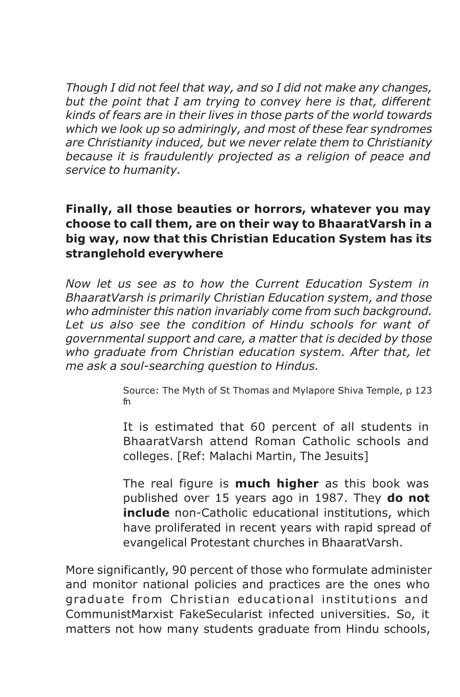*Though I did not feel that way, and so I did not make any changes, but the point that I am trying to convey here is that, different kinds of fears are in their lives in those parts of the world towards which we look up so admiringly, and most of these fear syndromes are Christianity induced, but we never relate them to Christianity because it is fraudulently projected as a religion of peace and service to humanity.*

#### **Finally, all those beauties or horrors, whatever you may choose to call them, are on their way to BhaaratVarsh in a big way, now that this Christian Education System has its stranglehold everywhere**

*Now let us see as to how the Current Education System in BhaaratVarsh is primarily Christian Education system, and those who administer this nation invariably come from such background. Let us also see the condition of Hindu schools for want of governmental support and care, a matter that is decided by those who graduate from Christian education system. After that, let me ask a soul-searching question to Hindus.*

> Source: The Myth of St Thomas and Mylapore Shiva Temple, p 123 fn

> It is estimated that 60 percent of all students in BhaaratVarsh attend Roman Catholic schools and colleges. [Ref: Malachi Martin, The Jesuits]

> The real figure is **much higher** as this book was published over 15 years ago in 1987. They **do not include** non-Catholic educational institutions, which have proliferated in recent years with rapid spread of evangelical Protestant churches in BhaaratVarsh.

More significantly, 90 percent of those who formulate administer and monitor national policies and practices are the ones who graduate from Christian educational institutions and CommunistMarxist FakeSecularist infected universities. So, it matters not how many students graduate from Hindu schools,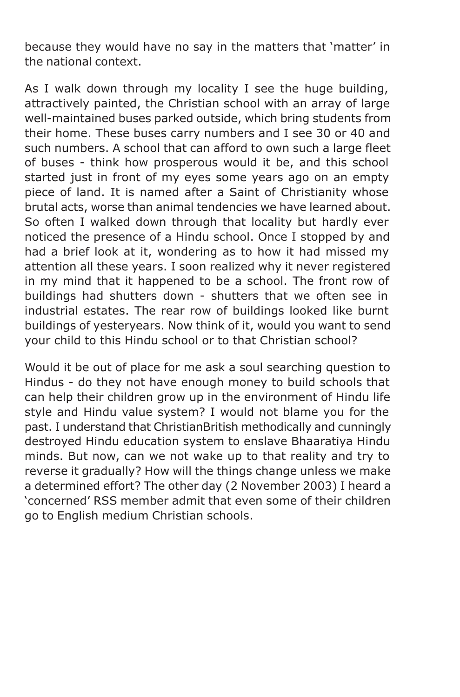because they would have no say in the matters that 'matter' in the national context.

As I walk down through my locality I see the huge building, attractively painted, the Christian school with an array of large well-maintained buses parked outside, which bring students from their home. These buses carry numbers and I see 30 or 40 and such numbers. A school that can afford to own such a large fleet of buses - think how prosperous would it be, and this school started just in front of my eyes some years ago on an empty piece of land. It is named after a Saint of Christianity whose brutal acts, worse than animal tendencies we have learned about. So often I walked down through that locality but hardly ever noticed the presence of a Hindu school. Once I stopped by and had a brief look at it, wondering as to how it had missed my attention all these years. I soon realized why it never registered in my mind that it happened to be a school. The front row of buildings had shutters down - shutters that we often see in industrial estates. The rear row of buildings looked like burnt buildings of yesteryears. Now think of it, would you want to send your child to this Hindu school or to that Christian school?

Would it be out of place for me ask a soul searching question to Hindus - do they not have enough money to build schools that can help their children grow up in the environment of Hindu life style and Hindu value system? I would not blame you for the past. I understand that ChristianBritish methodically and cunningly destroyed Hindu education system to enslave Bhaaratiya Hindu minds. But now, can we not wake up to that reality and try to reverse it gradually? How will the things change unless we make a determined effort? The other day (2 November 2003) I heard a 'concerned' RSS member admit that even some of their children go to English medium Christian schools.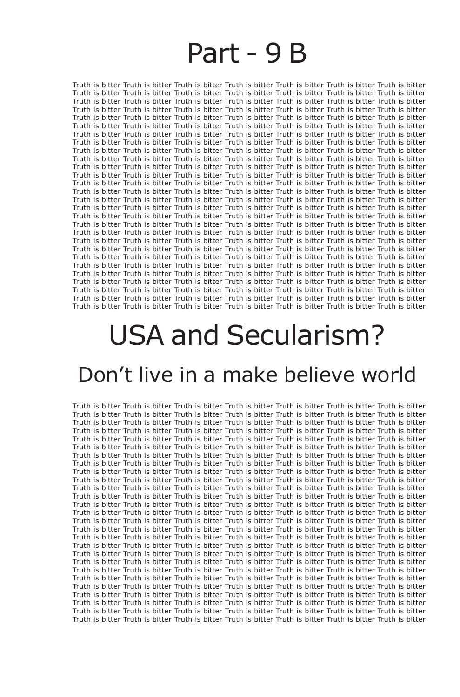### Part - 9 B

Truth is bitter Truth is bitter Truth is bitter Truth is bitter Truth is bitter Truth is bitter Truth is bitter Truth is bitter Truth is bitter Truth is bitter Truth is bitter Truth is bitter Truth is bitter Truth is bitter Truth is bitter Truth is bitter Truth is bitter Truth is bitter Truth is bitter Truth is bitter Truth is bitter Truth is bitter Truth is bitter Truth is bitter Truth is bitter Truth is bitter Truth is bitter Truth is bitter Truth is bitter Truth is bitter Truth is bitter Truth is bitter Truth is bitter Truth is bitter Truth is bitter Truth is bitter Truth is bitter Truth is bitter Truth is bitter Truth is bitter Truth is bitter Truth is bitter Truth is bitter Truth is bitter Truth is bitter Truth is bitter Truth is bitter Truth is bitter Truth is bitter Truth is bitter Truth is bitter Truth is bitter Truth is bitter Truth is bitter Truth is bitter Truth is bitter Truth is bitter Truth is bitter Truth is bitter Truth is bitter Truth is bitter Truth is bitter Truth is bitter Truth is bitter Truth is bitter Truth is bitter Truth is bitter Truth is bitter Truth is bitter Truth is bitter Truth is bitter Truth is bitter Truth is bitter Truth is bitter Truth is bitter Truth is bitter Truth is bitter Truth is bitter Truth is bitter Truth is bitter Truth is bitter Truth is bitter Truth is bitter Truth is bitter Truth is bitter Truth is bitter Truth is bitter Truth is bitter Truth is bitter Truth is bitter Truth is bitter Truth is bitter Truth is bitter Truth is bitter Truth is bitter Truth is bitter Truth is bitter Truth is bitter Truth is bitter Truth is bitter Truth is bitter Truth is bitter Truth is bitter Truth is bitter Truth is bitter Truth is bitter Truth is bitter Truth is bitter Truth is bitter Truth is bitter Truth is bitter Truth is bitter Truth is bitter Truth is bitter Truth is bitter Truth is bitter Truth is bitter Truth is bitter Truth is bitter Truth is bitter Truth is bitter Truth is bitter Truth is bitter Truth is bitter Truth is bitter Truth is bitter Truth is bitter Truth is bitter Truth is bitter Truth is bitter Truth is bitter Truth is bitter Truth is bitter Truth is bitter Truth is bitter Truth is bitter Truth is bitter Truth is bitter Truth is bitter Truth is bitter Truth is bitter Truth is bitter Truth is bitter Truth is bitter Truth is bitter Truth is bitter Truth is bitter Truth is bitter Truth is bitter Truth is bitter Truth is bitter Truth is bitter Truth is bitter Truth is bitter Truth is bitter Truth is bitter Truth is bitter Truth is bitter Truth is bitter Truth is bitter Truth is bitter Truth is bitter Truth is bitter Truth is bitter Truth is bitter Truth is bitter Truth is bitter Truth is bitter Truth is bitter Truth is bitter Truth is bitter Truth is bitter Truth is bitter Truth is bitter Truth is bitter Truth is bitter Truth is bitter Truth is bitter Truth is bitter Truth is bitter Truth is bitter Truth is bitter Truth is bitter Truth is bitter Truth is bitter Truth is bitter Truth is bitter Truth is bitter Truth is bitter Truth is bitter Truth is bitter Truth is bitter Truth is bitter Truth is bitter Truth is bitter Truth is bitter

# USA and Secularism?

### Don't live in a make believe world

Truth is bitter Truth is bitter Truth is bitter Truth is bitter Truth is bitter Truth is bitter Truth is bitter Truth is bitter Truth is bitter Truth is bitter Truth is bitter Truth is bitter Truth is bitter Truth is bitter Truth is bitter Truth is bitter Truth is bitter Truth is bitter Truth is bitter Truth is bitter Truth is bitter Truth is bitter Truth is bitter Truth is bitter Truth is bitter Truth is bitter Truth is bitter Truth is bitter Truth is bitter Truth is bitter Truth is bitter Truth is bitter Truth is bitter Truth is bitter Truth is bitter Truth is bitter Truth is bitter Truth is bitter Truth is bitter Truth is bitter Truth is bitter Truth is bitter Truth is bitter Truth is bitter Truth is bitter Truth is bitter Truth is bitter Truth is bitter Truth is bitter Truth is bitter Truth is bitter Truth is bitter Truth is bitter Truth is bitter Truth is bitter Truth is bitter Truth is bitter Truth is bitter Truth is bitter Truth is bitter Truth is bitter Truth is bitter Truth is bitter Truth is bitter Truth is bitter Truth is bitter Truth is bitter Truth is bitter Truth is bitter Truth is bitter Truth is bitter Truth is bitter Truth is bitter Truth is bitter Truth is bitter Truth is bitter Truth is bitter Truth is bitter Truth is bitter Truth is bitter Truth is bitter Truth is bitter Truth is bitter Truth is bitter Truth is bitter Truth is bitter Truth is bitter Truth is bitter Truth is bitter Truth is bitter Truth is bitter Truth is bitter Truth is bitter Truth is bitter Truth is bitter Truth is bitter Truth is bitter Truth is bitter Truth is bitter Truth is bitter Truth is bitter Truth is bitter Truth is bitter Truth is bitter Truth is bitter Truth is bitter Truth is bitter Truth is bitter Truth is bitter Truth is bitter Truth is bitter Truth is bitter Truth is bitter Truth is bitter Truth is bitter Truth is bitter Truth is bitter Truth is bitter Truth is bitter Truth is bitter Truth is bitter Truth is bitter Truth is bitter Truth is bitter Truth is bitter Truth is bitter Truth is bitter Truth is bitter Truth is bitter Truth is bitter Truth is bitter Truth is bitter Truth is bitter Truth is bitter Truth is bitter Truth is bitter Truth is bitter Truth is bitter Truth is bitter Truth is bitter Truth is bitter Truth is bitter Truth is bitter Truth is bitter Truth is bitter Truth is bitter Truth is bitter Truth is bitter Truth is bitter Truth is bitter Truth is bitter Truth is bitter Truth is bitter Truth is bitter Truth is bitter Truth is bitter Truth is bitter Truth is bitter Truth is bitter Truth is bitter Truth is bitter Truth is bitter Truth is bitter Truth is bitter Truth is bitter Truth is bitter Truth is bitter Truth is bitter Truth is bitter Truth is bitter Truth is bitter Truth is bitter Truth is bitter Truth is bitter Truth is bitter Truth is bitter Truth is bitter Truth is bitter Truth is bitter Truth is bitter Truth is bitter Truth is bitter Truth is bitter Truth is bitter Truth is bitter Truth is bitter Truth is bitter Truth is bitter Truth is bitter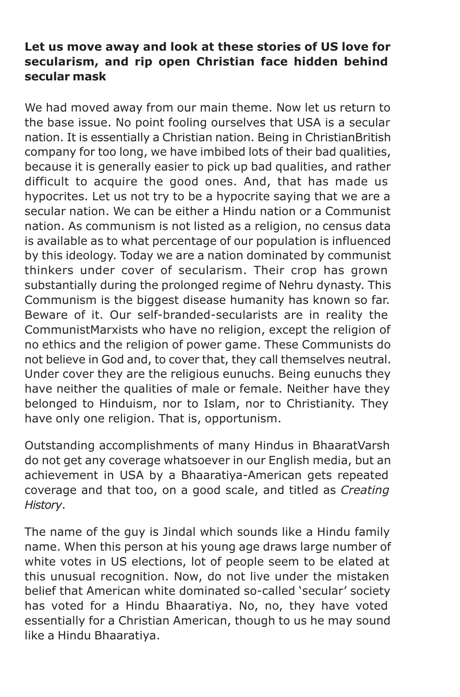#### **Let us move away and look at these stories of US love for secularism, and rip open Christian face hidden behind secular mask**

We had moved away from our main theme. Now let us return to the base issue. No point fooling ourselves that USA is a secular nation. It is essentially a Christian nation. Being in ChristianBritish company for too long, we have imbibed lots of their bad qualities, because it is generally easier to pick up bad qualities, and rather difficult to acquire the good ones. And, that has made us hypocrites. Let us not try to be a hypocrite saying that we are a secular nation. We can be either a Hindu nation or a Communist nation. As communism is not listed as a religion, no census data is available as to what percentage of our population is influenced by this ideology. Today we are a nation dominated by communist thinkers under cover of secularism. Their crop has grown substantially during the prolonged regime of Nehru dynasty. This Communism is the biggest disease humanity has known so far. Beware of it. Our self-branded-secularists are in reality the CommunistMarxists who have no religion, except the religion of no ethics and the religion of power game. These Communists do not believe in God and, to cover that, they call themselves neutral. Under cover they are the religious eunuchs. Being eunuchs they have neither the qualities of male or female. Neither have they belonged to Hinduism, nor to Islam, nor to Christianity. They have only one religion. That is, opportunism.

Outstanding accomplishments of many Hindus in BhaaratVarsh do not get any coverage whatsoever in our English media, but an achievement in USA by a Bhaaratiya-American gets repeated coverage and that too, on a good scale, and titled as *Creating History*.

The name of the guy is Jindal which sounds like a Hindu family name. When this person at his young age draws large number of white votes in US elections, lot of people seem to be elated at this unusual recognition. Now, do not live under the mistaken belief that American white dominated so-called 'secular' society has voted for a Hindu Bhaaratiya. No, no, they have voted essentially for a Christian American, though to us he may sound like a Hindu Bhaaratiya.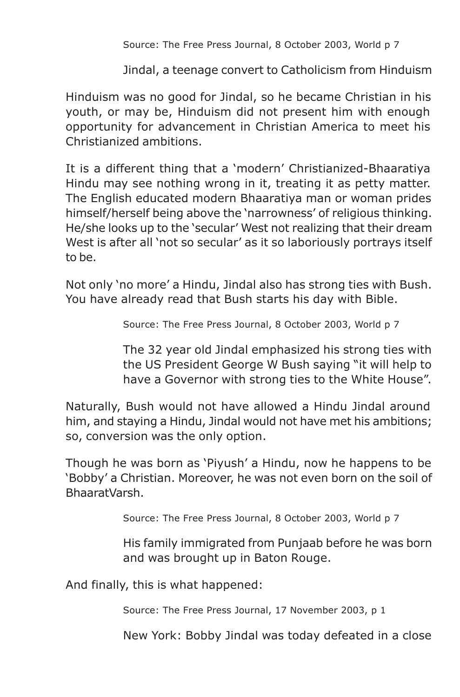Source: The Free Press Journal, 8 October 2003, World p 7

Jindal, a teenage convert to Catholicism from Hinduism

Hinduism was no good for Jindal, so he became Christian in his youth, or may be, Hinduism did not present him with enough opportunity for advancement in Christian America to meet his Christianized ambitions.

It is a different thing that a 'modern' Christianized-Bhaaratiya Hindu may see nothing wrong in it, treating it as petty matter. The English educated modern Bhaaratiya man or woman prides himself/herself being above the 'narrowness' of religious thinking. He/she looks up to the 'secular' West not realizing that their dream West is after all 'not so secular' as it so laboriously portrays itself to be.

Not only 'no more' a Hindu, Jindal also has strong ties with Bush. You have already read that Bush starts his day with Bible.

Source: The Free Press Journal, 8 October 2003, World p 7

The 32 year old Jindal emphasized his strong ties with the US President George W Bush saying "it will help to have a Governor with strong ties to the White House".

Naturally, Bush would not have allowed a Hindu Jindal around him, and staying a Hindu, Jindal would not have met his ambitions; so, conversion was the only option.

Though he was born as 'Piyush' a Hindu, now he happens to be 'Bobby' a Christian. Moreover, he was not even born on the soil of BhaaratVarsh.

Source: The Free Press Journal, 8 October 2003, World p 7

His family immigrated from Punjaab before he was born and was brought up in Baton Rouge.

And finally, this is what happened:

Source: The Free Press Journal, 17 November 2003, p 1

New York: Bobby Jindal was today defeated in a close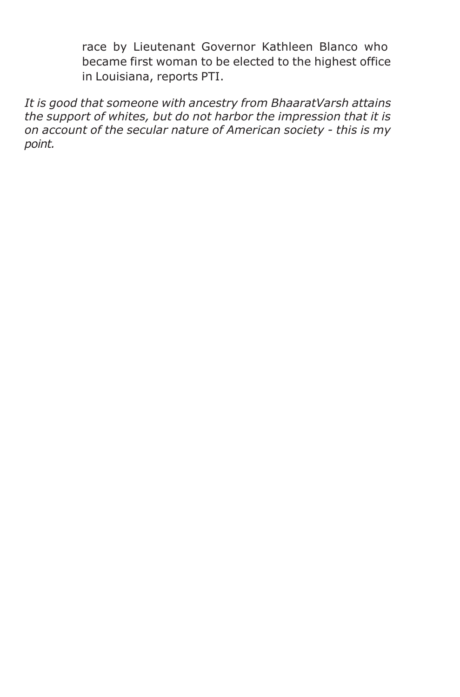race by Lieutenant Governor Kathleen Blanco who became first woman to be elected to the highest office in Louisiana, reports PTI.

*It is good that someone with ancestry from BhaaratVarsh attains the support of whites, but do not harbor the impression that it is on account of the secular nature of American society - this is my point.*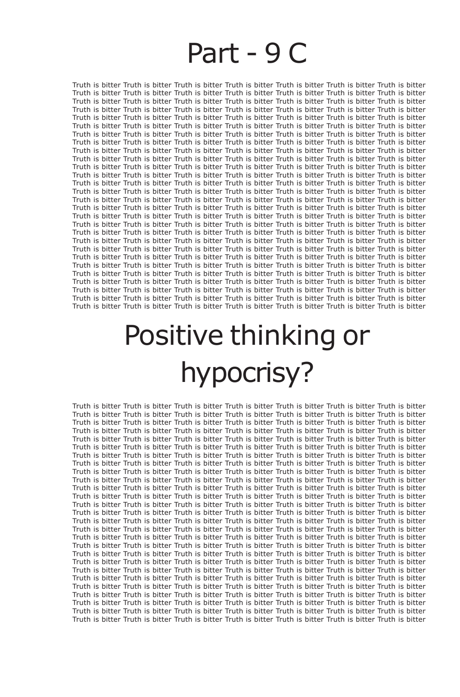### Part - 9 C

Truth is bitter Truth is bitter Truth is bitter Truth is bitter Truth is bitter Truth is bitter Truth is bitter Truth is bitter Truth is bitter Truth is bitter Truth is bitter Truth is bitter Truth is bitter Truth is bitter Truth is bitter Truth is bitter Truth is bitter Truth is bitter Truth is bitter Truth is bitter Truth is bitter Truth is bitter Truth is bitter Truth is bitter Truth is bitter Truth is bitter Truth is bitter Truth is bitter Truth is bitter Truth is bitter Truth is bitter Truth is bitter Truth is bitter Truth is bitter Truth is bitter Truth is bitter Truth is bitter Truth is bitter Truth is bitter Truth is bitter Truth is bitter Truth is bitter Truth is bitter Truth is bitter Truth is bitter Truth is bitter Truth is bitter Truth is bitter Truth is bitter Truth is bitter Truth is bitter Truth is bitter Truth is bitter Truth is bitter Truth is bitter Truth is bitter Truth is bitter Truth is bitter Truth is bitter Truth is bitter Truth is bitter Truth is bitter Truth is bitter Truth is bitter Truth is bitter Truth is bitter Truth is bitter Truth is bitter Truth is bitter Truth is bitter Truth is bitter Truth is bitter Truth is bitter Truth is bitter Truth is bitter Truth is bitter Truth is bitter Truth is bitter Truth is bitter Truth is bitter Truth is bitter Truth is bitter Truth is bitter Truth is bitter Truth is bitter Truth is bitter Truth is bitter Truth is bitter Truth is bitter Truth is bitter Truth is bitter Truth is bitter Truth is bitter Truth is bitter Truth is bitter Truth is bitter Truth is bitter Truth is bitter Truth is bitter Truth is bitter Truth is bitter Truth is bitter Truth is bitter Truth is bitter Truth is bitter Truth is bitter Truth is bitter Truth is bitter Truth is bitter Truth is bitter Truth is bitter Truth is bitter Truth is bitter Truth is bitter Truth is bitter Truth is bitter Truth is bitter Truth is bitter Truth is bitter Truth is bitter Truth is bitter Truth is bitter Truth is bitter Truth is bitter Truth is bitter Truth is bitter Truth is bitter Truth is bitter Truth is bitter Truth is bitter Truth is bitter Truth is bitter Truth is bitter Truth is bitter Truth is bitter Truth is bitter Truth is bitter Truth is bitter Truth is bitter Truth is bitter Truth is bitter Truth is bitter Truth is bitter Truth is bitter Truth is bitter Truth is bitter Truth is bitter Truth is bitter Truth is bitter Truth is bitter Truth is bitter Truth is bitter Truth is bitter Truth is bitter Truth is bitter Truth is bitter Truth is bitter Truth is bitter Truth is bitter Truth is bitter Truth is bitter Truth is bitter Truth is bitter Truth is bitter Truth is bitter Truth is bitter Truth is bitter Truth is bitter Truth is bitter Truth is bitter Truth is bitter Truth is bitter Truth is bitter Truth is bitter Truth is bitter Truth is bitter Truth is bitter Truth is bitter Truth is bitter Truth is bitter Truth is bitter Truth is bitter Truth is bitter Truth is bitter Truth is bitter Truth is bitter Truth is bitter Truth is bitter Truth is bitter Truth is bitter Truth is bitter Truth is bitter Truth is bitter Truth is bitter Truth is bitter Truth is bitter

# Positive thinking or hypocrisy?

Truth is bitter Truth is bitter Truth is bitter Truth is bitter Truth is bitter Truth is bitter Truth is bitter Truth is bitter Truth is bitter Truth is bitter Truth is bitter Truth is bitter Truth is bitter Truth is bitter Truth is bitter Truth is bitter Truth is bitter Truth is bitter Truth is bitter Truth is bitter Truth is bitter Truth is bitter Truth is bitter Truth is bitter Truth is bitter Truth is bitter Truth is bitter Truth is bitter Truth is bitter Truth is bitter Truth is bitter Truth is bitter Truth is bitter Truth is bitter Truth is bitter Truth is bitter Truth is bitter Truth is bitter Truth is bitter Truth is bitter Truth is bitter Truth is bitter Truth is bitter Truth is bitter Truth is bitter Truth is bitter Truth is bitter Truth is bitter Truth is bitter Truth is bitter Truth is bitter Truth is bitter Truth is bitter Truth is bitter Truth is bitter Truth is bitter Truth is bitter Truth is bitter Truth is bitter Truth is bitter Truth is bitter Truth is bitter Truth is bitter Truth is bitter Truth is bitter Truth is bitter Truth is bitter Truth is bitter Truth is bitter Truth is bitter Truth is bitter Truth is bitter Truth is bitter Truth is bitter Truth is bitter Truth is bitter Truth is bitter Truth is bitter Truth is bitter Truth is bitter Truth is bitter Truth is bitter Truth is bitter Truth is bitter Truth is bitter Truth is bitter Truth is bitter Truth is bitter Truth is bitter Truth is bitter Truth is bitter Truth is bitter Truth is bitter Truth is bitter Truth is bitter Truth is bitter Truth is bitter Truth is bitter Truth is bitter Truth is bitter Truth is bitter Truth is bitter Truth is bitter Truth is bitter Truth is bitter Truth is bitter Truth is bitter Truth is bitter Truth is bitter Truth is bitter Truth is bitter Truth is bitter Truth is bitter Truth is bitter Truth is bitter Truth is bitter Truth is bitter Truth is bitter Truth is bitter Truth is bitter Truth is bitter Truth is bitter Truth is bitter Truth is bitter Truth is bitter Truth is bitter Truth is bitter Truth is bitter Truth is bitter Truth is bitter Truth is bitter Truth is bitter Truth is bitter Truth is bitter Truth is bitter Truth is bitter Truth is bitter Truth is bitter Truth is bitter Truth is bitter Truth is bitter Truth is bitter Truth is bitter Truth is bitter Truth is bitter Truth is bitter Truth is bitter Truth is bitter Truth is bitter Truth is bitter Truth is bitter Truth is bitter Truth is bitter Truth is bitter Truth is bitter Truth is bitter Truth is bitter Truth is bitter Truth is bitter Truth is bitter Truth is bitter Truth is bitter Truth is bitter Truth is bitter Truth is bitter Truth is bitter Truth is bitter Truth is bitter Truth is bitter Truth is bitter Truth is bitter Truth is bitter Truth is bitter Truth is bitter Truth is bitter Truth is bitter Truth is bitter Truth is bitter Truth is bitter Truth is bitter Truth is bitter Truth is bitter Truth is bitter Truth is bitter Truth is bitter Truth is bitter Truth is bitter Truth is bitter Truth is bitter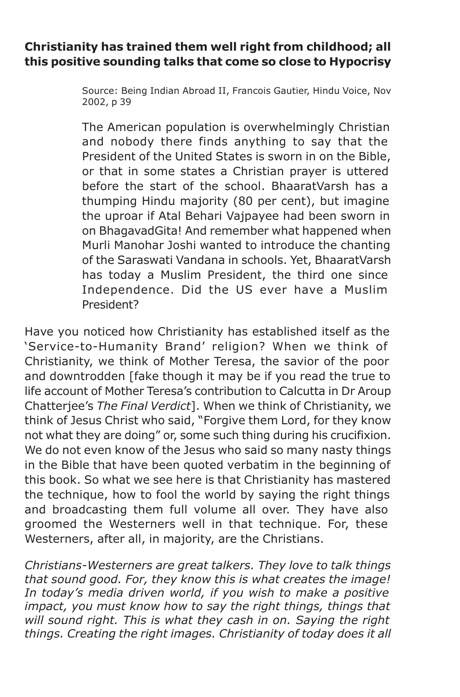### **Christianity has trained them well right from childhood; all this positive sounding talks that come so close to Hypocrisy**

Source: Being Indian Abroad II, Francois Gautier, Hindu Voice, Nov 2002, p 39

The American population is overwhelmingly Christian and nobody there finds anything to say that the President of the United States is sworn in on the Bible, or that in some states a Christian prayer is uttered before the start of the school. BhaaratVarsh has a thumping Hindu majority (80 per cent), but imagine the uproar if Atal Behari Vajpayee had been sworn in on BhagavadGita! And remember what happened when Murli Manohar Joshi wanted to introduce the chanting of the Saraswati Vandana in schools. Yet, BhaaratVarsh has today a Muslim President, the third one since Independence. Did the US ever have a Muslim President?

Have you noticed how Christianity has established itself as the 'Service-to-Humanity Brand' religion? When we think of Christianity, we think of Mother Teresa, the savior of the poor and downtrodden [fake though it may be if you read the true to life account of Mother Teresa's contribution to Calcutta in Dr Aroup Chatterjee's *The Final Verdict*]. When we think of Christianity, we think of Jesus Christ who said, "Forgive them Lord, for they know not what they are doing" or, some such thing during his crucifixion. We do not even know of the Jesus who said so many nasty things in the Bible that have been quoted verbatim in the beginning of this book. So what we see here is that Christianity has mastered the technique, how to fool the world by saying the right things and broadcasting them full volume all over. They have also groomed the Westerners well in that technique. For, these Westerners, after all, in majority, are the Christians.

*Christians-Westerners are great talkers. They love to talk things that sound good. For, they know this is what creates the image! In today's media driven world, if you wish to make a positive impact, you must know how to say the right things, things that will sound right. This is what they cash in on. Saying the right things. Creating the right images. Christianity of today does it all*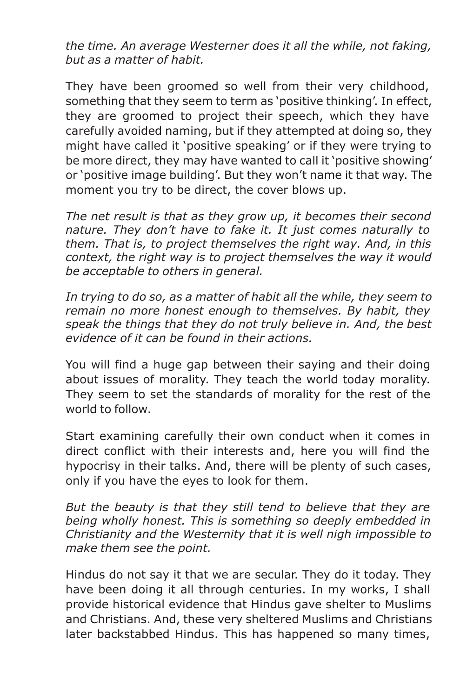*the time. An average Westerner does it all the while, not faking, but as a matter of habit.*

They have been groomed so well from their very childhood, something that they seem to term as 'positive thinking'. In effect, they are groomed to project their speech, which they have carefully avoided naming, but if they attempted at doing so, they might have called it 'positive speaking' or if they were trying to be more direct, they may have wanted to call it 'positive showing' or 'positive image building'. But they won't name it that way. The moment you try to be direct, the cover blows up.

*The net result is that as they grow up, it becomes their second nature. They don't have to fake it. It just comes naturally to them. That is, to project themselves the right way. And, in this context, the right way is to project themselves the way it would be acceptable to others in general.*

*In trying to do so, as a matter of habit all the while, they seem to remain no more honest enough to themselves. By habit, they speak the things that they do not truly believe in. And, the best evidence of it can be found in their actions.*

You will find a huge gap between their saying and their doing about issues of morality. They teach the world today morality. They seem to set the standards of morality for the rest of the world to follow.

Start examining carefully their own conduct when it comes in direct conflict with their interests and, here you will find the hypocrisy in their talks. And, there will be plenty of such cases, only if you have the eyes to look for them.

*But the beauty is that they still tend to believe that they are being wholly honest. This is something so deeply embedded in Christianity and the Westernity that it is well nigh impossible to make them see the point.*

Hindus do not say it that we are secular. They do it today. They have been doing it all through centuries. In my works, I shall provide historical evidence that Hindus gave shelter to Muslims and Christians. And, these very sheltered Muslims and Christians later backstabbed Hindus. This has happened so many times,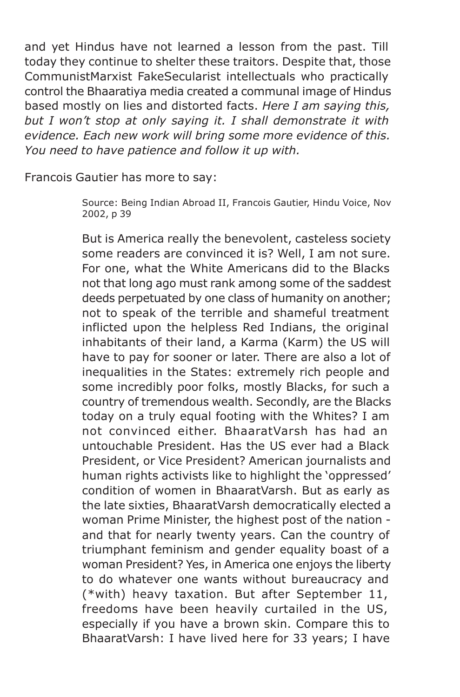and yet Hindus have not learned a lesson from the past. Till today they continue to shelter these traitors. Despite that, those CommunistMarxist FakeSecularist intellectuals who practically control the Bhaaratiya media created a communal image of Hindus based mostly on lies and distorted facts. *Here I am saying this, but I won't stop at only saying it. I shall demonstrate it with evidence. Each new work will bring some more evidence of this. You need to have patience and follow it up with.*

Francois Gautier has more to say:

Source: Being Indian Abroad II, Francois Gautier, Hindu Voice, Nov 2002, p 39

But is America really the benevolent, casteless society some readers are convinced it is? Well, I am not sure. For one, what the White Americans did to the Blacks not that long ago must rank among some of the saddest deeds perpetuated by one class of humanity on another; not to speak of the terrible and shameful treatment inflicted upon the helpless Red Indians, the original inhabitants of their land, a Karma (Karm) the US will have to pay for sooner or later. There are also a lot of inequalities in the States: extremely rich people and some incredibly poor folks, mostly Blacks, for such a country of tremendous wealth. Secondly, are the Blacks today on a truly equal footing with the Whites? I am not convinced either. BhaaratVarsh has had an untouchable President. Has the US ever had a Black President, or Vice President? American journalists and human rights activists like to highlight the 'oppressed' condition of women in BhaaratVarsh. But as early as the late sixties, BhaaratVarsh democratically elected a woman Prime Minister, the highest post of the nation and that for nearly twenty years. Can the country of triumphant feminism and gender equality boast of a woman President? Yes, in America one enjoys the liberty to do whatever one wants without bureaucracy and (\*with) heavy taxation. But after September 11, freedoms have been heavily curtailed in the US, especially if you have a brown skin. Compare this to BhaaratVarsh: I have lived here for 33 years; I have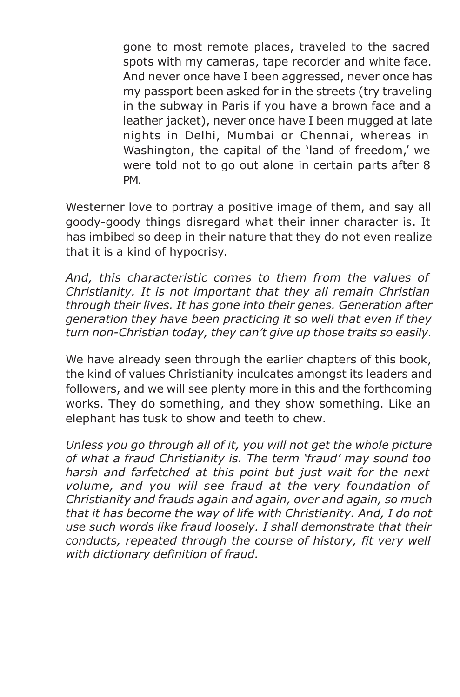gone to most remote places, traveled to the sacred spots with my cameras, tape recorder and white face. And never once have I been aggressed, never once has my passport been asked for in the streets (try traveling in the subway in Paris if you have a brown face and a leather jacket), never once have I been mugged at late nights in Delhi, Mumbai or Chennai, whereas in Washington, the capital of the 'land of freedom,' we were told not to go out alone in certain parts after 8 PM.

Westerner love to portray a positive image of them, and say all goody-goody things disregard what their inner character is. It has imbibed so deep in their nature that they do not even realize that it is a kind of hypocrisy.

*And, this characteristic comes to them from the values of Christianity. It is not important that they all remain Christian through their lives. It has gone into their genes. Generation after generation they have been practicing it so well that even if they turn non-Christian today, they can't give up those traits so easily.*

We have already seen through the earlier chapters of this book, the kind of values Christianity inculcates amongst its leaders and followers, and we will see plenty more in this and the forthcoming works. They do something, and they show something. Like an elephant has tusk to show and teeth to chew.

*Unless you go through all of it, you will not get the whole picture of what a fraud Christianity is. The term 'fraud' may sound too harsh and farfetched at this point but just wait for the next volume, and you will see fraud at the very foundation of Christianity and frauds again and again, over and again, so much that it has become the way of life with Christianity. And, I do not use such words like fraud loosely. I shall demonstrate that their conducts, repeated through the course of history, fit very well with dictionary definition of fraud.*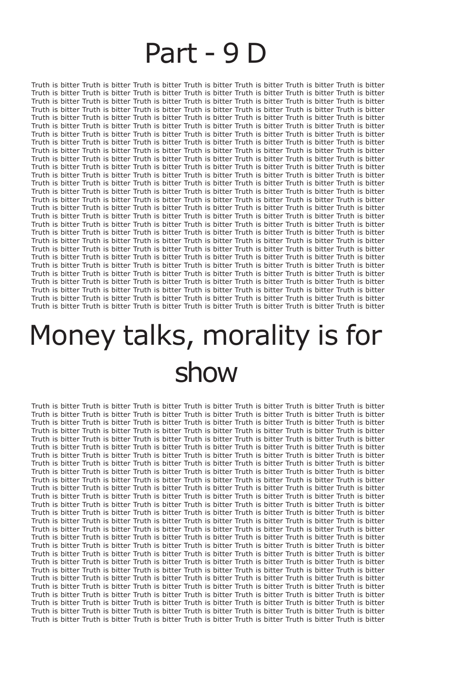### Part - 9 D

Truth is bitter Truth is bitter Truth is bitter Truth is bitter Truth is bitter Truth is bitter Truth is bitter Truth is bitter Truth is bitter Truth is bitter Truth is bitter Truth is bitter Truth is bitter Truth is bitter Truth is bitter Truth is bitter Truth is bitter Truth is bitter Truth is bitter Truth is bitter Truth is bitter Truth is bitter Truth is bitter Truth is bitter Truth is bitter Truth is bitter Truth is bitter Truth is bitter Truth is bitter Truth is bitter Truth is bitter Truth is bitter Truth is bitter Truth is bitter Truth is bitter Truth is bitter Truth is bitter Truth is bitter Truth is bitter Truth is bitter Truth is bitter Truth is bitter Truth is bitter Truth is bitter Truth is bitter Truth is bitter Truth is bitter Truth is bitter Truth is bitter Truth is bitter Truth is bitter Truth is bitter Truth is bitter Truth is bitter Truth is bitter Truth is bitter Truth is bitter Truth is bitter Truth is bitter Truth is bitter Truth is bitter Truth is bitter Truth is bitter Truth is bitter Truth is bitter Truth is bitter Truth is bitter Truth is bitter Truth is bitter Truth is bitter Truth is bitter Truth is bitter Truth is bitter Truth is bitter Truth is bitter Truth is bitter Truth is bitter Truth is bitter Truth is bitter Truth is bitter Truth is bitter Truth is bitter Truth is bitter Truth is bitter Truth is bitter Truth is bitter Truth is bitter Truth is bitter Truth is bitter Truth is bitter Truth is bitter Truth is bitter Truth is bitter Truth is bitter Truth is bitter Truth is bitter Truth is bitter Truth is bitter Truth is bitter Truth is bitter Truth is bitter Truth is bitter Truth is bitter Truth is bitter Truth is bitter Truth is bitter Truth is bitter Truth is bitter Truth is bitter Truth is bitter Truth is bitter Truth is bitter Truth is bitter Truth is bitter Truth is bitter Truth is bitter Truth is bitter Truth is bitter Truth is bitter Truth is bitter Truth is bitter Truth is bitter Truth is bitter Truth is bitter Truth is bitter Truth is bitter Truth is bitter Truth is bitter Truth is bitter Truth is bitter Truth is bitter Truth is bitter Truth is bitter Truth is bitter Truth is bitter Truth is bitter Truth is bitter Truth is bitter Truth is bitter Truth is bitter Truth is bitter Truth is bitter Truth is bitter Truth is bitter Truth is bitter Truth is bitter Truth is bitter Truth is bitter Truth is bitter Truth is bitter Truth is bitter Truth is bitter Truth is bitter Truth is bitter Truth is bitter Truth is bitter Truth is bitter Truth is bitter Truth is bitter Truth is bitter Truth is bitter Truth is bitter Truth is bitter Truth is bitter Truth is bitter Truth is bitter Truth is bitter Truth is bitter Truth is bitter Truth is bitter Truth is bitter Truth is bitter Truth is bitter Truth is bitter Truth is bitter Truth is bitter Truth is bitter Truth is bitter Truth is bitter Truth is bitter Truth is bitter Truth is bitter Truth is bitter Truth is bitter Truth is bitter Truth is bitter Truth is bitter Truth is bitter Truth is bitter Truth is bitter Truth is bitter Truth is bitter Truth is bitter Truth is bitter Truth is bitter Truth is bitter

# Money talks, morality is for show

Truth is bitter Truth is bitter Truth is bitter Truth is bitter Truth is bitter Truth is bitter Truth is bitter Truth is bitter Truth is bitter Truth is bitter Truth is bitter Truth is bitter Truth is bitter Truth is bitter Truth is bitter Truth is bitter Truth is bitter Truth is bitter Truth is bitter Truth is bitter Truth is bitter Truth is bitter Truth is bitter Truth is bitter Truth is bitter Truth is bitter Truth is bitter Truth is bitter Truth is bitter Truth is bitter Truth is bitter Truth is bitter Truth is bitter Truth is bitter Truth is bitter Truth is bitter Truth is bitter Truth is bitter Truth is bitter Truth is bitter Truth is bitter Truth is bitter Truth is bitter Truth is bitter Truth is bitter Truth is bitter Truth is bitter Truth is bitter Truth is bitter Truth is bitter Truth is bitter Truth is bitter Truth is bitter Truth is bitter Truth is bitter Truth is bitter Truth is bitter Truth is bitter Truth is bitter Truth is bitter Truth is bitter Truth is bitter Truth is bitter Truth is bitter Truth is bitter Truth is bitter Truth is bitter Truth is bitter Truth is bitter Truth is bitter Truth is bitter Truth is bitter Truth is bitter Truth is bitter Truth is bitter Truth is bitter Truth is bitter Truth is bitter Truth is bitter Truth is bitter Truth is bitter Truth is bitter Truth is bitter Truth is bitter Truth is bitter Truth is bitter Truth is bitter Truth is bitter Truth is bitter Truth is bitter Truth is bitter Truth is bitter Truth is bitter Truth is bitter Truth is bitter Truth is bitter Truth is bitter Truth is bitter Truth is bitter Truth is bitter Truth is bitter Truth is bitter Truth is bitter Truth is bitter Truth is bitter Truth is bitter Truth is bitter Truth is bitter Truth is bitter Truth is bitter Truth is bitter Truth is bitter Truth is bitter Truth is bitter Truth is bitter Truth is bitter Truth is bitter Truth is bitter Truth is bitter Truth is bitter Truth is bitter Truth is bitter Truth is bitter Truth is bitter Truth is bitter Truth is bitter Truth is bitter Truth is bitter Truth is bitter Truth is bitter Truth is bitter Truth is bitter Truth is bitter Truth is bitter Truth is bitter Truth is bitter Truth is bitter Truth is bitter Truth is bitter Truth is bitter Truth is bitter Truth is bitter Truth is bitter Truth is bitter Truth is bitter Truth is bitter Truth is bitter Truth is bitter Truth is bitter Truth is bitter Truth is bitter Truth is bitter Truth is bitter Truth is bitter Truth is bitter Truth is bitter Truth is bitter Truth is bitter Truth is bitter Truth is bitter Truth is bitter Truth is bitter Truth is bitter Truth is bitter Truth is bitter Truth is bitter Truth is bitter Truth is bitter Truth is bitter Truth is bitter Truth is bitter Truth is bitter Truth is bitter Truth is bitter Truth is bitter Truth is bitter Truth is bitter Truth is bitter Truth is bitter Truth is bitter Truth is bitter Truth is bitter Truth is bitter Truth is bitter Truth is bitter Truth is bitter Truth is bitter Truth is bitter Truth is bitter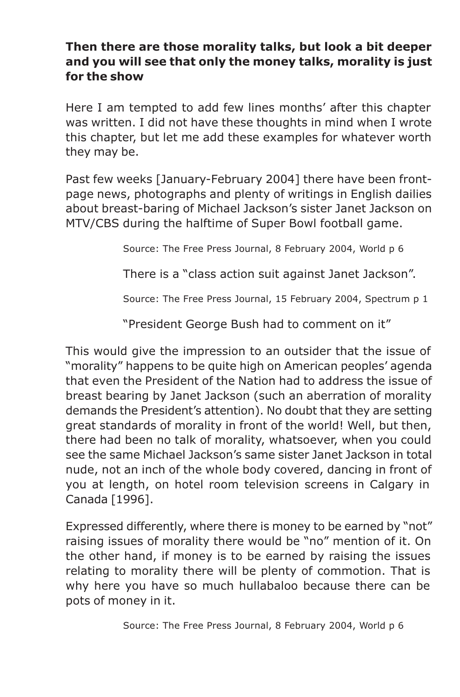### **Then there are those morality talks, but look a bit deeper and you will see that only the money talks, morality is just for the show**

Here I am tempted to add few lines months' after this chapter was written. I did not have these thoughts in mind when I wrote this chapter, but let me add these examples for whatever worth they may be.

Past few weeks [January-February 2004] there have been frontpage news, photographs and plenty of writings in English dailies about breast-baring of Michael Jackson's sister Janet Jackson on MTV/CBS during the halftime of Super Bowl football game.

Source: The Free Press Journal, 8 February 2004, World p 6

There is a "class action suit against Janet Jackson".

Source: The Free Press Journal, 15 February 2004, Spectrum p 1

"President George Bush had to comment on it"

This would give the impression to an outsider that the issue of "morality" happens to be quite high on American peoples' agenda that even the President of the Nation had to address the issue of breast bearing by Janet Jackson (such an aberration of morality demands the President's attention). No doubt that they are setting great standards of morality in front of the world! Well, but then, there had been no talk of morality, whatsoever, when you could see the same Michael Jackson's same sister Janet Jackson in total nude, not an inch of the whole body covered, dancing in front of you at length, on hotel room television screens in Calgary in Canada [1996].

Expressed differently, where there is money to be earned by "not" raising issues of morality there would be "no" mention of it. On the other hand, if money is to be earned by raising the issues relating to morality there will be plenty of commotion. That is why here you have so much hullabaloo because there can be pots of money in it.

Source: The Free Press Journal, 8 February 2004, World p 6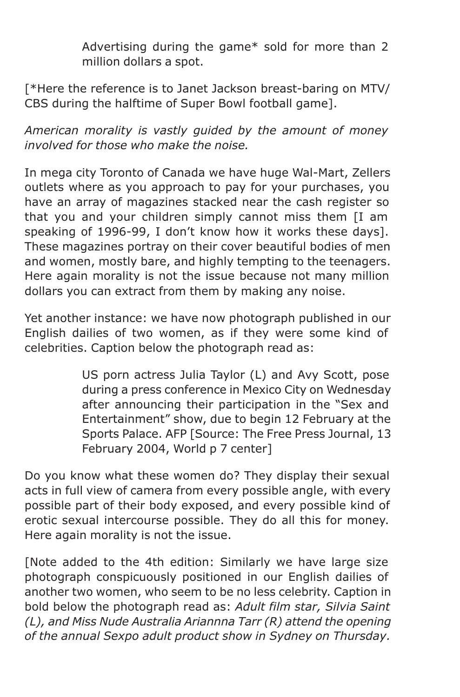Advertising during the game\* sold for more than 2 million dollars a spot.

[\*Here the reference is to Janet Jackson breast-baring on MTV/ CBS during the halftime of Super Bowl football game].

*American morality is vastly guided by the amount of money involved for those who make the noise.*

In mega city Toronto of Canada we have huge Wal-Mart, Zellers outlets where as you approach to pay for your purchases, you have an array of magazines stacked near the cash register so that you and your children simply cannot miss them [I am speaking of 1996-99, I don't know how it works these days]. These magazines portray on their cover beautiful bodies of men and women, mostly bare, and highly tempting to the teenagers. Here again morality is not the issue because not many million dollars you can extract from them by making any noise.

Yet another instance: we have now photograph published in our English dailies of two women, as if they were some kind of celebrities. Caption below the photograph read as:

> US porn actress Julia Taylor (L) and Avy Scott, pose during a press conference in Mexico City on Wednesday after announcing their participation in the "Sex and Entertainment" show, due to begin 12 February at the Sports Palace. AFP [Source: The Free Press Journal, 13 February 2004, World p 7 center]

Do you know what these women do? They display their sexual acts in full view of camera from every possible angle, with every possible part of their body exposed, and every possible kind of erotic sexual intercourse possible. They do all this for money. Here again morality is not the issue.

[Note added to the 4th edition: Similarly we have large size photograph conspicuously positioned in our English dailies of another two women, who seem to be no less celebrity. Caption in bold below the photograph read as: *Adult film star, Silvia Saint (L), and Miss Nude Australia Ariannna Tarr (R) attend the opening of the annual Sexpo adult product show in Sydney on Thursday.*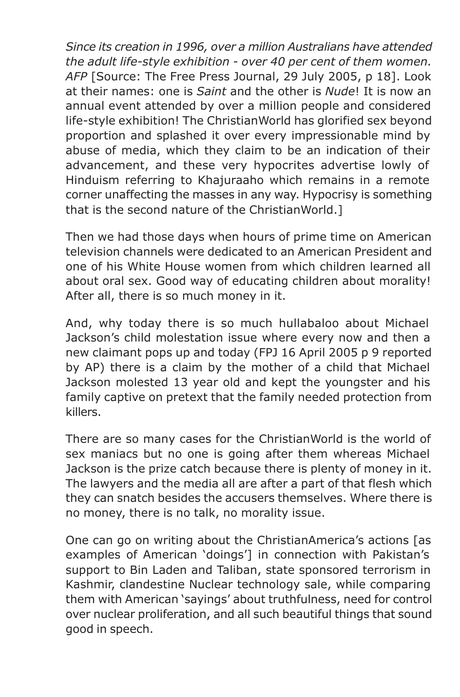*Since its creation in 1996, over a million Australians have attended the adult life-style exhibition - over 40 per cent of them women. AFP* [Source: The Free Press Journal, 29 July 2005, p 18]. Look at their names: one is *Saint* and the other is *Nude*! It is now an annual event attended by over a million people and considered life-style exhibition! The ChristianWorld has glorified sex beyond proportion and splashed it over every impressionable mind by abuse of media, which they claim to be an indication of their advancement, and these very hypocrites advertise lowly of Hinduism referring to Khajuraaho which remains in a remote corner unaffecting the masses in any way. Hypocrisy is something that is the second nature of the ChristianWorld.]

Then we had those days when hours of prime time on American television channels were dedicated to an American President and one of his White House women from which children learned all about oral sex. Good way of educating children about morality! After all, there is so much money in it.

And, why today there is so much hullabaloo about Michael Jackson's child molestation issue where every now and then a new claimant pops up and today (FPJ 16 April 2005 p 9 reported by AP) there is a claim by the mother of a child that Michael Jackson molested 13 year old and kept the youngster and his family captive on pretext that the family needed protection from killers.

There are so many cases for the ChristianWorld is the world of sex maniacs but no one is going after them whereas Michael Jackson is the prize catch because there is plenty of money in it. The lawyers and the media all are after a part of that flesh which they can snatch besides the accusers themselves. Where there is no money, there is no talk, no morality issue.

One can go on writing about the ChristianAmerica's actions [as examples of American 'doings'] in connection with Pakistan's support to Bin Laden and Taliban, state sponsored terrorism in Kashmir, clandestine Nuclear technology sale, while comparing them with American 'sayings' about truthfulness, need for control over nuclear proliferation, and all such beautiful things that sound good in speech.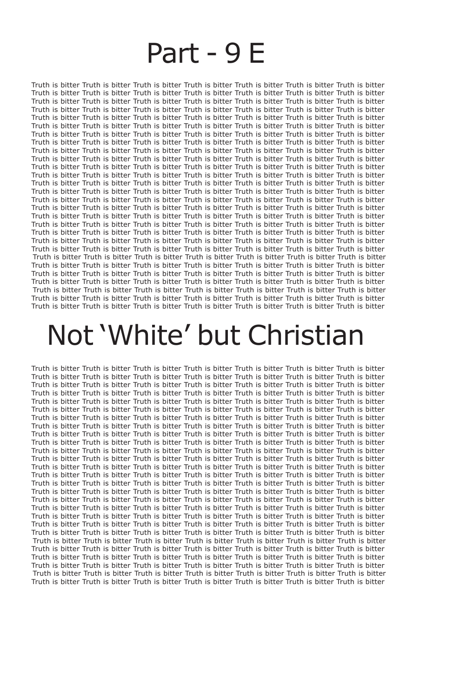### Part - 9 E

Truth is bitter Truth is bitter Truth is bitter Truth is bitter Truth is bitter Truth is bitter Truth is bitter Truth is bitter Truth is bitter Truth is bitter Truth is bitter Truth is bitter Truth is bitter Truth is bitter Truth is bitter Truth is bitter Truth is bitter Truth is bitter Truth is bitter Truth is bitter Truth is bitter Truth is bitter Truth is bitter Truth is bitter Truth is bitter Truth is bitter Truth is bitter Truth is bitter Truth is bitter Truth is bitter Truth is bitter Truth is bitter Truth is bitter Truth is bitter Truth is bitter Truth is bitter Truth is bitter Truth is bitter Truth is bitter Truth is bitter Truth is bitter Truth is bitter Truth is bitter Truth is bitter Truth is bitter Truth is bitter Truth is bitter Truth is bitter Truth is bitter Truth is bitter Truth is bitter Truth is bitter Truth is bitter Truth is bitter Truth is bitter Truth is bitter Truth is bitter Truth is bitter Truth is bitter Truth is bitter Truth is bitter Truth is bitter Truth is bitter Truth is bitter Truth is bitter Truth is bitter Truth is bitter Truth is bitter Truth is bitter Truth is bitter Truth is bitter Truth is bitter Truth is bitter Truth is bitter Truth is bitter Truth is bitter Truth is bitter Truth is bitter Truth is bitter Truth is bitter Truth is bitter Truth is bitter Truth is bitter Truth is bitter Truth is bitter Truth is bitter Truth is bitter Truth is bitter Truth is bitter Truth is bitter Truth is bitter Truth is bitter Truth is bitter Truth is bitter Truth is bitter Truth is bitter Truth is bitter Truth is bitter Truth is bitter Truth is bitter Truth is bitter Truth is bitter Truth is bitter Truth is bitter Truth is bitter Truth is bitter Truth is bitter Truth is bitter Truth is bitter Truth is bitter Truth is bitter Truth is bitter Truth is bitter Truth is bitter Truth is bitter Truth is bitter Truth is bitter Truth is bitter Truth is bitter Truth is bitter Truth is bitter Truth is bitter Truth is bitter Truth is bitter Truth is bitter Truth is bitter Truth is bitter Truth is bitter Truth is bitter Truth is bitter Truth is bitter Truth is bitter Truth is bitter Truth is bitter Truth is bitter Truth is bitter Truth is bitter Truth is bitter Truth is bitter Truth is bitter Truth is bitter Truth is bitter Truth is bitter Truth is bitter Truth is bitter Truth is bitter Truth is bitter Truth is bitter Truth is bitter Truth is bitter Truth is bitter Truth is bitter Truth is bitter Truth is bitter Truth is bitter Truth is bitter Truth is bitter Truth is bitter Truth is bitter Truth is bitter Truth is bitter Truth is bitter Truth is bitter Truth is bitter Truth is bitter Truth is bitter Truth is bitter Truth is bitter Truth is bitter Truth is bitter Truth is bitter Truth is bitter Truth is bitter Truth is bitter Truth is bitter Truth is bitter Truth is bitter Truth is bitter Truth is bitter Truth is bitter Truth is bitter Truth is bitter Truth is bitter Truth is bitter Truth is bitter Truth is bitter Truth is bitter Truth is bitter Truth is bitter Truth is bitter Truth is bitter Truth is bitter Truth is bitter Truth is bitter Truth is bitter Truth is bitter

## Not 'White' but Christian

Truth is bitter Truth is bitter Truth is bitter Truth is bitter Truth is bitter Truth is bitter Truth is bitter Truth is bitter Truth is bitter Truth is bitter Truth is bitter Truth is bitter Truth is bitter Truth is bitter Truth is bitter Truth is bitter Truth is bitter Truth is bitter Truth is bitter Truth is bitter Truth is bitter Truth is bitter Truth is bitter Truth is bitter Truth is bitter Truth is bitter Truth is bitter Truth is bitter Truth is bitter Truth is bitter Truth is bitter Truth is bitter Truth is bitter Truth is bitter Truth is bitter Truth is bitter Truth is bitter Truth is bitter Truth is bitter Truth is bitter Truth is bitter Truth is bitter Truth is bitter Truth is bitter Truth is bitter Truth is bitter Truth is bitter Truth is bitter Truth is bitter Truth is bitter Truth is bitter Truth is bitter Truth is bitter Truth is bitter Truth is bitter Truth is bitter Truth is bitter Truth is bitter Truth is bitter Truth is bitter Truth is bitter Truth is bitter Truth is bitter Truth is bitter Truth is bitter Truth is bitter Truth is bitter Truth is bitter Truth is bitter Truth is bitter Truth is bitter Truth is bitter Truth is bitter Truth is bitter Truth is bitter Truth is bitter Truth is bitter Truth is bitter Truth is bitter Truth is bitter Truth is bitter Truth is bitter Truth is bitter Truth is bitter Truth is bitter Truth is bitter Truth is bitter Truth is bitter Truth is bitter Truth is bitter Truth is bitter Truth is bitter Truth is bitter Truth is bitter Truth is bitter Truth is bitter Truth is bitter Truth is bitter Truth is bitter Truth is bitter Truth is bitter Truth is bitter Truth is bitter Truth is bitter Truth is bitter Truth is bitter Truth is bitter Truth is bitter Truth is bitter Truth is bitter Truth is bitter Truth is bitter Truth is bitter Truth is bitter Truth is bitter Truth is bitter Truth is bitter Truth is bitter Truth is bitter Truth is bitter Truth is bitter Truth is bitter Truth is bitter Truth is bitter Truth is bitter Truth is bitter Truth is bitter Truth is bitter Truth is bitter Truth is bitter Truth is bitter Truth is bitter Truth is bitter Truth is bitter Truth is bitter Truth is bitter Truth is bitter Truth is bitter Truth is bitter Truth is bitter Truth is bitter Truth is bitter Truth is bitter Truth is bitter Truth is bitter Truth is bitter Truth is bitter Truth is bitter Truth is bitter Truth is bitter Truth is bitter Truth is bitter Truth is bitter Truth is bitter Truth is bitter Truth is bitter Truth is bitter Truth is bitter Truth is bitter Truth is bitter Truth is bitter Truth is bitter Truth is bitter Truth is bitter Truth is bitter Truth is bitter Truth is bitter Truth is bitter Truth is bitter Truth is bitter Truth is bitter Truth is bitter Truth is bitter Truth is bitter Truth is bitter Truth is bitter Truth is bitter Truth is bitter Truth is bitter Truth is bitter Truth is bitter Truth is bitter Truth is bitter Truth is bitter Truth is bitter Truth is bitter Truth is bitter Truth is bitter Truth is bitter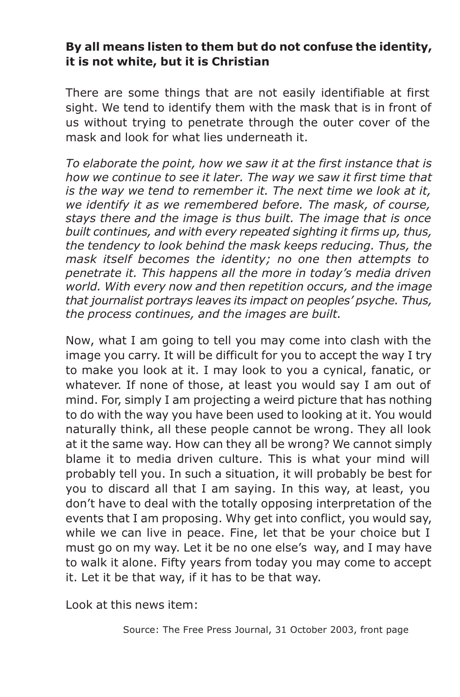#### **By all means listen to them but do not confuse the identity, it is not white, but it is Christian**

There are some things that are not easily identifiable at first sight. We tend to identify them with the mask that is in front of us without trying to penetrate through the outer cover of the mask and look for what lies underneath it.

*To elaborate the point, how we saw it at the first instance that is how we continue to see it later. The way we saw it first time that is the way we tend to remember it. The next time we look at it, we identify it as we remembered before. The mask, of course, stays there and the image is thus built. The image that is once built continues, and with every repeated sighting it firms up, thus, the tendency to look behind the mask keeps reducing. Thus, the mask itself becomes the identity; no one then attempts to penetrate it. This happens all the more in today's media driven world. With every now and then repetition occurs, and the image that journalist portrays leaves its impact on peoples' psyche. Thus, the process continues, and the images are built.*

Now, what I am going to tell you may come into clash with the image you carry. It will be difficult for you to accept the way I try to make you look at it. I may look to you a cynical, fanatic, or whatever. If none of those, at least you would say I am out of mind. For, simply I am projecting a weird picture that has nothing to do with the way you have been used to looking at it. You would naturally think, all these people cannot be wrong. They all look at it the same way. How can they all be wrong? We cannot simply blame it to media driven culture. This is what your mind will probably tell you. In such a situation, it will probably be best for you to discard all that I am saying. In this way, at least, you don't have to deal with the totally opposing interpretation of the events that I am proposing. Why get into conflict, you would say, while we can live in peace. Fine, let that be your choice but I must go on my way. Let it be no one else's way, and I may have to walk it alone. Fifty years from today you may come to accept it. Let it be that way, if it has to be that way.

Look at this news item:

Source: The Free Press Journal, 31 October 2003, front page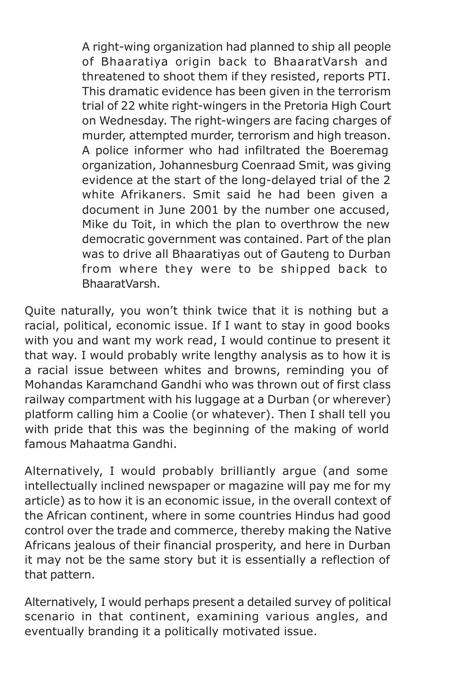A right-wing organization had planned to ship all people of Bhaaratiya origin back to BhaaratVarsh and threatened to shoot them if they resisted, reports PTI. This dramatic evidence has been given in the terrorism trial of 22 white right-wingers in the Pretoria High Court on Wednesday. The right-wingers are facing charges of murder, attempted murder, terrorism and high treason. A police informer who had infiltrated the Boeremag organization, Johannesburg Coenraad Smit, was giving evidence at the start of the long-delayed trial of the 2 white Afrikaners. Smit said he had been given a document in June 2001 by the number one accused, Mike du Toit, in which the plan to overthrow the new democratic government was contained. Part of the plan was to drive all Bhaaratiyas out of Gauteng to Durban from where they were to be shipped back to BhaaratVarsh.

Quite naturally, you won't think twice that it is nothing but a racial, political, economic issue. If I want to stay in good books with you and want my work read, I would continue to present it that way. I would probably write lengthy analysis as to how it is a racial issue between whites and browns, reminding you of Mohandas Karamchand Gandhi who was thrown out of first class railway compartment with his luggage at a Durban (or wherever) platform calling him a Coolie (or whatever). Then I shall tell you with pride that this was the beginning of the making of world famous Mahaatma Gandhi.

Alternatively, I would probably brilliantly argue (and some intellectually inclined newspaper or magazine will pay me for my article) as to how it is an economic issue, in the overall context of the African continent, where in some countries Hindus had good control over the trade and commerce, thereby making the Native Africans jealous of their financial prosperity, and here in Durban it may not be the same story but it is essentially a reflection of that pattern.

Alternatively, I would perhaps present a detailed survey of political scenario in that continent, examining various angles, and eventually branding it a politically motivated issue.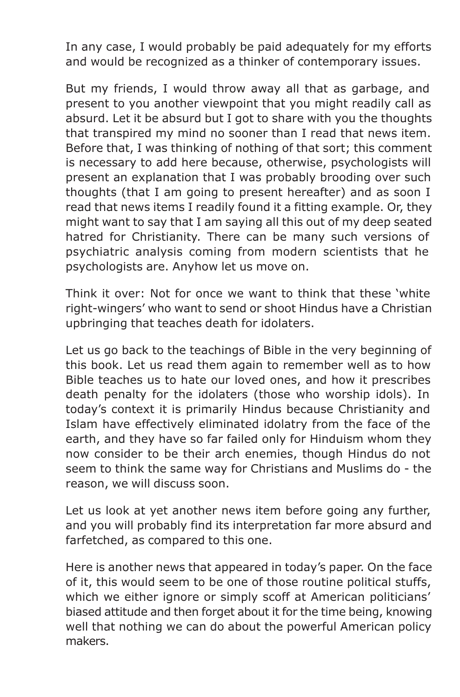In any case, I would probably be paid adequately for my efforts and would be recognized as a thinker of contemporary issues.

But my friends, I would throw away all that as garbage, and present to you another viewpoint that you might readily call as absurd. Let it be absurd but I got to share with you the thoughts that transpired my mind no sooner than I read that news item. Before that, I was thinking of nothing of that sort; this comment is necessary to add here because, otherwise, psychologists will present an explanation that I was probably brooding over such thoughts (that I am going to present hereafter) and as soon I read that news items I readily found it a fitting example. Or, they might want to say that I am saying all this out of my deep seated hatred for Christianity. There can be many such versions of psychiatric analysis coming from modern scientists that he psychologists are. Anyhow let us move on.

Think it over: Not for once we want to think that these 'white right-wingers' who want to send or shoot Hindus have a Christian upbringing that teaches death for idolaters.

Let us go back to the teachings of Bible in the very beginning of this book. Let us read them again to remember well as to how Bible teaches us to hate our loved ones, and how it prescribes death penalty for the idolaters (those who worship idols). In today's context it is primarily Hindus because Christianity and Islam have effectively eliminated idolatry from the face of the earth, and they have so far failed only for Hinduism whom they now consider to be their arch enemies, though Hindus do not seem to think the same way for Christians and Muslims do - the reason, we will discuss soon.

Let us look at yet another news item before going any further, and you will probably find its interpretation far more absurd and farfetched, as compared to this one.

Here is another news that appeared in today's paper. On the face of it, this would seem to be one of those routine political stuffs, which we either ignore or simply scoff at American politicians' biased attitude and then forget about it for the time being, knowing well that nothing we can do about the powerful American policy makers.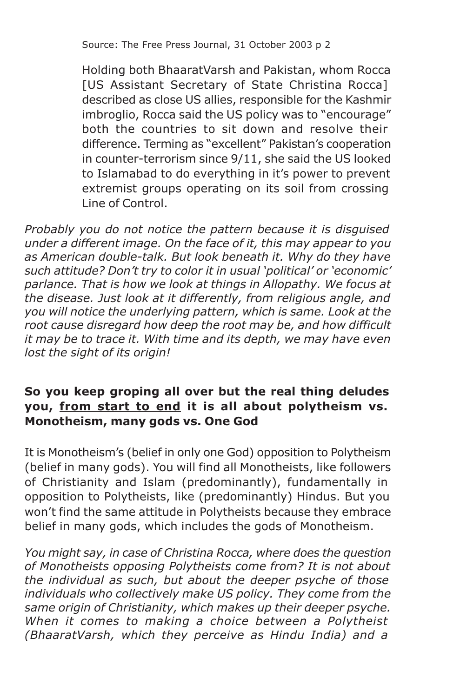Source: The Free Press Journal, 31 October 2003 p 2

Holding both BhaaratVarsh and Pakistan, whom Rocca [US Assistant Secretary of State Christina Rocca] described as close US allies, responsible for the Kashmir imbroglio, Rocca said the US policy was to "encourage" both the countries to sit down and resolve their difference. Terming as "excellent" Pakistan's cooperation in counter-terrorism since 9/11, she said the US looked to Islamabad to do everything in it's power to prevent extremist groups operating on its soil from crossing Line of Control.

*Probably you do not notice the pattern because it is disguised under a different image. On the face of it, this may appear to you as American double-talk. But look beneath it. Why do they have such attitude? Don't try to color it in usual 'political' or 'economic' parlance. That is how we look at things in Allopathy. We focus at the disease. Just look at it differently, from religious angle, and you will notice the underlying pattern, which is same. Look at the root cause disregard how deep the root may be, and how difficult it may be to trace it. With time and its depth, we may have even lost the sight of its origin!*

### **So you keep groping all over but the real thing deludes you, from start to end it is all about polytheism vs. Monotheism, many gods vs. One God**

It is Monotheism's (belief in only one God) opposition to Polytheism (belief in many gods). You will find all Monotheists, like followers of Christianity and Islam (predominantly), fundamentally in opposition to Polytheists, like (predominantly) Hindus. But you won't find the same attitude in Polytheists because they embrace belief in many gods, which includes the gods of Monotheism.

*You might say, in case of Christina Rocca, where does the question of Monotheists opposing Polytheists come from? It is not about the individual as such, but about the deeper psyche of those individuals who collectively make US policy. They come from the same origin of Christianity, which makes up their deeper psyche. When it comes to making a choice between a Polytheist (BhaaratVarsh, which they perceive as Hindu India) and a*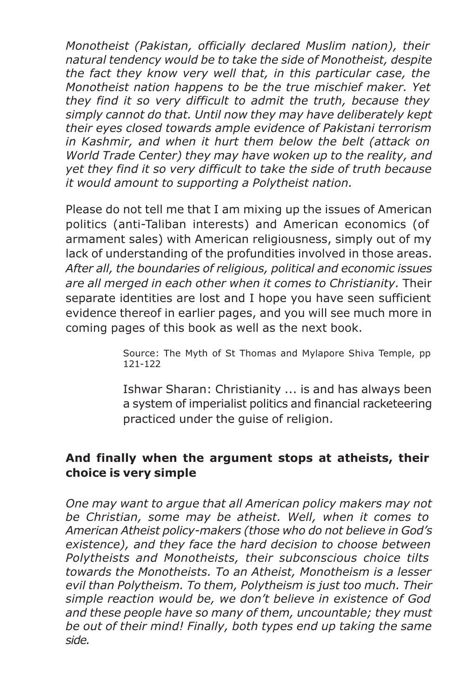*Monotheist (Pakistan, officially declared Muslim nation), their natural tendency would be to take the side of Monotheist, despite the fact they know very well that, in this particular case, the Monotheist nation happens to be the true mischief maker. Yet they find it so very difficult to admit the truth, because they simply cannot do that. Until now they may have deliberately kept their eyes closed towards ample evidence of Pakistani terrorism in Kashmir, and when it hurt them below the belt (attack on World Trade Center) they may have woken up to the reality, and yet they find it so very difficult to take the side of truth because it would amount to supporting a Polytheist nation.*

Please do not tell me that I am mixing up the issues of American politics (anti-Taliban interests) and American economics (of armament sales) with American religiousness, simply out of my lack of understanding of the profundities involved in those areas. *After all, the boundaries of religious, political and economic issues are all merged in each other when it comes to Christianity.* Their separate identities are lost and I hope you have seen sufficient evidence thereof in earlier pages, and you will see much more in coming pages of this book as well as the next book.

> Source: The Myth of St Thomas and Mylapore Shiva Temple, pp 121-122

> Ishwar Sharan: Christianity ... is and has always been a system of imperialist politics and financial racketeering practiced under the guise of religion.

### **And finally when the argument stops at atheists, their choice is very simple**

*One may want to argue that all American policy makers may not be Christian, some may be atheist. Well, when it comes to American Atheist policy-makers (those who do not believe in God's existence), and they face the hard decision to choose between Polytheists and Monotheists, their subconscious choice tilts towards the Monotheists. To an Atheist, Monotheism is a lesser evil than Polytheism. To them, Polytheism is just too much. Their simple reaction would be, we don't believe in existence of God and these people have so many of them, uncountable; they must be out of their mind! Finally, both types end up taking the same side.*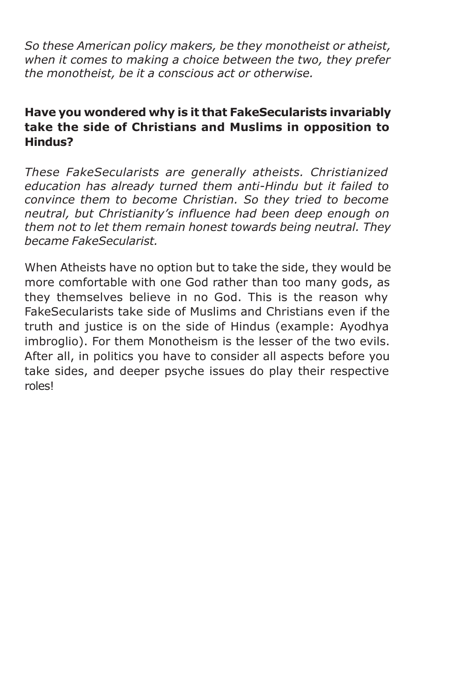*So these American policy makers, be they monotheist or atheist, when it comes to making a choice between the two, they prefer the monotheist, be it a conscious act or otherwise.*

### **Have you wondered why is it that FakeSecularists invariably take the side of Christians and Muslims in opposition to Hindus?**

*These FakeSecularists are generally atheists. Christianized education has already turned them anti-Hindu but it failed to convince them to become Christian. So they tried to become neutral, but Christianity's influence had been deep enough on them not to let them remain honest towards being neutral. They became FakeSecularist.*

When Atheists have no option but to take the side, they would be more comfortable with one God rather than too many gods, as they themselves believe in no God. This is the reason why FakeSecularists take side of Muslims and Christians even if the truth and justice is on the side of Hindus (example: Ayodhya imbroglio). For them Monotheism is the lesser of the two evils. After all, in politics you have to consider all aspects before you take sides, and deeper psyche issues do play their respective roles!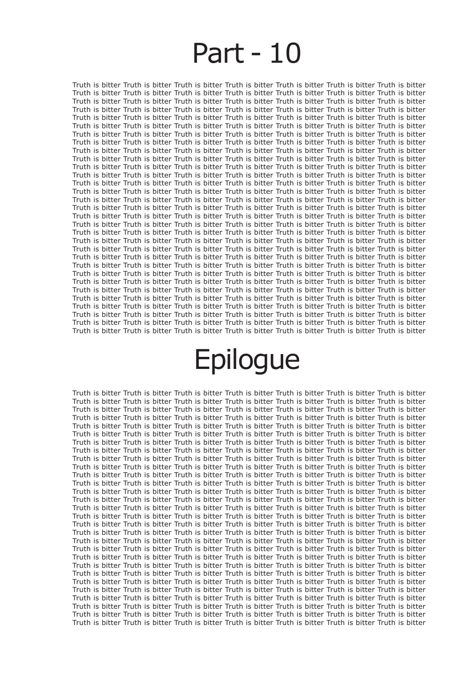### Part - 10

Truth is bitter Truth is bitter Truth is bitter Truth is bitter Truth is bitter Truth is bitter Truth is bitter Truth is bitter Truth is bitter Truth is bitter Truth is bitter Truth is bitter Truth is bitter Truth is bitter Truth is bitter Truth is bitter Truth is bitter Truth is bitter Truth is bitter Truth is bitter Truth is bitter Truth is bitter Truth is bitter Truth is bitter Truth is bitter Truth is bitter Truth is bitter Truth is bitter Truth is bitter Truth is bitter Truth is bitter Truth is bitter Truth is bitter Truth is bitter Truth is bitter Truth is bitter Truth is bitter Truth is bitter Truth is bitter Truth is bitter Truth is bitter Truth is bitter Truth is bitter Truth is bitter Truth is bitter Truth is bitter Truth is bitter Truth is bitter Truth is bitter Truth is bitter Truth is bitter Truth is bitter Truth is bitter Truth is bitter Truth is bitter Truth is bitter Truth is bitter Truth is bitter Truth is bitter Truth is bitter Truth is bitter Truth is bitter Truth is bitter Truth is bitter Truth is bitter Truth is bitter Truth is bitter Truth is bitter Truth is bitter Truth is bitter Truth is bitter Truth is bitter Truth is bitter Truth is bitter Truth is bitter Truth is bitter Truth is bitter Truth is bitter Truth is bitter Truth is bitter Truth is bitter Truth is bitter Truth is bitter Truth is bitter Truth is bitter Truth is bitter Truth is bitter Truth is bitter Truth is bitter Truth is bitter Truth is bitter Truth is bitter Truth is bitter Truth is bitter Truth is bitter Truth is bitter Truth is bitter Truth is bitter Truth is bitter Truth is bitter Truth is bitter Truth is bitter Truth is bitter Truth is bitter Truth is bitter Truth is bitter Truth is bitter Truth is bitter Truth is bitter Truth is bitter Truth is bitter Truth is bitter Truth is bitter Truth is bitter Truth is bitter Truth is bitter Truth is bitter Truth is bitter Truth is bitter Truth is bitter Truth is bitter Truth is bitter Truth is bitter Truth is bitter Truth is bitter Truth is bitter Truth is bitter Truth is bitter Truth is bitter Truth is bitter Truth is bitter Truth is bitter Truth is bitter Truth is bitter Truth is bitter Truth is bitter Truth is bitter Truth is bitter Truth is bitter Truth is bitter Truth is bitter Truth is bitter Truth is bitter Truth is bitter Truth is bitter Truth is bitter Truth is bitter Truth is bitter Truth is bitter Truth is bitter Truth is bitter Truth is bitter Truth is bitter Truth is bitter Truth is bitter Truth is bitter Truth is bitter Truth is bitter Truth is bitter Truth is bitter Truth is bitter Truth is bitter Truth is bitter Truth is bitter Truth is bitter Truth is bitter Truth is bitter Truth is bitter Truth is bitter Truth is bitter Truth is bitter Truth is bitter Truth is bitter Truth is bitter Truth is bitter Truth is bitter Truth is bitter Truth is bitter Truth is bitter Truth is bitter Truth is bitter Truth is bitter Truth is bitter Truth is bitter Truth is bitter Truth is bitter Truth is bitter Truth is bitter Truth is bitter Truth is bitter Truth is bitter Truth is bitter Truth is bitter Truth is bitter Truth is bitter Truth is bitter Truth is bitter Truth is bitter Truth is bitter Truth is bitter Truth is bitter Truth is bitter Truth is bitter Truth is bitter Truth is bitter Truth is bitter Truth is bitter Truth is bitter Truth is bitter Truth is bitter Truth is bitter Truth is bitter Truth is bitter Truth is bitter Truth is bitter Truth is bitter Truth is bitter

### Epilogue

Truth is bitter Truth is bitter Truth is bitter Truth is bitter Truth is bitter Truth is bitter Truth is bitter Truth is bitter Truth is bitter Truth is bitter Truth is bitter Truth is bitter Truth is bitter Truth is bitter Truth is bitter Truth is bitter Truth is bitter Truth is bitter Truth is bitter Truth is bitter Truth is bitter Truth is bitter Truth is bitter Truth is bitter Truth is bitter Truth is bitter Truth is bitter Truth is bitter Truth is bitter Truth is bitter Truth is bitter Truth is bitter Truth is bitter Truth is bitter Truth is bitter Truth is bitter Truth is bitter Truth is bitter Truth is bitter Truth is bitter Truth is bitter Truth is bitter Truth is bitter Truth is bitter Truth is bitter Truth is bitter Truth is bitter Truth is bitter Truth is bitter Truth is bitter Truth is bitter Truth is bitter Truth is bitter Truth is bitter Truth is bitter Truth is bitter Truth is bitter Truth is bitter Truth is bitter Truth is bitter Truth is bitter Truth is bitter Truth is bitter Truth is bitter Truth is bitter Truth is bitter Truth is bitter Truth is bitter Truth is bitter Truth is bitter Truth is bitter Truth is bitter Truth is bitter Truth is bitter Truth is bitter Truth is bitter Truth is bitter Truth is bitter Truth is bitter Truth is bitter Truth is bitter Truth is bitter Truth is bitter Truth is bitter Truth is bitter Truth is bitter Truth is bitter Truth is bitter Truth is bitter Truth is bitter Truth is bitter Truth is bitter Truth is bitter Truth is bitter Truth is bitter Truth is bitter Truth is bitter Truth is bitter Truth is bitter Truth is bitter Truth is bitter Truth is bitter Truth is bitter Truth is bitter Truth is bitter Truth is bitter Truth is bitter Truth is bitter Truth is bitter Truth is bitter Truth is bitter Truth is bitter Truth is bitter Truth is bitter Truth is bitter Truth is bitter Truth is bitter Truth is bitter Truth is bitter Truth is bitter Truth is bitter Truth is bitter Truth is bitter Truth is bitter Truth is bitter Truth is bitter Truth is bitter Truth is bitter Truth is bitter Truth is bitter Truth is bitter Truth is bitter Truth is bitter Truth is bitter Truth is bitter Truth is bitter Truth is bitter Truth is bitter Truth is bitter Truth is bitter Truth is bitter Truth is bitter Truth is bitter Truth is bitter Truth is bitter Truth is bitter Truth is bitter Truth is bitter Truth is bitter Truth is bitter Truth is bitter Truth is bitter Truth is bitter Truth is bitter Truth is bitter Truth is bitter Truth is bitter Truth is bitter Truth is bitter Truth is bitter Truth is bitter Truth is bitter Truth is bitter Truth is bitter Truth is bitter Truth is bitter Truth is bitter Truth is bitter Truth is bitter Truth is bitter Truth is bitter Truth is bitter Truth is bitter Truth is bitter Truth is bitter Truth is bitter Truth is bitter Truth is bitter Truth is bitter Truth is bitter Truth is bitter Truth is bitter Truth is bitter Truth is bitter Truth is bitter Truth is bitter Truth is bitter Truth is bitter Truth is bitter Truth is bitter Truth is bitter Truth is bitter Truth is bitter Truth is bitter Truth is bitter Truth is bitter Truth is bitter Truth is bitter Truth is bitter Truth is bitter Truth is bitter Truth is bitter Truth is bitter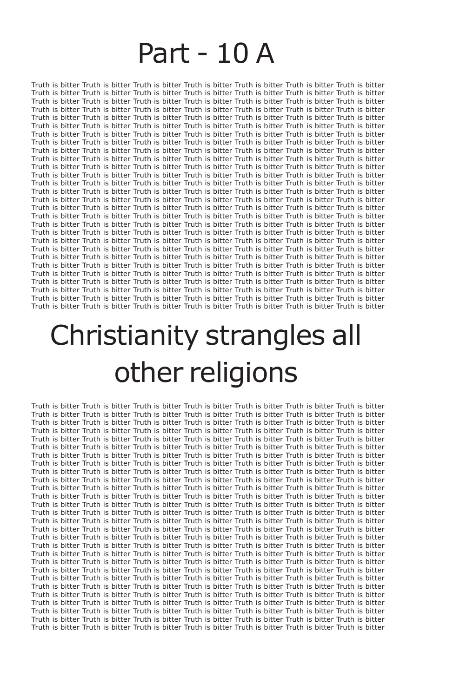### Part - 10 A

Truth is bitter Truth is bitter Truth is bitter Truth is bitter Truth is bitter Truth is bitter Truth is bitter Truth is bitter Truth is bitter Truth is bitter Truth is bitter Truth is bitter Truth is bitter Truth is bitter Truth is bitter Truth is bitter Truth is bitter Truth is bitter Truth is bitter Truth is bitter Truth is bitter Truth is bitter Truth is bitter Truth is bitter Truth is bitter Truth is bitter Truth is bitter Truth is bitter Truth is bitter Truth is bitter Truth is bitter Truth is bitter Truth is bitter Truth is bitter Truth is bitter Truth is bitter Truth is bitter Truth is bitter Truth is bitter Truth is bitter Truth is bitter Truth is bitter Truth is bitter Truth is bitter Truth is bitter Truth is bitter Truth is bitter Truth is bitter Truth is bitter Truth is bitter Truth is bitter Truth is bitter Truth is bitter Truth is bitter Truth is bitter Truth is bitter Truth is bitter Truth is bitter Truth is bitter Truth is bitter Truth is bitter Truth is bitter Truth is bitter Truth is bitter Truth is bitter Truth is bitter Truth is bitter Truth is bitter Truth is bitter Truth is bitter Truth is bitter Truth is bitter Truth is bitter Truth is bitter Truth is bitter Truth is bitter Truth is bitter Truth is bitter Truth is bitter Truth is bitter Truth is bitter Truth is bitter Truth is bitter Truth is bitter Truth is bitter Truth is bitter Truth is bitter Truth is bitter Truth is bitter Truth is bitter Truth is bitter Truth is bitter Truth is bitter Truth is bitter Truth is bitter Truth is bitter Truth is bitter Truth is bitter Truth is bitter Truth is bitter Truth is bitter Truth is bitter Truth is bitter Truth is bitter Truth is bitter Truth is bitter Truth is bitter Truth is bitter Truth is bitter Truth is bitter Truth is bitter Truth is bitter Truth is bitter Truth is bitter Truth is bitter Truth is bitter Truth is bitter Truth is bitter Truth is bitter Truth is bitter Truth is bitter Truth is bitter Truth is bitter Truth is bitter Truth is bitter Truth is bitter Truth is bitter Truth is bitter Truth is bitter Truth is bitter Truth is bitter Truth is bitter Truth is bitter Truth is bitter Truth is bitter Truth is bitter Truth is bitter Truth is bitter Truth is bitter Truth is bitter Truth is bitter Truth is bitter Truth is bitter Truth is bitter Truth is bitter Truth is bitter Truth is bitter Truth is bitter Truth is bitter Truth is bitter Truth is bitter Truth is bitter Truth is bitter Truth is bitter Truth is bitter Truth is bitter Truth is bitter Truth is bitter Truth is bitter Truth is bitter Truth is bitter Truth is bitter Truth is bitter Truth is bitter Truth is bitter Truth is bitter Truth is bitter Truth is bitter Truth is bitter Truth is bitter Truth is bitter Truth is bitter Truth is bitter Truth is bitter Truth is bitter Truth is bitter Truth is bitter Truth is bitter Truth is bitter Truth is bitter Truth is bitter Truth is bitter Truth is bitter Truth is bitter Truth is bitter Truth is bitter Truth is bitter Truth is bitter Truth is bitter Truth is bitter Truth is bitter Truth is bitter Truth is bitter Truth is bitter Truth is bitter Truth is bitter

# Christianity strangles all other religions

Truth is bitter Truth is bitter Truth is bitter Truth is bitter Truth is bitter Truth is bitter Truth is bitter Truth is bitter Truth is bitter Truth is bitter Truth is bitter Truth is bitter Truth is bitter Truth is bitter Truth is bitter Truth is bitter Truth is bitter Truth is bitter Truth is bitter Truth is bitter Truth is bitter Truth is bitter Truth is bitter Truth is bitter Truth is bitter Truth is bitter Truth is bitter Truth is bitter Truth is bitter Truth is bitter Truth is bitter Truth is bitter Truth is bitter Truth is bitter Truth is bitter Truth is bitter Truth is bitter Truth is bitter Truth is bitter Truth is bitter Truth is bitter Truth is bitter Truth is bitter Truth is bitter Truth is bitter Truth is bitter Truth is bitter Truth is bitter Truth is bitter Truth is bitter Truth is bitter Truth is bitter Truth is bitter Truth is bitter Truth is bitter Truth is bitter Truth is bitter Truth is bitter Truth is bitter Truth is bitter Truth is bitter Truth is bitter Truth is bitter Truth is bitter Truth is bitter Truth is bitter Truth is bitter Truth is bitter Truth is bitter Truth is bitter Truth is bitter Truth is bitter Truth is bitter Truth is bitter Truth is bitter Truth is bitter Truth is bitter Truth is bitter Truth is bitter Truth is bitter Truth is bitter Truth is bitter Truth is bitter Truth is bitter Truth is bitter Truth is bitter Truth is bitter Truth is bitter Truth is bitter Truth is bitter Truth is bitter Truth is bitter Truth is bitter Truth is bitter Truth is bitter Truth is bitter Truth is bitter Truth is bitter Truth is bitter Truth is bitter Truth is bitter Truth is bitter Truth is bitter Truth is bitter Truth is bitter Truth is bitter Truth is bitter Truth is bitter Truth is bitter Truth is bitter Truth is bitter Truth is bitter Truth is bitter Truth is bitter Truth is bitter Truth is bitter Truth is bitter Truth is bitter Truth is bitter Truth is bitter Truth is bitter Truth is bitter Truth is bitter Truth is bitter Truth is bitter Truth is bitter Truth is bitter Truth is bitter Truth is bitter Truth is bitter Truth is bitter Truth is bitter Truth is bitter Truth is bitter Truth is bitter Truth is bitter Truth is bitter Truth is bitter Truth is bitter Truth is bitter Truth is bitter Truth is bitter Truth is bitter Truth is bitter Truth is bitter Truth is bitter Truth is bitter Truth is bitter Truth is bitter Truth is bitter Truth is bitter Truth is bitter Truth is bitter Truth is bitter Truth is bitter Truth is bitter Truth is bitter Truth is bitter Truth is bitter Truth is bitter Truth is bitter Truth is bitter Truth is bitter Truth is bitter Truth is bitter Truth is bitter Truth is bitter Truth is bitter Truth is bitter Truth is bitter Truth is bitter Truth is bitter Truth is bitter Truth is bitter Truth is bitter Truth is bitter Truth is bitter Truth is bitter Truth is bitter Truth is bitter Truth is bitter Truth is bitter Truth is bitter Truth is bitter Truth is bitter Truth is bitter Truth is bitter Truth is bitter Truth is bitter Truth is bitter Truth is bitter Truth is bitter Truth is bitter Truth is bitter Truth is bitter Truth is bitter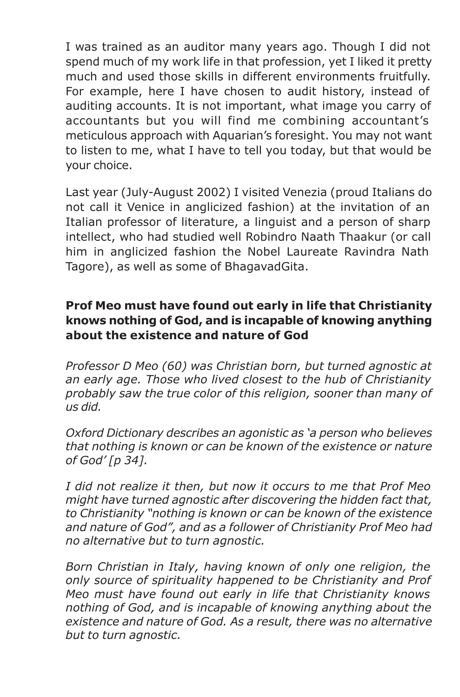I was trained as an auditor many years ago. Though I did not spend much of my work life in that profession, yet I liked it pretty much and used those skills in different environments fruitfully. For example, here I have chosen to audit history, instead of auditing accounts. It is not important, what image you carry of accountants but you will find me combining accountant's meticulous approach with Aquarian's foresight. You may not want to listen to me, what I have to tell you today, but that would be your choice.

Last year (July-August 2002) I visited Venezia (proud Italians do not call it Venice in anglicized fashion) at the invitation of an Italian professor of literature, a linguist and a person of sharp intellect, who had studied well Robindro Naath Thaakur (or call him in anglicized fashion the Nobel Laureate Ravindra Nath Tagore), as well as some of BhagavadGita.

### **Prof Meo must have found out early in life that Christianity knows nothing of God, and is incapable of knowing anything about the existence and nature of God**

*Professor D Meo (60) was Christian born, but turned agnostic at an early age. Those who lived closest to the hub of Christianity probably saw the true color of this religion, sooner than many of us did.*

*Oxford Dictionary describes an agonistic as 'a person who believes that nothing is known or can be known of the existence or nature of God' [p 34].*

*I did not realize it then, but now it occurs to me that Prof Meo might have turned agnostic after discovering the hidden fact that, to Christianity "nothing is known or can be known of the existence and nature of God", and as a follower of Christianity Prof Meo had no alternative but to turn agnostic.*

*Born Christian in Italy, having known of only one religion, the only source of spirituality happened to be Christianity and Prof Meo must have found out early in life that Christianity knows nothing of God, and is incapable of knowing anything about the existence and nature of God. As a result, there was no alternative but to turn agnostic.*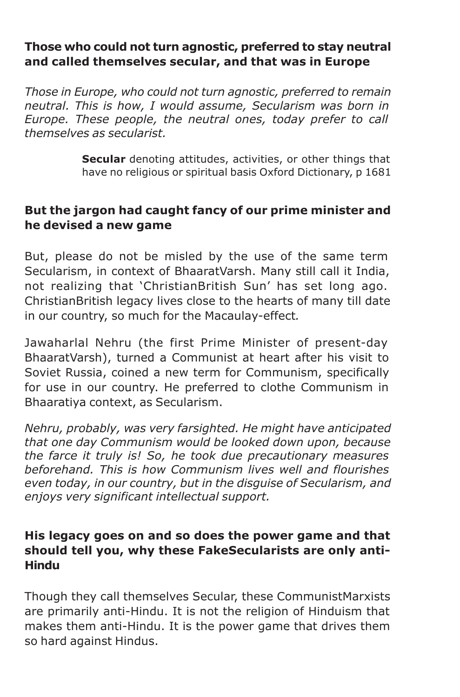#### **Those who could not turn agnostic, preferred to stay neutral and called themselves secular, and that was in Europe**

*Those in Europe, who could not turn agnostic, preferred to remain neutral. This is how, I would assume, Secularism was born in Europe. These people, the neutral ones, today prefer to call themselves as secularist.*

> **Secular** denoting attitudes, activities, or other things that have no religious or spiritual basis Oxford Dictionary, p 1681

### **But the jargon had caught fancy of our prime minister and he devised a new game**

But, please do not be misled by the use of the same term Secularism, in context of BhaaratVarsh. Many still call it India, not realizing that 'ChristianBritish Sun' has set long ago. ChristianBritish legacy lives close to the hearts of many till date in our country, so much for the Macaulay-effect*.*

Jawaharlal Nehru (the first Prime Minister of present-day BhaaratVarsh), turned a Communist at heart after his visit to Soviet Russia, coined a new term for Communism, specifically for use in our country. He preferred to clothe Communism in Bhaaratiya context, as Secularism.

*Nehru, probably, was very farsighted. He might have anticipated that one day Communism would be looked down upon, because the farce it truly is! So, he took due precautionary measures beforehand. This is how Communism lives well and flourishes even today, in our country, but in the disguise of Secularism, and enjoys very significant intellectual support.*

### **His legacy goes on and so does the power game and that should tell you, why these FakeSecularists are only anti-Hindu**

Though they call themselves Secular, these CommunistMarxists are primarily anti-Hindu. It is not the religion of Hinduism that makes them anti-Hindu. It is the power game that drives them so hard against Hindus.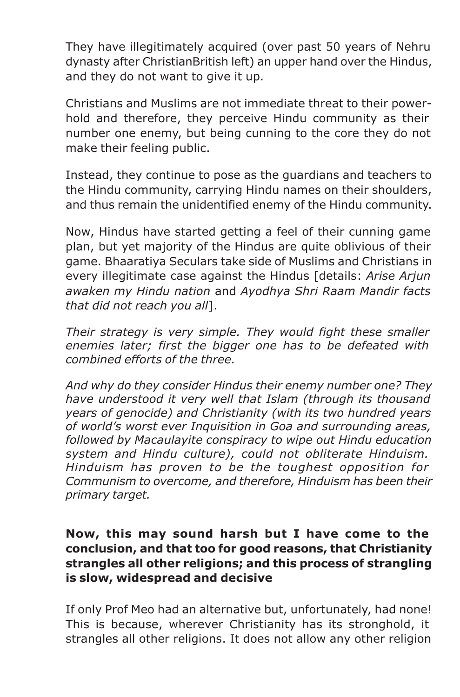They have illegitimately acquired (over past 50 years of Nehru dynasty after ChristianBritish left) an upper hand over the Hindus, and they do not want to give it up.

Christians and Muslims are not immediate threat to their powerhold and therefore, they perceive Hindu community as their number one enemy, but being cunning to the core they do not make their feeling public.

Instead, they continue to pose as the guardians and teachers to the Hindu community, carrying Hindu names on their shoulders, and thus remain the unidentified enemy of the Hindu community.

Now, Hindus have started getting a feel of their cunning game plan, but yet majority of the Hindus are quite oblivious of their game. Bhaaratiya Seculars take side of Muslims and Christians in every illegitimate case against the Hindus [details: *Arise Arjun awaken my Hindu nation* and *Ayodhya Shri Raam Mandir facts that did not reach you all*].

*Their strategy is very simple. They would fight these smaller enemies later; first the bigger one has to be defeated with combined efforts of the three.*

*And why do they consider Hindus their enemy number one? They have understood it very well that Islam (through its thousand years of genocide) and Christianity (with its two hundred years of world's worst ever Inquisition in Goa and surrounding areas, followed by Macaulayite conspiracy to wipe out Hindu education system and Hindu culture), could not obliterate Hinduism. Hinduism has proven to be the toughest opposition for Communism to overcome, and therefore, Hinduism has been their primary target.*

#### **Now, this may sound harsh but I have come to the conclusion, and that too for good reasons, that Christianity strangles all other religions; and this process of strangling is slow, widespread and decisive**

If only Prof Meo had an alternative but, unfortunately, had none! This is because, wherever Christianity has its stronghold, it strangles all other religions. It does not allow any other religion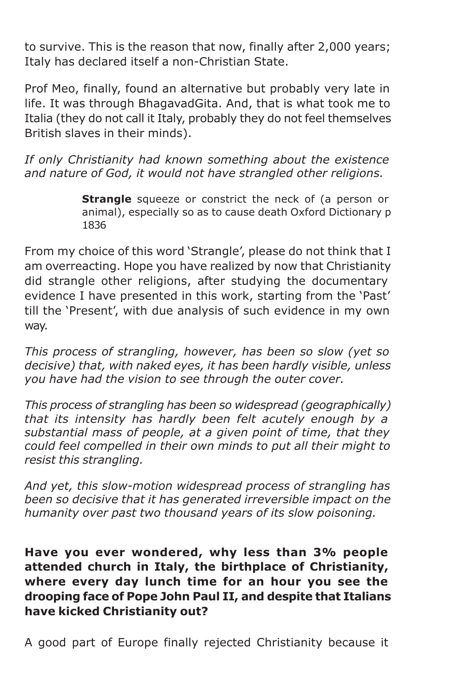to survive. This is the reason that now, finally after 2,000 years; Italy has declared itself a non-Christian State.

Prof Meo, finally, found an alternative but probably very late in life. It was through BhagavadGita. And, that is what took me to Italia (they do not call it Italy, probably they do not feel themselves British slaves in their minds).

*If only Christianity had known something about the existence and nature of God, it would not have strangled other religions.*

> **Strangle** squeeze or constrict the neck of (a person or animal), especially so as to cause death Oxford Dictionary p 1836

From my choice of this word 'Strangle', please do not think that I am overreacting. Hope you have realized by now that Christianity did strangle other religions, after studying the documentary evidence I have presented in this work, starting from the 'Past' till the 'Present', with due analysis of such evidence in my own way.

*This process of strangling, however, has been so slow (yet so decisive) that, with naked eyes, it has been hardly visible, unless you have had the vision to see through the outer cover.*

*This process of strangling has been so widespread (geographically) that its intensity has hardly been felt acutely enough by a substantial mass of people, at a given point of time, that they could feel compelled in their own minds to put all their might to resist this strangling.*

*And yet, this slow-motion widespread process of strangling has been so decisive that it has generated irreversible impact on the humanity over past two thousand years of its slow poisoning.*

**Have you ever wondered, why less than 3% people attended church in Italy, the birthplace of Christianity, where every day lunch time for an hour you see the drooping face of Pope John Paul II, and despite that Italians have kicked Christianity out?**

A good part of Europe finally rejected Christianity because it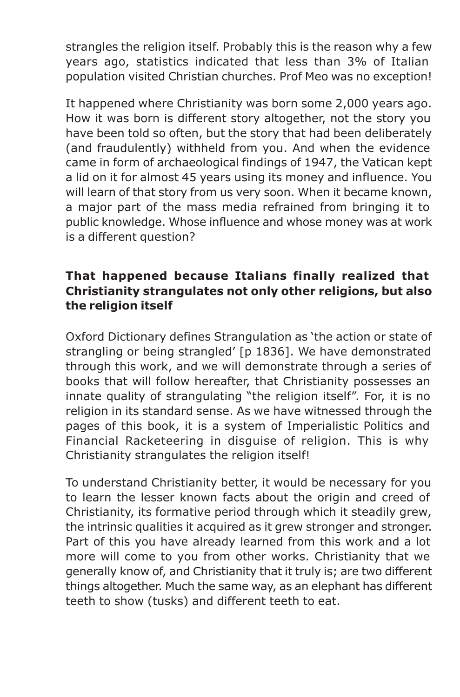strangles the religion itself. Probably this is the reason why a few years ago, statistics indicated that less than 3% of Italian population visited Christian churches. Prof Meo was no exception!

It happened where Christianity was born some 2,000 years ago. How it was born is different story altogether, not the story you have been told so often, but the story that had been deliberately (and fraudulently) withheld from you. And when the evidence came in form of archaeological findings of 1947, the Vatican kept a lid on it for almost 45 years using its money and influence. You will learn of that story from us very soon. When it became known, a major part of the mass media refrained from bringing it to public knowledge. Whose influence and whose money was at work is a different question?

### **That happened because Italians finally realized that Christianity strangulates not only other religions, but also the religion itself**

Oxford Dictionary defines Strangulation as 'the action or state of strangling or being strangled' [p 1836]. We have demonstrated through this work, and we will demonstrate through a series of books that will follow hereafter, that Christianity possesses an innate quality of strangulating "the religion itself". For, it is no religion in its standard sense. As we have witnessed through the pages of this book, it is a system of Imperialistic Politics and Financial Racketeering in disguise of religion. This is why Christianity strangulates the religion itself!

To understand Christianity better, it would be necessary for you to learn the lesser known facts about the origin and creed of Christianity, its formative period through which it steadily grew, the intrinsic qualities it acquired as it grew stronger and stronger. Part of this you have already learned from this work and a lot more will come to you from other works. Christianity that we generally know of, and Christianity that it truly is; are two different things altogether. Much the same way, as an elephant has different teeth to show (tusks) and different teeth to eat.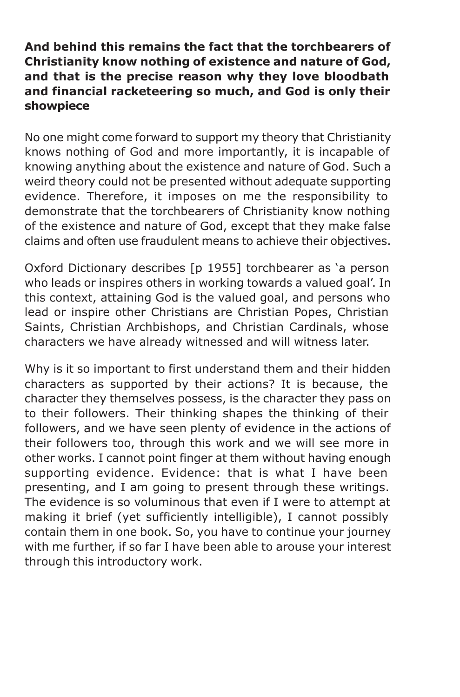### **And behind this remains the fact that the torchbearers of Christianity know nothing of existence and nature of God, and that is the precise reason why they love bloodbath and financial racketeering so much, and God is only their showpiece**

No one might come forward to support my theory that Christianity knows nothing of God and more importantly, it is incapable of knowing anything about the existence and nature of God. Such a weird theory could not be presented without adequate supporting evidence. Therefore, it imposes on me the responsibility to demonstrate that the torchbearers of Christianity know nothing of the existence and nature of God, except that they make false claims and often use fraudulent means to achieve their objectives.

Oxford Dictionary describes [p 1955] torchbearer as 'a person who leads or inspires others in working towards a valued goal'. In this context, attaining God is the valued goal, and persons who lead or inspire other Christians are Christian Popes, Christian Saints, Christian Archbishops, and Christian Cardinals, whose characters we have already witnessed and will witness later.

Why is it so important to first understand them and their hidden characters as supported by their actions? It is because, the character they themselves possess, is the character they pass on to their followers. Their thinking shapes the thinking of their followers, and we have seen plenty of evidence in the actions of their followers too, through this work and we will see more in other works. I cannot point finger at them without having enough supporting evidence. Evidence: that is what I have been presenting, and I am going to present through these writings. The evidence is so voluminous that even if I were to attempt at making it brief (yet sufficiently intelligible), I cannot possibly contain them in one book. So, you have to continue your journey with me further, if so far I have been able to arouse your interest through this introductory work.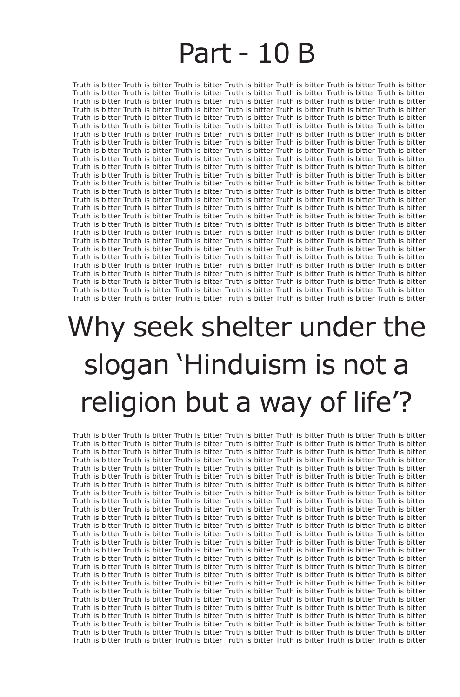### Part - 10 B

Truth is bitter Truth is bitter Truth is bitter Truth is bitter Truth is bitter Truth is bitter Truth is bitter Truth is bitter Truth is bitter Truth is bitter Truth is bitter Truth is bitter Truth is bitter Truth is bitter Truth is bitter Truth is bitter Truth is bitter Truth is bitter Truth is bitter Truth is bitter Truth is bitter Truth is bitter Truth is bitter Truth is bitter Truth is bitter Truth is bitter Truth is bitter Truth is bitter Truth is bitter Truth is bitter Truth is bitter Truth is bitter Truth is bitter Truth is bitter Truth is bitter Truth is bitter Truth is bitter Truth is bitter Truth is bitter Truth is bitter Truth is bitter Truth is bitter Truth is bitter Truth is bitter Truth is bitter Truth is bitter Truth is bitter Truth is bitter Truth is bitter Truth is bitter Truth is bitter Truth is bitter Truth is bitter Truth is bitter Truth is bitter Truth is bitter Truth is bitter Truth is bitter Truth is bitter Truth is bitter Truth is bitter Truth is bitter Truth is bitter Truth is bitter Truth is bitter Truth is bitter Truth is bitter Truth is bitter Truth is bitter Truth is bitter Truth is bitter Truth is bitter Truth is bitter Truth is bitter Truth is bitter Truth is bitter Truth is bitter Truth is bitter Truth is bitter Truth is bitter Truth is bitter Truth is bitter Truth is bitter Truth is bitter Truth is bitter Truth is bitter Truth is bitter Truth is bitter Truth is bitter Truth is bitter Truth is bitter Truth is bitter Truth is bitter Truth is bitter Truth is bitter Truth is bitter Truth is bitter Truth is bitter Truth is bitter Truth is bitter Truth is bitter Truth is bitter Truth is bitter Truth is bitter Truth is bitter Truth is bitter Truth is bitter Truth is bitter Truth is bitter Truth is bitter Truth is bitter Truth is bitter Truth is bitter Truth is bitter Truth is bitter Truth is bitter Truth is bitter Truth is bitter Truth is bitter Truth is bitter Truth is bitter Truth is bitter Truth is bitter Truth is bitter Truth is bitter Truth is bitter Truth is bitter Truth is bitter Truth is bitter Truth is bitter Truth is bitter Truth is bitter Truth is bitter Truth is bitter Truth is bitter Truth is bitter Truth is bitter Truth is bitter Truth is bitter Truth is bitter Truth is bitter Truth is bitter Truth is bitter Truth is bitter Truth is bitter Truth is bitter Truth is bitter Truth is bitter Truth is bitter Truth is bitter Truth is bitter Truth is bitter Truth is bitter Truth is bitter Truth is bitter Truth is bitter Truth is bitter Truth is bitter Truth is bitter Truth is bitter Truth is bitter Truth is bitter Truth is bitter Truth is bitter Truth is bitter Truth is bitter Truth is bitter Truth is bitter Truth is bitter Truth is bitter Truth is bitter Truth is bitter Truth is bitter Truth is bitter Truth is bitter Truth is bitter Truth is bitter Truth is bitter Truth is bitter Truth is bitter Truth is bitter Truth is bitter Truth is bitter Truth is bitter Truth is bitter Truth is bitter Truth is bitter Truth is bitter Truth is bitter

# Why seek shelter under the slogan 'Hinduism is not a religion but a way of life'?

Truth is bitter Truth is bitter Truth is bitter Truth is bitter Truth is bitter Truth is bitter Truth is bitter Truth is bitter Truth is bitter Truth is bitter Truth is bitter Truth is bitter Truth is bitter Truth is bitter Truth is bitter Truth is bitter Truth is bitter Truth is bitter Truth is bitter Truth is bitter Truth is bitter Truth is bitter Truth is bitter Truth is bitter Truth is bitter Truth is bitter Truth is bitter Truth is bitter Truth is bitter Truth is bitter Truth is bitter Truth is bitter Truth is bitter Truth is bitter Truth is bitter Truth is bitter Truth is bitter Truth is bitter Truth is bitter Truth is bitter Truth is bitter Truth is bitter Truth is bitter Truth is bitter Truth is bitter Truth is bitter Truth is bitter Truth is bitter Truth is bitter Truth is bitter Truth is bitter Truth is bitter Truth is bitter Truth is bitter Truth is bitter Truth is bitter Truth is bitter Truth is bitter Truth is bitter Truth is bitter Truth is bitter Truth is bitter Truth is bitter Truth is bitter Truth is bitter Truth is bitter Truth is bitter Truth is bitter Truth is bitter Truth is bitter Truth is bitter Truth is bitter Truth is bitter Truth is bitter Truth is bitter Truth is bitter Truth is bitter Truth is bitter Truth is bitter Truth is bitter Truth is bitter Truth is bitter Truth is bitter Truth is bitter Truth is bitter Truth is bitter Truth is bitter Truth is bitter Truth is bitter Truth is bitter Truth is bitter Truth is bitter Truth is bitter Truth is bitter Truth is bitter Truth is bitter Truth is bitter Truth is bitter Truth is bitter Truth is bitter Truth is bitter Truth is bitter Truth is bitter Truth is bitter Truth is bitter Truth is bitter Truth is bitter Truth is bitter Truth is bitter Truth is bitter Truth is bitter Truth is bitter Truth is bitter Truth is bitter Truth is bitter Truth is bitter Truth is bitter Truth is bitter Truth is bitter Truth is bitter Truth is bitter Truth is bitter Truth is bitter Truth is bitter Truth is bitter Truth is bitter Truth is bitter Truth is bitter Truth is bitter Truth is bitter Truth is bitter Truth is bitter Truth is bitter Truth is bitter Truth is bitter Truth is bitter Truth is bitter Truth is bitter Truth is bitter Truth is bitter Truth is bitter Truth is bitter Truth is bitter Truth is bitter Truth is bitter Truth is bitter Truth is bitter Truth is bitter Truth is bitter Truth is bitter Truth is bitter Truth is bitter Truth is bitter Truth is bitter Truth is bitter Truth is bitter Truth is bitter Truth is bitter Truth is bitter Truth is bitter Truth is bitter Truth is bitter Truth is bitter Truth is bitter Truth is bitter Truth is bitter Truth is bitter Truth is bitter Truth is bitter Truth is bitter Truth is bitter Truth is bitter Truth is bitter Truth is bitter Truth is bitter Truth is bitter Truth is bitter Truth is bitter Truth is bitter Truth is bitter Truth is bitter Truth is bitter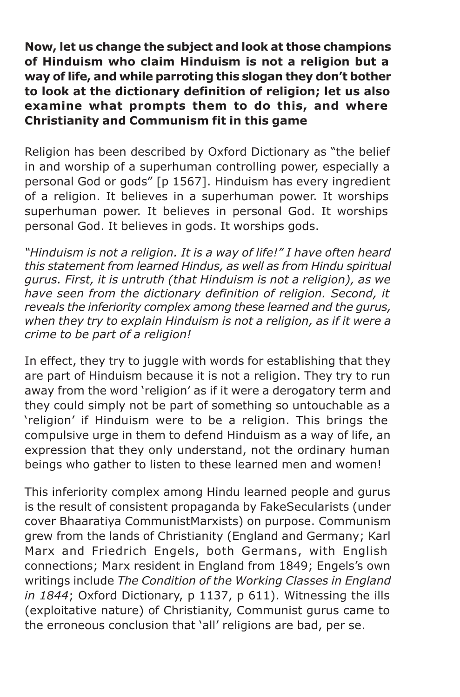**Now, let us change the subject and look at those champions of Hinduism who claim Hinduism is not a religion but a way of life, and while parroting this slogan they don't bother to look at the dictionary definition of religion; let us also examine what prompts them to do this, and where Christianity and Communism fit in this game**

Religion has been described by Oxford Dictionary as "the belief in and worship of a superhuman controlling power, especially a personal God or gods" [p 1567]. Hinduism has every ingredient of a religion. It believes in a superhuman power. It worships superhuman power. It believes in personal God. It worships personal God. It believes in gods. It worships gods.

*"Hinduism is not a religion. It is a way of life!" I have often heard this statement from learned Hindus, as well as from Hindu spiritual gurus. First, it is untruth (that Hinduism is not a religion), as we have seen from the dictionary definition of religion. Second, it reveals the inferiority complex among these learned and the gurus, when they try to explain Hinduism is not a religion, as if it were a crime to be part of a religion!*

In effect, they try to juggle with words for establishing that they are part of Hinduism because it is not a religion. They try to run away from the word 'religion' as if it were a derogatory term and they could simply not be part of something so untouchable as a 'religion' if Hinduism were to be a religion. This brings the compulsive urge in them to defend Hinduism as a way of life, an expression that they only understand, not the ordinary human beings who gather to listen to these learned men and women!

This inferiority complex among Hindu learned people and gurus is the result of consistent propaganda by FakeSecularists (under cover Bhaaratiya CommunistMarxists) on purpose. Communism grew from the lands of Christianity (England and Germany; Karl Marx and Friedrich Engels, both Germans, with English connections; Marx resident in England from 1849; Engels's own writings include *The Condition of the Working Classes in England in 1844*; Oxford Dictionary, p 1137, p 611). Witnessing the ills (exploitative nature) of Christianity, Communist gurus came to the erroneous conclusion that 'all' religions are bad, per se.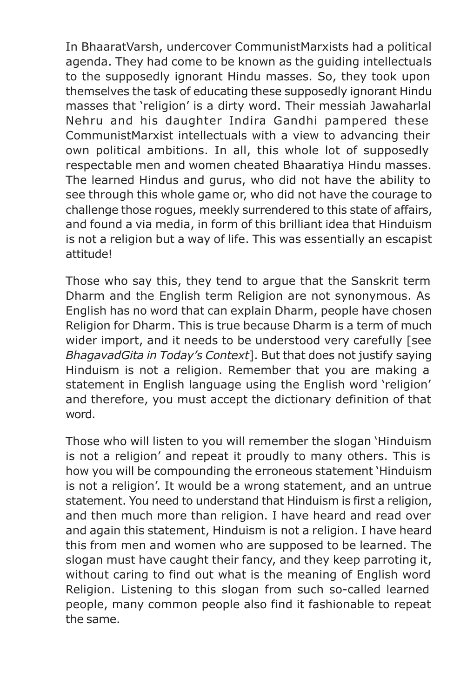In BhaaratVarsh, undercover CommunistMarxists had a political agenda. They had come to be known as the guiding intellectuals to the supposedly ignorant Hindu masses. So, they took upon themselves the task of educating these supposedly ignorant Hindu masses that 'religion' is a dirty word. Their messiah Jawaharlal Nehru and his daughter Indira Gandhi pampered these CommunistMarxist intellectuals with a view to advancing their own political ambitions. In all, this whole lot of supposedly respectable men and women cheated Bhaaratiya Hindu masses. The learned Hindus and gurus, who did not have the ability to see through this whole game or, who did not have the courage to challenge those rogues, meekly surrendered to this state of affairs, and found a via media, in form of this brilliant idea that Hinduism is not a religion but a way of life. This was essentially an escapist attitude!

Those who say this, they tend to argue that the Sanskrit term Dharm and the English term Religion are not synonymous. As English has no word that can explain Dharm, people have chosen Religion for Dharm. This is true because Dharm is a term of much wider import, and it needs to be understood very carefully [see *BhagavadGita in Today's Context*]. But that does not justify saying Hinduism is not a religion. Remember that you are making a statement in English language using the English word 'religion' and therefore, you must accept the dictionary definition of that word.

Those who will listen to you will remember the slogan 'Hinduism is not a religion' and repeat it proudly to many others. This is how you will be compounding the erroneous statement 'Hinduism is not a religion'. It would be a wrong statement, and an untrue statement. You need to understand that Hinduism is first a religion, and then much more than religion. I have heard and read over and again this statement, Hinduism is not a religion. I have heard this from men and women who are supposed to be learned. The slogan must have caught their fancy, and they keep parroting it, without caring to find out what is the meaning of English word Religion. Listening to this slogan from such so-called learned people, many common people also find it fashionable to repeat the same.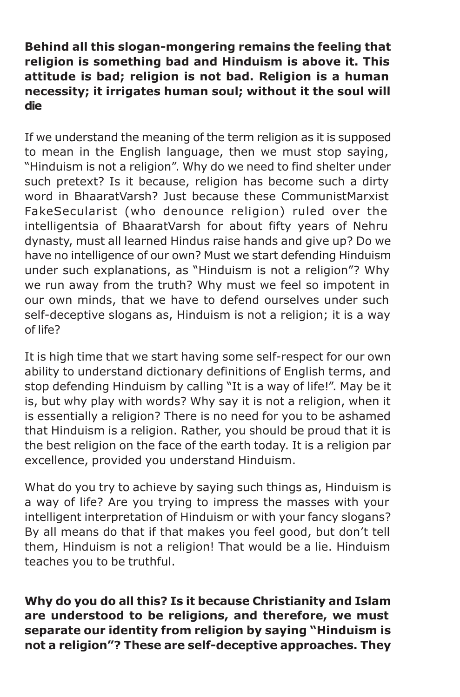### **Behind all this slogan-mongering remains the feeling that religion is something bad and Hinduism is above it. This attitude is bad; religion is not bad. Religion is a human necessity; it irrigates human soul; without it the soul will die**

If we understand the meaning of the term religion as it is supposed to mean in the English language, then we must stop saying, "Hinduism is not a religion". Why do we need to find shelter under such pretext? Is it because, religion has become such a dirty word in BhaaratVarsh? Just because these CommunistMarxist FakeSecularist (who denounce religion) ruled over the intelligentsia of BhaaratVarsh for about fifty years of Nehru dynasty, must all learned Hindus raise hands and give up? Do we have no intelligence of our own? Must we start defending Hinduism under such explanations, as "Hinduism is not a religion"? Why we run away from the truth? Why must we feel so impotent in our own minds, that we have to defend ourselves under such self-deceptive slogans as, Hinduism is not a religion; it is a way of life?

It is high time that we start having some self-respect for our own ability to understand dictionary definitions of English terms, and stop defending Hinduism by calling "It is a way of life!". May be it is, but why play with words? Why say it is not a religion, when it is essentially a religion? There is no need for you to be ashamed that Hinduism is a religion. Rather, you should be proud that it is the best religion on the face of the earth today. It is a religion par excellence, provided you understand Hinduism.

What do you try to achieve by saying such things as, Hinduism is a way of life? Are you trying to impress the masses with your intelligent interpretation of Hinduism or with your fancy slogans? By all means do that if that makes you feel good, but don't tell them, Hinduism is not a religion! That would be a lie. Hinduism teaches you to be truthful.

**Why do you do all this? Is it because Christianity and Islam are understood to be religions, and therefore, we must separate our identity from religion by saying "Hinduism is not a religion"? These are self-deceptive approaches. They**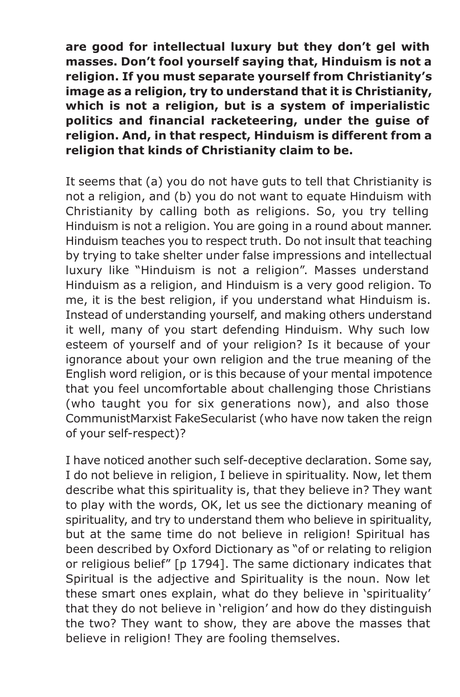**are good for intellectual luxury but they don't gel with masses. Don't fool yourself saying that, Hinduism is not a religion. If you must separate yourself from Christianity's image as a religion, try to understand that it is Christianity, which is not a religion, but is a system of imperialistic politics and financial racketeering, under the guise of religion. And, in that respect, Hinduism is different from a religion that kinds of Christianity claim to be.**

It seems that (a) you do not have guts to tell that Christianity is not a religion, and (b) you do not want to equate Hinduism with Christianity by calling both as religions. So, you try telling Hinduism is not a religion. You are going in a round about manner. Hinduism teaches you to respect truth. Do not insult that teaching by trying to take shelter under false impressions and intellectual luxury like "Hinduism is not a religion". Masses understand Hinduism as a religion, and Hinduism is a very good religion. To me, it is the best religion, if you understand what Hinduism is. Instead of understanding yourself, and making others understand it well, many of you start defending Hinduism. Why such low esteem of yourself and of your religion? Is it because of your ignorance about your own religion and the true meaning of the English word religion, or is this because of your mental impotence that you feel uncomfortable about challenging those Christians (who taught you for six generations now), and also those CommunistMarxist FakeSecularist (who have now taken the reign of your self-respect)?

I have noticed another such self-deceptive declaration. Some say, I do not believe in religion, I believe in spirituality. Now, let them describe what this spirituality is, that they believe in? They want to play with the words, OK, let us see the dictionary meaning of spirituality, and try to understand them who believe in spirituality, but at the same time do not believe in religion! Spiritual has been described by Oxford Dictionary as "of or relating to religion or religious belief" [p 1794]. The same dictionary indicates that Spiritual is the adjective and Spirituality is the noun. Now let these smart ones explain, what do they believe in 'spirituality' that they do not believe in 'religion' and how do they distinguish the two? They want to show, they are above the masses that believe in religion! They are fooling themselves.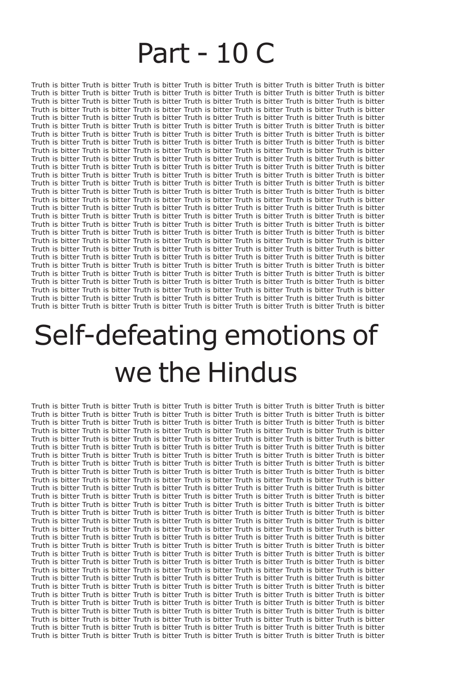### Part - 10 C

Truth is bitter Truth is bitter Truth is bitter Truth is bitter Truth is bitter Truth is bitter Truth is bitter Truth is bitter Truth is bitter Truth is bitter Truth is bitter Truth is bitter Truth is bitter Truth is bitter Truth is bitter Truth is bitter Truth is bitter Truth is bitter Truth is bitter Truth is bitter Truth is bitter Truth is bitter Truth is bitter Truth is bitter Truth is bitter Truth is bitter Truth is bitter Truth is bitter Truth is bitter Truth is bitter Truth is bitter Truth is bitter Truth is bitter Truth is bitter Truth is bitter Truth is bitter Truth is bitter Truth is bitter Truth is bitter Truth is bitter Truth is bitter Truth is bitter Truth is bitter Truth is bitter Truth is bitter Truth is bitter Truth is bitter Truth is bitter Truth is bitter Truth is bitter Truth is bitter Truth is bitter Truth is bitter Truth is bitter Truth is bitter Truth is bitter Truth is bitter Truth is bitter Truth is bitter Truth is bitter Truth is bitter Truth is bitter Truth is bitter Truth is bitter Truth is bitter Truth is bitter Truth is bitter Truth is bitter Truth is bitter Truth is bitter Truth is bitter Truth is bitter Truth is bitter Truth is bitter Truth is bitter Truth is bitter Truth is bitter Truth is bitter Truth is bitter Truth is bitter Truth is bitter Truth is bitter Truth is bitter Truth is bitter Truth is bitter Truth is bitter Truth is bitter Truth is bitter Truth is bitter Truth is bitter Truth is bitter Truth is bitter Truth is bitter Truth is bitter Truth is bitter Truth is bitter Truth is bitter Truth is bitter Truth is bitter Truth is bitter Truth is bitter Truth is bitter Truth is bitter Truth is bitter Truth is bitter Truth is bitter Truth is bitter Truth is bitter Truth is bitter Truth is bitter Truth is bitter Truth is bitter Truth is bitter Truth is bitter Truth is bitter Truth is bitter Truth is bitter Truth is bitter Truth is bitter Truth is bitter Truth is bitter Truth is bitter Truth is bitter Truth is bitter Truth is bitter Truth is bitter Truth is bitter Truth is bitter Truth is bitter Truth is bitter Truth is bitter Truth is bitter Truth is bitter Truth is bitter Truth is bitter Truth is bitter Truth is bitter Truth is bitter Truth is bitter Truth is bitter Truth is bitter Truth is bitter Truth is bitter Truth is bitter Truth is bitter Truth is bitter Truth is bitter Truth is bitter Truth is bitter Truth is bitter Truth is bitter Truth is bitter Truth is bitter Truth is bitter Truth is bitter Truth is bitter Truth is bitter Truth is bitter Truth is bitter Truth is bitter Truth is bitter Truth is bitter Truth is bitter Truth is bitter Truth is bitter Truth is bitter Truth is bitter Truth is bitter Truth is bitter Truth is bitter Truth is bitter Truth is bitter Truth is bitter Truth is bitter Truth is bitter Truth is bitter Truth is bitter Truth is bitter Truth is bitter Truth is bitter Truth is bitter Truth is bitter Truth is bitter Truth is bitter Truth is bitter Truth is bitter Truth is bitter Truth is bitter Truth is bitter Truth is bitter Truth is bitter Truth is bitter Truth is bitter Truth is bitter Truth is bitter Truth is bitter

# Self-defeating emotions of we the Hindus

Truth is bitter Truth is bitter Truth is bitter Truth is bitter Truth is bitter Truth is bitter Truth is bitter Truth is bitter Truth is bitter Truth is bitter Truth is bitter Truth is bitter Truth is bitter Truth is bitter Truth is bitter Truth is bitter Truth is bitter Truth is bitter Truth is bitter Truth is bitter Truth is bitter Truth is bitter Truth is bitter Truth is bitter Truth is bitter Truth is bitter Truth is bitter Truth is bitter Truth is bitter Truth is bitter Truth is bitter Truth is bitter Truth is bitter Truth is bitter Truth is bitter Truth is bitter Truth is bitter Truth is bitter Truth is bitter Truth is bitter Truth is bitter Truth is bitter Truth is bitter Truth is bitter Truth is bitter Truth is bitter Truth is bitter Truth is bitter Truth is bitter Truth is bitter Truth is bitter Truth is bitter Truth is bitter Truth is bitter Truth is bitter Truth is bitter Truth is bitter Truth is bitter Truth is bitter Truth is bitter Truth is bitter Truth is bitter Truth is bitter Truth is bitter Truth is bitter Truth is bitter Truth is bitter Truth is bitter Truth is bitter Truth is bitter Truth is bitter Truth is bitter Truth is bitter Truth is bitter Truth is bitter Truth is bitter Truth is bitter Truth is bitter Truth is bitter Truth is bitter Truth is bitter Truth is bitter Truth is bitter Truth is bitter Truth is bitter Truth is bitter Truth is bitter Truth is bitter Truth is bitter Truth is bitter Truth is bitter Truth is bitter Truth is bitter Truth is bitter Truth is bitter Truth is bitter Truth is bitter Truth is bitter Truth is bitter Truth is bitter Truth is bitter Truth is bitter Truth is bitter Truth is bitter Truth is bitter Truth is bitter Truth is bitter Truth is bitter Truth is bitter Truth is bitter Truth is bitter Truth is bitter Truth is bitter Truth is bitter Truth is bitter Truth is bitter Truth is bitter Truth is bitter Truth is bitter Truth is bitter Truth is bitter Truth is bitter Truth is bitter Truth is bitter Truth is bitter Truth is bitter Truth is bitter Truth is bitter Truth is bitter Truth is bitter Truth is bitter Truth is bitter Truth is bitter Truth is bitter Truth is bitter Truth is bitter Truth is bitter Truth is bitter Truth is bitter Truth is bitter Truth is bitter Truth is bitter Truth is bitter Truth is bitter Truth is bitter Truth is bitter Truth is bitter Truth is bitter Truth is bitter Truth is bitter Truth is bitter Truth is bitter Truth is bitter Truth is bitter Truth is bitter Truth is bitter Truth is bitter Truth is bitter Truth is bitter Truth is bitter Truth is bitter Truth is bitter Truth is bitter Truth is bitter Truth is bitter Truth is bitter Truth is bitter Truth is bitter Truth is bitter Truth is bitter Truth is bitter Truth is bitter Truth is bitter Truth is bitter Truth is bitter Truth is bitter Truth is bitter Truth is bitter Truth is bitter Truth is bitter Truth is bitter Truth is bitter Truth is bitter Truth is bitter Truth is bitter Truth is bitter Truth is bitter Truth is bitter Truth is bitter Truth is bitter Truth is bitter Truth is bitter Truth is bitter Truth is bitter Truth is bitter Truth is bitter Truth is bitter Truth is bitter Truth is bitter Truth is bitter Truth is bitter Truth is bitter Truth is bitter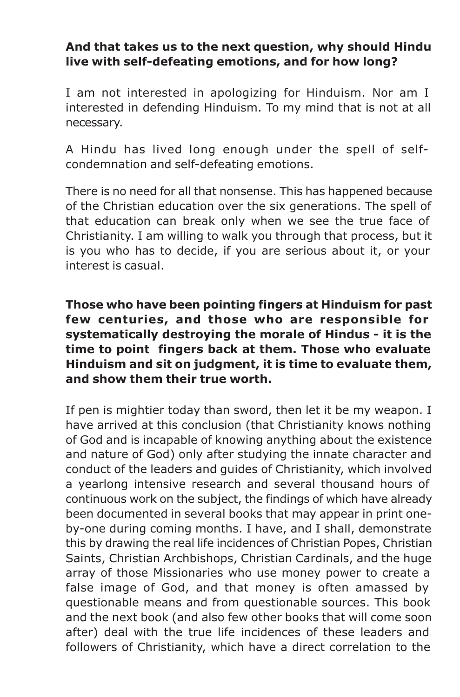#### **And that takes us to the next question, why should Hindu live with self-defeating emotions, and for how long?**

I am not interested in apologizing for Hinduism. Nor am I interested in defending Hinduism. To my mind that is not at all necessary.

A Hindu has lived long enough under the spell of selfcondemnation and self-defeating emotions.

There is no need for all that nonsense. This has happened because of the Christian education over the six generations. The spell of that education can break only when we see the true face of Christianity. I am willing to walk you through that process, but it is you who has to decide, if you are serious about it, or your interest is casual.

**Those who have been pointing fingers at Hinduism for past few centuries, and those who are responsible for systematically destroying the morale of Hindus - it is the time to point fingers back at them. Those who evaluate Hinduism and sit on judgment, it is time to evaluate them, and show them their true worth.**

If pen is mightier today than sword, then let it be my weapon. I have arrived at this conclusion (that Christianity knows nothing of God and is incapable of knowing anything about the existence and nature of God) only after studying the innate character and conduct of the leaders and guides of Christianity, which involved a yearlong intensive research and several thousand hours of continuous work on the subject, the findings of which have already been documented in several books that may appear in print oneby-one during coming months. I have, and I shall, demonstrate this by drawing the real life incidences of Christian Popes, Christian Saints, Christian Archbishops, Christian Cardinals, and the huge array of those Missionaries who use money power to create a false image of God, and that money is often amassed by questionable means and from questionable sources. This book and the next book (and also few other books that will come soon after) deal with the true life incidences of these leaders and followers of Christianity, which have a direct correlation to the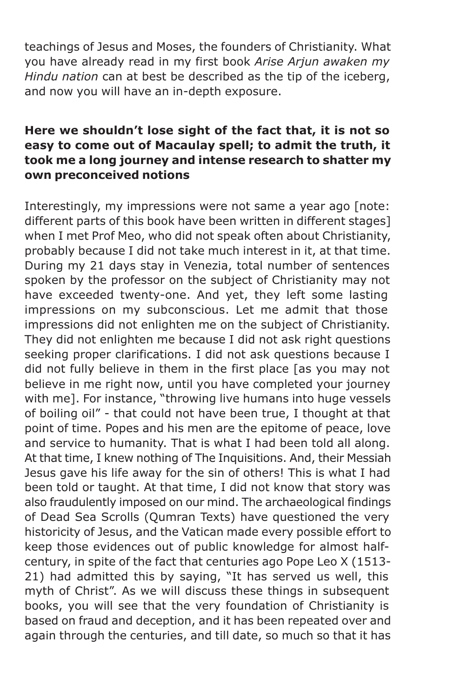teachings of Jesus and Moses, the founders of Christianity. What you have already read in my first book *Arise Arjun awaken my Hindu nation* can at best be described as the tip of the iceberg, and now you will have an in-depth exposure.

#### **Here we shouldn't lose sight of the fact that, it is not so easy to come out of Macaulay spell; to admit the truth, it took me a long journey and intense research to shatter my own preconceived notions**

Interestingly, my impressions were not same a year ago [note: different parts of this book have been written in different stages] when I met Prof Meo, who did not speak often about Christianity, probably because I did not take much interest in it, at that time. During my 21 days stay in Venezia, total number of sentences spoken by the professor on the subject of Christianity may not have exceeded twenty-one. And yet, they left some lasting impressions on my subconscious. Let me admit that those impressions did not enlighten me on the subject of Christianity. They did not enlighten me because I did not ask right questions seeking proper clarifications. I did not ask questions because I did not fully believe in them in the first place [as you may not believe in me right now, until you have completed your journey with me]. For instance, "throwing live humans into huge vessels of boiling oil" - that could not have been true, I thought at that point of time. Popes and his men are the epitome of peace, love and service to humanity. That is what I had been told all along. At that time, I knew nothing of The Inquisitions. And, their Messiah Jesus gave his life away for the sin of others! This is what I had been told or taught. At that time, I did not know that story was also fraudulently imposed on our mind. The archaeological findings of Dead Sea Scrolls (Qumran Texts) have questioned the very historicity of Jesus, and the Vatican made every possible effort to keep those evidences out of public knowledge for almost halfcentury, in spite of the fact that centuries ago Pope Leo X (1513- 21) had admitted this by saying, "It has served us well, this myth of Christ". As we will discuss these things in subsequent books, you will see that the very foundation of Christianity is based on fraud and deception, and it has been repeated over and again through the centuries, and till date, so much so that it has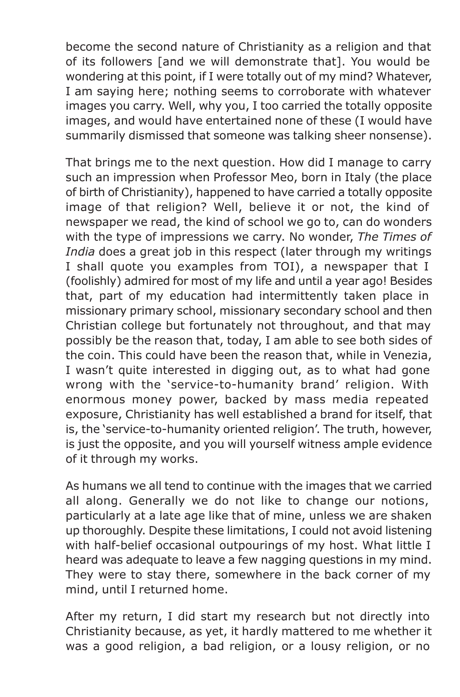become the second nature of Christianity as a religion and that of its followers [and we will demonstrate that]. You would be wondering at this point, if I were totally out of my mind? Whatever, I am saying here; nothing seems to corroborate with whatever images you carry. Well, why you, I too carried the totally opposite images, and would have entertained none of these (I would have summarily dismissed that someone was talking sheer nonsense).

That brings me to the next question. How did I manage to carry such an impression when Professor Meo, born in Italy (the place of birth of Christianity), happened to have carried a totally opposite image of that religion? Well, believe it or not, the kind of newspaper we read, the kind of school we go to, can do wonders with the type of impressions we carry. No wonder, *The Times of India* does a great job in this respect (later through my writings I shall quote you examples from TOI), a newspaper that I (foolishly) admired for most of my life and until a year ago! Besides that, part of my education had intermittently taken place in missionary primary school, missionary secondary school and then Christian college but fortunately not throughout, and that may possibly be the reason that, today, I am able to see both sides of the coin. This could have been the reason that, while in Venezia, I wasn't quite interested in digging out, as to what had gone wrong with the 'service-to-humanity brand' religion. With enormous money power, backed by mass media repeated exposure, Christianity has well established a brand for itself, that is, the 'service-to-humanity oriented religion'. The truth, however, is just the opposite, and you will yourself witness ample evidence of it through my works.

As humans we all tend to continue with the images that we carried all along. Generally we do not like to change our notions, particularly at a late age like that of mine, unless we are shaken up thoroughly. Despite these limitations, I could not avoid listening with half-belief occasional outpourings of my host. What little I heard was adequate to leave a few nagging questions in my mind. They were to stay there, somewhere in the back corner of my mind, until I returned home.

After my return, I did start my research but not directly into Christianity because, as yet, it hardly mattered to me whether it was a good religion, a bad religion, or a lousy religion, or no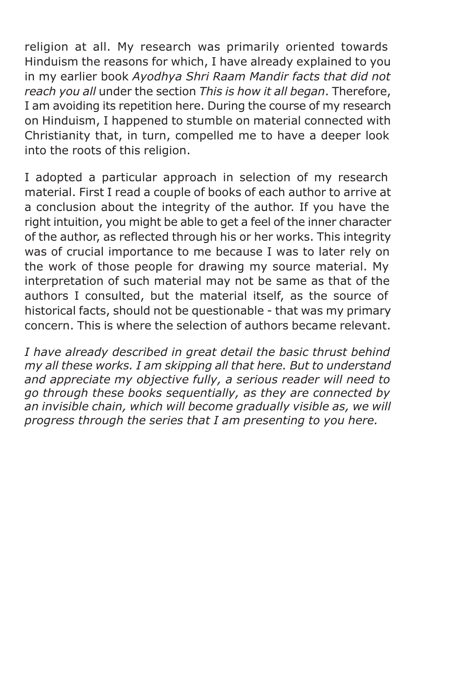religion at all. My research was primarily oriented towards Hinduism the reasons for which, I have already explained to you in my earlier book *Ayodhya Shri Raam Mandir facts that did not reach you all* under the section *This is how it all began*. Therefore, I am avoiding its repetition here. During the course of my research on Hinduism, I happened to stumble on material connected with Christianity that, in turn, compelled me to have a deeper look into the roots of this religion.

I adopted a particular approach in selection of my research material. First I read a couple of books of each author to arrive at a conclusion about the integrity of the author. If you have the right intuition, you might be able to get a feel of the inner character of the author, as reflected through his or her works. This integrity was of crucial importance to me because I was to later rely on the work of those people for drawing my source material. My interpretation of such material may not be same as that of the authors I consulted, but the material itself, as the source of historical facts, should not be questionable - that was my primary concern. This is where the selection of authors became relevant.

*I have already described in great detail the basic thrust behind my all these works. I am skipping all that here. But to understand and appreciate my objective fully, a serious reader will need to go through these books sequentially, as they are connected by an invisible chain, which will become gradually visible as, we will progress through the series that I am presenting to you here.*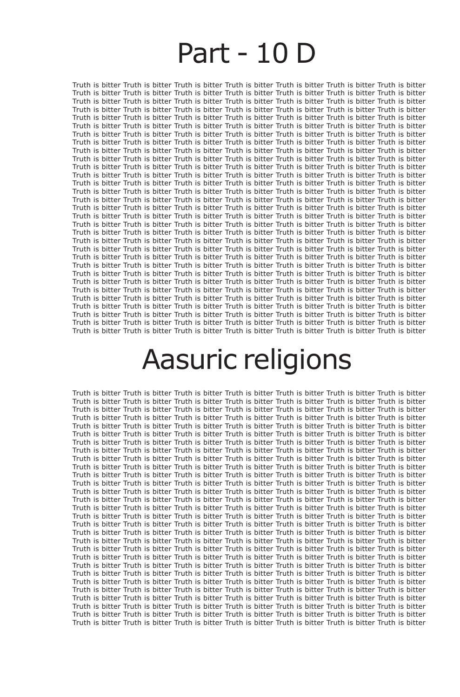## Part - 10 D

Truth is bitter Truth is bitter Truth is bitter Truth is bitter Truth is bitter Truth is bitter Truth is bitter Truth is bitter Truth is bitter Truth is bitter Truth is bitter Truth is bitter Truth is bitter Truth is bitter Truth is bitter Truth is bitter Truth is bitter Truth is bitter Truth is bitter Truth is bitter Truth is bitter Truth is bitter Truth is bitter Truth is bitter Truth is bitter Truth is bitter Truth is bitter Truth is bitter Truth is bitter Truth is bitter Truth is bitter Truth is bitter Truth is bitter Truth is bitter Truth is bitter Truth is bitter Truth is bitter Truth is bitter Truth is bitter Truth is bitter Truth is bitter Truth is bitter Truth is bitter Truth is bitter Truth is bitter Truth is bitter Truth is bitter Truth is bitter Truth is bitter Truth is bitter Truth is bitter Truth is bitter Truth is bitter Truth is bitter Truth is bitter Truth is bitter Truth is bitter Truth is bitter Truth is bitter Truth is bitter Truth is bitter Truth is bitter Truth is bitter Truth is bitter Truth is bitter Truth is bitter Truth is bitter Truth is bitter Truth is bitter Truth is bitter Truth is bitter Truth is bitter Truth is bitter Truth is bitter Truth is bitter Truth is bitter Truth is bitter Truth is bitter Truth is bitter Truth is bitter Truth is bitter Truth is bitter Truth is bitter Truth is bitter Truth is bitter Truth is bitter Truth is bitter Truth is bitter Truth is bitter Truth is bitter Truth is bitter Truth is bitter Truth is bitter Truth is bitter Truth is bitter Truth is bitter Truth is bitter Truth is bitter Truth is bitter Truth is bitter Truth is bitter Truth is bitter Truth is bitter Truth is bitter Truth is bitter Truth is bitter Truth is bitter Truth is bitter Truth is bitter Truth is bitter Truth is bitter Truth is bitter Truth is bitter Truth is bitter Truth is bitter Truth is bitter Truth is bitter Truth is bitter Truth is bitter Truth is bitter Truth is bitter Truth is bitter Truth is bitter Truth is bitter Truth is bitter Truth is bitter Truth is bitter Truth is bitter Truth is bitter Truth is bitter Truth is bitter Truth is bitter Truth is bitter Truth is bitter Truth is bitter Truth is bitter Truth is bitter Truth is bitter Truth is bitter Truth is bitter Truth is bitter Truth is bitter Truth is bitter Truth is bitter Truth is bitter Truth is bitter Truth is bitter Truth is bitter Truth is bitter Truth is bitter Truth is bitter Truth is bitter Truth is bitter Truth is bitter Truth is bitter Truth is bitter Truth is bitter Truth is bitter Truth is bitter Truth is bitter Truth is bitter Truth is bitter Truth is bitter Truth is bitter Truth is bitter Truth is bitter Truth is bitter Truth is bitter Truth is bitter Truth is bitter Truth is bitter Truth is bitter Truth is bitter Truth is bitter Truth is bitter Truth is bitter Truth is bitter Truth is bitter Truth is bitter Truth is bitter Truth is bitter Truth is bitter Truth is bitter Truth is bitter Truth is bitter Truth is bitter Truth is bitter Truth is bitter Truth is bitter Truth is bitter Truth is bitter Truth is bitter Truth is bitter Truth is bitter Truth is bitter Truth is bitter Truth is bitter Truth is bitter Truth is bitter Truth is bitter Truth is bitter Truth is bitter Truth is bitter Truth is bitter Truth is bitter Truth is bitter Truth is bitter Truth is bitter Truth is bitter Truth is bitter Truth is bitter Truth is bitter Truth is bitter Truth is bitter Truth is bitter Truth is bitter Truth is bitter

## Aasuric religions

Truth is bitter Truth is bitter Truth is bitter Truth is bitter Truth is bitter Truth is bitter Truth is bitter Truth is bitter Truth is bitter Truth is bitter Truth is bitter Truth is bitter Truth is bitter Truth is bitter Truth is bitter Truth is bitter Truth is bitter Truth is bitter Truth is bitter Truth is bitter Truth is bitter Truth is bitter Truth is bitter Truth is bitter Truth is bitter Truth is bitter Truth is bitter Truth is bitter Truth is bitter Truth is bitter Truth is bitter Truth is bitter Truth is bitter Truth is bitter Truth is bitter Truth is bitter Truth is bitter Truth is bitter Truth is bitter Truth is bitter Truth is bitter Truth is bitter Truth is bitter Truth is bitter Truth is bitter Truth is bitter Truth is bitter Truth is bitter Truth is bitter Truth is bitter Truth is bitter Truth is bitter Truth is bitter Truth is bitter Truth is bitter Truth is bitter Truth is bitter Truth is bitter Truth is bitter Truth is bitter Truth is bitter Truth is bitter Truth is bitter Truth is bitter Truth is bitter Truth is bitter Truth is bitter Truth is bitter Truth is bitter Truth is bitter Truth is bitter Truth is bitter Truth is bitter Truth is bitter Truth is bitter Truth is bitter Truth is bitter Truth is bitter Truth is bitter Truth is bitter Truth is bitter Truth is bitter Truth is bitter Truth is bitter Truth is bitter Truth is bitter Truth is bitter Truth is bitter Truth is bitter Truth is bitter Truth is bitter Truth is bitter Truth is bitter Truth is bitter Truth is bitter Truth is bitter Truth is bitter Truth is bitter Truth is bitter Truth is bitter Truth is bitter Truth is bitter Truth is bitter Truth is bitter Truth is bitter Truth is bitter Truth is bitter Truth is bitter Truth is bitter Truth is bitter Truth is bitter Truth is bitter Truth is bitter Truth is bitter Truth is bitter Truth is bitter Truth is bitter Truth is bitter Truth is bitter Truth is bitter Truth is bitter Truth is bitter Truth is bitter Truth is bitter Truth is bitter Truth is bitter Truth is bitter Truth is bitter Truth is bitter Truth is bitter Truth is bitter Truth is bitter Truth is bitter Truth is bitter Truth is bitter Truth is bitter Truth is bitter Truth is bitter Truth is bitter Truth is bitter Truth is bitter Truth is bitter Truth is bitter Truth is bitter Truth is bitter Truth is bitter Truth is bitter Truth is bitter Truth is bitter Truth is bitter Truth is bitter Truth is bitter Truth is bitter Truth is bitter Truth is bitter Truth is bitter Truth is bitter Truth is bitter Truth is bitter Truth is bitter Truth is bitter Truth is bitter Truth is bitter Truth is bitter Truth is bitter Truth is bitter Truth is bitter Truth is bitter Truth is bitter Truth is bitter Truth is bitter Truth is bitter Truth is bitter Truth is bitter Truth is bitter Truth is bitter Truth is bitter Truth is bitter Truth is bitter Truth is bitter Truth is bitter Truth is bitter Truth is bitter Truth is bitter Truth is bitter Truth is bitter Truth is bitter Truth is bitter Truth is bitter Truth is bitter Truth is bitter Truth is bitter Truth is bitter Truth is bitter Truth is bitter Truth is bitter Truth is bitter Truth is bitter Truth is bitter Truth is bitter Truth is bitter Truth is bitter Truth is bitter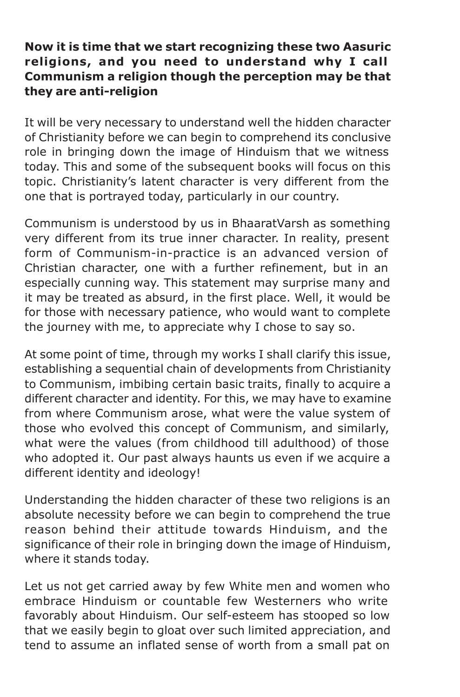#### **Now it is time that we start recognizing these two Aasuric religions, and you need to understand why I call Communism a religion though the perception may be that they are anti-religion**

It will be very necessary to understand well the hidden character of Christianity before we can begin to comprehend its conclusive role in bringing down the image of Hinduism that we witness today. This and some of the subsequent books will focus on this topic. Christianity's latent character is very different from the one that is portrayed today, particularly in our country.

Communism is understood by us in BhaaratVarsh as something very different from its true inner character. In reality, present form of Communism-in-practice is an advanced version of Christian character, one with a further refinement, but in an especially cunning way. This statement may surprise many and it may be treated as absurd, in the first place. Well, it would be for those with necessary patience, who would want to complete the journey with me, to appreciate why I chose to say so.

At some point of time, through my works I shall clarify this issue, establishing a sequential chain of developments from Christianity to Communism, imbibing certain basic traits, finally to acquire a different character and identity. For this, we may have to examine from where Communism arose, what were the value system of those who evolved this concept of Communism, and similarly, what were the values (from childhood till adulthood) of those who adopted it. Our past always haunts us even if we acquire a different identity and ideology!

Understanding the hidden character of these two religions is an absolute necessity before we can begin to comprehend the true reason behind their attitude towards Hinduism, and the significance of their role in bringing down the image of Hinduism, where it stands today.

Let us not get carried away by few White men and women who embrace Hinduism or countable few Westerners who write favorably about Hinduism. Our self-esteem has stooped so low that we easily begin to gloat over such limited appreciation, and tend to assume an inflated sense of worth from a small pat on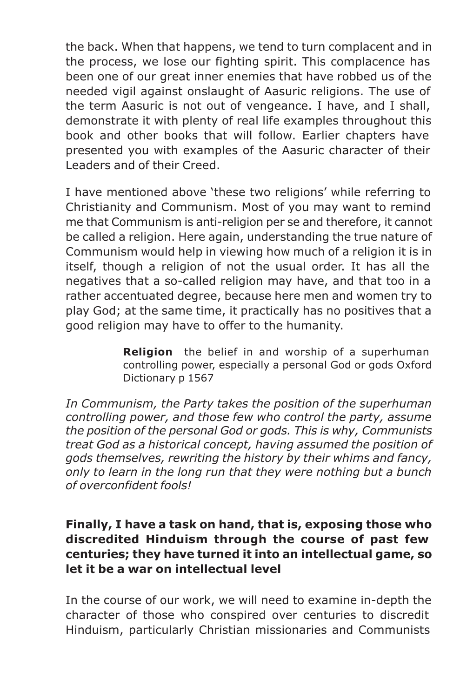the back. When that happens, we tend to turn complacent and in the process, we lose our fighting spirit. This complacence has been one of our great inner enemies that have robbed us of the needed vigil against onslaught of Aasuric religions. The use of the term Aasuric is not out of vengeance. I have, and I shall, demonstrate it with plenty of real life examples throughout this book and other books that will follow. Earlier chapters have presented you with examples of the Aasuric character of their Leaders and of their Creed.

I have mentioned above 'these two religions' while referring to Christianity and Communism. Most of you may want to remind me that Communism is anti-religion per se and therefore, it cannot be called a religion. Here again, understanding the true nature of Communism would help in viewing how much of a religion it is in itself, though a religion of not the usual order. It has all the negatives that a so-called religion may have, and that too in a rather accentuated degree, because here men and women try to play God; at the same time, it practically has no positives that a good religion may have to offer to the humanity.

> **Religion** the belief in and worship of a superhuman controlling power, especially a personal God or gods Oxford Dictionary p 1567

*In Communism, the Party takes the position of the superhuman controlling power, and those few who control the party, assume the position of the personal God or gods. This is why, Communists treat God as a historical concept, having assumed the position of gods themselves, rewriting the history by their whims and fancy, only to learn in the long run that they were nothing but a bunch of overconfident fools!*

#### **Finally, I have a task on hand, that is, exposing those who discredited Hinduism through the course of past few centuries; they have turned it into an intellectual game, so let it be a war on intellectual level**

In the course of our work, we will need to examine in-depth the character of those who conspired over centuries to discredit Hinduism, particularly Christian missionaries and Communists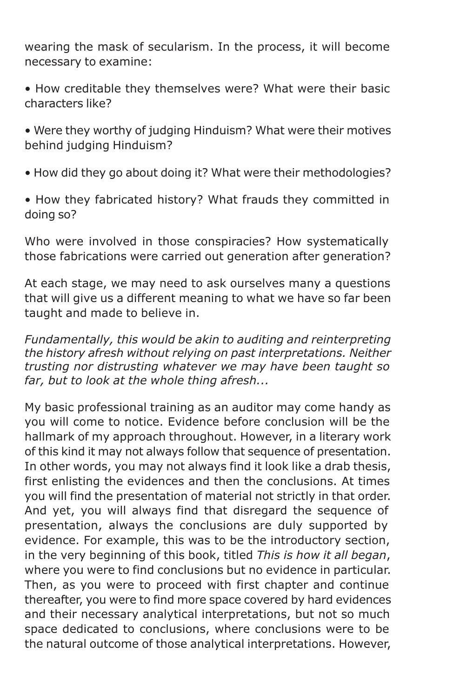wearing the mask of secularism. In the process, it will become necessary to examine:

- How creditable they themselves were? What were their basic characters like?
- Were they worthy of judging Hinduism? What were their motives behind judging Hinduism?
- How did they go about doing it? What were their methodologies?
- How they fabricated history? What frauds they committed in doing so?

Who were involved in those conspiracies? How systematically those fabrications were carried out generation after generation?

At each stage, we may need to ask ourselves many a questions that will give us a different meaning to what we have so far been taught and made to believe in.

*Fundamentally, this would be akin to auditing and reinterpreting the history afresh without relying on past interpretations. Neither trusting nor distrusting whatever we may have been taught so far, but to look at the whole thing afresh...*

My basic professional training as an auditor may come handy as you will come to notice. Evidence before conclusion will be the hallmark of my approach throughout. However, in a literary work of this kind it may not always follow that sequence of presentation. In other words, you may not always find it look like a drab thesis, first enlisting the evidences and then the conclusions. At times you will find the presentation of material not strictly in that order. And yet, you will always find that disregard the sequence of presentation, always the conclusions are duly supported by evidence. For example, this was to be the introductory section, in the very beginning of this book, titled *This is how it all began*, where you were to find conclusions but no evidence in particular. Then, as you were to proceed with first chapter and continue thereafter, you were to find more space covered by hard evidences and their necessary analytical interpretations, but not so much space dedicated to conclusions, where conclusions were to be the natural outcome of those analytical interpretations. However,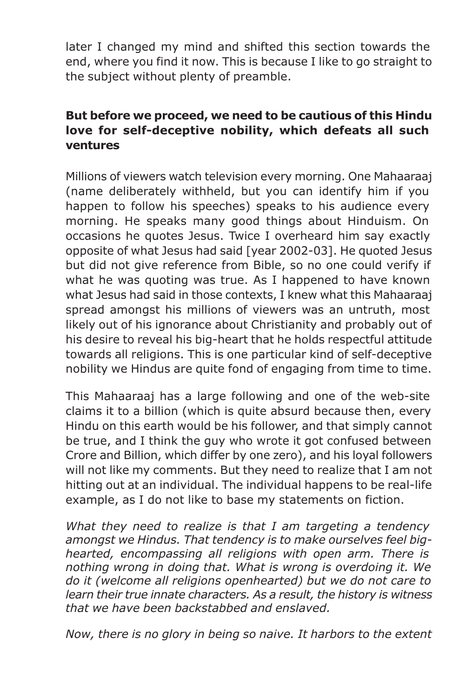later I changed my mind and shifted this section towards the end, where you find it now. This is because I like to go straight to the subject without plenty of preamble.

#### **But before we proceed, we need to be cautious of this Hindu love for self-deceptive nobility, which defeats all such ventures**

Millions of viewers watch television every morning. One Mahaaraaj (name deliberately withheld, but you can identify him if you happen to follow his speeches) speaks to his audience every morning. He speaks many good things about Hinduism. On occasions he quotes Jesus. Twice I overheard him say exactly opposite of what Jesus had said [year 2002-03]. He quoted Jesus but did not give reference from Bible, so no one could verify if what he was quoting was true. As I happened to have known what Jesus had said in those contexts, I knew what this Mahaaraaj spread amongst his millions of viewers was an untruth, most likely out of his ignorance about Christianity and probably out of his desire to reveal his big-heart that he holds respectful attitude towards all religions. This is one particular kind of self-deceptive nobility we Hindus are quite fond of engaging from time to time.

This Mahaaraaj has a large following and one of the web-site claims it to a billion (which is quite absurd because then, every Hindu on this earth would be his follower, and that simply cannot be true, and I think the guy who wrote it got confused between Crore and Billion, which differ by one zero), and his loyal followers will not like my comments. But they need to realize that I am not hitting out at an individual. The individual happens to be real-life example, as I do not like to base my statements on fiction.

*What they need to realize is that I am targeting a tendency amongst we Hindus. That tendency is to make ourselves feel bighearted, encompassing all religions with open arm. There is nothing wrong in doing that. What is wrong is overdoing it. We do it (welcome all religions openhearted) but we do not care to learn their true innate characters. As a result, the history is witness that we have been backstabbed and enslaved.*

*Now, there is no glory in being so naive. It harbors to the extent*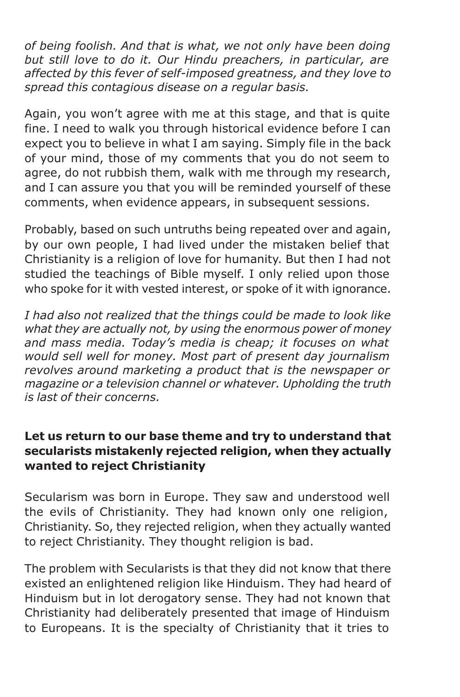*of being foolish. And that is what, we not only have been doing but still love to do it. Our Hindu preachers, in particular, are affected by this fever of self-imposed greatness, and they love to spread this contagious disease on a regular basis.*

Again, you won't agree with me at this stage, and that is quite fine. I need to walk you through historical evidence before I can expect you to believe in what I am saying. Simply file in the back of your mind, those of my comments that you do not seem to agree, do not rubbish them, walk with me through my research, and I can assure you that you will be reminded yourself of these comments, when evidence appears, in subsequent sessions.

Probably, based on such untruths being repeated over and again, by our own people, I had lived under the mistaken belief that Christianity is a religion of love for humanity. But then I had not studied the teachings of Bible myself. I only relied upon those who spoke for it with vested interest, or spoke of it with ignorance.

*I had also not realized that the things could be made to look like what they are actually not, by using the enormous power of money and mass media. Today's media is cheap; it focuses on what would sell well for money. Most part of present day journalism revolves around marketing a product that is the newspaper or magazine or a television channel or whatever. Upholding the truth is last of their concerns.*

#### **Let us return to our base theme and try to understand that secularists mistakenly rejected religion, when they actually wanted to reject Christianity**

Secularism was born in Europe. They saw and understood well the evils of Christianity. They had known only one religion, Christianity. So, they rejected religion, when they actually wanted to reject Christianity. They thought religion is bad.

The problem with Secularists is that they did not know that there existed an enlightened religion like Hinduism. They had heard of Hinduism but in lot derogatory sense. They had not known that Christianity had deliberately presented that image of Hinduism to Europeans. It is the specialty of Christianity that it tries to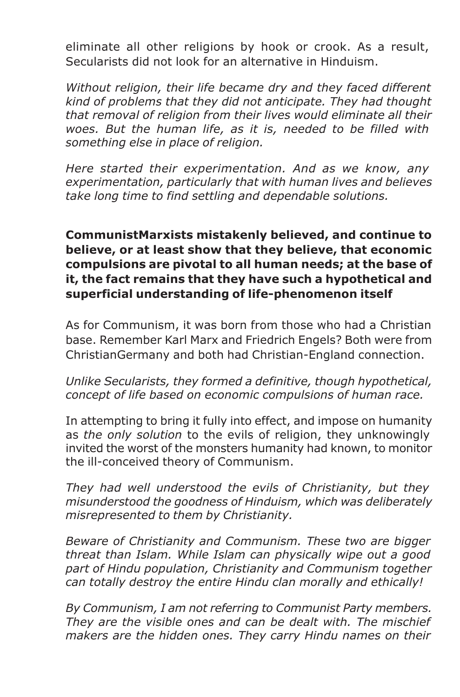eliminate all other religions by hook or crook. As a result, Secularists did not look for an alternative in Hinduism.

*Without religion, their life became dry and they faced different kind of problems that they did not anticipate. They had thought that removal of religion from their lives would eliminate all their woes. But the human life, as it is, needed to be filled with something else in place of religion.*

*Here started their experimentation. And as we know, any experimentation, particularly that with human lives and believes take long time to find settling and dependable solutions.*

#### **CommunistMarxists mistakenly believed, and continue to believe, or at least show that they believe, that economic compulsions are pivotal to all human needs; at the base of it, the fact remains that they have such a hypothetical and superficial understanding of life-phenomenon itself**

As for Communism, it was born from those who had a Christian base. Remember Karl Marx and Friedrich Engels? Both were from ChristianGermany and both had Christian-England connection.

*Unlike Secularists, they formed a definitive, though hypothetical, concept of life based on economic compulsions of human race.*

In attempting to bring it fully into effect, and impose on humanity as *the only solution* to the evils of religion, they unknowingly invited the worst of the monsters humanity had known, to monitor the ill-conceived theory of Communism.

*They had well understood the evils of Christianity, but they misunderstood the goodness of Hinduism, which was deliberately misrepresented to them by Christianity.*

*Beware of Christianity and Communism. These two are bigger threat than Islam. While Islam can physically wipe out a good part of Hindu population, Christianity and Communism together can totally destroy the entire Hindu clan morally and ethically!*

*By Communism, I am not referring to Communist Party members. They are the visible ones and can be dealt with. The mischief makers are the hidden ones. They carry Hindu names on their*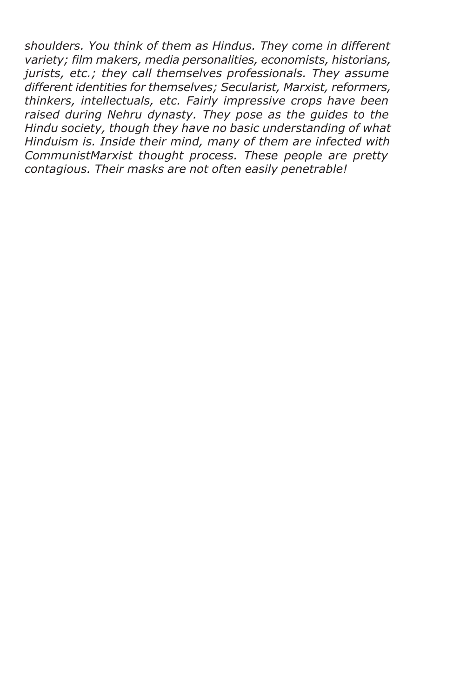*shoulders. You think of them as Hindus. They come in different variety; film makers, media personalities, economists, historians, jurists, etc.; they call themselves professionals. They assume different identities for themselves; Secularist, Marxist, reformers, thinkers, intellectuals, etc. Fairly impressive crops have been raised during Nehru dynasty. They pose as the guides to the Hindu society, though they have no basic understanding of what Hinduism is. Inside their mind, many of them are infected with CommunistMarxist thought process. These people are pretty contagious. Their masks are not often easily penetrable!*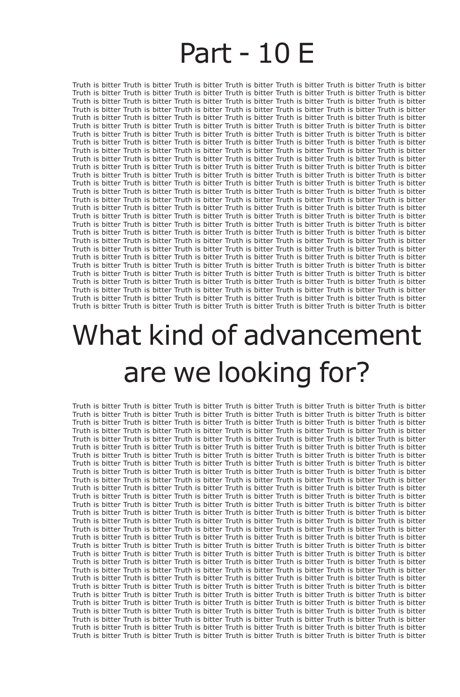# Part - 10 E

Truth is bitter Truth is bitter Truth is bitter Truth is bitter Truth is bitter Truth is bitter Truth is bitter Truth is bitter Truth is bitter Truth is bitter Truth is bitter Truth is bitter Truth is bitter Truth is bitter Truth is bitter Truth is bitter Truth is bitter Truth is bitter Truth is bitter Truth is bitter Truth is bitter Truth is bitter Truth is bitter Truth is bitter Truth is bitter Truth is bitter Truth is bitter Truth is bitter Truth is bitter Truth is bitter Truth is bitter Truth is bitter Truth is bitter Truth is bitter Truth is bitter Truth is bitter Truth is bitter Truth is bitter Truth is bitter Truth is bitter Truth is bitter Truth is bitter Truth is bitter Truth is bitter Truth is bitter Truth is bitter Truth is bitter Truth is bitter Truth is bitter Truth is bitter Truth is bitter Truth is bitter Truth is bitter Truth is bitter Truth is bitter Truth is bitter Truth is bitter Truth is bitter Truth is bitter Truth is bitter Truth is bitter Truth is bitter Truth is bitter Truth is bitter Truth is bitter Truth is bitter Truth is bitter Truth is bitter Truth is bitter Truth is bitter Truth is bitter Truth is bitter Truth is bitter Truth is bitter Truth is bitter Truth is bitter Truth is bitter Truth is bitter Truth is bitter Truth is bitter Truth is bitter Truth is bitter Truth is bitter Truth is bitter Truth is bitter Truth is bitter Truth is bitter Truth is bitter Truth is bitter Truth is bitter Truth is bitter Truth is bitter Truth is bitter Truth is bitter Truth is bitter Truth is bitter Truth is bitter Truth is bitter Truth is bitter Truth is bitter Truth is bitter Truth is bitter Truth is bitter Truth is bitter Truth is bitter Truth is bitter Truth is bitter Truth is bitter Truth is bitter Truth is bitter Truth is bitter Truth is bitter Truth is bitter Truth is bitter Truth is bitter Truth is bitter Truth is bitter Truth is bitter Truth is bitter Truth is bitter Truth is bitter Truth is bitter Truth is bitter Truth is bitter Truth is bitter Truth is bitter Truth is bitter Truth is bitter Truth is bitter Truth is bitter Truth is bitter Truth is bitter Truth is bitter Truth is bitter Truth is bitter Truth is bitter Truth is bitter Truth is bitter Truth is bitter Truth is bitter Truth is bitter Truth is bitter Truth is bitter Truth is bitter Truth is bitter Truth is bitter Truth is bitter Truth is bitter Truth is bitter Truth is bitter Truth is bitter Truth is bitter Truth is bitter Truth is bitter Truth is bitter Truth is bitter Truth is bitter Truth is bitter Truth is bitter Truth is bitter Truth is bitter Truth is bitter Truth is bitter Truth is bitter Truth is bitter Truth is bitter Truth is bitter Truth is bitter Truth is bitter Truth is bitter Truth is bitter Truth is bitter Truth is bitter Truth is bitter Truth is bitter Truth is bitter Truth is bitter Truth is bitter Truth is bitter Truth is bitter Truth is bitter Truth is bitter Truth is bitter Truth is bitter Truth is bitter Truth is bitter Truth is bitter Truth is bitter Truth is bitter Truth is bitter Truth is bitter Truth is bitter Truth is bitter Truth is bitter Truth is bitter Truth is bitter

# What kind of advancement are we looking for?

Truth is bitter Truth is bitter Truth is bitter Truth is bitter Truth is bitter Truth is bitter Truth is bitter Truth is bitter Truth is bitter Truth is bitter Truth is bitter Truth is bitter Truth is bitter Truth is bitter Truth is bitter Truth is bitter Truth is bitter Truth is bitter Truth is bitter Truth is bitter Truth is bitter Truth is bitter Truth is bitter Truth is bitter Truth is bitter Truth is bitter Truth is bitter Truth is bitter Truth is bitter Truth is bitter Truth is bitter Truth is bitter Truth is bitter Truth is bitter Truth is bitter Truth is bitter Truth is bitter Truth is bitter Truth is bitter Truth is bitter Truth is bitter Truth is bitter Truth is bitter Truth is bitter Truth is bitter Truth is bitter Truth is bitter Truth is bitter Truth is bitter Truth is bitter Truth is bitter Truth is bitter Truth is bitter Truth is bitter Truth is bitter Truth is bitter Truth is bitter Truth is bitter Truth is bitter Truth is bitter Truth is bitter Truth is bitter Truth is bitter Truth is bitter Truth is bitter Truth is bitter Truth is bitter Truth is bitter Truth is bitter Truth is bitter Truth is bitter Truth is bitter Truth is bitter Truth is bitter Truth is bitter Truth is bitter Truth is bitter Truth is bitter Truth is bitter Truth is bitter Truth is bitter Truth is bitter Truth is bitter Truth is bitter Truth is bitter Truth is bitter Truth is bitter Truth is bitter Truth is bitter Truth is bitter Truth is bitter Truth is bitter Truth is bitter Truth is bitter Truth is bitter Truth is bitter Truth is bitter Truth is bitter Truth is bitter Truth is bitter Truth is bitter Truth is bitter Truth is bitter Truth is bitter Truth is bitter Truth is bitter Truth is bitter Truth is bitter Truth is bitter Truth is bitter Truth is bitter Truth is bitter Truth is bitter Truth is bitter Truth is bitter Truth is bitter Truth is bitter Truth is bitter Truth is bitter Truth is bitter Truth is bitter Truth is bitter Truth is bitter Truth is bitter Truth is bitter Truth is bitter Truth is bitter Truth is bitter Truth is bitter Truth is bitter Truth is bitter Truth is bitter Truth is bitter Truth is bitter Truth is bitter Truth is bitter Truth is bitter Truth is bitter Truth is bitter Truth is bitter Truth is bitter Truth is bitter Truth is bitter Truth is bitter Truth is bitter Truth is bitter Truth is bitter Truth is bitter Truth is bitter Truth is bitter Truth is bitter Truth is bitter Truth is bitter Truth is bitter Truth is bitter Truth is bitter Truth is bitter Truth is bitter Truth is bitter Truth is bitter Truth is bitter Truth is bitter Truth is bitter Truth is bitter Truth is bitter Truth is bitter Truth is bitter Truth is bitter Truth is bitter Truth is bitter Truth is bitter Truth is bitter Truth is bitter Truth is bitter Truth is bitter Truth is bitter Truth is bitter Truth is bitter Truth is bitter Truth is bitter Truth is bitter Truth is bitter Truth is bitter Truth is bitter Truth is bitter Truth is bitter Truth is bitter Truth is bitter Truth is bitter Truth is bitter Truth is bitter Truth is bitter Truth is bitter Truth is bitter Truth is bitter Truth is bitter Truth is bitter Truth is bitter Truth is bitter Truth is bitter Truth is bitter Truth is bitter Truth is bitter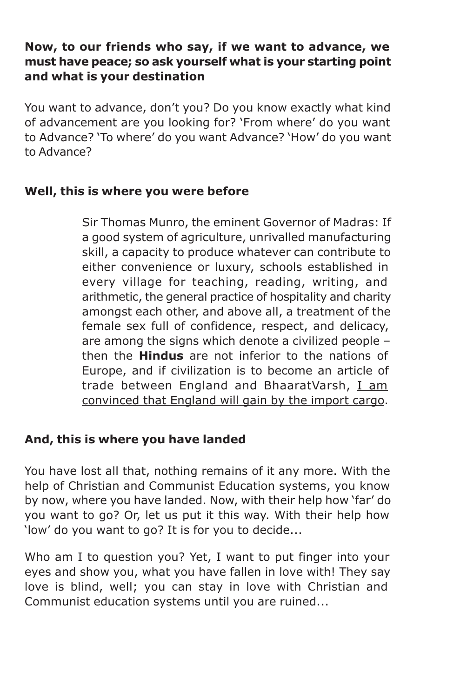#### **Now, to our friends who say, if we want to advance, we must have peace; so ask yourself what is your starting point and what is your destination**

You want to advance, don't you? Do you know exactly what kind of advancement are you looking for? 'From where' do you want to Advance? 'To where' do you want Advance? 'How' do you want to Advance?

#### **Well, this is where you were before**

Sir Thomas Munro, the eminent Governor of Madras: If a good system of agriculture, unrivalled manufacturing skill, a capacity to produce whatever can contribute to either convenience or luxury, schools established in every village for teaching, reading, writing, and arithmetic, the general practice of hospitality and charity amongst each other, and above all, a treatment of the female sex full of confidence, respect, and delicacy, are among the signs which denote a civilized people – then the **Hindus** are not inferior to the nations of Europe, and if civilization is to become an article of trade between England and BhaaratVarsh, I am convinced that England will gain by the import cargo.

#### **And, this is where you have landed**

You have lost all that, nothing remains of it any more. With the help of Christian and Communist Education systems, you know by now, where you have landed. Now, with their help how 'far' do you want to go? Or, let us put it this way. With their help how 'low' do you want to go? It is for you to decide...

Who am I to question you? Yet, I want to put finger into your eyes and show you, what you have fallen in love with! They say love is blind, well; you can stay in love with Christian and Communist education systems until you are ruined...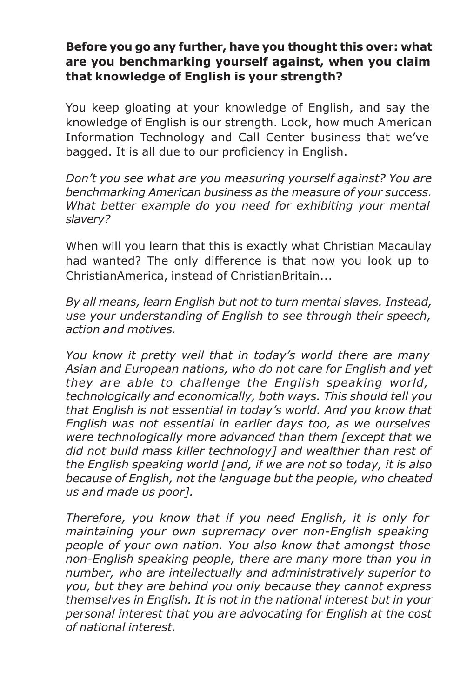#### **Before you go any further, have you thought this over: what are you benchmarking yourself against, when you claim that knowledge of English is your strength?**

You keep gloating at your knowledge of English, and say the knowledge of English is our strength. Look, how much American Information Technology and Call Center business that we've bagged. It is all due to our proficiency in English.

*Don't you see what are you measuring yourself against? You are benchmarking American business as the measure of your success. What better example do you need for exhibiting your mental slavery?*

When will you learn that this is exactly what Christian Macaulay had wanted? The only difference is that now you look up to ChristianAmerica, instead of ChristianBritain...

*By all means, learn English but not to turn mental slaves. Instead, use your understanding of English to see through their speech, action and motives.*

*You know it pretty well that in today's world there are many Asian and European nations, who do not care for English and yet they are able to challenge the English speaking world, technologically and economically, both ways. This should tell you that English is not essential in today's world. And you know that English was not essential in earlier days too, as we ourselves were technologically more advanced than them [except that we did not build mass killer technology] and wealthier than rest of the English speaking world [and, if we are not so today, it is also because of English, not the language but the people, who cheated us and made us poor].*

*Therefore, you know that if you need English, it is only for maintaining your own supremacy over non-English speaking people of your own nation. You also know that amongst those non-English speaking people, there are many more than you in number, who are intellectually and administratively superior to you, but they are behind you only because they cannot express themselves in English. It is not in the national interest but in your personal interest that you are advocating for English at the cost of national interest.*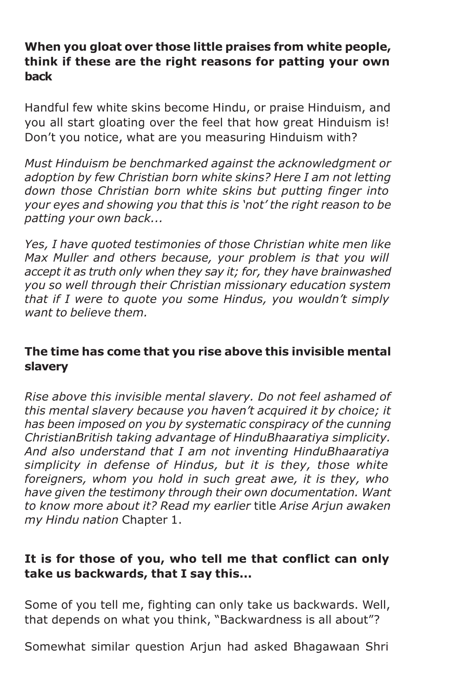**When you gloat over those little praises from white people, think if these are the right reasons for patting your own back**

Handful few white skins become Hindu, or praise Hinduism, and you all start gloating over the feel that how great Hinduism is! Don't you notice, what are you measuring Hinduism with?

*Must Hinduism be benchmarked against the acknowledgment or adoption by few Christian born white skins? Here I am not letting down those Christian born white skins but putting finger into your eyes and showing you that this is 'not' the right reason to be patting your own back...*

*Yes, I have quoted testimonies of those Christian white men like Max Muller and others because, your problem is that you will accept it as truth only when they say it; for, they have brainwashed you so well through their Christian missionary education system that if I were to quote you some Hindus, you wouldn't simply want to believe them.*

#### **The time has come that you rise above this invisible mental slavery**

*Rise above this invisible mental slavery. Do not feel ashamed of this mental slavery because you haven't acquired it by choice; it has been imposed on you by systematic conspiracy of the cunning ChristianBritish taking advantage of HinduBhaaratiya simplicity. And also understand that I am not inventing HinduBhaaratiya simplicity in defense of Hindus, but it is they, those white foreigners, whom you hold in such great awe, it is they, who have given the testimony through their own documentation. Want to know more about it? Read my earlier* title *Arise Arjun awaken my Hindu nation* Chapter 1.

#### **It is for those of you, who tell me that conflict can only take us backwards, that I say this...**

Some of you tell me, fighting can only take us backwards. Well, that depends on what you think, "Backwardness is all about"?

Somewhat similar question Arjun had asked Bhagawaan Shri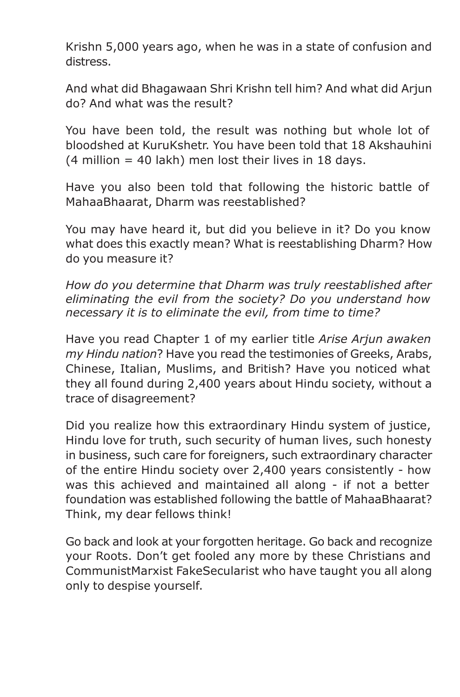Krishn 5,000 years ago, when he was in a state of confusion and distress.

And what did Bhagawaan Shri Krishn tell him? And what did Arjun do? And what was the result?

You have been told, the result was nothing but whole lot of bloodshed at KuruKshetr. You have been told that 18 Akshauhini  $(4 \text{ million} = 40 \text{ lakh})$  men lost their lives in 18 days.

Have you also been told that following the historic battle of MahaaBhaarat, Dharm was reestablished?

You may have heard it, but did you believe in it? Do you know what does this exactly mean? What is reestablishing Dharm? How do you measure it?

*How do you determine that Dharm was truly reestablished after eliminating the evil from the society? Do you understand how necessary it is to eliminate the evil, from time to time?*

Have you read Chapter 1 of my earlier title *Arise Arjun awaken my Hindu nation*? Have you read the testimonies of Greeks, Arabs, Chinese, Italian, Muslims, and British? Have you noticed what they all found during 2,400 years about Hindu society, without a trace of disagreement?

Did you realize how this extraordinary Hindu system of justice, Hindu love for truth, such security of human lives, such honesty in business, such care for foreigners, such extraordinary character of the entire Hindu society over 2,400 years consistently - how was this achieved and maintained all along - if not a better foundation was established following the battle of MahaaBhaarat? Think, my dear fellows think!

Go back and look at your forgotten heritage. Go back and recognize your Roots. Don't get fooled any more by these Christians and CommunistMarxist FakeSecularist who have taught you all along only to despise yourself.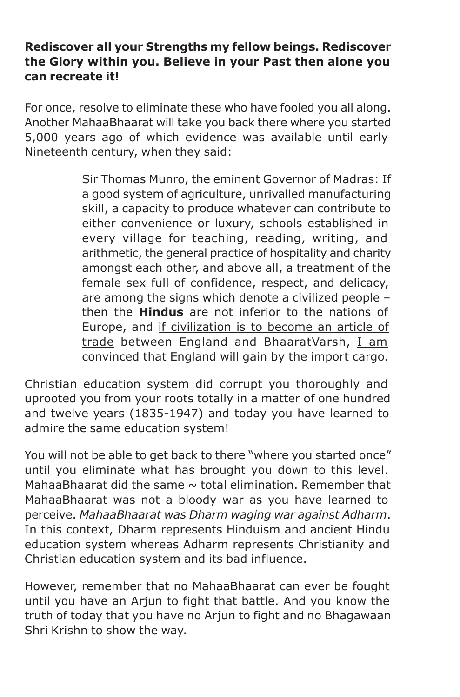#### **Rediscover all your Strengths my fellow beings. Rediscover the Glory within you. Believe in your Past then alone you can recreate it!**

For once, resolve to eliminate these who have fooled you all along. Another MahaaBhaarat will take you back there where you started 5,000 years ago of which evidence was available until early Nineteenth century, when they said:

> Sir Thomas Munro, the eminent Governor of Madras: If a good system of agriculture, unrivalled manufacturing skill, a capacity to produce whatever can contribute to either convenience or luxury, schools established in every village for teaching, reading, writing, and arithmetic, the general practice of hospitality and charity amongst each other, and above all, a treatment of the female sex full of confidence, respect, and delicacy, are among the signs which denote a civilized people – then the **Hindus** are not inferior to the nations of Europe, and if civilization is to become an article of trade between England and BhaaratVarsh, I am convinced that England will gain by the import cargo.

Christian education system did corrupt you thoroughly and uprooted you from your roots totally in a matter of one hundred and twelve years (1835-1947) and today you have learned to admire the same education system!

You will not be able to get back to there "where you started once" until you eliminate what has brought you down to this level. MahaaBhaarat did the same  $\sim$  total elimination. Remember that MahaaBhaarat was not a bloody war as you have learned to perceive. *MahaaBhaarat was Dharm waging war against Adharm*. In this context, Dharm represents Hinduism and ancient Hindu education system whereas Adharm represents Christianity and Christian education system and its bad influence.

However, remember that no MahaaBhaarat can ever be fought until you have an Arjun to fight that battle. And you know the truth of today that you have no Arjun to fight and no Bhagawaan Shri Krishn to show the way.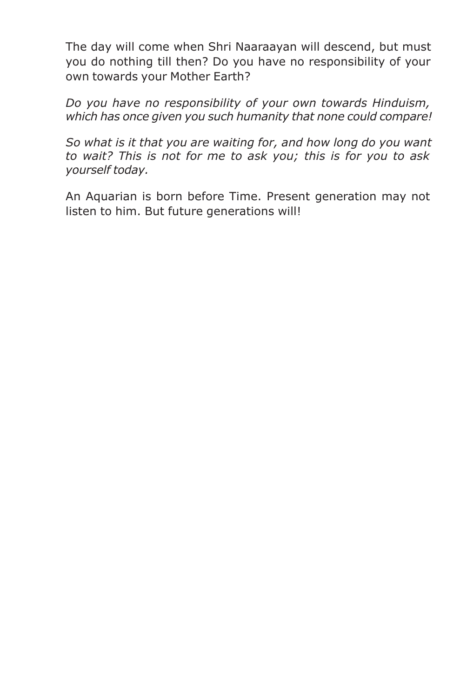The day will come when Shri Naaraayan will descend, but must you do nothing till then? Do you have no responsibility of your own towards your Mother Earth?

*Do you have no responsibility of your own towards Hinduism, which has once given you such humanity that none could compare!*

*So what is it that you are waiting for, and how long do you want to wait? This is not for me to ask you; this is for you to ask yourself today.*

An Aquarian is born before Time. Present generation may not listen to him. But future generations will!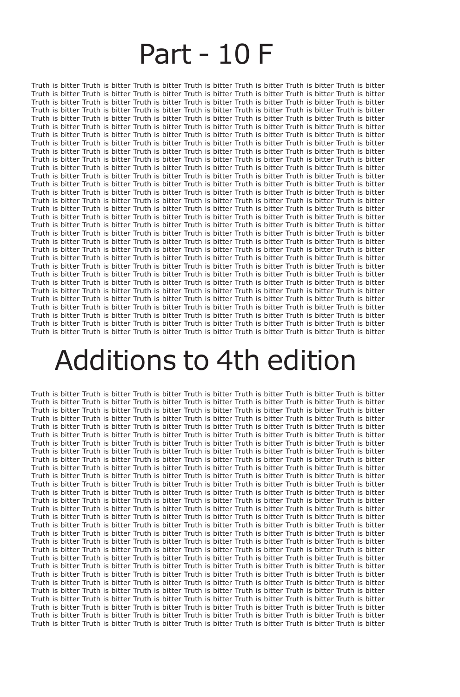### Part - 10 F

Truth is bitter Truth is bitter Truth is bitter Truth is bitter Truth is bitter Truth is bitter Truth is bitter Truth is bitter Truth is bitter Truth is bitter Truth is bitter Truth is bitter Truth is bitter Truth is bitter Truth is bitter Truth is bitter Truth is bitter Truth is bitter Truth is bitter Truth is bitter Truth is bitter Truth is bitter Truth is bitter Truth is bitter Truth is bitter Truth is bitter Truth is bitter Truth is bitter Truth is bitter Truth is bitter Truth is bitter Truth is bitter Truth is bitter Truth is bitter Truth is bitter Truth is bitter Truth is bitter Truth is bitter Truth is bitter Truth is bitter Truth is bitter Truth is bitter Truth is bitter Truth is bitter Truth is bitter Truth is bitter Truth is bitter Truth is bitter Truth is bitter Truth is bitter Truth is bitter Truth is bitter Truth is bitter Truth is bitter Truth is bitter Truth is bitter Truth is bitter Truth is bitter Truth is bitter Truth is bitter Truth is bitter Truth is bitter Truth is bitter Truth is bitter Truth is bitter Truth is bitter Truth is bitter Truth is bitter Truth is bitter Truth is bitter Truth is bitter Truth is bitter Truth is bitter Truth is bitter Truth is bitter Truth is bitter Truth is bitter Truth is bitter Truth is bitter Truth is bitter Truth is bitter Truth is bitter Truth is bitter Truth is bitter Truth is bitter Truth is bitter Truth is bitter Truth is bitter Truth is bitter Truth is bitter Truth is bitter Truth is bitter Truth is bitter Truth is bitter Truth is bitter Truth is bitter Truth is bitter Truth is bitter Truth is bitter Truth is bitter Truth is bitter Truth is bitter Truth is bitter Truth is bitter Truth is bitter Truth is bitter Truth is bitter Truth is bitter Truth is bitter Truth is bitter Truth is bitter Truth is bitter Truth is bitter Truth is bitter Truth is bitter Truth is bitter Truth is bitter Truth is bitter Truth is bitter Truth is bitter Truth is bitter Truth is bitter Truth is bitter Truth is bitter Truth is bitter Truth is bitter Truth is bitter Truth is bitter Truth is bitter Truth is bitter Truth is bitter Truth is bitter Truth is bitter Truth is bitter Truth is bitter Truth is bitter Truth is bitter Truth is bitter Truth is bitter Truth is bitter Truth is bitter Truth is bitter Truth is bitter Truth is bitter Truth is bitter Truth is bitter Truth is bitter Truth is bitter Truth is bitter Truth is bitter Truth is bitter Truth is bitter Truth is bitter Truth is bitter Truth is bitter Truth is bitter Truth is bitter Truth is bitter Truth is bitter Truth is bitter Truth is bitter Truth is bitter Truth is bitter Truth is bitter Truth is bitter Truth is bitter Truth is bitter Truth is bitter Truth is bitter Truth is bitter Truth is bitter Truth is bitter Truth is bitter Truth is bitter Truth is bitter Truth is bitter Truth is bitter Truth is bitter Truth is bitter Truth is bitter Truth is bitter Truth is bitter Truth is bitter Truth is bitter Truth is bitter Truth is bitter Truth is bitter Truth is bitter Truth is bitter Truth is bitter Truth is bitter Truth is bitter Truth is bitter Truth is bitter Truth is bitter Truth is bitter Truth is bitter Truth is bitter Truth is bitter Truth is bitter Truth is bitter Truth is bitter Truth is bitter Truth is bitter Truth is bitter Truth is bitter Truth is bitter Truth is bitter Truth is bitter Truth is bitter Truth is bitter Truth is bitter Truth is bitter Truth is bitter Truth is bitter Truth is bitter Truth is bitter

## Additions to 4th edition

Truth is bitter Truth is bitter Truth is bitter Truth is bitter Truth is bitter Truth is bitter Truth is bitter Truth is bitter Truth is bitter Truth is bitter Truth is bitter Truth is bitter Truth is bitter Truth is bitter Truth is bitter Truth is bitter Truth is bitter Truth is bitter Truth is bitter Truth is bitter Truth is bitter Truth is bitter Truth is bitter Truth is bitter Truth is bitter Truth is bitter Truth is bitter Truth is bitter Truth is bitter Truth is bitter Truth is bitter Truth is bitter Truth is bitter Truth is bitter Truth is bitter Truth is bitter Truth is bitter Truth is bitter Truth is bitter Truth is bitter Truth is bitter Truth is bitter Truth is bitter Truth is bitter Truth is bitter Truth is bitter Truth is bitter Truth is bitter Truth is bitter Truth is bitter Truth is bitter Truth is bitter Truth is bitter Truth is bitter Truth is bitter Truth is bitter Truth is bitter Truth is bitter Truth is bitter Truth is bitter Truth is bitter Truth is bitter Truth is bitter Truth is bitter Truth is bitter Truth is bitter Truth is bitter Truth is bitter Truth is bitter Truth is bitter Truth is bitter Truth is bitter Truth is bitter Truth is bitter Truth is bitter Truth is bitter Truth is bitter Truth is bitter Truth is bitter Truth is bitter Truth is bitter Truth is bitter Truth is bitter Truth is bitter Truth is bitter Truth is bitter Truth is bitter Truth is bitter Truth is bitter Truth is bitter Truth is bitter Truth is bitter Truth is bitter Truth is bitter Truth is bitter Truth is bitter Truth is bitter Truth is bitter Truth is bitter Truth is bitter Truth is bitter Truth is bitter Truth is bitter Truth is bitter Truth is bitter Truth is bitter Truth is bitter Truth is bitter Truth is bitter Truth is bitter Truth is bitter Truth is bitter Truth is bitter Truth is bitter Truth is bitter Truth is bitter Truth is bitter Truth is bitter Truth is bitter Truth is bitter Truth is bitter Truth is bitter Truth is bitter Truth is bitter Truth is bitter Truth is bitter Truth is bitter Truth is bitter Truth is bitter Truth is bitter Truth is bitter Truth is bitter Truth is bitter Truth is bitter Truth is bitter Truth is bitter Truth is bitter Truth is bitter Truth is bitter Truth is bitter Truth is bitter Truth is bitter Truth is bitter Truth is bitter Truth is bitter Truth is bitter Truth is bitter Truth is bitter Truth is bitter Truth is bitter Truth is bitter Truth is bitter Truth is bitter Truth is bitter Truth is bitter Truth is bitter Truth is bitter Truth is bitter Truth is bitter Truth is bitter Truth is bitter Truth is bitter Truth is bitter Truth is bitter Truth is bitter Truth is bitter Truth is bitter Truth is bitter Truth is bitter Truth is bitter Truth is bitter Truth is bitter Truth is bitter Truth is bitter Truth is bitter Truth is bitter Truth is bitter Truth is bitter Truth is bitter Truth is bitter Truth is bitter Truth is bitter Truth is bitter Truth is bitter Truth is bitter Truth is bitter Truth is bitter Truth is bitter Truth is bitter Truth is bitter Truth is bitter Truth is bitter Truth is bitter Truth is bitter Truth is bitter Truth is bitter Truth is bitter Truth is bitter Truth is bitter Truth is bitter Truth is bitter Truth is bitter Truth is bitter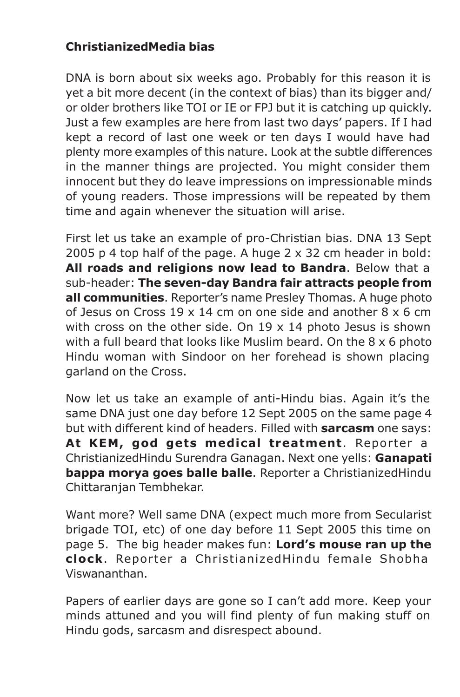#### **ChristianizedMedia bias**

DNA is born about six weeks ago. Probably for this reason it is yet a bit more decent (in the context of bias) than its bigger and/ or older brothers like TOI or IE or FPJ but it is catching up quickly. Just a few examples are here from last two days' papers. If I had kept a record of last one week or ten days I would have had plenty more examples of this nature. Look at the subtle differences in the manner things are projected. You might consider them innocent but they do leave impressions on impressionable minds of young readers. Those impressions will be repeated by them time and again whenever the situation will arise.

First let us take an example of pro-Christian bias. DNA 13 Sept 2005 p 4 top half of the page. A huge 2 x 32 cm header in bold: **All roads and religions now lead to Bandra**. Below that a sub-header: **The seven-day Bandra fair attracts people from all communities**. Reporter's name Presley Thomas. A huge photo of Jesus on Cross 19 x 14 cm on one side and another 8 x 6 cm with cross on the other side. On 19 x 14 photo Jesus is shown with a full beard that looks like Muslim beard. On the 8 x 6 photo Hindu woman with Sindoor on her forehead is shown placing garland on the Cross.

Now let us take an example of anti-Hindu bias. Again it's the same DNA just one day before 12 Sept 2005 on the same page 4 but with different kind of headers. Filled with **sarcasm** one says: **At KEM, god gets medical treatment**. Reporter a ChristianizedHindu Surendra Ganagan. Next one yells: **Ganapati bappa morya goes balle balle**. Reporter a ChristianizedHindu Chittaranjan Tembhekar.

Want more? Well same DNA (expect much more from Secularist brigade TOI, etc) of one day before 11 Sept 2005 this time on page 5. The big header makes fun: **Lord's mouse ran up the clock**. Reporter a ChristianizedHindu female Shobha Viswananthan.

Papers of earlier days are gone so I can't add more. Keep your minds attuned and you will find plenty of fun making stuff on Hindu gods, sarcasm and disrespect abound.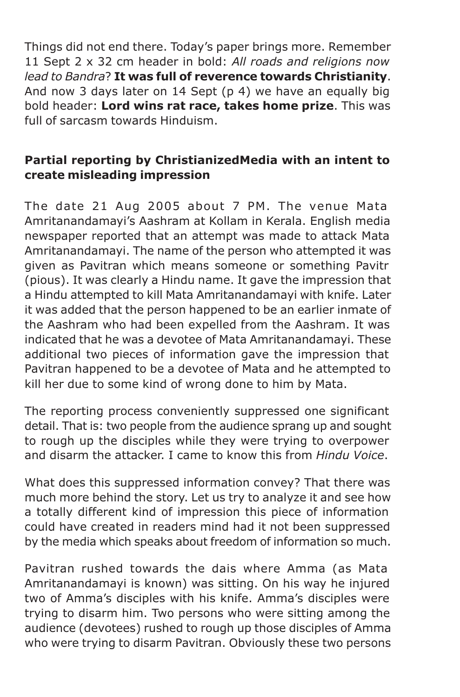Things did not end there. Today's paper brings more. Remember 11 Sept 2 x 32 cm header in bold: *All roads and religions now lead to Bandra*? **It was full of reverence towards Christianity**. And now 3 days later on 14 Sept (p 4) we have an equally big bold header: **Lord wins rat race, takes home prize**. This was full of sarcasm towards Hinduism.

#### **Partial reporting by ChristianizedMedia with an intent to create misleading impression**

The date 21 Aug 2005 about 7 PM. The venue Mata Amritanandamayi's Aashram at Kollam in Kerala. English media newspaper reported that an attempt was made to attack Mata Amritanandamayi. The name of the person who attempted it was given as Pavitran which means someone or something Pavitr (pious). It was clearly a Hindu name. It gave the impression that a Hindu attempted to kill Mata Amritanandamayi with knife. Later it was added that the person happened to be an earlier inmate of the Aashram who had been expelled from the Aashram. It was indicated that he was a devotee of Mata Amritanandamayi. These additional two pieces of information gave the impression that Pavitran happened to be a devotee of Mata and he attempted to kill her due to some kind of wrong done to him by Mata.

The reporting process conveniently suppressed one significant detail. That is: two people from the audience sprang up and sought to rough up the disciples while they were trying to overpower and disarm the attacker. I came to know this from *Hindu Voice*.

What does this suppressed information convey? That there was much more behind the story. Let us try to analyze it and see how a totally different kind of impression this piece of information could have created in readers mind had it not been suppressed by the media which speaks about freedom of information so much.

Pavitran rushed towards the dais where Amma (as Mata Amritanandamayi is known) was sitting. On his way he injured two of Amma's disciples with his knife. Amma's disciples were trying to disarm him. Two persons who were sitting among the audience (devotees) rushed to rough up those disciples of Amma who were trying to disarm Pavitran. Obviously these two persons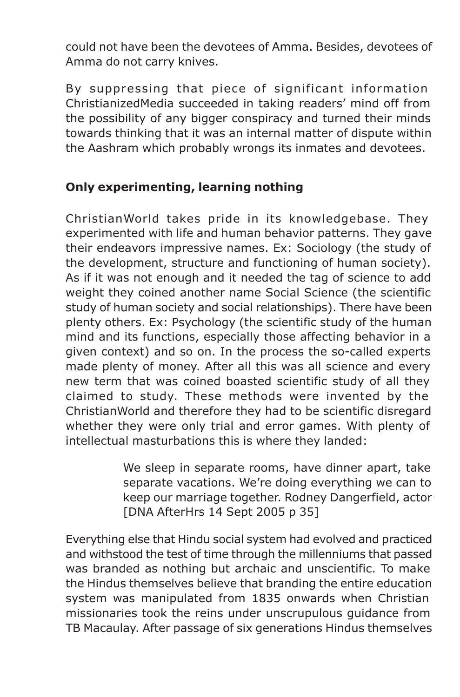could not have been the devotees of Amma. Besides, devotees of Amma do not carry knives.

By suppressing that piece of significant information ChristianizedMedia succeeded in taking readers' mind off from the possibility of any bigger conspiracy and turned their minds towards thinking that it was an internal matter of dispute within the Aashram which probably wrongs its inmates and devotees.

#### **Only experimenting, learning nothing**

ChristianWorld takes pride in its knowledgebase. They experimented with life and human behavior patterns. They gave their endeavors impressive names. Ex: Sociology (the study of the development, structure and functioning of human society). As if it was not enough and it needed the tag of science to add weight they coined another name Social Science (the scientific study of human society and social relationships). There have been plenty others. Ex: Psychology (the scientific study of the human mind and its functions, especially those affecting behavior in a given context) and so on. In the process the so-called experts made plenty of money. After all this was all science and every new term that was coined boasted scientific study of all they claimed to study. These methods were invented by the ChristianWorld and therefore they had to be scientific disregard whether they were only trial and error games. With plenty of intellectual masturbations this is where they landed:

> We sleep in separate rooms, have dinner apart, take separate vacations. We're doing everything we can to keep our marriage together. Rodney Dangerfield, actor [DNA AfterHrs 14 Sept 2005 p 35]

Everything else that Hindu social system had evolved and practiced and withstood the test of time through the millenniums that passed was branded as nothing but archaic and unscientific. To make the Hindus themselves believe that branding the entire education system was manipulated from 1835 onwards when Christian missionaries took the reins under unscrupulous guidance from TB Macaulay. After passage of six generations Hindus themselves